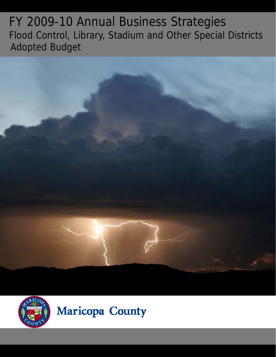# FY 2009-10 Annual Business Strategies Flood Control, Library, Stadium and Other Special Districts Adopted Budget



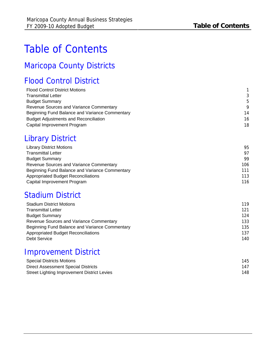# Table of Contents

# Maricopa County Districts

# Flood Control District

| <b>Flood Control District Motions</b>          |    |
|------------------------------------------------|----|
| <b>Transmittal Letter</b>                      | 3  |
| <b>Budget Summary</b>                          | .5 |
| Revenue Sources and Variance Commentary        | q  |
| Beginning Fund Balance and Variance Commentary | 14 |
| <b>Budget Adjustments and Reconciliation</b>   | 16 |
| Capital Improvement Program                    | 18 |

# Library District

| <b>Library District Motions</b>                | 95  |
|------------------------------------------------|-----|
| <b>Transmittal Letter</b>                      | 97  |
| <b>Budget Summary</b>                          | 99  |
| Revenue Sources and Variance Commentary        | 106 |
| Beginning Fund Balance and Variance Commentary | 111 |
| <b>Appropriated Budget Reconciliations</b>     | 113 |
| Capital Improvement Program                    | 116 |

# Stadium District

| <b>Stadium District Motions</b>                | 119 |
|------------------------------------------------|-----|
| <b>Transmittal Letter</b>                      | 121 |
| <b>Budget Summary</b>                          | 124 |
| Revenue Sources and Variance Commentary        | 133 |
| Beginning Fund Balance and Variance Commentary | 135 |
| Appropriated Budget Reconciliations            | 137 |
| Debt Service                                   | 140 |

# Improvement District

| <b>Special Districts Motions</b>                   | 145 |
|----------------------------------------------------|-----|
| Direct Assessment Special Districts                | 147 |
| <b>Street Lighting Improvement District Levies</b> | 148 |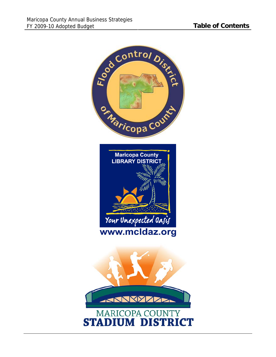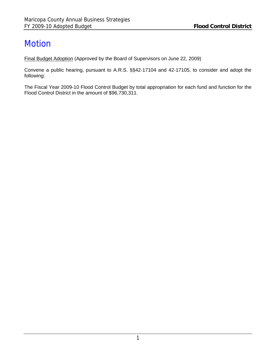# <span id="page-3-0"></span>**Motion**

Final Budget Adoption (Approved by the Board of Supervisors on June 22, 2009)

Convene a public hearing, pursuant to A.R.S. §§42-17104 and 42-17105, to consider and adopt the following:

The Fiscal Year 2009-10 Flood Control Budget by total appropriation for each fund and function for the Flood Control District in the amount of \$96,730,311.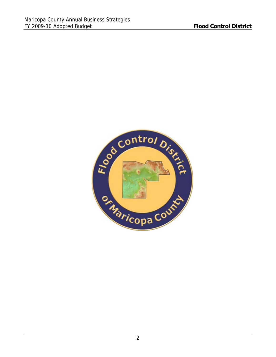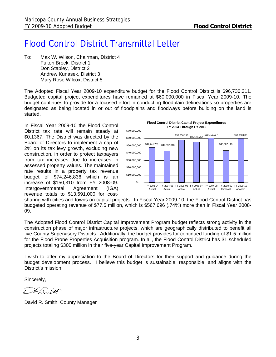# <span id="page-5-0"></span>Flood Control District Transmittal Letter

To: Max W. Wilson, Chairman, District 4 Fulton Brock, District 1 Don Stapley, District 2 Andrew Kunasek, District 3 Mary Rose Wilcox, District 5

The Adopted Fiscal Year 2009-10 expenditure budget for the Flood Control District is \$96,730,311. Budgeted capital project expenditures have remained at \$60,000,000 in Fiscal Year 2009-10. The budget continues to provide for a focused effort in conducting floodplain delineations so properties are designated as being located in or out of floodplains and floodways before building on the land is started.

In Fiscal Year 2009-10 the Flood Control District tax rate will remain steady at \$0.1367. The District was directed by the Board of Directors to implement a cap of 2% on its tax levy growth, excluding new construction, in order to protect taxpayers from tax increases due to increases in assessed property values. The maintained rate results in a property tax revenue budget of \$74,246,836 which is an increase of \$150,310 from FY 2008-09. Intergovernmental Agreement (IGA) revenue totals to \$13,591,000 for cost-



sharing with cities and towns on capital projects. In Fiscal Year 2009-10, the Flood Control District has budgeted operating revenue of \$77.5 million, which is \$567,696 (.74%) more than in Fiscal Year 2008- 09.

The Adopted Flood Control District Capital Improvement Program budget reflects strong activity in the construction phase of major infrastructure projects, which are geographically distributed to benefit all five County Supervisory Districts. Additionally, the budget provides for continued funding of \$1.5 million for the Flood Prone Properties Acquisition program. In all, the Flood Control District has 31 scheduled projects totaling \$300 million in their five-year Capital Improvement Program.

I wish to offer my appreciation to the Board of Directors for their support and guidance during the budget development process. I believe this budget is sustainable, responsible, and aligns with the District's mission.

Sincerely,

 $\triangle$  :  $\overline{\mathscr{H}}$ į

David R. Smith, County Manager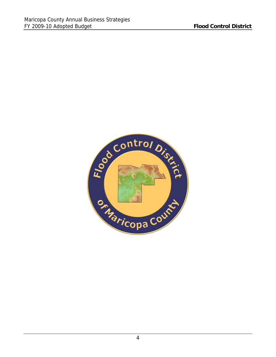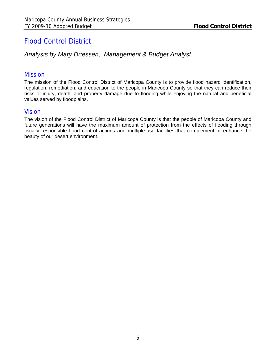# Flood Control District

*Analysis by Mary Driessen, Management & Budget Analyst* 

# **Mission**

The mission of the Flood Control District of Maricopa County is to provide flood hazard identification, regulation, remediation, and education to the people in Maricopa County so that they can reduce their risks of injury, death, and property damage due to flooding while enjoying the natural and beneficial values served by floodplains.

# **Vision**

The vision of the Flood Control District of Maricopa County is that the people of Maricopa County and future generations will have the maximum amount of protection from the effects of flooding through fiscally responsible flood control actions and multiple-use facilities that complement or enhance the beauty of our desert environment.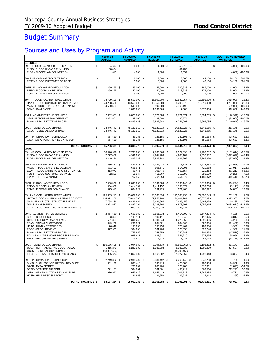# <span id="page-8-0"></span>Budget Summary

# Sources and Uses by Program and Activity

|                                                                    |                | FY 2007-08<br><b>ACTUAL</b>      |    | FY 2008-09<br><b>ADOPTED</b> | FY 2008-09<br><b>REVISED</b> |     | FY 2008-09<br><b>FORECAST</b>  |     | FY 2009-10<br><b>ADOPTED</b> |          | <b>ADOPTED VS REVISED</b><br><b>VARIANCE</b> | $\frac{9}{6}$      |
|--------------------------------------------------------------------|----------------|----------------------------------|----|------------------------------|------------------------------|-----|--------------------------------|-----|------------------------------|----------|----------------------------------------------|--------------------|
| <b>SOURCES</b>                                                     |                |                                  |    |                              |                              |     |                                |     |                              |          |                                              |                    |
| 69HI - FLOOD HAZARD IDENTIFICATION<br>PLNG - FLOOD HAZARD PLANNING | \$             | 134,697 \$<br>133,884            |    | 4,000 \$                     | 4,000 \$                     |     | 53,313 \$<br>51,759            |     | ä,                           | -S       | (4,000)                                      | $-100.0%$          |
| FLDP - FLOODPLAIN DELINEATION                                      |                | 813                              |    | 4,000                        | 4,000                        |     | 1,554                          |     |                              |          | (4,000)                                      | $-100.0%$          |
|                                                                    |                |                                  |    |                              |                              |     |                                |     |                              |          |                                              |                    |
| 69HE - FLOOD HAZARD OUTREACH<br>FCSR - FLOOD CUSTOMER SERVICE      | \$             | $\overline{\phantom{a}}$         | \$ | $6,000$ \$                   | 6,000 \$                     |     | $2,000$ \$                     |     | 42,100                       | <b>S</b> | 36,100                                       | 601.7%             |
|                                                                    |                |                                  |    | 6,000                        | 6,000                        |     | 2,000                          |     | 42,100                       |          | 36,100                                       | 601.7%             |
| 69FH - FLOOD HAZARD REGULATION                                     | \$             | 269.265 \$                       |    | 145,000 \$                   | 145,000 \$                   |     | 320.938 \$                     |     | 186,000 \$                   |          | 41.000                                       | 28.3%              |
| FREV - FLOODPLAIN REVIEW                                           |                | 269,265                          |    | 140.000                      | 140.000                      |     | 318.938                        |     | 174.000                      |          | 34.000                                       | 24.3%              |
| FCMP - FLOODPLAIN COMPLIANCE                                       |                |                                  |    | 5.000                        | 5.000                        |     | 2.000                          |     | 12.000                       |          | 7,000                                        | 140.0%             |
| 69HR - FLOOD HAZARD REMEDIATION                                    | \$             | 78.799.106 \$                    |    | 15.509.000 \$                | 15.509.000 \$                |     | 62.587.257 \$                  |     | 13.591.000 \$                |          | (1,918,000)                                  | $-12.4%$           |
| HAZD - FLOOD CONTROL CAPITAL PROJECTS                              |                | 74,208,526                       |    | 13,550,000                   | 13,550,000                   |     | 58,206,073                     |     | 10,319,000                   |          | (3,231,000)                                  | $-23.8%$           |
| MAIN - FLOOD CTRL STRUCTURE MAINT                                  |                | 4,590,580                        |    | 599,000                      | 599,000                      |     | 4,363,196                      |     |                              |          | (599,000)                                    | $-100.0%$          |
| DAMS - DAM SAFETY                                                  |                |                                  |    | 1,360,000                    | 1,360,000                    |     | 17,988                         |     | 3,272,000                    |          | 1,912,000                                    | 140.6%             |
| 99AS - ADMINISTRATIVE SERVICES                                     | \$             | 2,852,601 \$                     |    | 6,873,683 \$                 | 6,873,683 \$                 |     | 6,771,671 \$                   |     | 5,694,735 \$                 |          | (1, 178, 948)                                | $-17.2%$           |
| <b>ODIR - EXECUTIVE MANAGEMENT</b>                                 |                | 2,852,601                        |    | 38,000                       | 38,000                       |     | 30,574                         |     |                              |          | (38,000)                                     | $-100.0%$          |
| <b>RWAY - REAL ESTATE SERVICES</b>                                 |                |                                  |    | 6,835,683                    | 6,835,683                    |     | 6,741,097                      |     | 5,694,735                    |          | (1, 140, 948)                                | $-16.7%$           |
| 99GV - GENERAL GOVERNMENT                                          | \$             | 13,046,442 \$                    |    | 75,129,910 \$                | 75,129,910 \$                |     | 24,820,028 \$                  |     | 75,341,085 \$                |          | 211,175                                      | 0.0%               |
| GGOV - GENERAL GOVERNMENT                                          |                | 13,046,442                       |    | 75,129,910                   | 75,129,910                   |     | 24,820,028                     |     | 75,341,085                   |          | 211,175                                      | 0.0%               |
| 99IT - INFORMATION TECHNOLOGY                                      |                |                                  |    |                              |                              |     |                                |     |                              |          |                                              |                    |
| GISA - GIS APPLICATION DEV AND SUPP                                | \$             | 664,520 \$<br>664,520            |    | 728,185 \$<br>728,185        | 728,185 \$<br>728,185        |     | 389,106 \$<br>389,106          |     | 689,554 \$<br>689,554        |          | (38, 631)<br>(38, 631)                       | $-5.3%$<br>$-5.3%$ |
| <b>TOTAL PROGRAMS \$</b>                                           |                | 95,766,631                       | ŝ  | 98,395,778 \$                | 98,395,778                   | \$  | 94,944,313                     | -\$ | 95,544,474 \$                |          | (2,851,304)                                  | $-2.9%$            |
| <b>USES</b>                                                        |                |                                  |    |                              |                              |     |                                |     |                              |          |                                              |                    |
| 69HI - FLOOD HAZARD IDENTIFICATION                                 | \$             | 10,526,326 \$                    |    | 7,768,668 \$                 | 7,768,668 \$                 |     | 6,629,398 \$                   |     | 9,902,282 \$                 |          | (2, 133, 614)                                | $-27.5%$           |
| PLNG - FLOOD HAZARD PLANNING                                       |                | 7,277,052                        |    | 4,941,286                    | 4,941,286                    |     | 4,208,189                      |     | 7,036,932                    |          | (2,095,646)                                  | $-42.4%$           |
| FLDP - FLOODPLAIN DELINEATION                                      |                | 3,249,274                        |    | 2,827,382                    | 2,827,382                    |     | 2,421,209                      |     | 2,865,350                    |          | (37,968)                                     | $-1.3%$            |
| 69HE - FLOOD HAZARD OUTREACH                                       | \$             | 836,882 \$                       |    | 2,487,473 \$                 | 2,487,473 \$                 |     | 2,078,131 \$                   |     | 2,512,432 \$                 |          | (24, 959)                                    | $-1.0%$            |
| MASM - FLOOD SAFETY EDUCATION                                      |                | 571,609                          |    | 606,671                      | 606,671                      |     | 514,205                        |     | 729,688                      |          | (123, 017)                                   | $-20.3%$           |
| EDAY - FLOOD CNTRL PUBLIC INFORMATION                              |                | 213,073                          |    | 701,476                      | 701,476                      |     | 459,654                        |     | 220,263                      |          | 481,213                                      | 68.6%              |
| FCSR - FLOOD CUSTOMER SERVICE                                      |                | 52,200                           |    | 411,367                      | 411,367                      |     | 352,295                        |     | 382,109                      |          | 29,258                                       | 7.1%               |
| FWRN - FLOOD WARNING                                               |                |                                  |    | 767,959                      | 767,959                      |     | 751,977                        |     | 1,180,372                    |          | (412, 413)                                   | $-53.7%$           |
| 69FH - FLOOD HAZARD REGULATION                                     | \$             | 2,430,527 \$                     |    | 2.309.086 \$                 | 2,309,086 \$                 |     | 1,865,145 \$                   |     | 2,319,360 \$                 |          | (10, 274)                                    | $-0.4%$            |
| FREV - FLOODPLAIN REVIEW                                           |                | 1,454,609                        |    | 1,414,157                    | 1.414.157                    |     | 1.193.679                      |     | 1.539.268                    |          | (125, 111)                                   | $-8.8%$            |
| FCMP - FLOODPLAIN COMPLIANCE                                       |                | 975.918                          |    | 894,929                      | 894.929                      |     | 671.466                        |     | 780.092                      |          | 114,837                                      | 12.8%              |
| 69HR - FLOOD HAZARD REMEDIATION                                    | $\mathfrak{L}$ | 125,353,215 \$                   |    | 73,667,893 \$                | 73,667,893 \$                |     | 113,088,935 \$                 |     | 72,398,743 \$                |          | 1,269,150                                    | 1.7%               |
| HAZD - FLOOD CONTROL CAPITAL PROJECTS                              |                | 114,972,252                      |    | 55,414,706                   | 57,253,706                   |     | 96,401,241                     |     | 48,878,399                   |          | 8,375,307                                    | 14.6%              |
| MAIN - FLOOD CTRL STRUCTURE MAINT                                  |                | 7,758,336                        |    | 6,481,664                    | 6,481,664                    |     | 7,485,456                      |     | 6,462,379                    |          | 19,285                                       | 0.3%               |
| DAMS - DAM SAFETY                                                  |                | 2,622,627                        |    | 8,862,294                    | 8,023,294                    |     | 6,873,501                      |     | 17,057,965                   |          | (9,034,671)                                  | $-112.6%$          |
| FMLT - FLOOD MULTI PURP ENHANCEMENTS                               |                |                                  |    | 2,909,229                    | 1,909,229                    |     | 2,328,737                      |     |                              |          | 1,909,229                                    | 100.0%             |
| 99AS - ADMINISTRATIVE SERVICES                                     | \$             | 2,467,530 \$                     |    | 3,653,032 \$                 | 3,653,032 \$                 |     | 8,414,309 \$                   |     | 3,647,894 \$                 |          | 5,138                                        | 0.1%               |
| <b>BDGT - BUDGETING</b>                                            |                | 63,399                           |    | 109,111                      | 109,111                      |     | 115,843                        |     | 112,925                      |          | (3,814)                                      | $-3.5%$            |
| ODIR - EXECUTIVE MANAGEMENT                                        |                | 1,501,303                        |    | 1,301,249                    | 1,301,249                    |     | 6,220,852                      |     | 1,296,966                    |          | 4,283                                        | 0.3%               |
| <b>FSAC - FINANCIAL SERVICES</b>                                   |                | 349,226                          |    | 281,321                      | 281,321                      |     | 284,263                        |     | 302,804                      |          | (21, 483)                                    | $-7.6%$            |
| HRAC - HUMAN RESOURCES<br>PROC - PROCUREMENT                       |                | 176,042<br>377,560               |    | 198,956<br>364,208           | 198,956<br>364,208           |     | 175,464<br>323.358             |     | 189,054<br>322,248           |          | 9,902<br>41,960                              | 5.0%<br>11.5%      |
| RWAY - REAL ESTATE SERVICES                                        |                |                                  |    | 753,956                      | 753,956                      |     | 740.287                        |     | 801,494                      |          | (47, 538)                                    | $-6.3%$            |
| FACI - FACILITIES MGMT PROF SUPP SVCS                              |                |                                  |    | 628,611                      | 628,611                      |     | 541,210                        |     | 572,655                      |          | 55,956                                       | 8.9%               |
| RECO - RECORDS MANAGEMENT                                          |                |                                  |    | 15,620                       | 15,620                       |     | 13,032                         |     | 49,748                       |          | (34, 128)                                    | $-218.5%$          |
| 99GV - GENERAL GOVERNMENT                                          |                |                                  |    |                              |                              |     |                                |     |                              |          |                                              | $-0.4%$            |
| CSCA - CENTRAL SERVICE COST ALLOC                                  | \$             | $(56, 186, 608)$ \$<br>1,215,272 |    | 3,094,639 \$<br>1,232,332    | 3,094,639<br>1,232,332       | -\$ | $(46,550,069)$ \$<br>1,232,332 |     | 3,105,812 \$<br>1,306,869    |          | (11, 173)<br>(74, 537)                       | $-6.0%$            |
| GGOV - GENERAL GOVERNMENT                                          |                | (58, 357, 554)                   |    |                              |                              |     | (49,709,458)                   |     |                              |          |                                              |                    |
| ISFC - INTERNAL SERVICE FUND CHARGES                               |                | 955,674                          |    | 1,862,307                    | 1,862,307                    |     | 1,927,057                      |     | 1,798,943                    |          | 63,364                                       | 3.4%               |
| 99IT - INFORMATION TECHNOLOGY                                      | \$             | 2,749,362 \$                     |    | 2,981,497 \$                 | 2,981,497 \$                 |     | 2,266,142 \$                   |     | 2,843,788 \$                 |          | 137,709                                      | 4.6%               |
| BUAS - BUSINESS APPLICATION DEV SUPP                               |                | 391,199                          |    | 508,418                      | 508,418                      |     | 423,680                        |     | 483,486                      |          | 24,932                                       | 4.9%               |
| DACR - DATA CENTER                                                 |                |                                  |    | 200,904                      | 200,904                      |     | 123,900                        |     | 310,801                      |          | (109, 897)                                   | $-54.7%$           |
| DESK - DESKTOP SUPPORT                                             |                | 721,171                          |    | 584,801                      | 584,801                      |     | 490,212                        |     | 369,504                      |          | 215,297                                      | 36.8%              |
| GISA - GIS APPLICATION DEV AND SUPP                                |                | 1,636,992                        |    | 1,655,416                    | 1,655,416                    |     | 1,201,718                      |     | 1,645,684                    |          | 9,732                                        | 0.6%               |
| HDSP - HELP DESK SUPPORT                                           |                |                                  |    | 31,958                       | 31,958                       |     | 26,632                         |     | 34,313                       |          | (2, 355)                                     | $-7.4%$            |
| <b>TOTAL PROGRAMS \$</b>                                           |                | 88,177,234                       | \$ | 95,962,288 \$                | 95,962,288 \$                |     | 87.791.991                     | \$  | 96,730,311                   | \$       | (768.023)                                    | $-0.8%$            |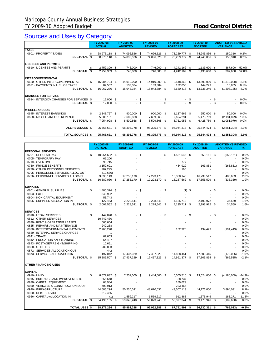# Sources and Uses by Category

|                                         |     | FY 2007-08    | FY 2008-09 |                |        | FY 2008-09     |        | FY 2008-09      | FY 2009-10 |                | <b>ADOPTED VS REVISED</b> |                 |         |
|-----------------------------------------|-----|---------------|------------|----------------|--------|----------------|--------|-----------------|------------|----------------|---------------------------|-----------------|---------|
|                                         |     | <b>ACTUAL</b> |            | <b>ADOPTED</b> |        | <b>REVISED</b> |        | <b>FORECAST</b> |            | <b>ADOPTED</b> |                           | <b>VARIANCE</b> | $\%$    |
| <b>TAXES</b>                            |     |               |            |                |        |                |        |                 |            |                |                           |                 |         |
| 0601 - PROPERTY TAXES                   | æ.  | 68,973,118 \$ |            | 74,096,526     | - \$   | 74,096,526 \$  |        | 73,259,777 \$   |            | 74,246,836 \$  |                           | 150,310         | 0.2%    |
| SUBTOTAL \$                             |     | 68,973,118    | \$         | 74,096,526     | \$     | 74,096,526     | - \$   | 73,259,777 \$   |            | 74,246,836 \$  |                           | 150,310         | 0.2%    |
| <b>ILICENSES AND PERMITS</b>            |     |               |            |                |        |                |        |                 |            |                |                           |                 |         |
| 0610 - LICENSES AND PERMITS             |     | 2,759,309     | \$         | 746,000        | \$     | 746,000 \$     |        | 4,242,162 \$    |            | 1,133,600 \$   |                           | 387,600         | 52.0%   |
| SUBTOTAL \$                             |     | 2,759,309     | \$.        | 746,000        | \$     | 746,000 \$     |        | 4,242,162 \$    |            | 1,133,600 \$   |                           | 387,600         | 52.0%   |
| <b>IINTERGOVERNMENTAL</b>               |     |               |            |                |        |                |        |                 |            |                |                           |                 |         |
| 0620 - OTHER INTERGOVERNMENTAL          | \$. | 15,984,724 \$ |            | 14,910,000 \$  |        | 14,910,000 \$  |        | 8,548,368 \$    |            | 13,591,000 \$  |                           | (1,319,000)     | $-8.8%$ |
| 0621 - PAYMENTS IN LIEU OF TAXES        |     | 82,552        |            | 133,384        |        | 133,384        |        | 132.050         |            | 144,249        |                           | 10,865          | 8.1%    |
| SUBTOTAL \$                             |     | 16,067,276    | \$         | 15,043,384     | \$     | 15,043,384 \$  |        | 8,680,418 \$    |            | 13,735,249     | \$                        | (1,308,135)     | $-8.7%$ |
| <b>ICHARGES FOR SERVICE</b>             |     |               |            |                |        |                |        |                 |            |                |                           |                 |         |
| 0634 - INTERGOV CHARGES FOR SERVICES \$ |     | 12,000 \$     |            |                | - \$   |                | - \$   |                 | - \$       |                | - \$                      |                 | 0.0%    |
| SUBTOTAL \$                             |     | 12,000 \$     |            |                | $-$ \$ |                | $-$ \$ |                 | $-$ \$     |                | $-$ \$                    | $\blacksquare$  | $0.0\%$ |
| <b>IMISCELLANEOUS</b>                   |     |               |            |                |        |                |        |                 |            |                |                           |                 |         |
| 0645 - INTEREST EARNINGS                | \$. | 2,348,767 \$  |            | 900,000 \$     |        | 900,000 \$     |        | 1,137,665 \$    |            | 950,000 \$     |                           | 50,000          | 0.0%    |
| 0650 - MISCELLANEOUS REVENUE            |     | 5,606,161     |            | 7,609,868      |        | 7,609,868      |        | 7,624,291       |            | 5,478,789      |                           | (2, 131, 079)   | 1.0%    |
| SUBTOTAL \$                             |     | 7,954,928     | S.         | 8.509.868      | -S     | 8,509,868 \$   |        | 8.761.956 \$    |            | 6.428.789 \$   |                           | (2,081,079)     | 0.0%    |
| ALL REVENUES \$                         |     | 95,766,631 \$ |            | 98,395,778 \$  |        | 98,395,778 \$  |        | 94,944,313 \$   |            | 95,544,474 \$  |                           | (2,851,304)     | $-2.9%$ |
| <b>TOTAL SOURCES \$</b>                 |     | 95,766,631    | S          | 98,395,778 \$  |        | 98,395,778 \$  |        | 94,944,313 \$   |            | 95,544,474 \$  |                           | (2,851,304)     | $-2.9%$ |

|                                      |    | FY 2007-08<br><b>ACTUAL</b> |     | FY 2008-09<br><b>ADOPTED</b> |    | FY 2008-09<br><b>REVISED</b> |      | FY 2008-09<br><b>FORECAST</b> |      | FY 2009-10<br><b>ADOPTED</b> |      | <b>ADOPTED VS REVISED</b><br><b>VARIANCE</b> | $\%$     |
|--------------------------------------|----|-----------------------------|-----|------------------------------|----|------------------------------|------|-------------------------------|------|------------------------------|------|----------------------------------------------|----------|
| <b>PERSONAL SERVICES</b>             |    |                             |     |                              |    |                              |      |                               |      |                              |      |                                              |          |
| 0701 - REGULAR PAY                   | S  | 10,054,692 \$               |     |                              | \$ |                              | \$   | 1,531,545 \$                  |      | 653,161 \$                   |      | (653, 161)                                   | 0.0%     |
| 0705 - TEMPORARY PAY                 |    | 66,200                      |     |                              |    |                              |      |                               |      |                              |      |                                              | 0.0%     |
| 0710 - OVERTIME                      |    | 90,715                      |     |                              |    |                              |      | 777                           |      |                              |      |                                              | 0.0%     |
| 0750 - FRINGE BENEFITS               |    | 3,159,691                   |     |                              |    |                              |      | 454,929                       |      | 163,851                      |      | (163, 851)                                   | 0.0%     |
| 0790 - OTHER PERSONNEL SERVICES      |    | 207,225                     |     |                              |    |                              |      | 165                           |      |                              |      |                                              | 0.0%     |
| 0795 - PERSONNEL SERVICES ALLOC-OUT  |    | (19,636)                    |     |                              |    |                              |      |                               |      |                              |      |                                              | 0.0%     |
| 0796 - PERSONNEL SERVICES ALLOC-IN   |    | 3,030,143                   |     | 17,256,170                   |    | 17,223,170                   |      | 16,300,146                    |      | 16,739,517                   |      | 483,653                                      | 2.8%     |
| SUBTOTAL \$                          |    | 16,589,030 \$               |     | 17,256,170 \$                |    | 17,223,170 \$                |      | 18,287,562 \$                 |      | 17,556,529 \$                |      | (333, 359)                                   | $-1.9%$  |
| <b>SUPPLIES</b>                      |    |                             |     |                              |    |                              |      |                               |      |                              |      |                                              |          |
| 0801 - GENERAL SUPPLIES              | S  | 1.480.374 \$                |     |                              | \$ |                              | \$.  | $(1)$ \$                      |      |                              | S    |                                              | 0.0%     |
| 0803 - FUEL                          |    | 340,992                     |     |                              |    |                              |      |                               |      |                              |      |                                              | 0.0%     |
| 0804 - NON-CAPITAL EQUIPMENT         |    | 53,743                      |     |                              |    |                              |      |                               |      |                              |      |                                              | 0.0%     |
| 0806 - SUPPLIES-ALLOCATION IN        |    | 127,453                     |     | 2,228,541                    |    | 2,228,541                    |      | 4,135,712                     |      | 2,193,972                    |      | 34,569                                       | 1.6%     |
| SUBTOTAL \$                          |    | 2,002,562 \$                |     | 2,228,541                    | \$ | 2,228,541                    | \$   | 4,135,711 \$                  |      | 2,193,972 \$                 |      | 34,569                                       | 1.6%     |
| <b>SERVICES</b>                      |    |                             |     |                              |    |                              |      |                               |      |                              |      |                                              |          |
| 0810 - LEGAL SERVICES                | S  | 442.878 \$                  |     |                              | S. |                              | \$   |                               | \$   |                              | S    |                                              | 0.0%     |
| 0812 - OTHER SERVICES                |    | 10,747,430                  |     |                              |    |                              |      |                               |      |                              |      |                                              | 0.0%     |
| 0820 - RENT & OPERATING LEASES       |    | 566,654                     |     |                              |    |                              |      |                               |      |                              |      |                                              | 0.0%     |
| 0825 - REPAIRS AND MAINTENANCE       |    | 242,238                     |     |                              |    |                              |      |                               |      |                              |      |                                              | 0.0%     |
| 0830 - INTERGOVERNMENTAL PAYMENTS    |    | 2,765,278                   |     |                              |    |                              |      | 162,926                       |      | 194,449                      |      | (194, 449)                                   | 0.0%     |
| 0839 - INTERNAL SERVICE CHARGES      |    | $\mathbf{1}$                |     |                              |    |                              |      |                               |      |                              |      |                                              | 0.0%     |
| 0841 - TRAVEL                        |    | 62.653                      |     |                              |    |                              |      |                               |      |                              |      |                                              | 0.0%     |
| 0842 - EDUCATION AND TRAINING        |    | 64,407                      |     |                              |    |                              |      |                               |      |                              |      |                                              | 0.0%     |
| 0843 - POSTAGE/FREIGHT/SHIPPING      |    | 10,651                      |     |                              |    |                              |      |                               |      |                              |      |                                              | 0.0%     |
| 0850 - UTILITIES                     |    | 289,833                     |     |                              |    |                              |      |                               |      |                              |      |                                              | 0.0%     |
| 0872 - SERVICES-ALLOCATION OUT       |    | 442                         |     |                              |    |                              |      |                               |      |                              |      |                                              | 0.0%     |
| 0873 - SERVICES-ALLOCATION IN        |    | 197,042                     |     | 17,437,329                   |    | 17,437,329                   |      | 14,828,451                    |      | 17,609,415                   |      | (172,086)                                    | $-1.0%$  |
| SUBTOTAL \$                          |    | 15,389,507                  | -\$ | 17,437,329                   | \$ | 17,437,329                   | \$   | 14,991,377 \$                 |      | 17.803.864 \$                |      | (366, 535)                                   | $-2.1%$  |
| <b>OTHER FINANCING USES</b>          |    |                             |     |                              |    |                              |      |                               |      |                              |      |                                              |          |
| <b>CAPITAL</b>                       |    |                             |     |                              |    |                              |      |                               |      |                              |      |                                              |          |
| 0910 - LAND                          | \$ | 8.672.832 \$                |     | 7.251.000 \$                 |    | 9.444.000 \$                 |      | 5.505.510 \$                  |      | 13.624.000                   | - \$ | (4.180.000)                                  | $-44.3%$ |
| 0915 - BUILDINGS AND IMPROVEMENTS    |    | 256,648                     |     |                              |    |                              |      | 38,737                        |      |                              |      |                                              | 0.0%     |
| 0920 - CAPITAL EQUIPMENT             |    | 63,984                      |     |                              |    |                              |      | 189,629                       |      |                              |      |                                              | 0.0%     |
| 0930 - VEHICLES & CONSTRUCTION EQUIP |    | 403,913                     |     |                              |    |                              |      | 223,464                       |      |                              |      |                                              | 0.0%     |
| 0940 - INFRASTRUCTURE                |    | 44,586,294                  |     | 50,230,031                   |    | 48,070,031                   |      | 43,507,113                    |      | 44,176,000                   |      | 3,894,031                                    | 8.1%     |
| 0950 - DEBT SERVICE                  |    | 212,465                     |     |                              |    |                              |      |                               |      |                              |      |                                              | 0.0%     |
| 0956 - CAPITAL-ALLOCATION IN         |    | (1)                         |     | 1,559,217                    |    | 1,559,217                    |      | 912,888                       |      | 1,375,946                    |      | 183,271                                      | 11.8%    |
| SUBTOTAL \$                          |    | 54.196.135                  | \$  | 59,040,248                   | Ŝ. | 59.073.248                   | - \$ | 50,377,341                    | - \$ | 59.175.946                   | - \$ | (102, 698)                                   | 0.0%     |
| <b>TOTAL USES \$</b>                 |    | 88.177.234                  | \$  | 95.962.288                   | \$ | 95.962.288                   | \$   | 87.791.991                    | \$   | 96,730,311                   | S.   | (768.023)                                    | $-0.8%$  |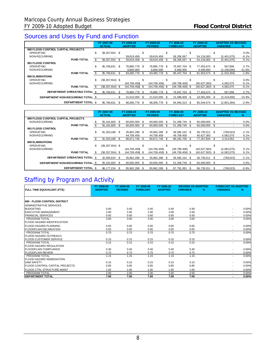# Sources and Uses by Fund and Function

|                                    |    | FY 2007-08<br><b>ACTUAL</b> |      | FY 2008-09<br><b>ADOPTED</b> |        | FY 2008-09<br><b>REVISED</b> |      | FY 2008-09<br><b>FORECAST</b> |      | FY 2009-10<br><b>ADOPTED</b> |      | <b>ADOPTED VS REVISED</b><br><b>VARIANCE</b> | %        |
|------------------------------------|----|-----------------------------|------|------------------------------|--------|------------------------------|------|-------------------------------|------|------------------------------|------|----------------------------------------------|----------|
| 990 FLOOD CONTROL CAPITAL PROJECTS |    |                             |      |                              |        |                              |      |                               |      |                              |      |                                              |          |
| <b>OPERATING</b>                   | \$ | 58,357,554                  | \$   |                              | - \$   | $\sim$                       | - \$ | $\overline{\phantom{0}}$      | \$   | $\overline{\phantom{a}}$     | \$   |                                              | $0.0\%$  |
| NON-RECURRING                      |    |                             |      | 59,619,458                   |        | 59,619,458                   |      | 58,206,067                    |      | 54,218,383                   |      | (5,401,075)                                  | $-9.1%$  |
| <b>FUND TOTAL</b>                  | S  | 58.357.554                  | S.   | 59,619,458                   | S.     | 59,619,458 \$                |      | 58,206,067                    | - \$ | 54,218,383                   | -S.  | (5,401,075)                                  | $-9.1%$  |
| 991 FLOOD CONTROL                  |    |                             |      |                              |        |                              |      |                               |      |                              |      |                                              |          |
| <b>OPERATING</b>                   | \$ | 95,766,631                  | -S   | 76,885,778 \$                |        | 76,885,778 \$                |      | 79.847.704 \$                 |      | 77.453.474 \$                |      | 567,696                                      | 0.7%     |
| NON-RECURRING                      |    |                             |      | 6.600.000                    |        | 6.600.000                    |      | 6,600,000                     |      | 4,500,000                    |      | (2, 100, 000)                                | $-31.8%$ |
| <b>FUND TOTAL</b>                  |    | 95,766,631                  |      | 83,485,778                   | S.     | 83,485,778 \$                |      | 86,447,704                    | - \$ | 81,953,474                   | -S   | (1,532,304)                                  | $-1.8%$  |
| 900 ELIMINATIONS                   |    |                             |      |                              |        |                              |      |                               |      |                              |      |                                              |          |
| <b>OPERATING</b>                   | \$ | (58,357,554) \$             |      |                              | $-$ \$ |                              | - \$ | $\overline{\phantom{a}}$      | -\$  | $\overline{\phantom{a}}$     | \$   |                                              | 0.0%     |
| NON-RECURRING                      |    |                             |      | (44, 709, 458)               |        | (44,709,458)                 |      | (49,709,458)                  |      | (40, 627, 383)               |      | 4,082,075                                    | $-9.1%$  |
| <b>FUND TOTAL</b>                  | S  | (58,357,554)                | - \$ | $(44,709,458)$ \$            |        | $(44,709,458)$ \$            |      | $(49,709,458)$ \$             |      | (40, 627, 383)               | - \$ | 4,082,075                                    | $-9.1%$  |
| DEPARTMENT OPERATING TOTAL \$      |    | 95,766,631                  | \$.  | 76,885,778                   | - \$   | 76,885,778 \$                |      | 79,847,704 \$                 |      | 77,453,474 \$                |      | 567,696                                      | 0.7%     |
| DEPARTMENT NON-RECURRING TOTAL \$  |    |                             | - \$ | 21.510.000 \$                |        | 21.510.000 \$                |      | 15,096,609                    | - \$ | 18,091,000                   | - \$ | (3,419,000)                                  | $-15.9%$ |
| <b>DEPARTMENT TOTAL \$</b>         |    | 95,766,631                  | S.   | 98,395,778                   | S.     | 98,395,778 \$                |      | 94,944,313                    | - \$ | 95,544,474                   | -S   | (2,851,304)                                  | $-2.9%$  |

|                                    |     | FY 2008-09<br>FY 2007-08<br><b>ACTUAL</b><br><b>ADOPTED</b> |      |                   | FY 2008-09<br><b>REVISED</b> |                   | FY 2008-09<br><b>FORECAST</b> |                          | FY 2009-10<br><b>ADOPTED</b> |                          | <b>ADOPTED VS REVISED</b><br><b>VARIANCE</b> | %           |         |
|------------------------------------|-----|-------------------------------------------------------------|------|-------------------|------------------------------|-------------------|-------------------------------|--------------------------|------------------------------|--------------------------|----------------------------------------------|-------------|---------|
| 990 FLOOD CONTROL CAPITAL PROJECTS |     |                                                             |      |                   |                              |                   |                               |                          |                              |                          |                                              |             |         |
| NON-RECURRING                      |     | 55,181,600                                                  | -S.  | 60.000.000        | S.                           | 60.000.000 \$     |                               | 51.209.749 \$            |                              | 60,000,000 \$            |                                              |             | 0.0%    |
| <b>FUND TOTAL</b>                  | S   | 55.181.600                                                  | S    | 60.000.000        | SS.                          | 60.000.000        | - SS                          | 51,209,749               | - \$                         | 60.000.000               | \$.                                          |             | 0.0%    |
| 991 FLOOD CONTROL                  |     |                                                             |      |                   |                              |                   |                               |                          |                              |                          |                                              |             |         |
| <b>OPERATING</b>                   | \$  | 91,353,188                                                  | - \$ | 35,962,288 \$     |                              | 35,962,288 \$     |                               | 36,582,242 \$            |                              | 36,730,311 \$            |                                              | (768, 023)  | $-2.1%$ |
| NON-RECURRING                      |     |                                                             |      | 44.709.458        |                              | 44.709.458        |                               | 49.709.458               |                              | 40.627.383               |                                              | 4,082,075   | 9.1%    |
| <b>FUND TOTAL</b>                  | S.  | 91,353,188                                                  | æ.   | 80,671,746        | S.                           | 80,671,746 \$     |                               | 86,291,700               | - \$                         | 77,357,694               | \$.                                          | 3,314,052   | 4.1%    |
| <b>900 ELIMINATIONS</b>            |     |                                                             |      |                   |                              |                   |                               |                          |                              |                          |                                              |             |         |
| <b>OPERATING</b>                   | \$  | (58,357,554) \$                                             |      | $\sim$            | \$                           | $\sim$            | - \$                          | $\overline{\phantom{a}}$ | \$                           | $\overline{\phantom{a}}$ | \$                                           |             |         |
| NON-RECURRING                      |     |                                                             |      | (44, 709, 458)    |                              | (44,709,458)      |                               | (49,709,458)             |                              | (40, 627, 383)           |                                              | (4,082,075) | 9.1%    |
| <b>FUND TOTAL</b>                  | \$. | (58, 357, 554)                                              | - \$ | $(44,709,458)$ \$ |                              | $(44,709,458)$ \$ |                               | $(49,709,458)$ \$        |                              | $(40,627,383)$ \$        |                                              | (4,082,075) | 9.1%    |
| DEPARTMENT OPERATING TOTAL \$      |     | 32,995,634                                                  | £.   | 35.962.288        | \$.                          | 35,962,288 \$     |                               | 36.582.242 \$            |                              | 36.730.311               | - \$                                         | (768, 023)  | $-2.1%$ |
| DEPARTMENT NON-RECURRING TOTAL \$  |     | 55,181,600                                                  | S.   | 60,000,000        | S.                           | 60,000,000 \$     |                               | 51,209,749 \$            |                              | 60,000,000               | - \$                                         |             | 0.0%    |
| <b>DEPARTMENT TOTAL \$</b>         |     | 88, 177, 234                                                | S    | 95,962,288        | S.                           | 95,962,288 \$     |                               | 87,791,991               | - \$                         | 96,730,311               | -S                                           | (768, 023)  | $-0.8%$ |

# Staffing by Program and Activity

|                                       | FY 2008-09     | FY 2008-09     | FY 2008-09      | FY 2009-10     | <b>REVISED VS ADOPTED</b> | <b>FORECAST VS ADOPTED</b> |       |
|---------------------------------------|----------------|----------------|-----------------|----------------|---------------------------|----------------------------|-------|
| <b>FULL TIME EQUIVALENT (FTE)</b>     | <b>ADOPTED</b> | <b>REVISED</b> | <b>FORECAST</b> | <b>ADOPTED</b> | <b>VARIANCE</b><br>%      | <b>VARIANCE</b>            | $\%$  |
|                                       |                |                |                 |                |                           |                            |       |
| <b>690 - FLOOD CONTROL DISTRICT</b>   |                |                |                 |                |                           |                            |       |
| ADMINISTRATIVE SERVICES               |                |                |                 |                |                           |                            |       |
| <b>BUDGETING</b>                      | 0.40           | 0.40           | 0.40            | 0.40           | 0.40                      |                            | 0.00% |
| <b>EXECUTIVE MANAGEMENT</b>           | 2.00           | 2.00           | 2.00            | 2.00           | 2.00                      | $\overline{\phantom{a}}$   | 0.00% |
| <b>FINANCIAL SERVICES</b>             | 0.60           | 0.60           | 0.60            | 0.60           | 0.60                      | $\overline{\phantom{a}}$   | 0.00% |
| <b>PROGRAM TOTAL</b>                  | 3.00           | 3.00           | 3.00            | 3.00           | 3.00                      | $\sim$                     | 0.00% |
| <b>FLOOD HAZARD IDENTIFICATION</b>    |                |                |                 |                |                           |                            |       |
| FLOOD HAZARD PLANNING                 | 0.65           | 0.65           | 0.65            | 0.65           | 0.65                      | $\overline{\phantom{a}}$   | 0.00% |
| <b>FLOODPLAIN DELINEATION</b>         | 0.05           | 0.05           | 0.05            | 0.05           | 0.05                      | $\overline{\phantom{a}}$   | 0.00% |
| PROGRAM TOTAL                         | 0.70           | 0.70           | 0.70            | 0.70           | 0.70                      | $\overline{\phantom{a}}$   | 0.00% |
| FLOOD HAZARD OUTREACH                 |                |                |                 |                |                           |                            |       |
| <b>FLOOD CUSTOMER SERVICE</b>         | 0.15           | 0.15           | 0.15            | 0.15           | 0.15                      |                            | 0.00% |
| PROGRAM TOTAL                         | 0.15           | 0.15           | 0.15            | 0.15           | 0.15                      | $\sim$                     | 0.00% |
| <b>FLOOD HAZARD REGULATION</b>        |                |                |                 |                |                           |                            |       |
| <b>IFLOODPLAIN COMPLIANCE</b>         | 0.40           | 0.40           | 0.40            | 0.40           | 0.40                      | $\blacksquare$             | 0.00% |
| <b>FLOODPLAIN REVIEW</b>              | 0.75           | 0.75           | 0.75            | 0.75           | 0.75                      | $\overline{\phantom{a}}$   | 0.00% |
| PROGRAM TOTAL                         | 1.15           | 1.15           | 1.15            | 1.15           | 1.15                      | $\overline{\phantom{a}}$   | 0.00% |
| <b>FLOOD HAZARD REMEDIATION</b>       |                |                |                 |                |                           |                            |       |
| <b>DAM SAFETY</b>                     | 0.15           | 0.15           | 0.15            | 0.15           | 0.15                      |                            | 0.00% |
| <b>FLOOD CONTROL CAPITAL PROJECTS</b> | 0.85           | 0.85           | 0.85            | 0.85           | 0.85                      |                            | 0.00% |
| <b>FLOOD CTRL STRUCTURE MAINT</b>     | 1.00           | 1.00           | 1.00            | 1.00           | 1.00                      | $\overline{\phantom{a}}$   | 0.00% |
| PROGRAM TOTAL                         | 2.00           | 2.00           | 2.00            | 2.00           | 2.00                      | $\overline{\phantom{a}}$   | 0.00% |
| <b>DEPARTMENT TOTAL</b>               | 7.00           | 7.00           | 7.00            | 7.00           | 7.00                      | $\blacksquare$             | 0.00% |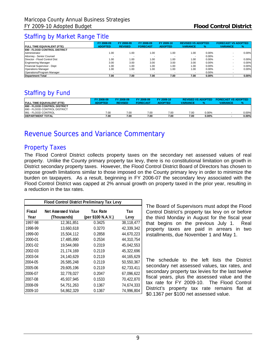# <span id="page-11-0"></span>Staffing by Market Range Title

|                                      | FY 2008-09     | FY 2008-09     | FY 2008-09      | FY 2009-10     | <b>REVISED VS ADOPTED</b> |               | <b>FORECAST VS ADOPTED</b> |               |
|--------------------------------------|----------------|----------------|-----------------|----------------|---------------------------|---------------|----------------------------|---------------|
| <b>FULL TIME EQUIVALENT (FTE)</b>    | <b>ADOPTED</b> | <b>REVISED</b> | <b>FORECAST</b> | <b>ADOPTED</b> | <b>VARIANCE</b>           | $\frac{9}{6}$ | <b>VARIANCE</b>            | $\frac{9}{6}$ |
| <b>1690 - FLOOD CONTROL DISTRICT</b> |                |                |                 |                |                           |               |                            |               |
| Administrator                        | 1.00           | 1.00           | 1.00            | 1.00           | 1.00                      | 0.00%         |                            | 0.00%         |
| Attorney - Senior Counsel            |                |                |                 |                |                           | 0.00%         |                            |               |
| Director - Flood Control Dist        | 1.00           | 1.00           | 1.00            | 1.00           | 1.00                      | 0.00%         |                            | 0.00%         |
| <b>Engineering Manager</b>           | 3.00           | 3.00           | 3.00            | 3.00           | 3.00                      | 0.00%         |                            | 0.00%         |
| Financial Supervisor - Dept          | 1.00           | 1.00           | 1.00            | 1.00           | 1.00                      | 0.00%         |                            | 0.00%         |
| <b>Operations Manager</b>            | 1.00           | 1.00           | 1.00            | 1.00           | 1.00                      | 0.00%         |                            | 0.00%         |
| Operations/Program Manager           |                |                |                 |                | $\overline{\phantom{a}}$  | 0.00%         |                            |               |
| Department Total                     | 7.00           | 7.00           | 7.00            | 7.00           | 7.00                      | 0.00%         |                            | 0.00%         |

# Staffing by Fund

| <b>IFULL TIME EQUIVALENT (FTE)</b>                                         | FY 2008-09<br><b>ADOPTED</b> | FY 2008-09<br><b>REVISED</b> | FY 2008-09<br><b>FORECAST</b> | FY 2009-10<br><b>ADOPTED</b> | <b>REVISED VS ADOPTED</b><br><b><i>VARIANCE</i></b> |       | <b>FORECAST VS ADOPTED</b><br><b>VARIANCE</b> |       |
|----------------------------------------------------------------------------|------------------------------|------------------------------|-------------------------------|------------------------------|-----------------------------------------------------|-------|-----------------------------------------------|-------|
| <b>690 - FLOOD CONTROL DISTRICT</b><br><b>690 - FLOOD CONTROL DISTRICT</b> |                              |                              |                               |                              |                                                     |       |                                               |       |
| 1991 - FLOOD CONTROL                                                       | 7.00                         | 7.00                         | 7.00                          | 7.00                         | 7.00                                                | 0.00% |                                               | 0.00% |
| <b>IDEPARTMENT TOTAL</b>                                                   | 7.00                         | 7.00                         | 7.00                          | 7.00                         | 7.00                                                | 0.00% |                                               | 0.00% |

# Revenue Sources and Variance Commentary

# Property Taxes

The Flood Control District collects property taxes on the secondary net assessed values of real property. Unlike the County primary property tax levy, there is no constitutional limitation on growth in District secondary property taxes. However, the Flood Control District Board of Directors has chosen to impose growth limitations similar to those imposed on the County primary levy in order to minimize the burden on taxpayers. As a result, beginning in FY 2006-07 the secondary levy associated with the Flood Control District was capped at 2% annual growth on property taxed in the prior year, resulting in a reduction in the tax rates.

|                | <b>Flood Control District Preliminary Tax Levy</b> |                                       |              |
|----------------|----------------------------------------------------|---------------------------------------|--------------|
| Fiscal<br>Year | <b>Net Assessed Value</b><br>(Thousands)           | <b>Tax Rate</b><br>(per \$100 N.A.V.) | Tax<br>Levy  |
| 1997-98        | 12,361,851                                         | 0.3425                                | 38,118,477   |
| 1998-99        | 13,660,618                                         | 0.3270                                | 42,339,342   |
| 1999-00        | 15,504,112                                         | 0.2858                                | 44,670,223   |
| 2000-01        | 17,485,890                                         | 0.2534                                | 44,310,754   |
| 2001-02        | 19.544.069                                         | 0.2319                                | 45,042,553   |
| 2002-03        | 21, 174, 169                                       | 0.2119                                | 45,322,696   |
| 2003-04        | 24,140,629                                         | 0.2119                                | 44, 165, 629 |
| 2004-05        | 26,585,248                                         | 0.2119                                | 50,550,367   |
| 2005-06        | 29,605,196                                         | 0.2119                                | 62,733,411   |
| 2006-07        | 32,778,027                                         | 0.2047                                | 67,096,622   |
| 2007-08        | 45,937,945                                         | 0.1533                                | 70,422,870   |
| 2008-09        | 54,751,263                                         | 0.1367                                | 74,674,333   |
| 2009-10        | 54,862,329                                         | 0.1367                                | 74,996,804   |

The Board of Supervisors must adopt the Flood Control District's property tax levy on or before the third Monday in August for the fiscal year that begins on the previous July 1. Real property taxes are paid in arrears in two installments, due November 1 and May 1.

The schedule to the left lists the District secondary net assessed values, tax rates, and secondary property tax levies for the last twelve fiscal years, plus the assessed value and the tax rate for FY 2009-10. The Flood Control District's property tax rate remains flat at \$0.1367 per \$100 net assessed value.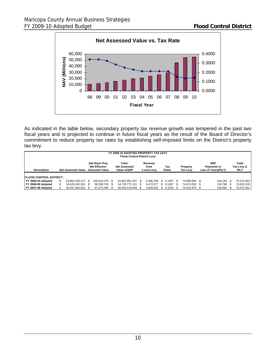

As indicated in the table below, secondary property tax revenue growth was tempered in the past two fiscal years and is projected to continue in future fiscal years as the result of the Board of Director's commitment to reduce property tax rates by establishing self-imposed limits on the District's property tax levy.

|                                |                           |                                                                   |                                             | FY 2009-10 ADOPTED PROPERTY TAX LEVY<br><b>Flood Control District Levy</b> |     |                                |              |             |      |                             |                                                         |                             |
|--------------------------------|---------------------------|-------------------------------------------------------------------|---------------------------------------------|----------------------------------------------------------------------------|-----|--------------------------------|--------------|-------------|------|-----------------------------|---------------------------------------------------------|-----------------------------|
| <b>Description</b>             | <b>Net Assessed Value</b> | Salt River Proj.<br><b>Net Effective</b><br><b>Assessed Value</b> | Total<br><b>Net Assessed</b><br>Value w/SRP |                                                                            |     | Revenue<br>from<br>1-cent Levv | Tax<br>Rates |             |      | <b>Property</b><br>Tax Levy | <b>SRP</b><br><b>Pavments in</b><br>Lieu of Taxes(PILT) | Total<br>Tax Levy &<br>PILT |
| <b>FLOOD CONTROL DISTRICT:</b> |                           |                                                                   |                                             |                                                                            |     |                                |              |             |      |                             |                                                         |                             |
| FY 2009-10 Adopted             | 54.862.329.172 \$         | 105.522.275 \$                                                    |                                             | 54.967.851.447                                                             | -SS | 5.496.785                      | S.           | 0.1367      | - \$ | 74.996.804 \$               | 144.249 \$                                              | 75,141,053                  |
| FY 2008-09 Adopted             | 54.626.432.391            | 99.338.740 \$                                                     |                                             | 54,725,771,131                                                             | -S. | 5.472.577                      | S            | 0.1367      | \$.  | 74.674.333 \$               | 135.796 \$                                              | 74,810,129                  |
| FY 2007-08 Adopted             | 45,937,944,910 \$         | 97.574.499                                                        |                                             | 46.035.519.409                                                             |     | 4.603.552                      | S            | $0.1533$ \$ |      | 70.422.870 \$               | 149,582 \$                                              | 70,572,452                  |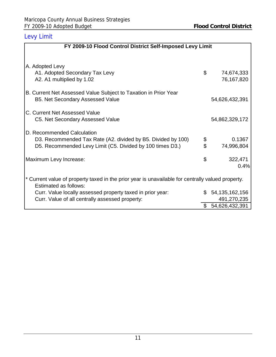# Levy Limit

|                                                                                                                                   | FY 2009-10 Flood Control District Self-Imposed Levy Limit |                |  |  |  |  |  |  |  |  |  |  |
|-----------------------------------------------------------------------------------------------------------------------------------|-----------------------------------------------------------|----------------|--|--|--|--|--|--|--|--|--|--|
|                                                                                                                                   |                                                           |                |  |  |  |  |  |  |  |  |  |  |
| A. Adopted Levy                                                                                                                   |                                                           |                |  |  |  |  |  |  |  |  |  |  |
| A1. Adopted Secondary Tax Levy                                                                                                    | \$                                                        | 74,674,333     |  |  |  |  |  |  |  |  |  |  |
| A2. A1 multiplied by 1.02                                                                                                         |                                                           | 76,167,820     |  |  |  |  |  |  |  |  |  |  |
| B. Current Net Assessed Value Subject to Taxation in Prior Year                                                                   |                                                           |                |  |  |  |  |  |  |  |  |  |  |
| B5. Net Secondary Assessed Value                                                                                                  |                                                           | 54,626,432,391 |  |  |  |  |  |  |  |  |  |  |
| C. Current Net Assessed Value                                                                                                     |                                                           |                |  |  |  |  |  |  |  |  |  |  |
| C5. Net Secondary Assessed Value                                                                                                  |                                                           | 54,862,329,172 |  |  |  |  |  |  |  |  |  |  |
| D. Recommended Calculation                                                                                                        |                                                           |                |  |  |  |  |  |  |  |  |  |  |
| D3. Recommended Tax Rate (A2. divided by B5. Divided by 100)                                                                      | \$                                                        | 0.1367         |  |  |  |  |  |  |  |  |  |  |
| D5. Recommended Levy Limit (C5. Divided by 100 times D3.)                                                                         |                                                           | 74,996,804     |  |  |  |  |  |  |  |  |  |  |
| Maximum Levy Increase:                                                                                                            | \$                                                        | 322,471        |  |  |  |  |  |  |  |  |  |  |
|                                                                                                                                   |                                                           | 0.4%           |  |  |  |  |  |  |  |  |  |  |
| * Current value of property taxed in the prior year is unavailable for centrally valued property.<br><b>Estimated as follows:</b> |                                                           |                |  |  |  |  |  |  |  |  |  |  |
| Curr. Value locally assessed property taxed in prior year:                                                                        |                                                           | 54,135,162,156 |  |  |  |  |  |  |  |  |  |  |
| Curr. Value of all centrally assessed property:                                                                                   |                                                           | 491,270,235    |  |  |  |  |  |  |  |  |  |  |
|                                                                                                                                   |                                                           | 54,626,432,391 |  |  |  |  |  |  |  |  |  |  |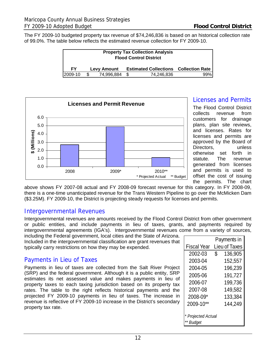The FY 2009-10 budgeted property tax revenue of \$74,246,836 is based on an historical collection rate of 99.0%. The table below reflects the estimated revenue collection for FY 2009-10.





# Licenses and Permits

The Flood Control District collects revenue from customers for drainage plans, plan site reviews, and licenses. Rates for licenses and permits are approved by the Board of Directors, unless otherwise set forth in statute. The revenue generated from licenses and permits is used to offset the cost of issuing the permits. The chart

above shows FY 2007-08 actual and FY 2008-09 forecast revenue for this category. In FY 2008-09, there is a one-time unanticipated revenue for the Trans Western Pipeline to go over the McMicken Dam (\$3.25M). FY 2009-10, the District is projecting steady requests for licenses and permits.

## Intergovernmental Revenues

Intergovernmental revenues are amounts received by the Flood Control District from other government or public entities, and include payments in lieu of taxes, grants, and payments required by intergovernmental agreements (IGA's). Intergovernmental revenues come from a variety of sources, including the Federal government, local cities and the State of Arizona.

Included in the intergovernmental classification are grant revenues that typically carry restrictions on how they may be expended.

# Payments in Lieu of Taxes

Payments in lieu of taxes are collected from the Salt River Project (SRP) and the federal government. Although it is a public entity, SRP estimates its net assessed value and makes payments in lieu of property taxes to each taxing jurisdiction based on its property tax rates. The table to the right reflects historical payments and the projected FY 2009-10 payments in lieu of taxes. The increase in revenue is reflective of FY 2009-10 increase in the District's secondary property tax rate.

|                    | Payments in   |
|--------------------|---------------|
| <b>Fiscal Year</b> | Lieu of Taxes |
| 2002-03            | \$<br>136,905 |
| 2003-04            | 152,557       |
| 2004-05            | 196,239       |
| 2005-06            | 191,727       |
| 2006-07            | 199,736       |
| 2007-08            | 149,582       |
| 2008-09*           | 133,384       |
| 2009-10**          | 144,249       |
|                    |               |
| * Projected Actual |               |
| ** Budget          |               |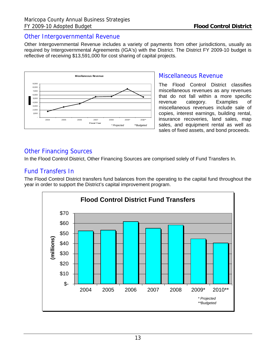# Other Intergovernmental Revenue

Other Intergovernmental Revenue includes a variety of payments from other jurisdictions, usually as required by Intergovernmental Agreements (IGA's) with the District. The District FY 2009-10 budget is reflective of receiving \$13,591,000 for cost sharing of capital projects.



# Miscellaneous Revenue

The Flood Control District classifies miscellaneous revenues as any revenues that do not fall within a more specific revenue category. Examples of miscellaneous revenues include sale of copies, interest earnings, building rental, insurance recoveries, land sales, map sales, and equipment rental as well as sales of fixed assets, and bond proceeds.

# Other Financing Sources

In the Flood Control District, Other Financing Sources are comprised solely of Fund Transfers In.

# Fund Transfers In

The Flood Control District transfers fund balances from the operating to the capital fund throughout the year in order to support the District's capital improvement program.

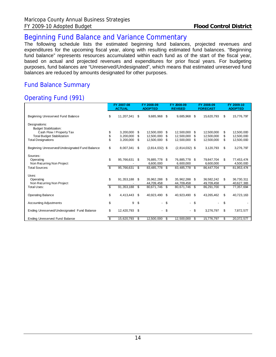# <span id="page-16-0"></span>Beginning Fund Balance and Variance Commentary

The following schedule lists the estimated beginning fund balances, projected revenues and expenditures for the upcoming fiscal year, along with resulting estimated fund balances. "Beginning fund balance" represents resources accumulated within each fund as of the start of the fiscal year, based on actual and projected revenues and expenditures for prior fiscal years. For budgeting purposes, fund balances are "Unreserved/Undesignated", which means that estimated unreserved fund balances are reduced by amounts designated for other purposes.

# Fund Balance Summary

# Operating Fund (991)

|                                                | FY 2007-08<br><b>ACTUAL</b> | FY 2008-09<br><b>ADOPTED</b>     |    | FY 2008-09<br><b>REVISED</b> |        | FY 2008-09<br><b>FORECAST</b> | FY 2009-10<br><b>ADOPTED</b>  |  |  |
|------------------------------------------------|-----------------------------|----------------------------------|----|------------------------------|--------|-------------------------------|-------------------------------|--|--|
| Beginning Unreserved Fund Balance              | \$<br>11,207,341            | \$<br>9,685,968 \$               |    | 9,685,968 \$                 |        | 15,620,793                    | \$<br>15,776,797              |  |  |
| Designations:<br><b>Budget Stabilization:</b>  |                             |                                  |    |                              |        |                               |                               |  |  |
| Cash Flow / Property Tax                       | \$<br>3,200,000             | \$<br>12,500,000                 | -S | 12,500,000                   | \$     | 12,500,000                    | \$<br>12,500,000              |  |  |
| <b>Total Budget Stabilization</b>              | \$<br>3,200,000             | \$<br>12,500,000                 | S  | 12,500,000                   | \$     | 12,500,000                    | \$<br>12,500,000              |  |  |
| <b>Total Designations</b>                      | \$<br>3,200,000             | \$<br>12,500,000                 | \$ | 12,500,000                   | \$     | 12,500,000                    | \$<br>12,500,000              |  |  |
| Beginning Unreserved/Undesignated Fund Balance | \$<br>8,007,341             | \$<br>$(2,814,032)$ \$           |    | $(2,814,032)$ \$             |        | 3,120,793                     | \$<br>3,276,797               |  |  |
| Sources:                                       |                             |                                  |    |                              |        |                               |                               |  |  |
| Operating<br>Non Recurring Non Project         | \$<br>95,766,631            | \$<br>76,885,778 \$<br>6.600.000 |    | 76,885,778 \$<br>6,600,000   |        | 79,847,704<br>6,600,000       | \$<br>77,453,474<br>4,500,000 |  |  |
| <b>Total Sources:</b>                          | \$<br>95,766,631            | \$<br>83,485,778 \$              |    | 83,485,778 \$                |        | 86, 447, 704                  | \$<br>81,953,474              |  |  |
| Uses:                                          |                             |                                  |    |                              |        |                               |                               |  |  |
| Operating                                      | \$<br>91,353,188            | \$<br>35,962,288 \$              |    | 35,962,288 \$                |        | 36,582,242                    | \$<br>36,730,311              |  |  |
| Non Recurring Non Project                      |                             | 44,709,458                       |    | 44,709,458                   |        | 49,709,458                    | 40,627,383                    |  |  |
| Total Uses:                                    | \$<br>91,353,188            | \$<br>80,671,746 \$              |    | 80,671,746                   | \$     | 86,291,700                    | \$<br>77,357,694              |  |  |
| <b>Operating Balance</b>                       | \$<br>4,413,443             | \$<br>40,923,490                 | \$ | 40,923,490                   | \$     | 43,265,462                    | \$<br>40,723,163              |  |  |
| <b>Accounting Adjustments</b>                  | \$<br>9                     | \$<br>$\blacksquare$             | \$ |                              | $-$ \$ |                               | \$                            |  |  |
| Ending Unreserved/Undesignated Fund Balance    | \$<br>12,420,793            | \$<br>٠                          | \$ |                              | $-5$   | 3,276,797                     | \$<br>7,872,577               |  |  |
| Ending Unreserved Fund Balance                 | \$<br>15,620,793            | \$<br>12,500,000                 | \$ | 12,500,000                   | \$     | 15,776,797                    | \$<br>20,372,577              |  |  |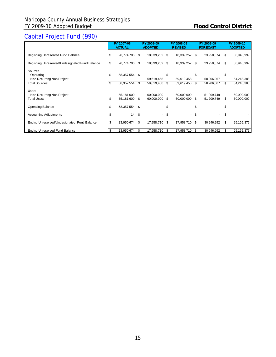# Capital Project Fund (990)

|                                                    |    | FY 2007-08<br><b>ACTUAL</b> |    | FY 2008-09<br><b>ADOPTED</b> |        | FY 2008-09<br><b>REVISED</b> |        | FY 2008-09<br><b>FORECAST</b> |     | FY 2009-10<br><b>ADOPTED</b> |
|----------------------------------------------------|----|-----------------------------|----|------------------------------|--------|------------------------------|--------|-------------------------------|-----|------------------------------|
| Beginning Unreserved Fund Balance                  | \$ | 20,774,706                  | S  | 18,339,252 \$                |        | 18,339,252                   | \$     | 23,950,674                    | \$  | 30,946,992                   |
| Beginning Unreserved/Undesignated Fund Balance     | \$ | 20,774,706                  | \$ | 18,339,252 \$                |        | 18,339,252 \$                |        | 23,950,674                    | \$  | 30,946,992                   |
| Sources:<br>Operating<br>Non Recurring Non Project | \$ | 58,357,554 \$               |    | 59,619,458                   | \$.    | 59,619,458                   | \$.    | 58,206,067                    | S   | 54,218,383                   |
| <b>Total Sources:</b>                              |    | 58,357,554                  | \$ | 59,619,458                   | \$     | 59,619,458                   | \$     | 58,206,067                    | \$  | 54,218,383                   |
| Uses:<br>Non Recurring Non Project<br>Total Uses:  |    | 55,181,600<br>55,181,600    | \$ | 60,000,000<br>60,000,000     | S      | 60,000,000<br>60,000,000     | \$     | 51,209,749<br>51,209,749      | \$  | 60,000,000<br>60,000,000     |
| <b>Operating Balance</b>                           | \$ | 58,357,554                  | \$ |                              | $-$ \$ |                              | $-$ \$ | $\overline{\phantom{a}}$      | \$  |                              |
| <b>Accounting Adjustments</b>                      | \$ | 14                          | \$ |                              | $-$ \$ |                              | $-$ \$ | $\overline{\phantom{a}}$      | \$  |                              |
| Ending Unreserved/Undesignated Fund Balance        | \$ | 23,950,674                  | \$ | 17,958,710 \$                |        | 17,958,710 \$                |        | 30,946,992                    | \$  | 25, 165, 375                 |
| Ending Unreserved Fund Balance                     | S  | 23,950,674                  | \$ | 17,958,710                   | S      | 17,958,710                   | \$     | 30,946,992                    | \$. | 25,165,375                   |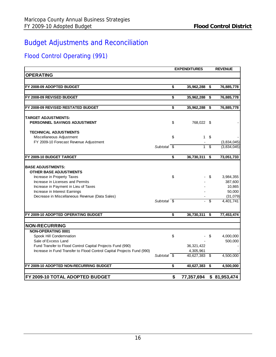# <span id="page-18-0"></span>Budget Adjustments and Reconciliation

# Flood Control Operating (991)

|                                                                        |                          | <b>EXPENDITURES</b> |                         | <b>REVENUE</b> |
|------------------------------------------------------------------------|--------------------------|---------------------|-------------------------|----------------|
| <b>OPERATING</b>                                                       |                          |                     |                         |                |
|                                                                        |                          |                     |                         |                |
| FY 2008-09 ADOPTED BUDGET                                              |                          | \$<br>35,962,288    | \$                      | 76,885,778     |
|                                                                        |                          |                     |                         |                |
| FY 2008-09 REVISED BUDGET                                              |                          | \$<br>35,962,288    | \$                      | 76,885,778     |
| FY 2008-09 REVISED RESTATED BUDGET                                     |                          | \$<br>35,962,288    | \$                      | 76,885,778     |
|                                                                        |                          |                     |                         |                |
| <b>TARGET ADJUSTMENTS:</b>                                             |                          |                     |                         |                |
| PERSONNEL SAVINGS ADJUSTMENT                                           |                          | \$<br>768,022 \$    |                         |                |
| <b>TECHNICAL ADJUSTMENTS</b>                                           |                          |                     |                         |                |
| Miscellaneous Adjustment                                               |                          | \$<br>1             | $\sqrt[6]{\frac{1}{2}}$ |                |
| FY 2009-10 Forecast Revenue Adjustment                                 |                          |                     |                         | (3,834,045)    |
|                                                                        | Subtotal \$              | $\mathbf{1}$        | \$                      | (3,834,045)    |
| FY 2009-10 BUDGET TARGET                                               |                          | \$<br>36,730,311    | \$                      | 73,051,733     |
|                                                                        |                          |                     |                         |                |
| <b>BASE ADJUSTMENTS:</b>                                               |                          |                     |                         |                |
| <b>OTHER BASE ADJUSTMENTS</b>                                          |                          |                     |                         |                |
| Increase in Property Taxes                                             |                          | \$                  | \$                      | 3,984,355      |
| Increase in Licenses and Permits                                       |                          |                     |                         | 387,600        |
| Increase in Payment in Lieu of Taxes                                   |                          |                     |                         | 10,865         |
| Increase in Interest Earnings                                          |                          |                     |                         | 50,000         |
| Decrease in Miscellaneous Revenue (Data Sales)                         |                          |                     |                         | (31,079)       |
|                                                                        | Subtotal \$              |                     | \$                      | 4,401,741      |
|                                                                        |                          |                     |                         |                |
| FY 2009-10 ADOPTED OPERATING BUDGET                                    |                          | \$<br>36,730,311    | S.                      | 77,453,474     |
|                                                                        |                          |                     |                         |                |
| <b>NON-RECURRING</b>                                                   |                          |                     |                         |                |
| <b>NON-OPERATING 0001</b>                                              |                          |                     |                         |                |
| Spook Hill Condemnation                                                |                          | \$                  | \$                      | 4,000,000      |
| Sale of Excess Land                                                    |                          |                     |                         | 500,000        |
| Fund Transfer to Flood Control Capital Projects Fund (990)             |                          | 36, 321, 422        |                         |                |
| Increase in Fund Transfer to Flood Control Capital Projects Fund (990) | Subtotal $\overline{\$}$ | 4,305,961           |                         |                |
|                                                                        |                          | 40,627,383 \$       |                         | 4,500,000      |
| FY 2009-10 ADOPTED NON-RECURRING BUDGET                                |                          | \$<br>40,627,383    | \$                      | 4,500,000      |
|                                                                        |                          |                     |                         |                |
| FY 2009-10 TOTAL ADOPTED BUDGET                                        |                          | \$<br>77,357,694    |                         | \$81,953,474   |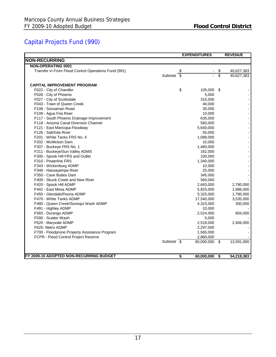# Capital Projects Fund (990)

|                                                      |             | <b>EXPENDITURES</b> |                         | <b>REVENUE</b> |
|------------------------------------------------------|-------------|---------------------|-------------------------|----------------|
| <b>NON-RECURRING</b>                                 |             |                     |                         |                |
| <b>NON-OPERATING 0001</b>                            |             |                     |                         |                |
| Transfer in From Flood Control Operations Fund (991) | \$          |                     | \$                      | 40,627,383     |
|                                                      | Subtotal \$ |                     | \$                      | 40,627,383     |
|                                                      |             |                     |                         |                |
| <b>CAPITAL IMPROVEMENT PROGRAM</b>                   |             |                     |                         |                |
| F022 - City of Chandler                              | \$          | 105,000 \$          |                         |                |
| F026 - City of Phoenix                               |             | 5,000               |                         |                |
| F027 - City of Scottsdale                            |             | 315,000             |                         |                |
| F043 - Town of Queen Creek                           |             | 40,000              |                         |                |
| F108 - Sossaman Road                                 |             | 30,000              |                         |                |
| F109 - Agua Fria River                               |             | 10,000              |                         |                |
| F117 - South Phoenix Drainage Improvement            |             | 635,000             |                         |                |
| F118 - Arizona Canal Diversion Channel               |             | 560,000             |                         |                |
| F121 - East Maricopa Floodway                        |             | 5,640,000           |                         |                |
| F126 - Salt/Gila River                               |             | 55,000              |                         |                |
| F201 - White Tanks FRS No. 4                         |             | 1,088,000           |                         |                |
| F202 - McMicken Dam                                  |             | 10,000              |                         |                |
| F207 - Buckeye FRS No. 1                             |             | 1,480,000           |                         |                |
| F211 - Buckeye/Sun Valley ADMS                       |             | 162,000             |                         |                |
| F300 - Spook Hill FRS and Outlet                     |             | 100,000             |                         |                |
| F310 - Powerline FRS                                 |             | 1,340,000           |                         |                |
| F343 - Wickenburg ADMP                               |             | 10,000              |                         |                |
| F346 - Hassayampa River                              |             | 25,000              |                         |                |
| F350 - Cave Buttes Dam                               |             | 345,000             |                         |                |
| F400 - Skunk Creek and New River                     |             | 560,000             |                         |                |
| F420 - Spook Hill ADMP                               |             | 2,693,000           |                         | 2,780,000      |
| F442 - East Mesa ADMP                                |             | 5,825,000           |                         | 1,986,000      |
| F450 - Glendale/Peoria ADMP                          |             | 5,325,000           |                         | 1,780,000      |
| F470 - White Tanks ADMP                              |             | 17,540,000          |                         | 3,535,000      |
| F480 - Queen Creek/Sonoqui Wash ADMP                 |             | 4,323,000           |                         | 300,000        |
| F491 - Highley ADMP                                  |             | 10,000              |                         |                |
| F565 - Durango ADMP                                  |             | 2,524,000           |                         | 804,000        |
| F590 - Scatter Wash                                  |             | 5,000               |                         |                |
| F620 - Maryvale ADMP                                 |             | 2,518,000           |                         | 2,406,000      |
| F625- Metro ADMP                                     |             | 2,297,000           |                         |                |
| F700 - Floodprone Property Assistance Program        |             | 1,565,000           |                         |                |
| FCPR - Flood Control Project Reserve                 |             | 2,860,000           |                         |                |
|                                                      | Subtotal \$ | 60,000,000          | $\overline{\mathbf{s}}$ | 13,591,000     |
|                                                      |             |                     |                         |                |
|                                                      |             |                     |                         |                |
| FY 2009-10 ADOPTED NON-RECURRING BUDGET              | \$          | 60,000,000          | \$                      | 54,218,383     |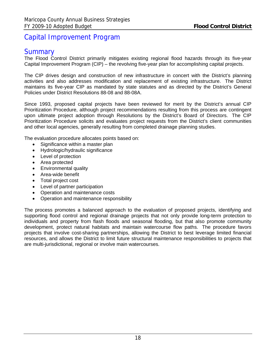# <span id="page-20-0"></span>Capital Improvement Program

# Summary

The Flood Control District primarily mitigates existing regional flood hazards through its five-year Capital Improvement Program (CIP) – the revolving five-year plan for accomplishing capital projects.

The CIP drives design and construction of new infrastructure in concert with the District's planning activities and also addresses modification and replacement of existing infrastructure. The District maintains its five-year CIP as mandated by state statutes and as directed by the District's General Policies under District Resolutions 88-08 and 88-08A.

Since 1993, proposed capital projects have been reviewed for merit by the District's annual CIP Prioritization Procedure, although project recommendations resulting from this process are contingent upon ultimate project adoption through Resolutions by the District's Board of Directors. The CIP Prioritization Procedure solicits and evaluates project requests from the District's client communities and other local agencies, generally resulting from completed drainage planning studies.

The evaluation procedure allocates points based on:

- Significance within a master plan
- Hydrologic/hydraulic significance
- Level of protection
- Area protected
- Environmental quality
- Area-wide benefit
- Total project cost
- Level of partner participation
- Operation and maintenance costs
- Operation and maintenance responsibility

The process promotes a balanced approach to the evaluation of proposed projects, identifying and supporting flood control and regional drainage projects that not only provide long-term protection to individuals and property from flash floods and seasonal flooding, but that also promote community development, protect natural habitats and maintain watercourse flow paths. The procedure favors projects that involve cost-sharing partnerships, allowing the District to best leverage limited financial resources, and allows the District to limit future structural maintenance responsibilities to projects that are multi-jurisdictional, regional or involve main watercourses.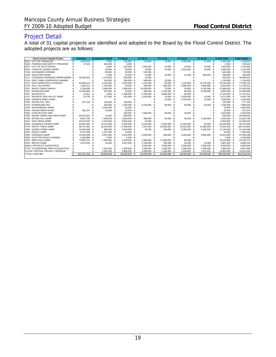# Project Detail

A total of 31 capital projects are identified and adopted to the Board by the Flood Control District. The adopted projects are as follows:

| <b>Flood Control Capital Project</b>    |    | <b>Previous</b> |      | Projected FY 08-09 |                    | FY 09-10      |      | FY 10-11      |     | FY 11-12       |      | FY 12-13                 |              | FY 13-14                 |      | <b>5 Year Total</b> | <b>Total Project</b> |
|-----------------------------------------|----|-----------------|------|--------------------|--------------------|---------------|------|---------------|-----|----------------|------|--------------------------|--------------|--------------------------|------|---------------------|----------------------|
| F022 - CITY OF CHANDLER                 | S. | 4.976.810 \$    |      | $2,000$ \$         |                    | 105,000 \$    |      | 110,000 \$    |     | 10,000 \$      |      | 2,020,000 \$             |              | 10,000 \$                |      | 2,255,000 \$        | 7,233,810            |
| F026 - PHOENIX DAM SAFETY PROGRAM       |    | 67,544          | - S  | 681,000 \$         |                    | $5,000$ \$    |      |               | - S |                | S    | $-$ \$                   |              | $\overline{\phantom{a}}$ | S    | 5.000 S             | 753,544              |
| F027 - CITY OF SCOTTSDALE               |    |                 |      | 5.000S             |                    | 315,000 \$    |      | 7,020,000 \$  |     | 10,000 \$      |      | 10,000 \$                |              | $10,000$ \$              |      | 7.365.000 \$        | 7,370,000            |
| F043 - TOWN OF QUEEN CREEK              |    |                 |      | 35,000 \$          |                    | 40,000 \$     |      | 10,000 \$     |     | 10,000 \$      |      | 2,020,000 \$             |              | 10,000 \$                |      | 2,090,000 \$        | 2,125,000            |
| F108 - SOSSAMAN CHANNEL                 |    |                 |      | 85,000 \$          |                    | 30,000 \$     |      | 610,000 \$    |     |                |      |                          |              |                          |      | 640,000 \$          | 725,000              |
| F109 - AGUA FRIA RIVER                  |    |                 |      | 5.000S             |                    | 10,000 \$     |      | 10,000 \$     |     | 10,000         |      | 10,000                   |              | 450,000                  |      | 490,000 \$          | 495,000              |
| F117 - S PHOENIX DRAINAGE IMPROVEMEN \$ |    | 36,039,501      |      | 1,374,000 \$       |                    | 635,000 \$    |      | 10,000 \$     |     |                |      |                          |              |                          |      | 645,000 \$          | 38,058,501           |
| F118 - ARIZ CANAL DIVERSION CHANNEL     |    |                 |      | 616,000 \$         |                    | 560,000 \$    |      | 560,000 \$    |     | 10,000         | - S  |                          |              |                          |      | 1,130,000 \$        | 1,746,000            |
| F121 - EAST MARICOPA FLOODWAY           |    | 54,494,224      | -S   | 3,193,000 \$       |                    | 5,640,000 \$  |      | 1,120,000 \$  |     | 65,000 \$      |      | 1,145,000 \$             |              | 12,275,000 \$            |      | 20,245,000 \$       | 77,932,224           |
| F126 - SALT GILA RIVER                  |    | 1,934,312 \$    |      | 1,150,000 \$       |                    | 55,000 \$     |      | 345,000 \$    |     | 855,000 \$     |      | 3,685,000 \$             |              | 3,685,000 \$             |      | 8,625,000 \$        | 11,709,312           |
| F201 - WHITE TANKS DAM #4               |    | 2,248,560 \$    |      | 1,090,000 \$       |                    | 1,088,000 \$  |      | 10,690,000 \$ |     | 70,000 \$      |      | 20,000 \$                |              | 6,100,000 \$             |      | 17,968,000 \$       | 21,306,560           |
| F202 - MCMICKEN DAM                     |    | 12,040,885 \$   |      | 576,000 \$         |                    | 10,000 \$     |      | 480,000 \$    |     | 1,200,000      | - S  | 80,000 \$                |              | 8,180,000 \$             |      | 9.950.000 \$        | 22,566,885           |
| F207 - BUCKEYE #1                       |    | 12,811 \$       |      | $5,000$ \$         |                    | 1,480,000 \$  |      | 5,780,000 \$  |     | 9,880,000      | - \$ | 80,000 \$                |              | - \$                     |      | 17,220,000 \$       | 17,237,811           |
| F211 - BUCKEYE SUN VALLEY ADMP          |    | 15,709          | -S   | 217,000 \$         |                    | 162,000       | - \$ | 1,010,000 \$  |     | 10,000 \$      |      | 5,020,000 \$             |              | 10,000                   | - \$ | 6.212.000 \$        | 6,444,709            |
| F265 - GRANITE REEF WASH                |    |                 |      |                    | $\mathbf{\hat{s}}$ |               |      |               |     | 10,000         | - \$ | 1,020,000 \$             |              | 10,000                   | - S  | 1,040,000 \$        | 1,040,000            |
| F300 - SPOOK HILL FRS                   |    | 257,102         | -S   | 120,000 \$         |                    | 100,000       | - \$ |               |     |                |      |                          |              |                          | S.   | 100,000 \$          | 477,102              |
| F310 - POWERLINE FRS                    |    |                 |      | 250,000 \$         |                    | 1,340,000 \$  |      | 6,100,000 \$  |     | 90,000         | -S   | 50,000 \$                |              | 50,000                   | - \$ | 7,630,000 \$        | 7,880,000            |
| F343 - WICKENBURG ADMS                  |    |                 |      | 3,633,000 \$       |                    | 10,000 \$     |      |               |     |                |      |                          |              |                          |      | 10,000 \$           | 3,643,000            |
| F346 - HASSAYAMPA RIVER                 |    | 391,297         | -S   | 41,000 \$          |                    | 25,000 \$     |      |               |     |                |      |                          |              |                          |      | 25,000 \$           | 457.297              |
| F350 - CAVE BUTTES DAM                  |    |                 | S    |                    | $\mathbf{s}$       | 345,000 \$    |      | 1,585,000 \$  |     | 60,000         |      | 20,000                   |              |                          |      | 2.010.000 \$        | 2,010,000            |
| F400 - SKUNK CREEK AND NEW RIVER        |    | 68,878,091      | - \$ | 10,000 \$          |                    | 560,000 \$    |      | - \$          |     |                |      |                          |              |                          |      | 560,000 \$          | 69,448,091           |
| F420 - SPOOK HILL ADMP                  |    | 8,807,768 \$    |      | 7,400,000 \$       |                    | 2,693,000 \$  |      | 390,000 \$    |     | 50,000         |      | 50,000                   | - \$         | 2,160,000                | - 9  | 5,343,000 \$        | 21,550,768           |
| F442 - FAST MESA ADMP                   |    | 33,473,620 \$   |      | 2,018,000 \$       |                    | 5,825,000 \$  |      | 20,000 \$     |     | $\blacksquare$ |      | - S                      |              | - \$                     |      | 5.845.000 \$        | 41.336.620           |
| F450 - GLENDALE PEORIA ADMP             |    | 64,087,600 \$   |      | 10,275,000 \$      |                    | 5,325,000 \$  |      | 2.210.000 \$  |     | 6.450.000      | - \$ | 11,420,000 \$            |              | 30,000 \$                |      | 25,435,000 \$       | 99,797,600           |
| F470 - WHITE TANKS ADMP                 |    | 96,137,081 \$   |      | 10,516,000 \$      |                    | 17,540,000 \$ |      | 7,347,000     | - S | 22,892,000     | -S   | 14,632,000 \$            |              | 11,680,000 \$            |      | 74,091,000 \$       | 180,744,081          |
| F480 - QUEEN CREEK ADMP                 |    | 19,326,486 \$   |      | 986,000 \$         |                    | 4,323,000 \$  |      | 45,000 \$     |     | 160,000        | - \$ | 8,360,000 \$             |              | 4,240,000 \$             |      | 17,128,000 \$       | 37,440,486           |
| F491 - HIGLEY ADMP                      |    | 5,077,836 \$    |      | 1,977,000 \$       |                    | 10,000 \$     |      |               | -S  |                | £.   | $\overline{\phantom{a}}$ | $\mathbf{s}$ | $-S$                     |      | 10,000 \$           | 7,064,836            |
| F565 - DURANGO ADMP                     |    | 14,609,288 \$   |      | 8,267,000 \$       |                    | 2,524,000 \$  |      | 2,830,000 \$  |     | 480,000        | -S   | 3,260,000 \$             |              | 5,860,000 \$             |      | 14,954,000 \$       | 37,830,288           |
| F590 - SCATTER WASH CHANNEL             |    | 2,526,886 \$    |      | $5,000$ \$         |                    | $5,000$ \$    |      | $\sim$        | -S  |                |      |                          |              | $\sim$                   | - S  | $5,000$ \$          | 2,536,886            |
| F620 - MARYVALE ADMP                    |    | 74,950,274      | ్య   | 1,805,000 \$       |                    | 2,518,000 \$  |      | 1,880,000 \$  |     | 11,000,000 \$  |      | 80,000 \$                |              |                          |      | 15,478,000 \$       | 92,233,274           |
| F625 - METRO ADMP                       |    | 3,973,533 \$    |      | 24,000             | -S                 | 2,297,000     | -S   | 2,780,000 \$  |     | 780,000 \$     |      | 20,000 \$                |              | 10,000 \$                |      | 5,887,000 \$        | 9,884,533            |
| SMALL PROJECTS ASSISTANCE               |    |                 |      |                    | $\mathbf{\hat{s}}$ |               | -S   | 2,000,000 \$  |     | 2,000,000      | - \$ | 2,000,000 \$             |              | 2,000,000 \$             |      | 8,000,000 \$        | 8,000,000            |
| F700 - FLOODPRONE PROP ACQUISITION      |    |                 |      | 1,052,000 \$       |                    | 1,565,000 \$  |      | 1,560,000 \$  |     | 1.560.000      | -S   | 1.560.000 \$             |              | 1,560,000 \$             |      | 7.805.000 \$        | 8.857.000            |
| FLOOD CONTROL PROJECT RESERVE           |    |                 |      | 1.450.000 \$       |                    | 2,860,000 \$  |      | 3,498,000 \$  |     | 2,338,000      | -S   | 3.438.000 \$             |              | 1,670,000 \$             |      | 13,804,000 \$       | 15,254,000           |
| TOTAL FUND 990                          |    | 504,327,218 \$  |      | 58,863,000 \$      |                    | 60,000,000    | - \$ | 60,000,000 \$ |     | 60,000,000     | - \$ | 60,000,000 \$            |              | 60,000,000               | - \$ | 300,000,000         | 863,190,218          |
|                                         |    |                 |      |                    |                    |               |      |               |     |                |      |                          |              |                          |      |                     |                      |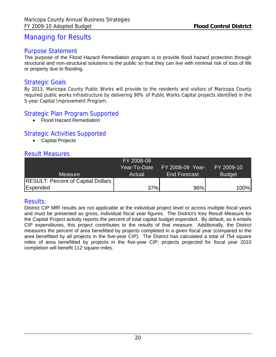# Managing for Results

## Purpose Statement

The purpose of the Flood Hazard Remediation program is to provide flood hazard protection through structural and non-structural solutions to the public so that they can live with minimal risk of loss of life or property due to flooding.

## Strategic Goals

By 2013, Maricopa County Public Works will provide to the residents and visitors of Maricopa County required public works infrastructure by delivering 90% of Public Works Capital projects identified in the 5-year Capital Improvement Program.

# Strategic Plan Program Supported

• Flood Hazard Remediation

# Strategic Activities Supported

• Capital Projects

## Result Measures

|                                             | FY 2008-09   |                     |               |
|---------------------------------------------|--------------|---------------------|---------------|
|                                             | Year-To-Date | FY 2008-09 Year-    | FY 2009-10    |
| <b>Measure</b>                              | Actual       | <b>End Forecast</b> | <b>Budget</b> |
| <b>RESULT: Percent of Capital Dollars  </b> |              |                     |               |
| Expended                                    | 37%          | 96%                 | 100%          |

## Results:

District CIP MfR results are not applicable at the individual project level or across multiple fiscal years and must be presented as gross, individual fiscal year figures. The District's Key Result Measure for the Capital Project activity reports the percent of total capital budget expended. By default, as it entails CIP expenditures, this project contributes to the results of that measure. Additionally, the District measures the percent of area benefitted by projects completed in a given fiscal year (compared to the area benefitted by all projects in the five-year CIP). The District has calculated a total of 754 square miles of area benefitted by projects in the five-year CIP; projects projected for fiscal year 2010 completion will benefit 112 square miles.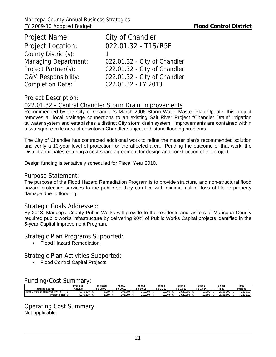| <b>Project Name:</b>           | City of Chandler             |
|--------------------------------|------------------------------|
| <b>Project Location:</b>       | 022.01.32 - T1S/R5E          |
| County District(s):            |                              |
| <b>Managing Department:</b>    | 022.01.32 - City of Chandler |
| Project Partner(s):            | 022.01.32 - City of Chandler |
| <b>O&amp;M Responsibility:</b> | 022.01.32 - City of Chandler |
| <b>Completion Date:</b>        | 022.01.32 - FY 2013          |

#### 022.01.32 - Central Chandler Storm Drain Improvements

Recommended by the City of Chandler's March 2006 Storm Water Master Plan Update, this project removes all local drainage connections to an existing Salt River Project "Chandler Drain" irrigation tailwater system and establishes a distinct City storm drain system. Improvements are contained within a two-square-mile area of downtown Chandler subject to historic flooding problems.

The City of Chandler has contracted additional work to refine the master plan's recommended solution and verify a 10-year level of protection for the affected area. Pending the outcome of that work, the District anticipates entering a cost-share agreement for design and construction of the project.

Design funding is tentatively scheduled for Fiscal Year 2010.

#### Purpose Statement:

The purpose of the Flood Hazard Remediation Program is to provide structural and non-structural flood hazard protection services to the public so they can live with minimal risk of loss of life or property damage due to flooding.

#### Strategic Goals Addressed:

By 2013, Maricopa County Public Works will provide to the residents and visitors of Maricopa County required public works infrastructure by delivering 90% of Public Works Capital projects identified in the 5-year Capital Improvement Program.

#### Strategic Plan Programs Supported:

• Flood Hazard Remediation

## Strategic Plan Activities Supported:

• Flood Control Capital Projects

## Funding/Cost Summary:

|                                             | Previous |                | Projected |  | Year :   |  | Year 2   |  | Year 5   | Year 4    | Year 5   | -Year     | <b>Total</b> |  |
|---------------------------------------------|----------|----------------|-----------|--|----------|--|----------|--|----------|-----------|----------|-----------|--------------|--|
| <b>Funding Source</b>                       |          | <b>Actuals</b> | FY 08-09  |  | FY 09-10 |  | FY 10-11 |  | FY 11-12 | FY 12-13  | FY 13-14 | Total     | Project      |  |
| I District Property Tax<br>Control<br>Flood |          | 4.976.810      | 2.000     |  | 105.000  |  | 110.000  |  | 10.000   | 2.020.000 | 10.000   | .255.000  | 7.233.810    |  |
| <b>Project Total</b>                        |          | 4.976.810      | 2.000     |  | 105.000  |  | 110.000  |  | 10.000   | 2.020.000 | 10.000   | 2.255.000 | 7.233.810    |  |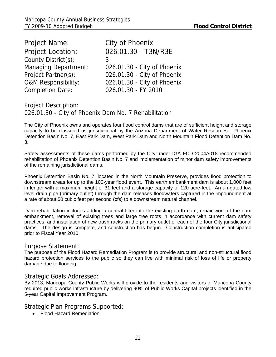| <b>Project Name:</b>           | City of Phoenix             |
|--------------------------------|-----------------------------|
| <b>Project Location:</b>       | 026.01.30 - T3N/R3E         |
| County District(s):            | 3                           |
| <b>Managing Department:</b>    | 026.01.30 - City of Phoenix |
| Project Partner(s):            | 026.01.30 - City of Phoenix |
| <b>O&amp;M Responsibility:</b> | 026.01.30 - City of Phoenix |
| <b>Completion Date:</b>        | 026.01.30 - FY 2010         |

# Project Description: 026.01.30 - City of Phoenix Dam No. 7 Rehabilitation

The City of Phoenix owns and operates four flood control dams that are of sufficient height and storage capacity to be classified as jurisdictional by the Arizona Department of Water Resources: Phoenix Detention Basin No. 7, East Park Dam, West Park Dam and North Mountain Flood Detention Dam No. 3.

Safety assessments of these dams performed by the City under IGA FCD 2004A018 recommended rehabilitation of Phoenix Detention Basin No. 7 and implementation of minor dam safety improvements of the remaining jurisdictional dams.

Phoenix Detention Basin No. 7, located in the North Mountain Preserve, provides flood protection to downstream areas for up to the 100-year flood event. This earth embankment dam is about 1,000 feet in length with a maximum height of 31 feet and a storage capacity of 120 acre-feet. An un-gated low level drain pipe (primary outlet) through the dam releases floodwaters captured in the impoundment at a rate of about 50 cubic feet per second (cfs) to a downstream natural channel.

Dam rehabilitation includes adding a central filter into the existing earth dam, repair work of the dam embankment, removal of existing trees and large tree roots in accordance with current dam safety practices, and installation of new trash racks on the primary outlet of each of the four City jurisdictional dams. The design is complete, and construction has begun. Construction completion is anticipated prior to Fiscal Year 2010.

## Purpose Statement:

The purpose of the Flood Hazard Remediation Program is to provide structural and non-structural flood hazard protection services to the public so they can live with minimal risk of loss of life or property damage due to flooding.

## Strategic Goals Addressed:

By 2013, Maricopa County Public Works will provide to the residents and visitors of Maricopa County required public works infrastructure by delivering 90% of Public Works Capital projects identified in the 5-year Capital Improvement Program.

## Strategic Plan Programs Supported:

• Flood Hazard Remediation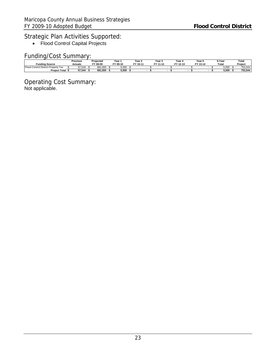# Strategic Plan Activities Supported:

• Flood Control Capital Projects

# Funding/Cost Summary:

|                                                               | Previous | Projected | Year .   | Year 2   |  | Year 3   | Year 4   | Year     |  | <b>S-Year</b> | Total   |
|---------------------------------------------------------------|----------|-----------|----------|----------|--|----------|----------|----------|--|---------------|---------|
| <b>Funding Source</b>                                         | Actuals  | FY 08-09  | FY 09-10 | FY 10-11 |  | FY 11-12 | FY 12-13 | FY 13-14 |  | Total         | Project |
| $\cdots$<br>Tax<br>Flood<br>. Property<br>Control<br>District | 67.544   | 681,000   | 5.000    |          |  |          |          |          |  | 5.000         | 753.544 |
| <b>Project Total</b>                                          | 67.544   | 681.000   | 5.000    |          |  |          |          |          |  | 5.000         | 753.544 |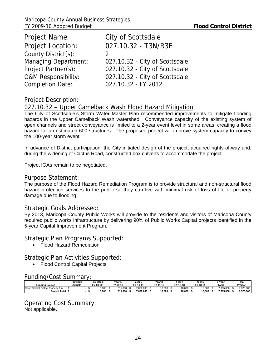| <b>Project Name:</b>           | City of Scottsdale             |
|--------------------------------|--------------------------------|
| <b>Project Location:</b>       | 027.10.32 - T3N/R3E            |
| County District(s):            | $\mathcal{P}$                  |
| <b>Managing Department:</b>    | 027.10.32 - City of Scottsdale |
| Project Partner(s):            | 027.10.32 - City of Scottsdale |
| <b>O&amp;M Responsibility:</b> | 027.10.32 - City of Scottsdale |
| <b>Completion Date:</b>        | 027.10.32 - FY 2012            |

#### 027.10.32 – Upper Camelback Wash Flood Hazard Mitigation

The City of Scottsdale's Storm Water Master Plan recommended improvements to mitigate flooding hazards in the Upper Camelback Wash watershed. Conveyance capacity of the existing system of open channels and street conveyance is limited to a 2-year event level in some areas, creating a flood hazard for an estimated 600 structures. The proposed project will improve system capacity to convey the 100-year storm event.

In advance of District participation, the City initiated design of the project, acquired rights-of-way and, during the widening of Cactus Road, constructed box culverts to accommodate the project.

Project IGAs remain to be negotiated.

#### Purpose Statement:

The purpose of the Flood Hazard Remediation Program is to provide structural and non-structural flood hazard protection services to the public so they can live with minimal risk of loss of life or property damage due to flooding.

#### Strategic Goals Addressed:

By 2013, Maricopa County Public Works will provide to the residents and visitors of Maricopa County required public works infrastructure by delivering 90% of Public Works Capital projects identified in the 5-year Capital Improvement Program.

#### Strategic Plan Programs Supported:

• Flood Hazard Remediation

## Strategic Plan Activities Supported:

• Flood Control Capital Projects

#### Funding/Cost Summary:

| <b>Funding Source</b>                                  | Previous<br>Actuals |  | Projected<br>FY 08-09 | Year<br>FY 09-10 | Year 2<br>FY 10-11 | Year.<br>FY 11-12 | Year<br>FY 12-13 | Year 5<br>FY 13-14 | 5-Year<br>Total | Total<br>Project |
|--------------------------------------------------------|---------------------|--|-----------------------|------------------|--------------------|-------------------|------------------|--------------------|-----------------|------------------|
| District<br>$F$ lood $C$<br>Control<br>Property<br>Tax |                     |  |                       | 315.000          | 7.020.000          | 10.000            | 0.000            | 10.000             | 7.365.000       | .370.000         |
| <b>Project Total</b>                                   |                     |  | 5.000                 | 315.000          | 7.020.000          | 10.000            | 10.000           | 10.000             | 7.365.000       | 370.000          |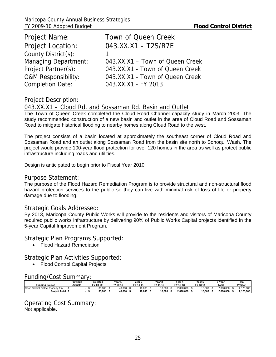| Project Name:                  | Town of Queen Creek             |
|--------------------------------|---------------------------------|
| <b>Project Location:</b>       | $043.XX.X1 - T2S/R7E$           |
| County District(s):            |                                 |
| <b>Managing Department:</b>    | 043.XX.X1 - Town of Queen Creek |
| Project Partner(s):            | 043.XX.X1 - Town of Queen Creek |
| <b>O&amp;M Responsibility:</b> | 043.XX.X1 - Town of Queen Creek |
| <b>Completion Date:</b>        | 043.XX.X1 - FY 2013             |

#### 043.XX.X1 – Cloud Rd. and Sossaman Rd. Basin and Outlet

The Town of Queen Creek completed the Cloud Road Channel capacity study in March 2003. The study recommended construction of a new basin and outlet in the area of Cloud Road and Sossaman Road to mitigate historical flooding to nearby homes along Cloud Road to the west.

The project consists of a basin located at approximately the southeast corner of Cloud Road and Sossaman Road and an outlet along Sossaman Road from the basin site north to Sonoqui Wash. The project would provide 100-year flood protection for over 120 homes in the area as well as protect public infrastructure including roads and utilities.

Design is anticipated to begin prior to Fiscal Year 2010.

#### Purpose Statement:

The purpose of the Flood Hazard Remediation Program is to provide structural and non-structural flood hazard protection services to the public so they can live with minimal risk of loss of life or property damage due to flooding.

#### Strategic Goals Addressed:

By 2013, Maricopa County Public Works will provide to the residents and visitors of Maricopa County required public works infrastructure by delivering 90% of Public Works Capital projects identified in the 5-year Capital Improvement Program.

#### Strategic Plan Programs Supported:

• Flood Hazard Remediation

# Strategic Plan Activities Supported:

• Flood Control Capital Projects

## Funding/Cost Summary:

| <b>Funding Source</b>                                  | Previous<br>Actuals |  | Projected<br>FY 08-09 | Year<br>FY 09-10 | Year 2<br>FY 10-11 | Year:<br>FY 11-12 | Year 4<br>FY 12-13 | Year 5<br>FY 13-14 | 5-Year<br>Total | Total<br>Project |
|--------------------------------------------------------|---------------------|--|-----------------------|------------------|--------------------|-------------------|--------------------|--------------------|-----------------|------------------|
| District<br>$F$ lood $C$<br>Property<br>Control<br>Tax |                     |  | 35.000                | 40.000           | 10,000             | 10.000            | 2.020.000          | 10,000             | 2.090.000       | :125.000         |
| <b>Project Total</b>                                   |                     |  | 35.000                | 40.000           | 10.000             | 10.000            | 2.020.000          | 10.000             | 2.090.000       | :125.000         |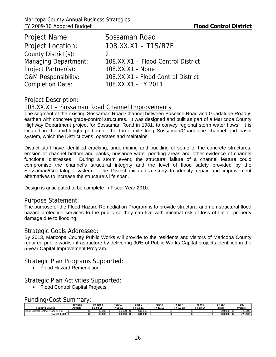| <b>Project Name:</b>           | Sossaman Road                      |
|--------------------------------|------------------------------------|
| <b>Project Location:</b>       | 108.XX.X1 - T1S/R7E                |
| County District(s):            |                                    |
| <b>Managing Department:</b>    | 108.XX.X1 - Flood Control District |
| Project Partner(s):            | 108.XX.X1 - None                   |
| <b>O&amp;M Responsibility:</b> | 108.XX.X1 - Flood Control District |
| <b>Completion Date:</b>        | 108.XX.X1 - FY 2011                |

## 108.XX.X1 – Sossaman Road Channel Improvements

The segment of the existing Sossaman Road Channel between Baseline Road and Guadalupe Road is earthen with concrete grade-control structures. It was designed and built as part of a Maricopa County Highway Department project for Sossaman Road in 1981, to convey regional storm water flows. It is located in the mid-length portion of the three mile long Sossaman/Guadalupe channel and basin system, which the District owns, operates and maintains.

District staff have identified cracking, undermining and buckling of some of the concrete structures, erosion of channel bottom and banks, nuisance water ponding areas and other evidence of channel functional distresses. During a storm event, the structural failure of a channel feature could compromise the channel's structural integrity and the level of flood safety provided by the Sossaman/Guadalupe system. The District initiated a study to identify repair and improvement alternatives to increase the structure's life span.

Design is anticipated to be complete in Fiscal Year 2010.

#### Purpose Statement:

The purpose of the Flood Hazard Remediation Program is to provide structural and non-structural flood hazard protection services to the public so they can live with minimal risk of loss of life or property damage due to flooding.

#### Strategic Goals Addressed:

By 2013, Maricopa County Public Works will provide to the residents and visitors of Maricopa County required public works infrastructure by delivering 90% of Public Works Capital projects identified in the 5-year Capital Improvement Program.

#### Strategic Plan Programs Supported:

• Flood Hazard Remediation

#### Strategic Plan Activities Supported:

• Flood Control Capital Projects

| Funding/Cost Summary: |  |
|-----------------------|--|
|-----------------------|--|

|                                                             | Previous |  | Projected | Year     | Year 2   | Year 3   | Year 4   |  | Year 5   |  | 5-Year       | Total   |
|-------------------------------------------------------------|----------|--|-----------|----------|----------|----------|----------|--|----------|--|--------------|---------|
| <b>Funding Source</b>                                       | Actuals  |  | FY 08-09  | FY 09-10 | FY 10-11 | FY 11-12 | FY 12-13 |  | FY 13-14 |  | <b>Total</b> | Project |
| $F$ lood<br><b>District</b><br>: Property<br>Control<br>Tax |          |  | 85.000    | 30,000   | 610.000  |          |          |  |          |  | 640.000      | 725.000 |
| <b>Project Total</b>                                        |          |  | 85.000    | 30.000   | 610.000  |          |          |  |          |  | 640.000      | 725.000 |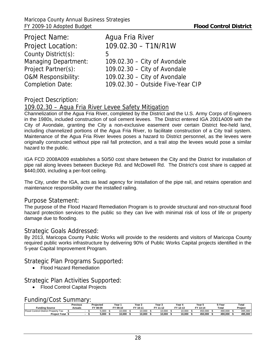| <b>Project Name:</b>           | Agua Fria River                   |
|--------------------------------|-----------------------------------|
| <b>Project Location:</b>       | 109.02.30 - T1N/R1W               |
| County District(s):            | 5                                 |
| <b>Managing Department:</b>    | $109.02.30 - City of Avondale$    |
| Project Partner(s):            | $109.02.30 - City of Avondale$    |
| <b>O&amp;M Responsibility:</b> | 109.02.30 - City of Avondale      |
| <b>Completion Date:</b>        | 109.02.30 - Outside Five-Year CIP |

#### 109.02.30 – Agua Fria River Levee Safety Mitigation

Channelization of the Agua Fria River, completed by the District and the U.S. Army Corps of Engineers in the 1980s, included construction of soil cement levees. The District entered IGA 2001A009 with the City of Avondale, granting the City a non-exclusive easement over certain District fee-held land, including channelized portions of the Agua Fria River, to facilitate construction of a City trail system. Maintenance of the Agua Fria River levees poses a hazard to District personnel, as the levees were originally constructed without pipe rail fall protection, and a trail atop the levees would pose a similar hazard to the public.

IGA FCD 2008A009 establishes a 50/50 cost share between the City and the District for installation of pipe rail along levees between Buckeye Rd. and McDowell Rd. The District's cost share is capped at \$440,000, including a per-foot ceiling.

The City, under the IGA, acts as lead agency for installation of the pipe rail, and retains operation and maintenance responsibility over the installed railing.

#### Purpose Statement:

The purpose of the Flood Hazard Remediation Program is to provide structural and non-structural flood hazard protection services to the public so they can live with minimal risk of loss of life or property damage due to flooding.

#### Strategic Goals Addressed:

By 2013, Maricopa County Public Works will provide to the residents and visitors of Maricopa County required public works infrastructure by delivering 90% of Public Works Capital projects identified in the 5-year Capital Improvement Program.

#### Strategic Plan Programs Supported:

• Flood Hazard Remediation

#### Strategic Plan Activities Supported:

• Flood Control Capital Projects

| Funding/Cost Summary: |  |
|-----------------------|--|
|-----------------------|--|

|                                                  | Previous |  | Proiected | Year     | Year 2   | Year 5   | Year 4   | Year 5   | 5-Year  | Гоtal   |
|--------------------------------------------------|----------|--|-----------|----------|----------|----------|----------|----------|---------|---------|
| <b>Funding Source</b>                            | Actuals  |  | FY 08-09  | FY 09-10 | FY 10-11 | FY 11-12 | FY 12-13 | FY 13-14 | Total   | Project |
| Flood C<br>District<br>t Property Tax<br>Control |          |  | 5.000     | 10.000   | 10.000   | 10.000   | 0.000    | 450.000  | 490.000 | 495.000 |
| <b>Project Total</b>                             |          |  | 5.000     | 10.000   | 10.000   | 10.000   | 10.000   | 450.000  | 490.000 | 495.000 |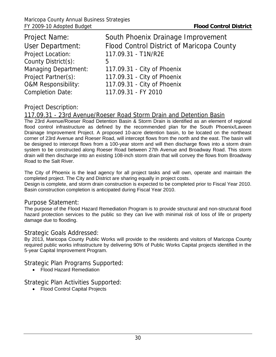| <b>Project Name:</b>           | South Phoenix Drainage Improvement        |
|--------------------------------|-------------------------------------------|
| <b>User Department:</b>        | Flood Control District of Maricopa County |
| Project Location:              | 117.09.31 - T1N/R2E                       |
| County District(s):            | 5                                         |
| <b>Managing Department:</b>    | 117.09.31 - City of Phoenix               |
| Project Partner(s):            | 117.09.31 - City of Phoenix               |
| <b>O&amp;M Responsibility:</b> | 117.09.31 - City of Phoenix               |
| <b>Completion Date:</b>        | 117.09.31 - FY 2010                       |

# 117.09.31 - 23rd Avenue/Roeser Road Storm Drain and Detention Basin

The 23rd Avenue/Roeser Road Detention Basin & Storm Drain is identified as an element of regional flood control infrastructure as defined by the recommended plan for the South Phoenix/Laveen Drainage Improvement Project. A proposed 10-acre detention basin, to be located on the northeast corner of 23rd Avenue and Roeser Road, will intercept flows from the north and the east. The basin will be designed to intercept flows from a 100-year storm and will then discharge flows into a storm drain system to be constructed along Roeser Road between 27th Avenue and Broadway Road. This storm drain will then discharge into an existing 108-inch storm drain that will convey the flows from Broadway Road to the Salt River.

The City of Phoenix is the lead agency for all project tasks and will own, operate and maintain the completed project. The City and District are sharing equally in project costs.

Design is complete, and storm drain construction is expected to be completed prior to Fiscal Year 2010. Basin construction completion is anticipated during Fiscal Year 2010.

## Purpose Statement:

The purpose of the Flood Hazard Remediation Program is to provide structural and non-structural flood hazard protection services to the public so they can live with minimal risk of loss of life or property damage due to flooding.

## Strategic Goals Addressed:

By 2013, Maricopa County Public Works will provide to the residents and visitors of Maricopa County required public works infrastructure by delivering 90% of Public Works Capital projects identified in the 5-year Capital Improvement Program.

## Strategic Plan Programs Supported:

• Flood Hazard Remediation

## Strategic Plan Activities Supported:

• Flood Control Capital Projects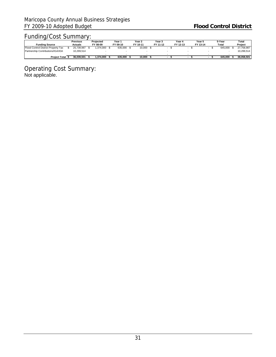# Funding/Cost Summary:

|                                     | Previous       | Proiected | Year 1   | Year 2   | Year 3   | Year 4   |  | Year 5   |  | 5-Year  | Total      |
|-------------------------------------|----------------|-----------|----------|----------|----------|----------|--|----------|--|---------|------------|
| <b>Funding Source</b>               | <b>Actuals</b> | FY 08-09  | FY 09-10 | FY 10-11 | FY 11-12 | FY 12-13 |  | FY 13-14 |  | Total   | Project    |
| Flood Control District Property Tax | 25.739.987     | .374.000  | 635,000  | 10.000   |          |          |  |          |  | 645,000 | 27.758.987 |
| Partnership Contributions/IGA/IDA   | 10.299.514     |           |          |          |          |          |  |          |  |         | 10.299.514 |
|                                     |                |           |          |          |          |          |  |          |  |         |            |
| <b>Project Total</b>                | 36.039.501     | .374.000  | 635.000  | 10.000   |          |          |  |          |  | 645.000 | 38.058.501 |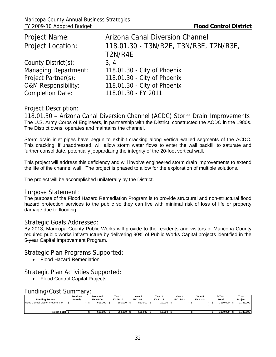| <b>Project Name:</b>           | Arizona Canal Diversion Channel        |
|--------------------------------|----------------------------------------|
| <b>Project Location:</b>       | 118.01.30 - T3N/R2E, T3N/R3E, T2N/R3E, |
|                                | T <sub>2</sub> N/R <sub>4E</sub>       |
| County District(s):            | 3, 4                                   |
| <b>Managing Department:</b>    | 118.01.30 - City of Phoenix            |
| Project Partner(s):            | 118.01.30 - City of Phoenix            |
| <b>O&amp;M Responsibility:</b> | 118.01.30 - City of Phoenix            |
| <b>Completion Date:</b>        | 118.01.30 - FY 2011                    |

118.01.30 – Arizona Canal Diversion Channel (ACDC) Storm Drain Improvements

The U.S. Army Corps of Engineers, in partnership with the District, constructed the ACDC in the 1980s. The District owns, operates and maintains the channel.

Storm drain inlet pipes have begun to exhibit cracking along vertical-walled segments of the ACDC. This cracking, if unaddressed, will allow storm water flows to enter the wall backfill to saturate and further consolidate, potentially jeopardizing the integrity of the 20-foot vertical wall.

This project will address this deficiency and will involve engineered storm drain improvements to extend the life of the channel wall. The project is phased to allow for the exploration of multiple solutions.

The project will be accomplished unilaterally by the District.

#### Purpose Statement:

The purpose of the Flood Hazard Remediation Program is to provide structural and non-structural flood hazard protection services to the public so they can live with minimal risk of loss of life or property damage due to flooding.

## Strategic Goals Addressed:

By 2013, Maricopa County Public Works will provide to the residents and visitors of Maricopa County required public works infrastructure by delivering 90% of Public Works Capital projects identified in the 5-year Capital Improvement Program.

## Strategic Plan Programs Supported:

• Flood Hazard Remediation

# Strategic Plan Activities Supported:

• Flood Control Capital Projects

## Funding/Cost Summary:

|                                     | <b>Previous</b> | Projected |  | Year <sup>.</sup> |  | Year 2   |  | Year 3   |  | Year 4   | Year 5 |          |  |  | 5-Year    |  | Total     |
|-------------------------------------|-----------------|-----------|--|-------------------|--|----------|--|----------|--|----------|--------|----------|--|--|-----------|--|-----------|
| Fundina Source                      | <b>Actuals</b>  | FY 08-09  |  | FY 09-10          |  | FY 10-11 |  | FY 11-12 |  | FY 12-13 |        | FY 13-14 |  |  | Total     |  | Project   |
| Flood Control District Property Tax |                 | 616,000   |  | 560,000           |  | 560,000  |  | 10.000   |  | . .      |        |          |  |  | .130.000  |  | .746.000  |
|                                     |                 |           |  |                   |  |          |  |          |  |          |        |          |  |  |           |  |           |
| <b>Project Total</b>                |                 | 616.000   |  | 560.000           |  | 560.000  |  | 10.000   |  | -        |        |          |  |  | 1.130.000 |  | 1.746.000 |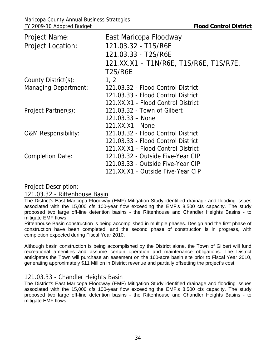| <b>Project Name:</b>           | East Maricopa Floodway                 |
|--------------------------------|----------------------------------------|
| <b>Project Location:</b>       | 121.03.32 - T1S/R6E                    |
|                                | 121.03.33 - T2S/R6E                    |
|                                | 121.XX.X1 - T1N/R6E, T1S/R6E, T1S/R7E, |
|                                | <b>T2S/R6E</b>                         |
| County District(s):            | 1, 2                                   |
| <b>Managing Department:</b>    | 121.03.32 - Flood Control District     |
|                                | 121.03.33 - Flood Control District     |
|                                | 121.XX.X1 - Flood Control District     |
| Project Partner(s):            | 121.03.32 - Town of Gilbert            |
|                                | $121.03.33 - None$                     |
|                                | 121.XX.X1 - None                       |
| <b>O&amp;M Responsibility:</b> | 121.03.32 - Flood Control District     |
|                                | 121.03.33 - Flood Control District     |
|                                | 121.XX.X1 - Flood Control District     |
| <b>Completion Date:</b>        | 121.03.32 - Outside Five-Year CIP      |
|                                | 121.03.33 - Outside Five-Year CIP      |
|                                | 121.XX.X1 - Outside Five-Year CIP      |

### 121.03.32 - Rittenhouse Basin

The District's East Maricopa Floodway (EMF) Mitigation Study identified drainage and flooding issues associated with the 15,000 cfs 100-year flow exceeding the EMF's 8,500 cfs capacity. The study proposed two large off-line detention basins - the Rittenhouse and Chandler Heights Basins - to mitigate EMF flows.

Rittenhouse Basin construction is being accomplished in multiple phases. Design and the first phase of construction have been completed, and the second phase of construction is in progress, with completion expected during Fiscal Year 2010.

Although basin construction is being accomplished by the District alone, the Town of Gilbert will fund recreational amenities and assume certain operation and maintenance obligations. The District anticipates the Town will purchase an easement on the 160-acre basin site prior to Fiscal Year 2010, generating approximately \$11 Million in District revenue and partially offsetting the project's cost.

### 121.03.33 - Chandler Heights Basin

The District's East Maricopa Floodway (EMF) Mitigation Study identified drainage and flooding issues associated with the 15,000 cfs 100-year flow exceeding the EMF's 8,500 cfs capacity. The study proposed two large off-line detention basins - the Rittenhouse and Chandler Heights Basins - to mitigate EMF flows.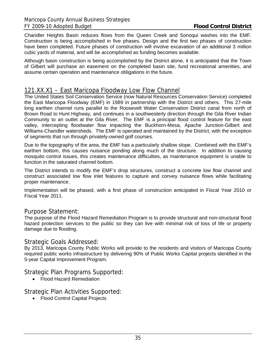Chandler Heights Basin reduces flows from the Queen Creek and Sonoqui washes into the EMF. Construction is being accomplished in five phases. Design and the first two phases of construction have been completed. Future phases of construction will involve excavation of an additional 3 million cubic yards of material, and will be accomplished as funding becomes available.

Although basin construction is being accomplished by the District alone, it is anticipated that the Town of Gilbert will purchase an easement on the completed basin site, fund recreational amenities, and assume certain operation and maintenance obligations in the future.

### 121.XX.X1 – East Maricopa Floodway Low Flow Channel

The United States Soil Conservation Service (now Natural Resources Conservation Service) completed the East Maricopa Floodway (EMF) in 1989 in partnership with the District and others. This 27-mile long earthen channel runs parallel to the Roosevelt Water Conservation District canal from north of Brown Road to Hunt Highway, and continues in a southwesterly direction through the Gila River Indian Community to an outlet at the Gila River. The EMF is a principal flood control feature for the east valley, intercepting floodwater flow impacting the Buckhorn-Mesa, Apache Junction-Gilbert and Williams-Chandler watersheds. The EMF is operated and maintained by the District, with the exception of segments that run through privately-owned golf courses.

Due to the topography of the area, the EMF has a particularly shallow slope. Combined with the EMF's earthen bottom, this causes nuisance ponding along much of the structure. In addition to causing mosquito control issues, this creates maintenance difficulties, as maintenance equipment is unable to function in the saturated channel bottom.

The District intends to modify the EMF's drop structures, construct a concrete low flow channel and construct associated low flow inlet features to capture and convey nuisance flows while facilitating proper maintenance.

Implementation will be phased, with a first phase of construction anticipated in Fiscal Year 2010 or Fiscal Year 2011.

### Purpose Statement:

The purpose of the Flood Hazard Remediation Program is to provide structural and non-structural flood hazard protection services to the public so they can live with minimal risk of loss of life or property damage due to flooding.

#### Strategic Goals Addressed:

By 2013, Maricopa County Public Works will provide to the residents and visitors of Maricopa County required public works infrastructure by delivering 90% of Public Works Capital projects identified in the 5-year Capital Improvement Program.

#### Strategic Plan Programs Supported:

• Flood Hazard Remediation

### Strategic Plan Activities Supported:

• Flood Control Capital Projects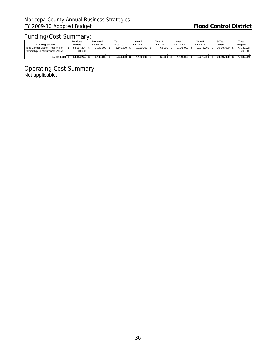# Funding/Cost Summary:

|                                     | Previous       | Projected | Year 1    | Year 2   | Year 3   | Year 4   | Year 5     | 5-Year     | Total      |
|-------------------------------------|----------------|-----------|-----------|----------|----------|----------|------------|------------|------------|
| <b>Funding Source</b>               | <b>Actuals</b> | FY 08-09  | FY 09-10  | FY 10-11 | FY 11-12 | FY 12-13 | FY 13-14   | Total      | Project    |
| Flood Control District Property Tax | 54.294.224     | 3.193.000 | 5.640.000 | .120.000 | 65,000   | .145.000 | 12.275.000 | 20.245.000 | 77.732.224 |
| Partnership Contributions/IGA/IDA   | 200,000        |           |           |          |          |          |            |            | 200,000    |
|                                     |                |           |           |          |          |          |            |            |            |
| <b>Project Total</b>                | 54.494.224     | 3.193.000 | 5.640.000 | .120.000 | 65.000   | .145.000 | 12.275.000 | 20.245.000 | 77.932.224 |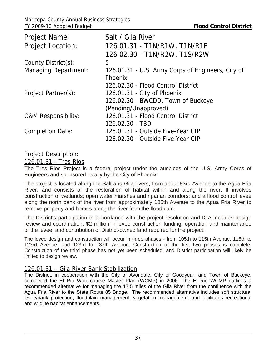| Salt / Gila River                                 |
|---------------------------------------------------|
| 126.01.31 - T1N/R1W, T1N/R1E                      |
| 126.02.30 - T1N/R2W, T1S/R2W                      |
| 5                                                 |
| 126.01.31 - U.S. Army Corps of Engineers, City of |
| Phoenix                                           |
| 126.02.30 - Flood Control District                |
| 126.01.31 - City of Phoenix                       |
| 126.02.30 - BWCDD, Town of Buckeye                |
| (Pending/Unapproved)                              |
| 126.01.31 - Flood Control District                |
| 126.02.30 - TBD                                   |
| 126.01.31 - Outside Five-Year CIP                 |
| 126.02.30 - Outside Five-Year CIP                 |
|                                                   |

126.01.31 - Tres Rios

The Tres Rios Project is a federal project under the auspices of the U.S. Army Corps of Engineers and sponsored locally by the City of Phoenix.

The project is located along the Salt and Gila rivers, from about 83rd Avenue to the Agua Fria River, and consists of the restoration of habitat within and along the river. It involves construction of wetlands; open water marshes and riparian corridors; and a flood control levee along the north bank of the river from approximately 105th Avenue to the Agua Fria River to remove property and homes along the river from the floodplain.

The District's participation in accordance with the project resolution and IGA includes design review and coordination, \$2 million in levee construction funding, operation and maintenance of the levee, and contribution of District-owned land required for the project.

The levee design and construction will occur in three phases - from 105th to 115th Avenue, 115th to 123rd Avenue, and 123rd to 137th Avenue. Construction of the first two phases is complete. Construction of the third phase has not yet been scheduled, and District participation will likely be limited to design review.

### 126.01.31 – Gila River Bank Stabilization

The District, in cooperation with the City of Avondale, City of Goodyear, and Town of Buckeye, completed the El Rio Watercourse Master Plan (WCMP) in 2006. The El Rio WCMP outlines a recommended alternative for managing the 17.5 miles of the Gila River from the confluence with the Agua Fria River to the State Route 85 Bridge. The recommended alternative includes soft structural levee/bank protection, floodplain management, vegetation management, and facilitates recreational and wildlife habitat enhancements.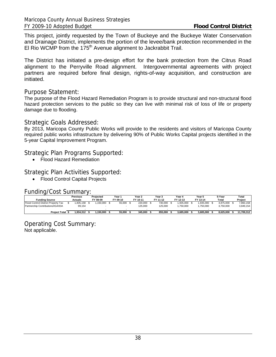This project, jointly requested by the Town of Buckeye and the Buckeye Water Conservation and Drainage District, implements the portion of the levee/bank protection recommended in the El Rio WCMP from the 175<sup>th</sup> Avenue alignment to Jackrabbit Trail.

The District has initiated a pre-design effort for the bank protection from the Citrus Road alignment to the Perryville Road alignment. Intergovernmental agreements with project partners are required before final design, rights-of-way acquisition, and construction are initiated.

#### Purpose Statement:

The purpose of the Flood Hazard Remediation Program is to provide structural and non-structural flood hazard protection services to the public so they can live with minimal risk of loss of life or property damage due to flooding.

#### Strategic Goals Addressed:

By 2013, Maricopa County Public Works will provide to the residents and visitors of Maricopa County required public works infrastructure by delivering 90% of Public Works Capital projects identified in the 5-year Capital Improvement Program.

### Strategic Plan Programs Supported:

• Flood Hazard Remediation

### Strategic Plan Activities Supported:

• Flood Control Capital Projects

### Funding/Cost Summary:

|                                     | Previous       | Projected | Year⊹    | Year 2   | Year 3   | Year 4    | Year 5    | 5-Year    | Total      |
|-------------------------------------|----------------|-----------|----------|----------|----------|-----------|-----------|-----------|------------|
| <b>Funding Source</b>               | <b>Actuals</b> | FY 08-09  | TY 09-10 | FY 10-11 | FY 11-12 | FY 12-13  | FY 13-14  | Total     | Project    |
| Flood Control District Property Tax | .835.158       | .150.000  | 55,000   | 220.000  | 730.000  | .935.000  | 1.935.000 | 4.875.000 | 7,860,158  |
| Partnership Contributions/IGA/IDA   | 99.154         |           |          | 125.000  | 125.000  | .750.000  | .750.000  | 3.750.000 | 3,849,154  |
|                                     |                |           |          |          |          |           |           |           |            |
| <b>Project Total</b>                | 1.934.312      | .150.000  | 55.000   | 345.000  | 855.000  | 3.685.000 | 3.685.000 | 8.625.000 | 11.709.312 |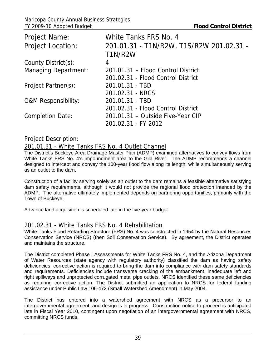| <b>Project Name:</b>           | White Tanks FRS No. 4                    |
|--------------------------------|------------------------------------------|
| <b>Project Location:</b>       | 201.01.31 - T1N/R2W, T1S/R2W 201.02.31 - |
|                                | T1N/R2W                                  |
| County District(s):            | 4                                        |
| <b>Managing Department:</b>    | 201.01.31 - Flood Control District       |
|                                | 201.02.31 - Flood Control District       |
| Project Partner(s):            | 201.01.31 - TBD                          |
|                                | 201.02.31 - NRCS                         |
| <b>O&amp;M Responsibility:</b> | 201.01.31 - TBD                          |
|                                | 201.02.31 - Flood Control District       |
| <b>Completion Date:</b>        | 201.01.31 - Outside Five-Year CIP        |
|                                | 201.02.31 - FY 2012                      |

### 201.01.31 - White Tanks FRS No. 4 Outlet Channel

The District's Buckeye Area Drainage Master Plan (ADMP) examined alternatives to convey flows from White Tanks FRS No. 4's impoundment area to the Gila River. The ADMP recommends a channel designed to intercept and convey the 100-year flood flow along its length, while simultaneously serving as an outlet to the dam.

Construction of a facility serving solely as an outlet to the dam remains a feasible alternative satisfying dam safety requirements, although it would not provide the regional flood protection intended by the ADMP. The alternative ultimately implemented depends on partnering opportunities, primarily with the Town of Buckeye.

Advance land acquisition is scheduled late in the five-year budget.

### 201.02.31 - White Tanks FRS No. 4 Rehabilitation

White Tanks Flood Retarding Structure (FRS) No. 4 was constructed in 1954 by the Natural Resources Conservation Service (NRCS) (then Soil Conservation Service). By agreement, the District operates and maintains the structure.

The District completed Phase I Assessments for White Tanks FRS No. 4, and the Arizona Department of Water Resources (state agency with regulatory authority) classified the dam as having safety deficiencies; corrective action is required to bring the dam into compliance with dam safety standards and requirements. Deficiencies include transverse cracking of the embankment, inadequate left and right spillways and unprotected corrugated metal pipe outlets. NRCS identified these same deficiencies as requiring corrective action. The District submitted an application to NRCS for federal funding assistance under Public Law 106-472 (Small Watershed Amendment) in May 2004.

The District has entered into a watershed agreement with NRCS as a precursor to an intergovernmental agreement, and design is in progress. Construction notice to proceed is anticipated late in Fiscal Year 2010, contingent upon negotiation of an intergovernmental agreement with NRCS, committing NRCS funds.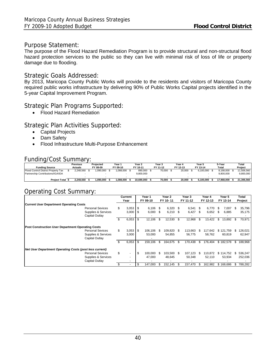### Purpose Statement:

The purpose of the Flood Hazard Remediation Program is to provide structural and non-structural flood hazard protection services to the public so they can live with minimal risk of loss of life or property damage due to flooding.

#### Strategic Goals Addressed:

By 2013, Maricopa County Public Works will provide to the residents and visitors of Maricopa County required public works infrastructure by delivering 90% of Public Works Capital projects identified in the 5-year Capital Improvement Program.

#### Strategic Plan Programs Supported:

• Flood Hazard Remediation

### Strategic Plan Activities Supported:

- Capital Projects
- Dam Safety
- Flood Infrastructure Multi-Purpose Enhancement

### Funding/Cost Summary:

| <b>Funding Source</b>                                                    | <b>Previous</b><br><b>Actuals</b> | Projected<br>FY 08-09 | Year '<br>FY 09-10 | Year 2<br>FY 10-11   | Year 3<br>FY 11-12 | Year 4<br>FY 12-13 | Year 5<br>FY 13-14 | 5-Year<br>Total        | Total<br>Project        |
|--------------------------------------------------------------------------|-----------------------------------|-----------------------|--------------------|----------------------|--------------------|--------------------|--------------------|------------------------|-------------------------|
| Flood Control District Property Tax<br>Partnership Contributions/IGA/IDA | 2.248.560                         | .090.000              | .088.000           | 890.000<br>9.800.000 | 70.000             | 20.000             | 6.100.000          | 8.168.000<br>9.800.000 | 11.506.560<br>9,800,000 |
| <b>Project Total</b>                                                     | 2.248.560                         | .090.000              | .088.000           | 10.690.000           | 70.000             | 20.000             | 6.100.000          | 17.968.000             | 21.306.560              |

# Operating Cost Summary:

|                                                                  | Current<br>Year |                |            | Year 1<br>FY 09-10       |     | Year 2<br>FY 10-11       |    | Year 3<br>FY 11-12 |              | Year 4<br>FY 12-13 |          | Year 5<br>FY 13-14 |     | Total<br>Project |
|------------------------------------------------------------------|-----------------|----------------|------------|--------------------------|-----|--------------------------|----|--------------------|--------------|--------------------|----------|--------------------|-----|------------------|
| <b>Current User Department Operating Costs</b>                   |                 |                |            |                          |     |                          |    |                    |              |                    |          |                    |     |                  |
| <b>Personal Sevices</b><br>Supplies & Services<br>Capital Outlay | \$              | 3,053<br>3,000 | ∣\$<br>∣\$ | $6,106$ \$<br>$6,000$ \$ |     | $6,320$ \$<br>$6,210$ \$ |    | 6,541<br>6,427     | - \$<br>- \$ | 6,770<br>6,652     | SS.<br>S | 7,007<br>6.885     | -SS | 35,796<br>35,175 |
|                                                                  | ъ               | 6,053          | - \$       | 12,106                   | \$  | 12,530                   | -S | 12,968             | \$.          | 13,422             | S        | 13,892             | \$. | 70,971           |
| <b>Post Construction User Department Operating Costs</b>         |                 |                |            |                          |     |                          |    |                    |              |                    |          |                    |     |                  |
| <b>Personal Sevices</b>                                          | \$              | 3,053          | l \$       | 106.106                  | -\$ | 109,820 \$               |    | 113.663            | - \$         | 117,642            |          | \$121,759          | S   | 126,021          |
| Supplies & Services<br>Capital Outlay                            |                 | 3,000          |            | 53.000                   |     | 54.855                   |    | 56,775             |              | 58,762             |          | 60.819             |     | 62,947           |
|                                                                  |                 | 6,053          | l \$       | 159.106                  | \$  | 164.675 \$               |    | 170.438            | \$           | 176.404            |          | \$182,578          | \$  | 188.968          |
| Net User Department Operating Costs (post less current)          |                 |                |            |                          |     |                          |    |                    |              |                    |          |                    |     |                  |
| <b>Personal Sevices</b>                                          | \$              | ۰.             | S.         | 100.000                  | -\$ | 103,500 \$               |    | 107.123            | - \$         | 110,872            |          | \$114,752          | S.  | 536,247          |
| Supplies & Services<br>Capital Outlay                            |                 |                |            | 47,000                   |     | 48,645                   |    | 50,348             |              | 52,110             |          | 53,934             |     | 252,036          |
|                                                                  |                 |                | \$         | 147,000                  |     | 152,145                  |    | 157,470            |              | 162,982            |          | \$168,686          | \$  | 788,282          |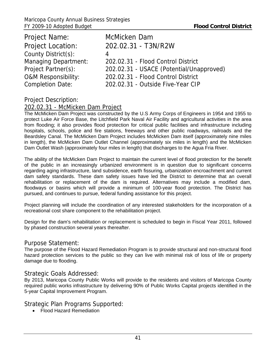| <b>Project Name:</b>           | McMicken Dam                             |
|--------------------------------|------------------------------------------|
| <b>Project Location:</b>       | 202.02.31 - T3N/R2W                      |
| County District(s):            | 4                                        |
| <b>Managing Department:</b>    | 202.02.31 - Flood Control District       |
| Project Partner(s):            | 202.02.31 - USACE (Potential/Unapproved) |
| <b>O&amp;M Responsibility:</b> | 202.02.31 - Flood Control District       |
| <b>Completion Date:</b>        | 202.02.31 - Outside Five-Year CIP        |

### 202.02.31 - McMicken Dam Project

The McMicken Dam Project was constructed by the U.S Army Corps of Engineers in 1954 and 1955 to protect Luke Air Force Base, the Litchfield Park Naval Air Facility and agricultural activities in the area from flooding; it also provides flood protection for critical public facilities and infrastructure including hospitals, schools, police and fire stations, freeways and other public roadways, railroads and the Beardsley Canal. The McMicken Dam Project includes McMicken Dam itself (approximately nine miles in length), the McMicken Dam Outlet Channel (approximately six miles in length) and the McMicken Dam Outlet Wash (approximately four miles in length) that discharges to the Agua Fria River.

The ability of the McMicken Dam Project to maintain the current level of flood protection for the benefit of the public in an increasingly urbanized environment is in question due to significant concerns regarding aging infrastructure, land subsidence, earth fissuring, urbanization encroachment and current dam safety standards. These dam safety issues have led the District to determine that an overall rehabilitation or replacement of the dam is required. Alternatives may include a modified dam, floodways or basins which will provide a minimum of 100-year flood protection. The District has pursued, and continues to pursue, federal funding assistance for this project.

Project planning will include the coordination of any interested stakeholders for the incorporation of a recreational cost share component to the rehabilitation project.

Design for the dam's rehabilitation or replacement is scheduled to begin in Fiscal Year 2011, followed by phased construction several years thereafter.

#### Purpose Statement:

The purpose of the Flood Hazard Remediation Program is to provide structural and non-structural flood hazard protection services to the public so they can live with minimal risk of loss of life or property damage due to flooding.

#### Strategic Goals Addressed:

By 2013, Maricopa County Public Works will provide to the residents and visitors of Maricopa County required public works infrastructure by delivering 90% of Public Works Capital projects identified in the 5-year Capital Improvement Program.

### Strategic Plan Programs Supported:

• Flood Hazard Remediation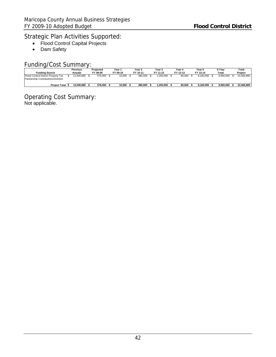Strategic Plan Activities Supported:

- Flood Control Capital Projects
- Dam Safety

# Funding/Cost Summary:

|                                                                          | Previous       | Projected | Year :   | Year 2   | Year 3   | Year 4   | Year 5    | 5-Year    | Total      |
|--------------------------------------------------------------------------|----------------|-----------|----------|----------|----------|----------|-----------|-----------|------------|
| <b>Funding Source</b>                                                    | <b>Actuals</b> | FY 08-09  | FY 09-10 | FY 10-11 | FY 11-12 | FY 12-13 | FY 13-14  | Total     | Project    |
| Flood Control District Property Tax<br>Partnership Contributions/IGA/IDA | 12.040.885     | 576.000   | 10.000   | 480.000  | .200.000 | 80,000   | 8.180.000 | 9.950.000 | 22.566.885 |
|                                                                          |                |           |          |          |          |          |           |           |            |
| <b>Project Total</b>                                                     | 12.040.885     | 576.000   | 10.000   | 480.000  | .200.000 | 80.000   | 8.180.000 | 9.950.000 | 22.566.885 |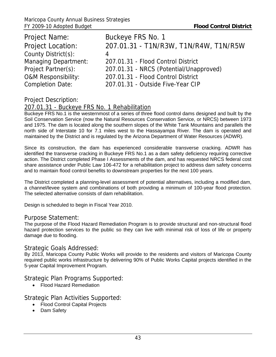| <b>Project Name:</b>           | Buckeye FRS No. 1                       |
|--------------------------------|-----------------------------------------|
| <b>Project Location:</b>       | 207.01.31 - T1N/R3W, T1N/R4W, T1N/R5W   |
| County District(s):            | 4                                       |
| <b>Managing Department:</b>    | 207.01.31 - Flood Control District      |
| Project Partner(s):            | 207.01.31 - NRCS (Potential/Unapproved) |
| <b>O&amp;M Responsibility:</b> | 207.01.31 - Flood Control District      |
| <b>Completion Date:</b>        | 207.01.31 - Outside Five-Year CIP       |

### 207.01.31 - Buckeye FRS No. 1 Rehabilitation

Buckeye FRS No.1 is the westernmost of a series of three flood control dams designed and built by the Soil Conservation Service (now the Natural Resources Conservation Service, or NRCS) between 1973 and 1975. The dam is located along the southern slopes of the White Tank Mountains and parallels the north side of Interstate 10 for 7.1 miles west to the Hassayampa River. The dam is operated and maintained by the District and is regulated by the Arizona Department of Water Resources (ADWR).

Since its construction, the dam has experienced considerable transverse cracking. ADWR has identified the transverse cracking in Buckeye FRS No.1 as a dam safety deficiency requiring corrective action. The District completed Phase I Assessments of the dam, and has requested NRCS federal cost share assistance under Public Law 106-472 for a rehabilitation project to address dam safety concerns and to maintain flood control benefits to downstream properties for the next 100 years.

The District completed a planning-level assessment of potential alternatives, including a modified dam, a channel/levee system and combinations of both providing a minimum of 100-year flood protection. The selected alternative consists of dam rehabilitation.

Design is scheduled to begin in Fiscal Year 2010.

#### Purpose Statement:

The purpose of the Flood Hazard Remediation Program is to provide structural and non-structural flood hazard protection services to the public so they can live with minimal risk of loss of life or property damage due to flooding.

#### Strategic Goals Addressed:

By 2013, Maricopa County Public Works will provide to the residents and visitors of Maricopa County required public works infrastructure by delivering 90% of Public Works Capital projects identified in the 5-year Capital Improvement Program.

Strategic Plan Programs Supported:

• Flood Hazard Remediation

Strategic Plan Activities Supported:

- Flood Control Capital Projects
- Dam Safety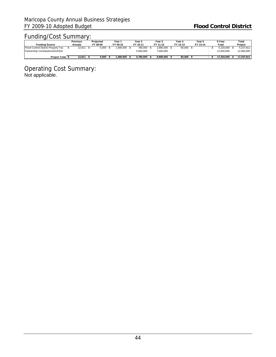# Funding/Cost Summary:

|                                     | Previous       | Projected | Year <b>1</b> | Year 2    | Year 3    | Year 4   | Year 5   |  | 5-Year     | Total      |
|-------------------------------------|----------------|-----------|---------------|-----------|-----------|----------|----------|--|------------|------------|
| <b>Funding Source</b>               | <b>Actuals</b> | FY 08-09  | $Y$ 09-10     | FY 10-11  | FY 11-12  | FY 12-13 | FY 13-14 |  | Total      | Project    |
| Flood Control District Property Tax | 12.811         | 5.000     | .480.000      | 780,000   | 2.880.000 | 80,000   |          |  | 5.220.000  | 5.237.811  |
| Partnership Contributions/IGA/IDA   |                |           |               | 5.000.000 | 7,000,000 |          |          |  | 12.000.000 | 12,000,000 |
|                                     |                |           |               |           |           |          |          |  |            |            |
| <b>Project Total</b>                | 12.811         | 5.000     | .480.000      | 5.780.000 | 9.880.000 | 80,000   |          |  | 17.220.000 | 17.237.811 |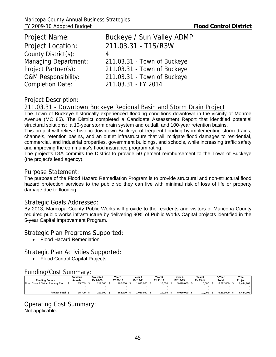| <b>Project Name:</b>           | Buckeye / Sun Valley ADMP   |
|--------------------------------|-----------------------------|
| <b>Project Location:</b>       | 211.03.31 - T1S/R3W         |
| County District(s):            | 4                           |
| <b>Managing Department:</b>    | 211.03.31 - Town of Buckeye |
| Project Partner(s):            | 211.03.31 - Town of Buckeye |
| <b>O&amp;M Responsibility:</b> | 211.03.31 - Town of Buckeye |
| <b>Completion Date:</b>        | 211.03.31 - FY 2014         |

### 211.03.31 - Downtown Buckeye Regional Basin and Storm Drain Project

The Town of Buckeye historically experienced flooding conditions downtown in the vicinity of Monroe Avenue (MC 85). The District completed a Candidate Assessment Report that identified potential structural solutions: a 10-year storm drain system and outfall, and 100-year retention basins.

This project will relieve historic downtown Buckeye of frequent flooding by implementing storm drains, channels, retention basins, and an outlet infrastructure that will mitigate flood damages to residential, commercial, and industrial properties, government buildings, and schools, while increasing traffic safety and improving the community's flood insurance program rating.

The project's IGA commits the District to provide 50 percent reimbursement to the Town of Buckeye (the project's lead agency).

#### Purpose Statement:

The purpose of the Flood Hazard Remediation Program is to provide structural and non-structural flood hazard protection services to the public so they can live with minimal risk of loss of life or property damage due to flooding.

### Strategic Goals Addressed:

By 2013, Maricopa County Public Works will provide to the residents and visitors of Maricopa County required public works infrastructure by delivering 90% of Public Works Capital projects identified in the 5-year Capital Improvement Program.

### Strategic Plan Programs Supported:

• Flood Hazard Remediation

### Strategic Plan Activities Supported:

• Flood Control Capital Projects

### Funding/Cost Summary:

| <b>Funding Source</b>               | Previous<br><b>Actuals</b> | Projected<br>FY 08-09 | Year<br>FY 09-10 | Year 2<br>FY 10-11 | Year 3<br>FY 11-12 | Year 4<br>FY 12-13 | Year 5<br>FY 13-14 | 5-Year<br>Total | Total<br>Project |           |
|-------------------------------------|----------------------------|-----------------------|------------------|--------------------|--------------------|--------------------|--------------------|-----------------|------------------|-----------|
| Flood Control District Property Tax | 15,709                     | 217.000               |                  | 162.000            | 1,010,000          | 10,000             | 5.020.000          | 10,000          | 6,212,000        | 6,444,709 |
|                                     |                            |                       |                  |                    |                    |                    |                    |                 |                  |           |
| <b>Project Total</b>                | 15.709                     | 217.000               |                  | 162.000            | 1.010.000          | 10.000             | 5.020.000          | 10.000          | 6.212.000        | 6.444.709 |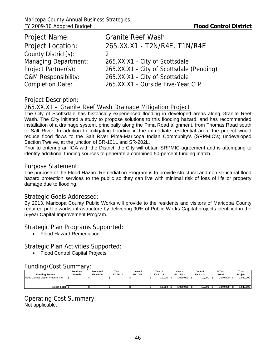| <b>Project Name:</b>           | <b>Granite Reef Wash</b>                 |
|--------------------------------|------------------------------------------|
| <b>Project Location:</b>       | 265.XX.X1 - T2N/R4E, T1N/R4E             |
| County District(s):            |                                          |
| <b>Managing Department:</b>    | 265.XX.X1 - City of Scottsdale           |
| Project Partner(s):            | 265.XX.X1 - City of Scottsdale (Pending) |
| <b>O&amp;M Responsibility:</b> | 265.XX.X1 - City of Scottsdale           |
| <b>Completion Date:</b>        | 265.XX.X1 - Outside Five-Year CIP        |

### 265.XX.X1 – Granite Reef Wash Drainage Mitigation Project

The City of Scottsdale has historically experienced flooding in developed areas along Granite Reef Wash. The City initiated a study to propose solutions to this flooding hazard, and has recommended installation of a drainage system, principally along the Pima Road alignment, from Thomas Road south to Salt River. In addition to mitigating flooding in the immediate residential area, the project would reduce flood flows to the Salt River Pima-Maricopa Indian Community's (SRPMIC's) undeveloped Section Twelve, at the junction of SR-101L and SR-202L.

Prior to entering an IGA with the District, the City will obtain SRPMIC agreement and is attempting to identify additional funding sources to generate a combined 50-percent funding match.

#### Purpose Statement:

The purpose of the Flood Hazard Remediation Program is to provide structural and non-structural flood hazard protection services to the public so they can live with minimal risk of loss of life or property damage due to flooding.

### Strategic Goals Addressed:

By 2013, Maricopa County Public Works will provide to the residents and visitors of Maricopa County required public works infrastructure by delivering 90% of Public Works Capital projects identified in the 5-year Capital Improvement Program.

### Strategic Plan Programs Supported:

• Flood Hazard Remediation

### Strategic Plan Activities Supported:

• Flood Control Capital Projects

### Funding/Cost Summary:

| <b>Funding Source</b>               | Previous<br><b>Actuals</b> | Projected<br>FY 08-09 | Year 1<br>FY 09-10 |  | Year 2<br>FY 10-11 |  | Year 3<br>FY 11-12 | Year 4<br>FY 12-13 | Year 5<br>FY 13-14 | 5-Year<br><b>Total</b> | Total<br>Project |
|-------------------------------------|----------------------------|-----------------------|--------------------|--|--------------------|--|--------------------|--------------------|--------------------|------------------------|------------------|
| Flood Control District Property Tax |                            |                       |                    |  |                    |  | 10,000             | ,020,000           | 10,000             | .040.000               | 1,040,000        |
|                                     |                            |                       |                    |  |                    |  |                    |                    |                    |                        |                  |
|                                     |                            |                       |                    |  |                    |  |                    |                    |                    |                        |                  |
| <b>Project Total</b>                |                            |                       |                    |  |                    |  | 10.000             | .020.000           | 10.000             | 1.040.000              | 1.040.000        |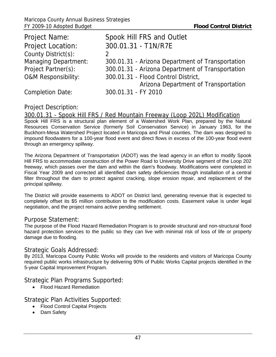| <b>Project Name:</b>           | Spook Hill FRS and Outlet                        |
|--------------------------------|--------------------------------------------------|
| <b>Project Location:</b>       | 300.01.31 - T1N/R7E                              |
| County District(s):            |                                                  |
| <b>Managing Department:</b>    | 300.01.31 - Arizona Department of Transportation |
| Project Partner(s):            | 300.01.31 - Arizona Department of Transportation |
| <b>O&amp;M Responsibility:</b> | 300.01.31 - Flood Control District,              |
|                                | Arizona Department of Transportation             |
| <b>Completion Date:</b>        | 300.01.31 - FY 2010                              |

300.01.31 - Spook Hill FRS / Red Mountain Freeway (Loop 202L) Modification

Spook Hill FRS is a structural plan element of a Watershed Work Plan, prepared by the Natural Resources Conservation Service (formerly Soil Conservation Service) in January 1963, for the Buckhorn-Mesa Watershed Project located in Maricopa and Pinal counties. The dam was designed to impound floodwaters for a 100-year flood event and direct flows in excess of the 100-year flood event through an emergency spillway.

The Arizona Department of Transportation (ADOT) was the lead agency in an effort to modify Spook Hill FRS to accommodate construction of the Power Road to University Drive segment of the Loop 202 freeway, which passes over the dam and within the dam's floodway. Modifications were completed in Fiscal Year 2009 and corrected all identified dam safety deficiencies through installation of a central filter throughout the dam to protect against cracking, slope erosion repair, and replacement of the principal spillway.

The District will provide easements to ADOT on District land, generating revenue that is expected to completely offset its \$5 million contribution to the modification costs. Easement value is under legal negotiation, and the project remains active pending settlement.

#### Purpose Statement:

The purpose of the Flood Hazard Remediation Program is to provide structural and non-structural flood hazard protection services to the public so they can live with minimal risk of loss of life or property damage due to flooding.

#### Strategic Goals Addressed:

By 2013, Maricopa County Public Works will provide to the residents and visitors of Maricopa County required public works infrastructure by delivering 90% of Public Works Capital projects identified in the 5-year Capital Improvement Program.

Strategic Plan Programs Supported:

• Flood Hazard Remediation

Strategic Plan Activities Supported:

- Flood Control Capital Projects
- Dam Safety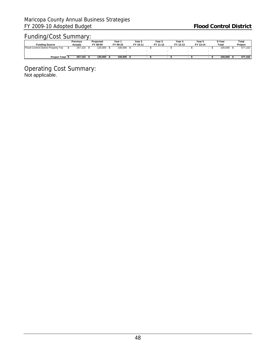# Funding/Cost Summary:

|                                     | Previous       | Projected | Year ' | Year <sub>2</sub> |          | Year 3 | Year 4   | Year 5   |           | 5-Year | Total   |         |
|-------------------------------------|----------------|-----------|--------|-------------------|----------|--------|----------|----------|-----------|--------|---------|---------|
| <b>Funding Source</b>               | <b>Actuals</b> | FY 08-09  |        | FY 09-10          | FY 10-11 |        | FY 11-12 | FY 12-13 | $Y$ 13-14 |        | Total   | Project |
| Flood Control District Property Tax | 257,102        | 120,000   |        | 100.000           |          |        |          |          |           |        | 100.000 | 477,102 |
|                                     |                |           |        |                   |          |        |          |          |           |        |         |         |
| <b>Project Total</b>                | 257.102        | 120.000   |        | 100.000           |          |        |          |          |           |        | 100.000 | 477.102 |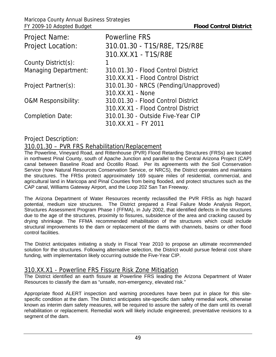| <b>Project Name:</b>           | <b>Powerline FRS</b>                  |
|--------------------------------|---------------------------------------|
| <b>Project Location:</b>       | 310.01.30 - T1S/R8E, T2S/R8E          |
|                                | 310.XX.X1 - T1S/R8E                   |
| County District(s):            |                                       |
| <b>Managing Department:</b>    | 310.01.30 - Flood Control District    |
|                                | 310.XX.X1 - Flood Control District    |
| Project Partner(s):            | 310.01.30 - NRCS (Pending/Unapproved) |
|                                | 310.XX.X1 - None                      |
| <b>O&amp;M Responsibility:</b> | 310.01.30 - Flood Control District    |
|                                | 310.XX.X1 - Flood Control District    |
| <b>Completion Date:</b>        | 310.01.30 - Outside Five-Year CIP     |
|                                | $310.XX.X1 - FY 2011$                 |

### 310.01.30 – PVR FRS Rehabilitation/Replacement

The Powerline, Vineyard Road, and Rittenhouse (PVR) Flood Retarding Structures (FRSs) are located in northwest Pinal County, south of Apache Junction and parallel to the Central Arizona Project (CAP) canal between Baseline Road and Ocotillo Road. Per its agreements with the Soil Conservation Service (now Natural Resources Conservation Service, or NRCS), the District operates and maintains the structures. The FRSs protect approximately 169 square miles of residential, commercial, and agricultural land in Maricopa and Pinal Counties from being flooded, and protect structures such as the CAP canal, Williams Gateway Airport, and the Loop 202 San Tan Freeway.

The Arizona Department of Water Resources recently reclassified the PVR FRSs as high hazard potential, medium size structures. The District prepared a Final Failure Mode Analysis Report, Structures Assessment Program Phase I (FFMA), in July 2002, that identified defects in the structures due to the age of the structures, proximity to fissures, subsidence of the area and cracking caused by drying shrinkage. The FFMA recommended rehabilitation of the structures which could include structural improvements to the dam or replacement of the dams with channels, basins or other flood control facilities.

The District anticipates initiating a study in Fiscal Year 2010 to propose an ultimate recommended solution for the structures. Following alternative selection, the District would pursue federal cost share funding, with implementation likely occurring outside the Five-Year CIP.

### 310.XX.X1 - Powerline FRS Fissure Risk Zone Mitigation

The District identified an earth fissure at Powerline FRS leading the Arizona Department of Water Resources to classify the dam as "unsafe, non-emergency, elevated risk."

Appropriate flood ALERT inspection and warning procedures have been put in place for this sitespecific condition at the dam. The District anticipates site-specific dam safety remedial work, otherwise known as interim dam safety measures, will be required to assure the safety of the dam until its overall rehabilitation or replacement. Remedial work will likely include engineered, preventative revisions to a segment of the dam.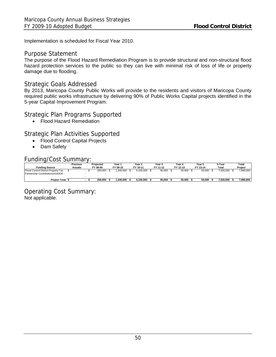Implementation is scheduled for Fiscal Year 2010.

### Purpose Statement

The purpose of the Flood Hazard Remediation Program is to provide structural and non-structural flood hazard protection services to the public so they can live with minimal risk of loss of life or property damage due to flooding.

### Strategic Goals Addressed

By 2013, Maricopa County Public Works will provide to the residents and visitors of Maricopa County required public works infrastructure by delivering 90% of Public Works Capital projects identified in the 5-year Capital Improvement Program.

### Strategic Plan Programs Supported

• Flood Hazard Remediation

### Strategic Plan Activities Supported

- Flood Control Capital Projects
- Dam Safety

### Funding/Cost Summary:

| <b>Funding Source</b>               | Previous<br><b>Actuals</b> | Projected<br>FY 08-09 | Year 1<br>FY 09-10 | Year 2<br>FY 10-11 | Year 3<br>FY 11-12 | Year 4<br>FY 12-13 | Year 5<br>FY 13-14 | 5-Year<br>Total | Total<br>Project |
|-------------------------------------|----------------------------|-----------------------|--------------------|--------------------|--------------------|--------------------|--------------------|-----------------|------------------|
| Flood Control District Property Tax |                            | 250,000               | .340.000           | 6.100.000          | 90.000             | 50,000             | 50,000             | 7.630.000       | 7,880,000        |
| Partnership Contributions/IGA/IDA   |                            |                       |                    |                    |                    |                    |                    |                 |                  |
| <b>Project Total</b>                |                            | 250.000               | .340.000           | 6.100.000          | 90.000             | 50.000             | 50.000             | 7.630.000       | 7,880,000        |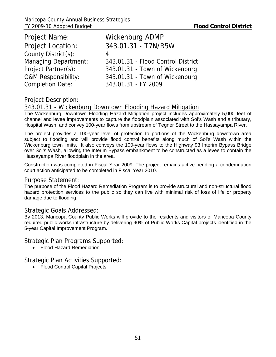| <b>Project Name:</b>           | <b>Wickenburg ADMP</b>             |
|--------------------------------|------------------------------------|
| <b>Project Location:</b>       | 343.01.31 - T7N/R5W                |
| County District(s):            | 4                                  |
| <b>Managing Department:</b>    | 343.01.31 - Flood Control District |
| Project Partner(s):            | 343.01.31 - Town of Wickenburg     |
| <b>O&amp;M Responsibility:</b> | 343.01.31 - Town of Wickenburg     |
| <b>Completion Date:</b>        | 343.01.31 - FY 2009                |

### 343.01.31 - Wickenburg Downtown Flooding Hazard Mitigation

The Wickenburg Downtown Flooding Hazard Mitigation project includes approximately 5,000 feet of channel and levee improvements to capture the floodplain associated with Sol's Wash and a tributary, Hospital Wash, and convey 100-year flows from upstream of Tegner Street to the Hassayampa River.

The project provides a 100-year level of protection to portions of the Wickenburg downtown area subject to flooding and will provide flood control benefits along much of Sol's Wash within the Wickenburg town limits. It also conveys the 100-year flows to the Highway 93 Interim Bypass Bridge over Sol's Wash, allowing the Interim Bypass embankment to be constructed as a levee to contain the Hassayampa River floodplain in the area.

Construction was completed in Fiscal Year 2009. The project remains active pending a condemnation court action anticipated to be completed in Fiscal Year 2010.

#### Purpose Statement:

The purpose of the Flood Hazard Remediation Program is to provide structural and non-structural flood hazard protection services to the public so they can live with minimal risk of loss of life or property damage due to flooding.

#### Strategic Goals Addressed:

By 2013, Maricopa County Public Works will provide to the residents and visitors of Maricopa County required public works infrastructure by delivering 90% of Public Works Capital projects identified in the 5-year Capital Improvement Program.

#### Strategic Plan Programs Supported:

• Flood Hazard Remediation

### Strategic Plan Activities Supported:

• Flood Control Capital Projects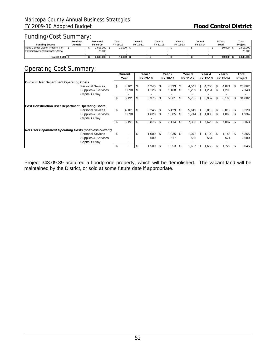### Funding/Cost Summary:

|                                     | <b>Previous</b> |  | Proiected |  | Year '   | Year <sub>2</sub> |  | Year 3   | Year 4   | Year 5   |  | 5-Year | Total     |
|-------------------------------------|-----------------|--|-----------|--|----------|-------------------|--|----------|----------|----------|--|--------|-----------|
| <b>Funding Source</b>               | <b>Actuals</b>  |  | FY 08-09  |  | FY 09-10 | FY 10-11          |  | FY 11-12 | FY 12-13 | FY 13-14 |  | Total  | Project   |
| Flood Control District Property Tax |                 |  | 3.608.000 |  | 10.000   |                   |  |          |          |          |  | 10.000 | 3,618,000 |
| Partnership Contributions/IGA/IDA   |                 |  | 25,000    |  |          |                   |  |          |          |          |  |        | 25,000    |
|                                     |                 |  |           |  |          |                   |  |          |          |          |  |        |           |
| <b>Project Total</b>                |                 |  | .633.000  |  | 10.000   |                   |  |          |          |          |  | 10.000 | 3.643.000 |

# Operating Cost Summary:

|                                                          |    | Current                  |      | Year 1   |          | Year 2   |    | Year 3   |    | Year 4   | Year 5           |     | Total   |
|----------------------------------------------------------|----|--------------------------|------|----------|----------|----------|----|----------|----|----------|------------------|-----|---------|
|                                                          |    | Year                     |      | FY 09-10 |          | FY 10-11 |    | FY 11-12 |    | FY 12-13 | FY 13-14         |     | Project |
| <b>Current User Department Operating Costs</b>           |    |                          |      |          |          |          |    |          |    |          |                  |     |         |
| <b>Personal Sevices</b>                                  | \$ | 4,101                    | - 5  | 4,245    | -S       | 4,393    | S  | 4,547    | S  | 4,706    | \$<br>4,871      | S   | 26,862  |
| Supplies & Services                                      |    | 1,090                    | S    | 1,128    | - \$     | 1,168    | \$ | 1,209    | S  | 1,251    | \$<br>1,295      |     | 7,140   |
| Capital Outlay                                           |    |                          |      |          |          |          |    |          |    |          |                  |     |         |
|                                                          | \$ | 5,191                    | l \$ | 5,373    | - \$     | 5,561    | \$ | 5,755    | \$ | 5,957    | \$<br>6,165      | \$  | 34,002  |
| <b>Post Construction User Department Operating Costs</b> |    |                          |      |          |          |          |    |          |    |          |                  |     |         |
| <b>Personal Sevices</b>                                  | \$ | 4,101                    | \$   | 5,245    | -S       | 5,429    | \$ | 5,619    | S  | 5,815    | \$<br>6,019      | S   | 6,229   |
| Supplies & Services                                      |    | 1,090                    |      | 1,628    | S        | 1,685    | S  | 1.744    | \$ | 1,805    | \$<br>1,868      | S   | 1,934   |
| Capital Outlay                                           |    |                          |      |          |          |          |    |          |    |          |                  |     |         |
|                                                          | S  | 5,191                    | -S   | 6,873    | \$       | 7,114    | \$ | 7,363    | \$ | 7,620    | \$<br>7,887      | \$. | 8,163   |
| Net User Department Operating Costs (post less current)  |    |                          |      |          |          |          |    |          |    |          |                  |     |         |
| <b>Personal Sevices</b>                                  | \$ | ۰.                       | - \$ | 1,000    | <b>S</b> | 1,035    | \$ | 1,072    | S  | 1,109    | \$<br>$1,148$ \$ |     | 5,365   |
| Supplies & Services                                      |    | $\overline{\phantom{a}}$ |      | 500      |          | 517      |    | 535      |    | 554      | 574              |     | 2,680   |
| Capital Outlay                                           |    | $\overline{\phantom{a}}$ |      |          |          |          |    |          |    |          |                  |     |         |
|                                                          | \$ | $\overline{\phantom{a}}$ |      | 1,500    |          | 1,553    | \$ | .607     |    | .663     | \$<br>.722       |     | 8,045   |

Project 343.09.39 acquired a floodprone property, which will be demolished. The vacant land will be maintained by the District, or sold at some future date if appropriate.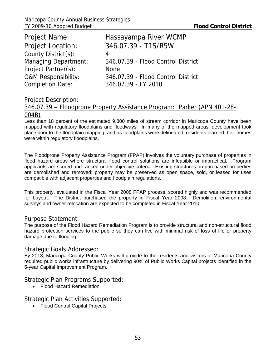| <b>Project Name:</b>           | Hassayampa River WCMP              |
|--------------------------------|------------------------------------|
| <b>Project Location:</b>       | 346.07.39 - T1S/R5W                |
| County District(s):            | 4                                  |
| <b>Managing Department:</b>    | 346.07.39 - Flood Control District |
| Project Partner(s):            | <b>None</b>                        |
| <b>O&amp;M Responsibility:</b> | 346.07.39 - Flood Control District |
| <b>Completion Date:</b>        | 346.07.39 - FY 2010                |

### 346.07.39 – Floodprone Property Assistance Program: Parker (APN 401-28- 004B)

Less than 18 percent of the estimated 9,800 miles of stream corridor in Maricopa County have been mapped with regulatory floodplains and floodways. In many of the mapped areas, development took place prior to the floodplain mapping, and as floodplains were delineated, residents learned their homes were within regulatory floodplains.

The Floodprone Property Assistance Program (FPAP) involves the voluntary purchase of properties in flood hazard areas where structural flood control solutions are infeasible or impractical. Program applicants are scored and ranked under objective criteria. Existing structures on purchased properties are demolished and removed; property may be preserved as open space, sold, or leased for uses compatible with adjacent properties and floodplain regulations.

This property, evaluated in the Fiscal Year 2008 FPAP process, scored highly and was recommended for buyout. The District purchased the property in Fiscal Year 2008. Demolition, environmental surveys and owner relocation are expected to be completed in Fiscal Year 2010.

### Purpose Statement:

The purpose of the Flood Hazard Remediation Program is to provide structural and non-structural flood hazard protection services to the public so they can live with minimal risk of loss of life or property damage due to flooding.

#### Strategic Goals Addressed:

By 2013, Maricopa County Public Works will provide to the residents and visitors of Maricopa County required public works infrastructure by delivering 90% of Public Works Capital projects identified in the 5-year Capital Improvement Program.

### Strategic Plan Programs Supported:

• Flood Hazard Remediation

Strategic Plan Activities Supported:

• Flood Control Capital Projects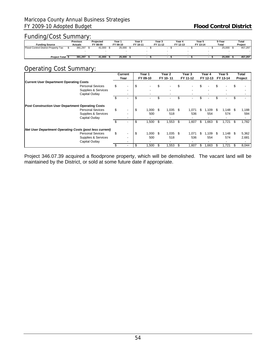### Funding/Cost Summary:

|                                     | <b>Previous</b> | Projected |  | Year <sup>.</sup> | Year 2   |  | Year 3   |  | Year 4   | Year 5   |  | 5-Year | Total   |
|-------------------------------------|-----------------|-----------|--|-------------------|----------|--|----------|--|----------|----------|--|--------|---------|
| Fundina Source                      | <b>Actuals</b>  | FY 08-09  |  | FY 09-10          | FY 10-11 |  | FY 11-12 |  | FY 12-13 | FY 13-14 |  | Total  | Project |
| Flood Control District Property Tax | 391.297         | 41.000    |  | 25,000            |          |  |          |  |          |          |  | 25,000 | 457.297 |
|                                     |                 |           |  |                   |          |  |          |  |          |          |  |        |         |
| <b>Project Total</b>                | 391.297         | 41.000    |  | 25.000            |          |  |          |  |          |          |  | 25.000 | 457.297 |

# Operating Cost Summary:

|                                                          | Current<br>Year |          | Year 1<br>FY 09-10 | Year <sub>2</sub><br>FY 10-11 | Year <sub>3</sub><br>FY 11-12 |    | Year 4<br>FY 12-13 |     | Year 5<br>FY 13-14 | Total<br>Project |
|----------------------------------------------------------|-----------------|----------|--------------------|-------------------------------|-------------------------------|----|--------------------|-----|--------------------|------------------|
| <b>Current User Department Operating Costs</b>           |                 |          |                    |                               |                               |    |                    |     |                    |                  |
| <b>Personal Sevices</b>                                  | \$              | \$       |                    |                               |                               |    |                    |     |                    |                  |
| Supplies & Services<br>Capital Outlay                    |                 |          |                    |                               |                               |    |                    |     |                    |                  |
|                                                          |                 | \$       |                    |                               |                               |    |                    |     |                    |                  |
| <b>Post Construction User Department Operating Costs</b> |                 |          |                    |                               |                               |    |                    |     |                    |                  |
| <b>Personal Sevices</b><br>Supplies & Services           | \$              | <b>S</b> | 1,000<br>500       | \$<br>$1,035$ \$<br>518       | 1,071<br>536                  | \$ | 1,109<br>554       | S   | $1,148$ \$<br>574  | 1,188<br>594     |
| Capital Outlay                                           |                 |          |                    |                               |                               |    |                    |     |                    |                  |
|                                                          |                 | \$       | 1,500              | 1,553                         | \$<br>1,607                   | \$ | 1,663              | \$  | 1,721              | \$<br>1,782      |
| Net User Department Operating Costs (post less current)  |                 |          |                    |                               |                               |    |                    |     |                    |                  |
| <b>Personal Sevices</b>                                  | \$              | <b>S</b> | 1,000              | \$<br>$1,035$ \$              | 1,071                         | S  | .109               | \$. | $1,148$ \$         | 5,362            |
| Supplies & Services<br>Capital Outlay                    |                 |          | 500                | 518                           | 536                           |    | 554                |     | 574                | 2,681            |
|                                                          |                 | \$       | 1,500              | 1,553                         | 1,607                         |    | 1,663              | \$  | .721               | 8,044            |

Project 346.07.39 acquired a floodprone property, which will be demolished. The vacant land will be maintained by the District, or sold at some future date if appropriate.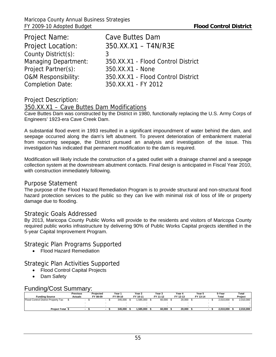| <b>Project Name:</b>           | Cave Buttes Dam                    |
|--------------------------------|------------------------------------|
| <b>Project Location:</b>       | $350.XX.X1 - T4N/R3E$              |
| County District(s):            | 3                                  |
| <b>Managing Department:</b>    | 350.XX.X1 - Flood Control District |
| Project Partner(s):            | 350.XX.X1 - None                   |
| <b>O&amp;M Responsibility:</b> | 350.XX.X1 - Flood Control District |
| <b>Completion Date:</b>        | 350.XX.X1 - FY 2012                |

#### 350.XX.X1 – Cave Buttes Dam Modifications

Cave Buttes Dam was constructed by the District in 1980, functionally replacing the U.S. Army Corps of Engineers' 1923-era Cave Creek Dam.

A substantial flood event in 1993 resulted in a significant impoundment of water behind the dam, and seepage occurred along the dam's left abutment. To prevent deterioration of embankment material from recurring seepage, the District pursued an analysis and investigation of the issue. This investigation has indicated that permanent modification to the dam is required.

Modification will likely include the construction of a gated outlet with a drainage channel and a seepage collection system at the downstream abutment contacts. Final design is anticipated in Fiscal Year 2010, with construction immediately following.

#### Purpose Statement

The purpose of the Flood Hazard Remediation Program is to provide structural and non-structural flood hazard protection services to the public so they can live with minimal risk of loss of life or property damage due to flooding.

#### Strategic Goals Addressed

By 2013, Maricopa County Public Works will provide to the residents and visitors of Maricopa County required public works infrastructure by delivering 90% of Public Works Capital projects identified in the 5-year Capital Improvement Program.

### Strategic Plan Programs Supported

• Flood Hazard Remediation

### Strategic Plan Activities Supported

- Flood Control Capital Projects
- Dam Safety

#### Funding/Cost Summary:

|                                     | <b>Previous</b> | Projected | Year :   | Year 2    | Year 3   | Year 4   | Year 5   |  | 5-Year       | Total     |
|-------------------------------------|-----------------|-----------|----------|-----------|----------|----------|----------|--|--------------|-----------|
| <b>Funding Source</b>               | <b>Actuals</b>  | FY 08-09  | FY 09-10 | FY 10-11  | FY 11-12 | FY 12-13 | FY 13-14 |  | <b>Total</b> | Project   |
| Flood Control District Property Tax |                 |           | 345.000  | 1.585.000 | 60,000   | 20,000   |          |  | 2.010.000    | 2,010,000 |
|                                     |                 |           |          |           |          |          |          |  |              |           |
| <b>Project Total</b>                |                 |           | 345.000  | 1.585.000 | 60.000   | 20.000   |          |  | 2.010.000    | 2.010.000 |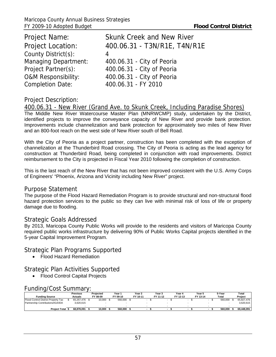| Project Name:                  | <b>Skunk Creek and New River</b> |
|--------------------------------|----------------------------------|
| <b>Project Location:</b>       | 400.06.31 - T3N/R1E, T4N/R1E     |
| County District(s):            | 4                                |
| <b>Managing Department:</b>    | 400.06.31 - City of Peoria       |
| Project Partner(s):            | 400.06.31 - City of Peoria       |
| <b>O&amp;M Responsibility:</b> | 400.06.31 - City of Peoria       |
| <b>Completion Date:</b>        | 400.06.31 - FY 2010              |

#### 400.06.31 - New River (Grand Ave. to Skunk Creek, Including Paradise Shores)

The Middle New River Watercourse Master Plan (MNRWCMP) study, undertaken by the District, identified projects to improve the conveyance capacity of New River and provide bank protection. Improvements include channelization and bank protection for approximately two miles of New River and an 800-foot reach on the west side of New River south of Bell Road.

With the City of Peoria as a project partner, construction has been completed with the exception of channelization at the Thunderbird Road crossing. The City of Peoria is acting as the lead agency for construction at Thunderbird Road, being completed in conjunction with road improvements. District reimbursement to the City is projected in Fiscal Year 2010 following the completion of construction.

This is the last reach of the New River that has not been improved consistent with the U.S. Army Corps of Engineers' "Phoenix, Arizona and Vicinity including New River" project.

#### Purpose Statement

The purpose of the Flood Hazard Remediation Program is to provide structural and non-structural flood hazard protection services to the public so they can live with minimal risk of loss of life or property damage due to flooding.

#### Strategic Goals Addressed

By 2013, Maricopa County Public Works will provide to the residents and visitors of Maricopa County required public works infrastructure by delivering 90% of Public Works Capital projects identified in the 5-year Capital Improvement Program.

### Strategic Plan Programs Supported

• Flood Hazard Remediation

### Strategic Plan Activities Supported

• Flood Control Capital Projects

#### Funding/Cost Summary:

|                                     | <b>Previous</b> | Projected | Year⊹    | Year 2   |                          | Year 3   |  | Year 4   | Year 5   |  | 5-Year  | Total      |
|-------------------------------------|-----------------|-----------|----------|----------|--------------------------|----------|--|----------|----------|--|---------|------------|
| Fundina Source                      | <b>Actuals</b>  | FY 08-09  | FY 09-10 | FY 10-11 |                          | FY 11-12 |  | FY 12-13 | FY 13-14 |  | Total   | Project    |
| Flood Control District Property Tax | 65.257.476      | 10.000    | 560,000  |          |                          |          |  |          |          |  | 560,000 | 65.827.476 |
| Partnership Contributions/IGA/IDA   | 3,620,615       |           |          |          |                          |          |  |          |          |  |         | 3,620,615  |
|                                     |                 |           |          |          |                          |          |  |          |          |  |         |            |
| <b>Project Total</b>                | 68.878.091      | 10.000    | 560.000  |          | $\overline{\phantom{a}}$ |          |  | -        |          |  | 560.000 | 69.448.091 |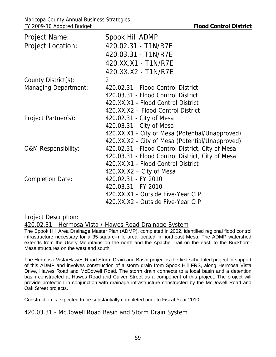| <b>Project Name:</b>           | Spook Hill ADMP                                  |
|--------------------------------|--------------------------------------------------|
| <b>Project Location:</b>       | 420.02.31 - T1N/R7E                              |
|                                | 420.03.31 - T1N/R7E                              |
|                                | 420.XX.X1 - T1N/R7E                              |
|                                | 420.XX.X2 - T1N/R7E                              |
| County District(s):            | $\overline{2}$                                   |
| <b>Managing Department:</b>    | 420.02.31 - Flood Control District               |
|                                | 420.03.31 - Flood Control District               |
|                                | 420.XX.X1 - Flood Control District               |
|                                | 420.XX.X2 - Flood Control District               |
| Project Partner(s):            | 420.02.31 - City of Mesa                         |
|                                | 420.03.31 - City of Mesa                         |
|                                | 420.XX.X1 - City of Mesa (Potential/Unapproved)  |
|                                | 420.XX.X2 - City of Mesa (Potential/Unapproved)  |
| <b>O&amp;M Responsibility:</b> | 420.02.31 - Flood Control District, City of Mesa |
|                                | 420.03.31 - Flood Control District, City of Mesa |
|                                | 420.XX.X1 - Flood Control District               |
|                                | 420.XX.X2 - City of Mesa                         |
| <b>Completion Date:</b>        | 420.02.31 - FY 2010                              |
|                                | 420.03.31 - FY 2010                              |
|                                | 420.XX.X1 - Outside Five-Year CIP                |
|                                | 420.XX.X2 - Outside Five-Year CIP                |

420.02.31 - Hermosa Vista / Hawes Road Drainage System

The Spook Hill Area Drainage Master Plan (ADMP), completed in 2002, identified regional flood control infrastructure necessary for a 35-square-mile area located in northeast Mesa. The ADMP watershed extends from the Usery Mountains on the north and the Apache Trail on the east, to the Buckhorn-Mesa structures on the west and south.

The Hermosa Vista/Hawes Road Storm Drain and Basin project is the first scheduled project in support of this ADMP and involves construction of a storm drain from Spook Hill FRS, along Hermosa Vista Drive, Hawes Road and McDowell Road. The storm drain connects to a local basin and a detention basin constructed at Hawes Road and Culver Street as a component of this project. The project will provide protection in conjunction with drainage infrastructure constructed by the McDowell Road and Oak Street projects.

Construction is expected to be substantially completed prior to Fiscal Year 2010.

### 420.03.31 - McDowell Road Basin and Storm Drain System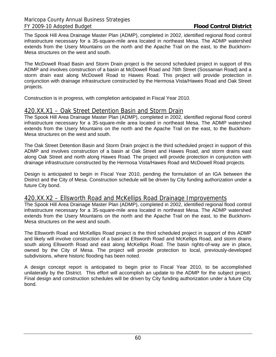The Spook Hill Area Drainage Master Plan (ADMP), completed in 2002, identified regional flood control infrastructure necessary for a 35-square-mile area located in northeast Mesa. The ADMP watershed extends from the Usery Mountains on the north and the Apache Trail on the east, to the Buckhorn-Mesa structures on the west and south.

The McDowell Road Basin and Storm Drain project is the second scheduled project in support of this ADMP and involves construction of a basin at McDowell Road and 76th Street (Sossaman Road) and a storm drain east along McDowell Road to Hawes Road. This project will provide protection in conjunction with drainage infrastructure constructed by the Hermosa Vista/Hawes Road and Oak Street projects.

Construction is in progress, with completion anticipated in Fiscal Year 2010.

### 420.XX.X1 – Oak Street Detention Basin and Storm Drain

The Spook Hill Area Drainage Master Plan (ADMP), completed in 2002, identified regional flood control infrastructure necessary for a 35-square-mile area located in northeast Mesa. The ADMP watershed extends from the Usery Mountains on the north and the Apache Trail on the east, to the Buckhorn-Mesa structures on the west and south.

The Oak Street Detention Basin and Storm Drain project is the third scheduled project in support of this ADMP and involves construction of a basin at Oak Street and Hawes Road, and storm drains east along Oak Street and north along Hawes Road. The project will provide protection in conjunction with drainage infrastructure constructed by the Hermosa Vista/Hawes Road and McDowell Road projects.

Design is anticipated to begin in Fiscal Year 2010, pending the formulation of an IGA between the District and the City of Mesa. Construction schedule will be driven by City funding authorization under a future City bond.

#### 420.XX.X2 – Ellsworth Road and McKellips Road Drainage Improvements

The Spook Hill Area Drainage Master Plan (ADMP), completed in 2002, identified regional flood control infrastructure necessary for a 35-square-mile area located in northeast Mesa. The ADMP watershed extends from the Usery Mountains on the north and the Apache Trail on the east, to the Buckhorn-Mesa structures on the west and south.

The Ellsworth Road and McKellips Road project is the third scheduled project in support of this ADMP and likely will involve construction of a basin at Ellsworth Road and McKellips Road, and storm drains south along Ellsworth Road and east along McKellips Road. The basin rights-of-way are in place, owned by the City of Mesa. The project will provide protection to local, previously-developed subdivisions, where historic flooding has been noted.

A design concept report is anticipated to begin prior to Fiscal Year 2010, to be accomplished unilaterally by the District. This effort will accomplish an update to the ADMP for the subject project. Final design and construction schedules will be driven by City funding authorization under a future City bond.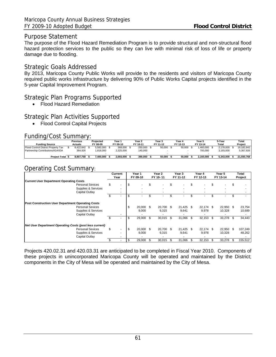### Purpose Statement

The purpose of the Flood Hazard Remediation Program is to provide structural and non-structural flood hazard protection services to the public so they can live with minimal risk of loss of life or property damage due to flooding.

#### Strategic Goals Addressed

By 2013, Maricopa County Public Works will provide to the residents and visitors of Maricopa County required public works infrastructure by delivering 90% of Public Works Capital projects identified in the 5-year Capital Improvement Program.

### Strategic Plan Programs Supported

• Flood Hazard Remediation

### Strategic Plan Activities Supported

• Flood Control Capital Projects

#### Funding/Cost Summary:

|                                     | <b>Previous</b> | Projected | Year⊹     | Year 2   | Year 3   | Year 4   | Year 5    | 5-Year    | Total      |
|-------------------------------------|-----------------|-----------|-----------|----------|----------|----------|-----------|-----------|------------|
| <b>Funding Source</b>               | <b>Actuals</b>  | FY 08-09  | FY 09-10  | FY 10-11 | FY 11-12 | FY 12-13 | FY 13-14  | Total     | Project    |
| Flood Control District Property Tax | 8.422.842       | 5.582.000 | 368,000   | 250,000  | 50,000   | 50,000   | .460.000  | 2.178.000 | 16.182.842 |
| Partnership Contributions/IGA/IDA   | 384.926         | .818.000  | 2.325.000 | 140.000  |          |          | 700.000   | 3.165.000 | 5,367,926  |
|                                     |                 |           |           |          |          |          |           |           |            |
| <b>Project Total</b>                | 8.807.768       | 400.000.  | 2.693.000 | 390.000  | 50.000   | 50.000   | 2.160.000 | 5.343.000 | 21.550.768 |

### Operating Cost Summary:

|                                                          | Current |      | Year 1    | Year 2       | Year 3       |     | Year 4      | Year 5    | Total   |
|----------------------------------------------------------|---------|------|-----------|--------------|--------------|-----|-------------|-----------|---------|
|                                                          | Year    |      | FY 09-10  | FY 10-11     | FY 11-12     |     | FY 12-13    | FY 13-14  | Project |
| <b>Current User Department Operating Costs</b>           |         |      |           |              |              |     |             |           |         |
| <b>Personal Sevices</b>                                  | \$      | - \$ |           | \$           | \$           |     |             | \$        |         |
| Supplies & Services                                      |         |      |           |              |              |     |             |           |         |
| Capital Outlay                                           |         |      |           |              |              |     |             |           |         |
|                                                          |         |      |           |              |              |     |             |           |         |
| <b>Post Construction User Department Operating Costs</b> |         |      |           |              |              |     |             |           |         |
| <b>Personal Sevices</b>                                  |         | \$   | 20,000 \$ | 20,700 \$    | 21,425 \$    |     | 22,174 \$   | 22,950 \$ | 23,754  |
| Supplies & Services                                      |         |      | 9,000     | 9,315        | 9,641        |     | 9,978       | 10,328    | 10,689  |
| Capital Outlay                                           |         |      |           |              |              |     |             |           |         |
|                                                          |         | \$   | 29,000    | \$<br>30,015 | \$<br>31,066 | \$  | $32,153$ \$ | 33,278 \$ | 34,443  |
| Net User Department Operating Costs (post less current)  |         |      |           |              |              |     |             |           |         |
| <b>Personal Sevices</b>                                  | \$      |      | 20.000 \$ | 20.700 \$    | 21,425 \$    |     | 22,174 \$   | 22,950 \$ | 107,249 |
| Supplies & Services                                      |         |      | 9,000     | 9,315        | 9,641        |     | 9,978       | 10,328    | 48,262  |
| Capital Outlay                                           |         |      |           |              |              |     |             |           |         |
|                                                          |         | -\$  | 29,000    | \$<br>30,015 | 31,066       | \$. | 32,153      | 33,278    | 155,512 |

Projects 420.02.31 and 420.03.31 are anticipated to be completed in Fiscal Year 2010. Components of these projects in unincorporated Maricopa County will be operated and maintained by the District; components in the City of Mesa will be operated and maintained by the City of Mesa.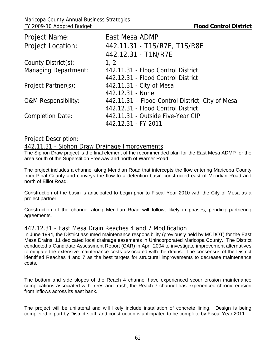| <b>Project Name:</b>           | East Mesa ADMP                                   |
|--------------------------------|--------------------------------------------------|
| <b>Project Location:</b>       | 442.11.31 - T1S/R7E, T1S/R8E                     |
|                                | 442.12.31 - T1N/R7E                              |
| County District(s):            | 1, 2                                             |
| <b>Managing Department:</b>    | 442.11.31 - Flood Control District               |
|                                | 442.12.31 - Flood Control District               |
| Project Partner(s):            | 442.11.31 - City of Mesa                         |
|                                | 442.12.31 - None                                 |
| <b>O&amp;M Responsibility:</b> | 442.11.31 - Flood Control District, City of Mesa |
|                                | 442.12.31 - Flood Control District               |
| <b>Completion Date:</b>        | 442.11.31 - Outside Five-Year CIP                |
|                                | 442.12.31 - FY 2011                              |

### 442.11.31 - Siphon Draw Drainage Improvements

The Siphon Draw project is the final element of the recommended plan for the East Mesa ADMP for the area south of the Superstition Freeway and north of Warner Road.

The project includes a channel along Meridian Road that intercepts the flow entering Maricopa County from Pinal County and conveys the flow to a detention basin constructed east of Meridian Road and north of Elliot Road.

Construction of the basin is anticipated to begin prior to Fiscal Year 2010 with the City of Mesa as a project partner.

Construction of the channel along Meridian Road will follow, likely in phases, pending partnering agreements.

### 442.12.31 - East Mesa Drain Reaches 4 and 7 Modification

In June 1994, the District assumed maintenance responsibility (previously held by MCDOT) for the East Mesa Drains, 11 dedicated local drainage easements in Unincorporated Maricopa County. The District conducted a Candidate Assessment Report (CAR) in April 2004 to investigate improvement alternatives to mitigate the extensive maintenance costs associated with the drains. The consensus of the District identified Reaches 4 and 7 as the best targets for structural improvements to decrease maintenance costs.

The bottom and side slopes of the Reach 4 channel have experienced scour erosion maintenance complications associated with trees and trash; the Reach 7 channel has experienced chronic erosion from inflows across its east bank.

The project will be unilateral and will likely include installation of concrete lining. Design is being completed in part by District staff, and construction is anticipated to be complete by Fiscal Year 2011.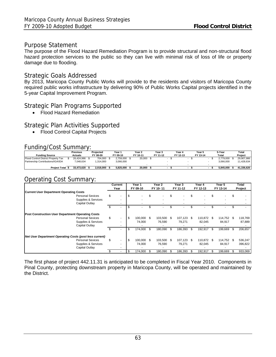### Purpose Statement

The purpose of the Flood Hazard Remediation Program is to provide structural and non-structural flood hazard protection services to the public so they can live with minimal risk of loss of life or property damage due to flooding.

### Strategic Goals Addressed

By 2013, Maricopa County Public Works will provide to the residents and visitors of Maricopa County required public works infrastructure by delivering 90% of Public Works Capital projects identified in the 5-year Capital Improvement Program.

### Strategic Plan Programs Supported

• Flood Hazard Remediation

## Strategic Plan Activities Supported

• Flood Control Capital Projects

### Funding/Cost Summary:

| Fundina Source                      | <b>Previous</b><br><b>Actuals</b> | Projected<br>FY 08-09 | Year⊹<br>FY 09-10 | Year <sub>2</sub><br>FY 10-11 | Year 3<br>FY 11-12 | Year 4<br>FY 12-13 | Year 5<br>FY 13-14 |  | 5-Year<br>Total | Total<br>Project |
|-------------------------------------|-----------------------------------|-----------------------|-------------------|-------------------------------|--------------------|--------------------|--------------------|--|-----------------|------------------|
| Flood Control District Property Tax | 26.424.986                        | 704.000               | 2,759,000         | 20,000                        |                    |                    |                    |  | 2.779.000       | 29.907.986       |
| Partnership Contributions/IGA/IDA   | 7,048,634                         | .314.000              | 3.066.000         |                               |                    |                    |                    |  | 3.066.000       | 11.428.634       |
|                                     |                                   |                       |                   |                               |                    |                    |                    |  |                 |                  |
| <b>Project Total</b>                | 33.473.620                        | 2.018.000             | 5.825.000         | 20.000                        |                    |                    |                    |  | 5.845.000       | 41.336.620       |

# Operating Cost Summary:

|                                                          |                         | Current<br>Year |    | Year 1<br>FY 09-10 |     | Year 2<br>FY 10-11 | Year 3<br>FY 11-12 | Year 4<br>FY 12-13 |   | Year 5<br>FY 13-14 |      | Total<br>Project |
|----------------------------------------------------------|-------------------------|-----------------|----|--------------------|-----|--------------------|--------------------|--------------------|---|--------------------|------|------------------|
| <b>Current User Department Operating Costs</b>           |                         |                 |    |                    |     |                    |                    |                    |   |                    |      |                  |
|                                                          | <b>Personal Sevices</b> | \$              | S  |                    |     |                    | \$                 |                    | S |                    |      |                  |
|                                                          | Supplies & Services     |                 |    |                    |     |                    |                    |                    |   |                    |      |                  |
|                                                          | Capital Outlay          |                 |    |                    |     |                    |                    |                    |   |                    |      |                  |
|                                                          |                         |                 | \$ |                    |     |                    | \$                 |                    | S |                    |      |                  |
| <b>Post Construction User Department Operating Costs</b> |                         |                 |    |                    |     |                    |                    |                    |   |                    |      |                  |
|                                                          | <b>Personal Sevices</b> | \$              | \$ | 100,000            | -\$ | 103,500 \$         | 107,123 \$         | 110,872 \$         |   | 114,752 \$         |      | 118,769          |
|                                                          | Supplies & Services     |                 |    | 74,000             |     | 76,590             | 79,271             | 82,045             |   | 84,917             |      | 87,889           |
|                                                          | Capital Outlay          |                 |    |                    |     |                    |                    |                    |   |                    |      |                  |
|                                                          |                         |                 | \$ | 174.000            | \$. | 180.090            | \$<br>186,393      | \$<br>192,917 \$   |   | 199,669            | - \$ | 206,657          |
| Net User Department Operating Costs (post less current)  |                         |                 |    |                    |     |                    |                    |                    |   |                    |      |                  |
|                                                          | <b>Personal Sevices</b> | \$              | \$ | 100,000            | \$  | 103,500 \$         | 107,123            | \$<br>110.872 \$   |   | 114,752 \$         |      | 536,247          |
|                                                          | Supplies & Services     |                 |    | 74,000             |     | 76,590             | 79,271             | 82,045             |   | 84,917             |      | 396,822          |
|                                                          | Capital Outlay          |                 |    |                    |     |                    |                    |                    |   |                    |      |                  |
|                                                          |                         |                 | \$ | 174,000            |     | 180,090            | 186,393            | 192,917            |   | 199,669            |      | 933,069          |

The first phase of project 442.11.31 is anticipated to be completed in Fiscal Year 2010. Components in Pinal County, protecting downstream property in Maricopa County, will be operated and maintained by the District.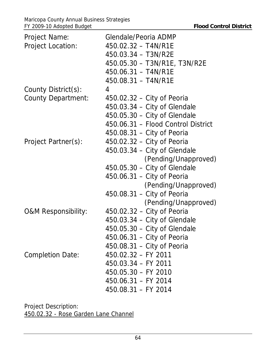| Project Name:             | Glendale/Peoria ADMP               |
|---------------------------|------------------------------------|
| <b>Project Location:</b>  | 450.02.32 - T4N/R1E                |
|                           | 450.03.34 - T3N/R2E                |
|                           | 450.05.30 - T3N/R1E, T3N/R2E       |
|                           | 450.06.31 - T4N/R1E                |
|                           | 450.08.31 - T4N/R1E                |
| County District(s):       | 4                                  |
| <b>County Department:</b> | $450.02.32 - City$ of Peoria       |
|                           | $450.03.34 - City of Glendale$     |
|                           | 450.05.30 - City of Glendale       |
|                           | 450.06.31 - Flood Control District |
|                           | $450.08.31 - City of Peoria$       |
| Project Partner(s):       | 450.02.32 - City of Peoria         |
|                           | 450.03.34 - City of Glendale       |
|                           | (Pending/Unapproved)               |
|                           | 450.05.30 - City of Glendale       |
|                           | 450.06.31 - City of Peoria         |
|                           | (Pending/Unapproved)               |
|                           | 450.08.31 – City of Peoria         |
|                           | (Pending/Unapproved)               |
| O&M Responsibility:       | 450.02.32 - City of Peoria         |
|                           | $450.03.34 - City of Glendale$     |
|                           | $450.05.30 - City of Glendale$     |
|                           | $450.06.31 - City of Peoria$       |
|                           | 450.08.31 – City of Peoria         |
| <b>Completion Date:</b>   | 450.02.32 - FY 2011                |
|                           | 450.03.34 - FY 2011                |
|                           | 450.05.30 - FY 2010                |
|                           | 450.06.31 - FY 2014                |
|                           | 450.08.31 - FY 2014                |

Project Description: 450.02.32 - Rose Garden Lane Channel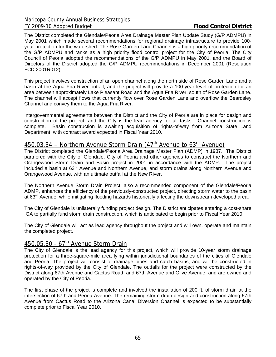The District completed the Glendale/Peoria Area Drainage Master Plan Update Study (G/P ADMPU) in May 2001 which made several recommendations for regional drainage infrastructure to provide 100 year protection for the watershed. The Rose Garden Lane Channel is a high priority recommendation of the G/P ADMPU and ranks as a high priority flood control project for the City of Peoria. The City Council of Peoria adopted the recommendations of the G/P ADMPU in May 2001, and the Board of Directors of the District adopted the G/P ADMPU recommendations in December 2001 (Resolution FCD 2001R012).

This project involves construction of an open channel along the north side of Rose Garden Lane and a basin at the Agua Fria River outfall, and the project will provide a 100-year level of protection for an area between approximately Lake Pleasant Road and the Agua Fria River, south of Rose Garden Lane. The channel will accept flows that currently flow over Rose Garden Lane and overflow the Beardsley Channel and convey them to the Agua Fria River.

Intergovernmental agreements between the District and the City of Peoria are in place for design and construction of the project, and the City is the lead agency for all tasks. Channel construction is complete. Basin construction is awaiting acquisition of rights-of-way from Arizona State Land Department, with contract award expected in Fiscal Year 2010.

# $450.03.34$  – Northern Avenue Storm Drain (47<sup>th</sup> Avenue to 63<sup>rd</sup> Avenue)

The District completed the Glendale/Peoria Area Drainage Master Plan (ADMP) in 1987. The District partnered with the City of Glendale, City of Peoria and other agencies to construct the Northern and Orangewood Storm Drain and Basin project in 2001 in accordance with the ADMP. The project included a basin at 63<sup>rd</sup> Avenue and Northern Avenue, and storm drains along Northern Avenue and Orangewood Avenue, with an ultimate outfall at the New River.

The Northern Avenue Storm Drain Project, also a recommended component of the Glendale/Peoria ADMP, enhances the efficiency of the previously-constructed project, directing storm water to the basin at 63<sup>rd</sup> Avenue, while mitigating flooding hazards historically affecting the downstream developed area.

The City of Glendale is unilaterally funding project design. The District anticipates entering a cost-share IGA to partially fund storm drain construction, which is anticipated to begin prior to Fiscal Year 2010.

The City of Glendale will act as lead agency throughout the project and will own, operate and maintain the completed project.

# 450.05.30 - 67<sup>th</sup> Avenue Storm Drain

The City of Glendale is the lead agency for this project, which will provide 10-year storm drainage protection for a three-square-mile area lying within jurisdictional boundaries of the cities of Glendale and Peoria. The project will consist of drainage pipes and catch basins, and will be constructed in rights-of-way provided by the City of Glendale. The outfalls for the project were constructed by the District along 67th Avenue and Cactus Road, and 67th Avenue and Olive Avenue, and are owned and operated by the City of Peoria.

The first phase of the project is complete and involved the installation of 200 ft. of storm drain at the intersection of 67th and Peoria Avenue. The remaining storm drain design and construction along 67th Avenue from Cactus Road to the Arizona Canal Diversion Channel is expected to be substantially complete prior to Fiscal Year 2010.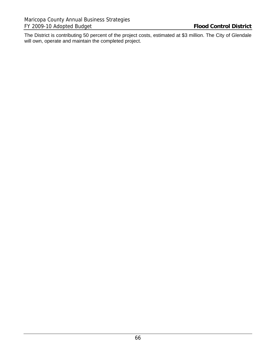The District is contributing 50 percent of the project costs, estimated at \$3 million. The City of Glendale will own, operate and maintain the completed project.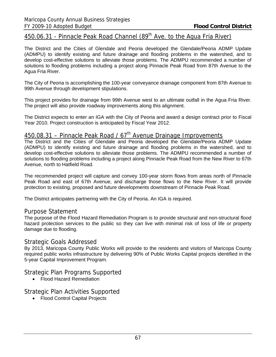## 450.06.31 - Pinnacle Peak Road Channel (89<sup>th</sup> Ave. to the Agua Fria River)

The District and the Cities of Glendale and Peoria developed the Glendale/Peoria ADMP Update (ADMPU) to identify existing and future drainage and flooding problems in the watershed, and to develop cost-effective solutions to alleviate those problems. The ADMPU recommended a number of solutions to flooding problems including a project along Pinnacle Peak Road from 87th Avenue to the Agua Fria River.

The City of Peoria is accomplishing the 100-year conveyance drainage component from 87th Avenue to 99th Avenue through development stipulations.

This project provides for drainage from 99th Avenue west to an ultimate outfall in the Agua Fria River. The project will also provide roadway improvements along this alignment.

The District expects to enter an IGA with the City of Peoria and award a design contract prior to Fiscal Year 2010. Project construction is anticipated by Fiscal Year 2012.

# $450.08.31$  – Pinnacle Peak Road /  $67<sup>th</sup>$  Avenue Drainage Improvements

The District and the Cities of Glendale and Peoria developed the Glendale/Peoria ADMP Update (ADMPU) to identify existing and future drainage and flooding problems in the watershed, and to develop cost-effective solutions to alleviate those problems. The ADMPU recommended a number of solutions to flooding problems including a project along Pinnacle Peak Road from the New River to 67th Avenue, north to Hatfield Road.

The recommended project will capture and convey 100-year storm flows from areas north of Pinnacle Peak Road and east of 67th Avenue, and discharge those flows to the New River. It will provide protection to existing, proposed and future developments downstream of Pinnacle Peak Road.

The District anticipates partnering with the City of Peoria. An IGA is required.

#### Purpose Statement

The purpose of the Flood Hazard Remediation Program is to provide structural and non-structural flood hazard protection services to the public so they can live with minimal risk of loss of life or property damage due to flooding.

#### Strategic Goals Addressed

By 2013, Maricopa County Public Works will provide to the residents and visitors of Maricopa County required public works infrastructure by delivering 90% of Public Works Capital projects identified in the 5-year Capital Improvement Program.

#### Strategic Plan Programs Supported

• Flood Hazard Remediation

### Strategic Plan Activities Supported

• Flood Control Capital Projects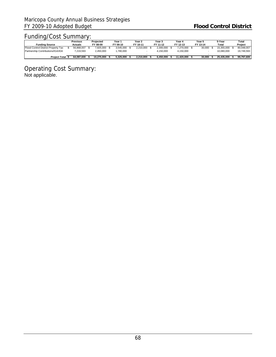# Funding/Cost Summary:

|                                     | Previous       |            | Projected |            | Year 1 |           | Year 2 |           |  | Year 3    |  | Year 4     |  | Year 5   |  | 5-Year     |  | Total      |  |
|-------------------------------------|----------------|------------|-----------|------------|--------|-----------|--------|-----------|--|-----------|--|------------|--|----------|--|------------|--|------------|--|
| <b>Funding Source</b>               | <b>Actuals</b> |            | FY 08-09  |            |        | FY 09-10  |        | FY 10-11  |  | FY 11-12  |  | FY 12-13   |  | FY 13-14 |  | Total      |  | Project    |  |
| Flood Control District Property Tax |                | 56.868.007 |           | .825.000   |        | 3.545.000 |        | 2.210.000 |  | 2.300.000 |  | .270.000   |  | 30.000   |  | 15.355.000 |  | 80.048.007 |  |
| Partnership Contributions/IGA/IDA   |                | 7.219.593  |           | 2.450.000  |        | .780.000  |        |           |  | 4.150.000 |  | 4.150.000  |  |          |  | 10.080.000 |  | 19,749,593 |  |
|                                     |                |            |           |            |        |           |        |           |  |           |  |            |  |          |  |            |  |            |  |
| <b>Project Total</b>                |                | 64.087.600 |           | 10.275.000 |        | 5.325.000 |        | 2.210.000 |  | 6.450.000 |  | 11.420.000 |  | 30.000   |  | 25.435.000 |  | 99.797.600 |  |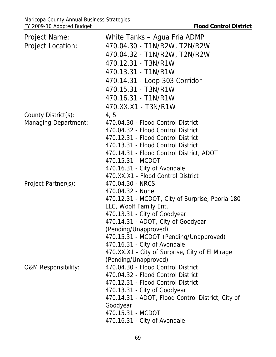| Project Name:                  | White Tanks - Agua Fria ADMP                      |
|--------------------------------|---------------------------------------------------|
| <b>Project Location:</b>       | 470.04.30 - T1N/R2W, T2N/R2W                      |
|                                | 470.04.32 - T1N/R2W, T2N/R2W                      |
|                                | 470.12.31 - T3N/R1W                               |
|                                | 470.13.31 - T1N/R1W                               |
|                                |                                                   |
|                                | 470.14.31 - Loop 303 Corridor                     |
|                                | 470.15.31 - T3N/R1W                               |
|                                | 470.16.31 - T1N/R1W                               |
|                                | 470.XX.X1 - T3N/R1W                               |
| County District(s):            | 4, 5                                              |
| <b>Managing Department:</b>    | 470.04.30 - Flood Control District                |
|                                | 470.04.32 - Flood Control District                |
|                                | 470.12.31 - Flood Control District                |
|                                | 470.13.31 - Flood Control District                |
|                                | 470.14.31 - Flood Control District, ADOT          |
|                                | 470.15.31 - MCDOT                                 |
|                                | 470.16.31 - City of Avondale                      |
|                                | 470.XX.X1 - Flood Control District                |
| Project Partner(s):            | 470.04.30 - NRCS                                  |
|                                | 470.04.32 - None                                  |
|                                | 470.12.31 - MCDOT, City of Surprise, Peoria 180   |
|                                | LLC, Woolf Family Ent.                            |
|                                | 470.13.31 - City of Goodyear                      |
|                                | 470.14.31 - ADOT, City of Goodyear                |
|                                | (Pending/Unapproved)                              |
|                                | 470.15.31 - MCDOT (Pending/Unapproved)            |
|                                | 470.16.31 - City of Avondale                      |
|                                | 470.XX.X1 - City of Surprise, City of El Mirage   |
|                                | (Pending/Unapproved)                              |
| <b>O&amp;M Responsibility:</b> | 470.04.30 - Flood Control District                |
|                                | 470.04.32 - Flood Control District                |
|                                | 470.12.31 - Flood Control District                |
|                                | 470.13.31 - City of Goodyear                      |
|                                | 470.14.31 - ADOT, Flood Control District, City of |
|                                | Goodyear                                          |
|                                | 470.15.31 - MCDOT                                 |
|                                | 470.16.31 - City of Avondale                      |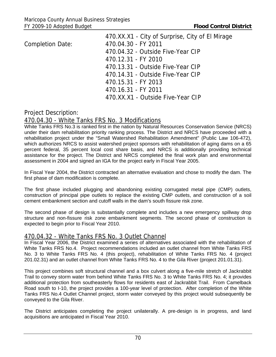|                         | 470.XX.X1 - City of Surprise, City of El Mirage |
|-------------------------|-------------------------------------------------|
| <b>Completion Date:</b> | 470.04.30 - FY 2011                             |
|                         | 470.04.32 - Outside Five-Year CIP               |
|                         | 470.12.31 - FY 2010                             |
|                         | 470.13.31 - Outside Five-Year CIP               |
|                         | 470.14.31 - Outside Five-Year CIP               |
|                         | 470.15.31 - FY 2013                             |
|                         | 470.16.31 - FY 2011                             |
|                         | 470.XX.X1 - Outside Five-Year CIP               |

# 470.04.30 - White Tanks FRS No. 3 Modifications

White Tanks FRS No.3 is ranked first in the nation by Natural Resources Conservation Service (NRCS) under their dam rehabilitation priority ranking process. The District and NRCS have proceeded with a rehabilitation project under the "Small Watershed Rehabilitation Amendment" (Public Law 106-472), which authorizes NRCS to assist watershed project sponsors with rehabilitation of aging dams on a 65 percent federal, 35 percent local cost share basis, and NRCS is additionally providing technical assistance for the project. The District and NRCS completed the final work plan and environmental assessment in 2004 and signed an IGA for the project early in Fiscal Year 2005.

In Fiscal Year 2004, the District contracted an alternative evaluation and chose to modify the dam. The first phase of dam modification is complete.

The first phase included plugging and abandoning existing corrugated metal pipe (CMP) outlets, construction of principal pipe outlets to replace the existing CMP outlets, and construction of a soil cement embankment section and cutoff walls in the dam's south fissure risk zone.

The second phase of design is substantially complete and includes a new emergency spillway drop structure and non-fissure risk zone embankment segments. The second phase of construction is expected to begin prior to Fiscal Year 2010.

## 470.04.32 - White Tanks FRS No. 3 Outlet Channel

In Fiscal Year 2006, the District examined a series of alternatives associated with the rehabilitation of White Tanks FRS No.4. Project recommendations included an outlet channel from White Tanks FRS No. 3 to White Tanks FRS No. 4 (this project), rehabilitation of White Tanks FRS No. 4 (project 201.02.31) and an outlet channel from White Tanks FRS No. 4 to the Gila River (project 201.01.31).

This project combines soft structural channel and a box culvert along a five-mile stretch of Jackrabbit Trail to convey storm water from behind White Tanks FRS No. 3 to White Tanks FRS No. 4; it provides additional protection from southeasterly flows for residents east of Jackrabbit Trail. From Camelback Road south to I-10, the project provides a 100-year level of protection. After completion of the White Tanks FRS No.4 Outlet Channel project, storm water conveyed by this project would subsequently be conveyed to the Gila River.

The District anticipates completing the project unilaterally. A pre-design is in progress, and land acquisitions are anticipated in Fiscal Year 2010.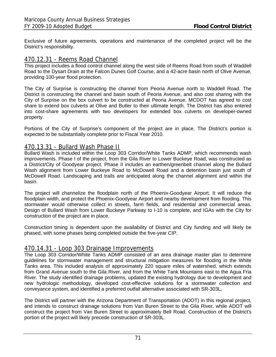Exclusive of future agreements, operations and maintenance of the completed project will be the District's responsibility.

#### 470.12.31 - Reems Road Channel

This project includes a flood control channel along the west side of Reems Road from south of Waddell Road to the Dysart Drain at the Falcon Dunes Golf Course, and a 42-acre basin north of Olive Avenue, providing 100-year flood protection.

The City of Surprise is constructing the channel from Peoria Avenue north to Waddell Road. The District is constructing the channel and basin south of Peoria Avenue, and also cost sharing with the City of Surprise on the box culvert to be constructed at Peoria Avenue. MCDOT has agreed to cost share to extend box culverts at Olive and Butler to their ultimate length. The District has also entered into cost-share agreements with two developers for extended box culverts on developer-owned property.

Portions of the City of Surprise's component of the project are in place. The District's portion is expected to be substantially complete prior to Fiscal Year 2010.

#### 470.13.31 - Bullard Wash Phase II

Bullard Wash is included within the Loop 303 Corridor/White Tanks ADMP, which recommends wash improvements. Phase I of the project, from the Gila River to Lower Buckeye Road, was constructed as a District/City of Goodyear project. Phase II includes an earthen/greenbelt channel along the Bullard Wash alignment from Lower Buckeye Road to McDowell Road and a detention basin just south of McDowell Road. Landscaping and trails are anticipated along the channel alignment and within the basin.

The project will channelize the floodplain north of the Phoenix-Goodyear Airport. It will reduce the floodplain width, and protect the Phoenix-Goodyear Airport and nearby development from flooding. This stormwater would otherwise collect in streets, farm fields, and residential and commercial areas. Design of Bullard Wash from Lower Buckeye Parkway to I-10 is complete, and IGAs with the City for construction of the project are in place.

Construction timing is dependent upon the availability of District and City funding and will likely be phased, with some phases being completed outside the five-year CIP.

## 470.14.31 - Loop 303 Drainage Improvements

The Loop 303 Corridor/White Tanks ADMP consisted of an area drainage master plan to determine guidelines for stormwater management and structural mitigation measures for flooding in the White Tanks area. This included analysis of approximately 220 square miles of watershed, which extends from Grand Avenue south to the Gila River, and from the White Tank Mountains east to the Agua Fria River. The study identified drainage problems, updated the existing hydrology due to development and new hydrologic methodology, developed cost-effective solutions for a stormwater collection and conveyance system, and identified a preferred outfall alternative associated with SR-303L.

The District will partner with the Arizona Department of Transportation (ADOT) in this regional project, and intends to construct drainage solutions from Van Buren Street to the Gila River, while ADOT will construct the project from Van Buren Street to approximately Bell Road. Construction of the District's portion of the project will likely precede construction of SR-303L.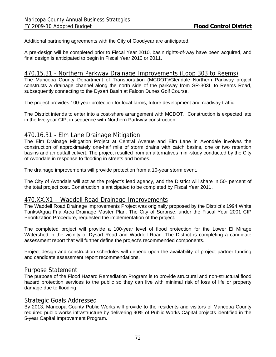Additional partnering agreements with the City of Goodyear are anticipated.

A pre-design will be completed prior to Fiscal Year 2010, basin rights-of-way have been acquired, and final design is anticipated to begin in Fiscal Year 2010 or 2011.

#### 470.15.31 - Northern Parkway Drainage Improvements (Loop 303 to Reems)

The Maricopa County Department of Transportation (MCDOT)/Glendale Northern Parkway project constructs a drainage channel along the north side of the parkway from SR-303L to Reems Road, subsequently connecting to the Dysart Basin at Falcon Dunes Golf Course.

The project provides 100-year protection for local farms, future development and roadway traffic.

The District intends to enter into a cost-share arrangement with MCDOT. Construction is expected late in the five-year CIP, in sequence with Northern Parkway construction.

#### 470.16.31 - Elm Lane Drainage Mitigation

The Elm Drainage Mitigation Project at Central Avenue and Elm Lane in Avondale involves the construction of approximately one-half mile of storm drains with catch basins, one or two retention basins and an outfall culvert. The project resulted from an alternatives mini-study conducted by the City of Avondale in response to flooding in streets and homes.

The drainage improvements will provide protection from a 10-year storm event.

The City of Avondale will act as the project's lead agency, and the District will share in 50- percent of the total project cost. Construction is anticipated to be completed by Fiscal Year 2011.

#### 470.XX.X1 – Waddell Road Drainage Improvements

The Waddell Road Drainage Improvements Project was originally proposed by the District's 1994 White Tanks/Agua Fria Area Drainage Master Plan. The City of Surprise, under the Fiscal Year 2001 CIP Prioritization Procedure, requested the implementation of the project.

The completed project will provide a 100-year level of flood protection for the Lower El Mirage Watershed in the vicinity of Dysart Road and Waddell Road. The District is completing a candidate assessment report that will further define the project's recommended components.

Project design and construction schedules will depend upon the availability of project partner funding and candidate assessment report recommendations.

#### Purpose Statement

The purpose of the Flood Hazard Remediation Program is to provide structural and non-structural flood hazard protection services to the public so they can live with minimal risk of loss of life or property damage due to flooding.

#### Strategic Goals Addressed

By 2013, Maricopa County Public Works will provide to the residents and visitors of Maricopa County required public works infrastructure by delivering 90% of Public Works Capital projects identified in the 5-year Capital Improvement Program.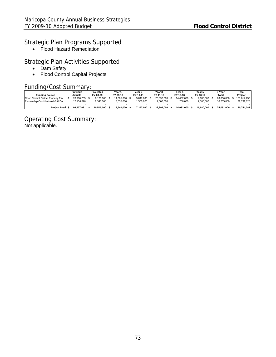# Strategic Plan Programs Supported

• Flood Hazard Remediation

# Strategic Plan Activities Supported

- Dam Safety
- Flood Control Capital Projects

## Funding/Cost Summary:

|                                     | Previous       | Proiected  | Year 1     | Year 2    | Year 3     | Year 4     | Year 5     | 5-Year     | Total       |
|-------------------------------------|----------------|------------|------------|-----------|------------|------------|------------|------------|-------------|
| Fundina Source                      | <b>Actuals</b> | FY 08-09   | FY 09-10   | FY 10-11  | FY 11-12   | FY 12-13   | FY 13-14   | Total      | Project     |
| Flood Control District Property Tax | 78.980.255     | 8.176.000  | 14.005.000 | 5.847.000 | 20.392.000 | 14.432.000 | 9.180.000  | 63.856.000 | 151.012.255 |
| Partnership Contributions/IGA/IDA   | 17.156.826     | 2.340.000  | 3.535.000  | 1.500.000 | 2.500.000  | 200,000    | 2.500.000  | 10.235.000 | 29.731.826  |
|                                     |                |            |            |           |            |            |            |            |             |
| <b>Project Total</b>                | 96.137.081     | 10.516.000 | 17.540.000 | 7.347.000 | 22.892.000 | 14.632.000 | 11.680.000 | 74.091.000 | 180.744.081 |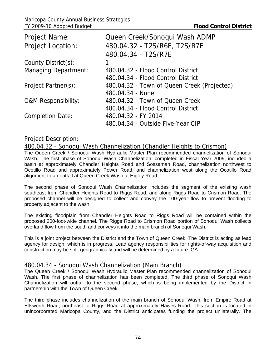| <b>Project Name:</b>           | Queen Creek/Sonoqui Wash ADMP               |
|--------------------------------|---------------------------------------------|
| <b>Project Location:</b>       | 480.04.32 - T2S/R6E, T2S/R7E                |
|                                | 480.04.34 - T2S/R7E                         |
| County District(s):            |                                             |
| <b>Managing Department:</b>    | 480.04.32 - Flood Control District          |
|                                | 480.04.34 - Flood Control District          |
| Project Partner(s):            | 480.04.32 - Town of Queen Creek (Projected) |
|                                | 480.04.34 - None                            |
| <b>O&amp;M Responsibility:</b> | 480.04.32 - Town of Queen Creek             |
|                                | 480.04.34 - Flood Control District          |
| <b>Completion Date:</b>        | 480.04.32 - FY 2014                         |
|                                | 480.04.34 - Outside Five-Year CIP           |

# 480.04.32 - Sonoqui Wash Channelization (Chandler Heights to Crismon)

The Queen Creek / Sonoqui Wash Hydraulic Master Plan recommended channelization of Sonoqui Wash. The first phase of Sonoqui Wash Channelization, completed in Fiscal Year 2009, included a basin at approximately Chandler Heights Road and Sossaman Road, channelization northwest to Ocotillo Road and approximately Power Road, and channelization west along the Ocotillo Road alignment to an outfall at Queen Creek Wash at Higley Road.

The second phase of Sonoqui Wash Channelization includes the segment of the existing wash southeast from Chandler Heights Road to Riggs Road, and along Riggs Road to Crismon Road. The proposed channel will be designed to collect and convey the 100-year flow to prevent flooding to property adjacent to the wash.

The existing floodplain from Chandler Heights Road to Riggs Road will be contained within the proposed 200-foot-wide channel. The Riggs Road to Crismon Road portion of Sonoqui Wash collects overland flow from the south and conveys it into the main branch of Sonoqui Wash.

This is a joint project between the District and the Town of Queen Creek. The District is acting as lead agency for design, which is in progress. Lead agency responsibilities for rights-of-way acquisition and construction may be split geographically and will be determined by a future IGA.

# 480.04.34 - Sonoqui Wash Channelization (Main Branch)

The Queen Creek / Sonoqui Wash Hydraulic Master Plan recommended channelization of Sonoqui Wash. The first phase of channelization has been completed. The third phase of Sonoqui Wash Channelization will outfall to the second phase, which is being implemented by the District in partnership with the Town of Queen Creek.

The third phase includes channelization of the main branch of Sonoqui Wash, from Empire Road at Ellsworth Road, northeast to Riggs Road at approximately Hawes Road. This section is located in unincorporated Maricopa County, and the District anticipates funding the project unilaterally. The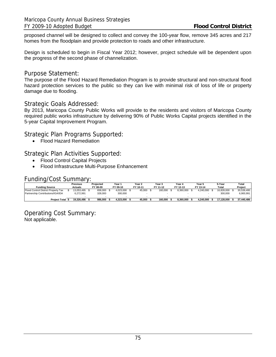proposed channel will be designed to collect and convey the 100-year flow, remove 345 acres and 217 homes from the floodplain and provide protection to roads and other infrastructure.

Design is scheduled to begin in Fiscal Year 2012; however, project schedule will be dependent upon the progress of the second phase of channelization.

#### Purpose Statement:

The purpose of the Flood Hazard Remediation Program is to provide structural and non-structural flood hazard protection services to the public so they can live with minimal risk of loss of life or property damage due to flooding.

#### Strategic Goals Addressed:

By 2013, Maricopa County Public Works will provide to the residents and visitors of Maricopa County required public works infrastructure by delivering 90% of Public Works Capital projects identified in the 5-year Capital Improvement Program.

#### Strategic Plan Programs Supported:

• Flood Hazard Remediation

# Strategic Plan Activities Supported:

- Flood Control Capital Projects
- Flood Infrastructure Multi-Purpose Enhancement

#### Funding/Cost Summary:

|                                     | Previous   | Projected | Year⊹     | Year 2   | Year 3   | Year 4    | Year 5    | 5-Year     | Total      |
|-------------------------------------|------------|-----------|-----------|----------|----------|-----------|-----------|------------|------------|
| <b>Funding Source</b>               | Actuals    | FY 08-09  | FY 09-10  | FY 10-11 | FY 11-12 | FY 12-13  | FY 13-14  | Total      | Project    |
| Flood Control District Property Tax | 13.053.495 | 658,000   | 4.023.000 | 45.000   | 160.000  | 8.360.000 | 4.240.000 | 16.828.000 | 30.539.495 |
| Partnership Contributions/IGA/IDA   | 6.272.991  | 328,000   | 300,000   |          |          |           |           | 300,000    | 6,900,991  |
|                                     |            |           |           |          |          |           |           |            |            |
| <b>Project Total</b>                | 19.326.486 | 986.000   | 4.323.000 | 45.000   | 160.000  | 8.360.000 | 4.240.000 | 17.128.000 | 37.440.486 |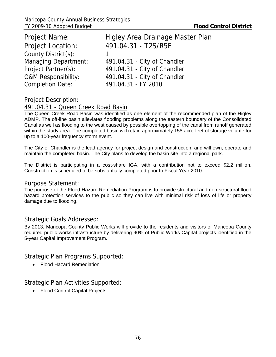| <b>Project Name:</b>           | Higley Area Drainage Master Plan |
|--------------------------------|----------------------------------|
| <b>Project Location:</b>       | 491.04.31 - T2S/R5E              |
| County District(s):            |                                  |
| <b>Managing Department:</b>    | 491.04.31 - City of Chandler     |
| Project Partner(s):            | 491.04.31 - City of Chandler     |
| <b>O&amp;M Responsibility:</b> | 491.04.31 - City of Chandler     |
| <b>Completion Date:</b>        | 491.04.31 - FY 2010              |

# 491.04.31 - Queen Creek Road Basin

The Queen Creek Road Basin was identified as one element of the recommended plan of the Higley ADMP. The off-line basin alleviates flooding problems along the eastern boundary of the Consolidated Canal as well as flooding to the west caused by possible overtopping of the canal from runoff generated within the study area. The completed basin will retain approximately 158 acre-feet of storage volume for up to a 100-year frequency storm event.

The City of Chandler is the lead agency for project design and construction, and will own, operate and maintain the completed basin. The City plans to develop the basin site into a regional park.

The District is participating in a cost-share IGA, with a contribution not to exceed \$2.2 million. Construction is scheduled to be substantially completed prior to Fiscal Year 2010.

#### Purpose Statement:

The purpose of the Flood Hazard Remediation Program is to provide structural and non-structural flood hazard protection services to the public so they can live with minimal risk of loss of life or property damage due to flooding.

## Strategic Goals Addressed:

By 2013, Maricopa County Public Works will provide to the residents and visitors of Maricopa County required public works infrastructure by delivering 90% of Public Works Capital projects identified in the 5-year Capital Improvement Program.

# Strategic Plan Programs Supported:

• Flood Hazard Remediation

# Strategic Plan Activities Supported:

• Flood Control Capital Projects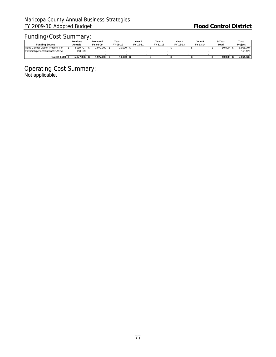# Funding/Cost Summary:

|                                     | Previous       | Proiected | Year <b>\</b> | Year 2   |  | Year 3   | Year 4   | Year 5   |  | 5-Year | Total     |
|-------------------------------------|----------------|-----------|---------------|----------|--|----------|----------|----------|--|--------|-----------|
| <b>Funding Source</b>               | <b>Actuals</b> | FY 08-09  | FY 09-10      | FY 10-11 |  | FY 11-12 | FY 12-13 | FY 13-14 |  | Total  | Project   |
| Flood Control District Property Tax | 4.919.707      | .977.000  | 10.000        |          |  |          |          |          |  | 10.000 | 6,906,707 |
| Partnership Contributions/IGA/IDA   | 158.129        |           |               |          |  |          |          |          |  |        | 158,129   |
|                                     |                |           |               |          |  |          |          |          |  |        |           |
| <b>Project Total</b>                | 5.077.836      | .977.000  | 10.000        |          |  |          |          |          |  | 10.000 | 7.064.836 |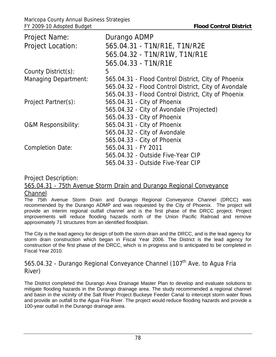| <b>Project Name:</b>           | Durango ADMP                                         |
|--------------------------------|------------------------------------------------------|
| <b>Project Location:</b>       | 565.04.31 - T1N/R1E, T1N/R2E                         |
|                                | 565.04.32 - T1N/R1W, T1N/R1E                         |
|                                | 565.04.33 - T1N/R1E                                  |
| County District(s):            | 5                                                    |
| <b>Managing Department:</b>    | 565.04.31 - Flood Control District, City of Phoenix  |
|                                | 565.04.32 - Flood Control District, City of Avondale |
|                                | 565.04.33 - Flood Control District, City of Phoenix  |
| Project Partner(s):            | 565.04.31 - City of Phoenix                          |
|                                | 565.04.32 - City of Avondale (Projected)             |
|                                | 565.04.33 - City of Phoenix                          |
| <b>O&amp;M Responsibility:</b> | 565.04.31 - City of Phoenix                          |
|                                | 565.04.32 - City of Avondale                         |
|                                | 565.04.33 - City of Phoenix                          |
| <b>Completion Date:</b>        | 565.04.31 - FY 2011                                  |
|                                | 565.04.32 - Outside Five-Year CIP                    |
|                                | 565.04.33 - Outside Five-Year CIP                    |

565.04.31 - 75th Avenue Storm Drain and Durango Regional Conveyance Channel

The 75th Avenue Storm Drain and Durango Regional Conveyance Channel (DRCC) was recommended by the Durango ADMP and was requested by the City of Phoenix. The project will provide an interim regional outfall channel and is the first phase of the DRCC project. Project improvements will reduce flooding hazards north of the Union Pacific Railroad and remove approximately 71 structures from an identified floodplain.

The City is the lead agency for design of both the storm drain and the DRCC, and is the lead agency for storm drain construction which began in Fiscal Year 2006. The District is the lead agency for construction of the first phase of the DRCC, which is in progress and is anticipated to be completed in Fiscal Year 2010.

565.04.32 - Durango Regional Conveyance Channel (107<sup>th</sup> Ave. to Agua Fria River)

The District completed the Durango Area Drainage Master Plan to develop and evaluate solutions to mitigate flooding hazards in the Durango drainage area. The study recommended a regional channel and basin in the vicinity of the Salt River Project Buckeye Feeder Canal to intercept storm water flows and provide an outfall to the Agua Fria River. The project would reduce flooding hazards and provide a 100-year outfall in the Durango drainage area.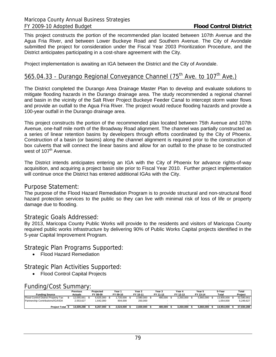This project constructs the portion of the recommended plan located between 107th Avenue and the Agua Fria River, and between Lower Buckeye Road and Southern Avenue. The City of Avondale submitted the project for consideration under the Fiscal Year 2003 Prioritization Procedure, and the District anticipates participating in a cost-share agreement with the City.

Project implementation is awaiting an IGA between the District and the City of Avondale.

# 565.04.33 - Durango Regional Conveyance Channel (75<sup>th</sup> Ave. to 107<sup>th</sup> Ave.)

The District completed the Durango Area Drainage Master Plan to develop and evaluate solutions to mitigate flooding hazards in the Durango drainage area. The study recommended a regional channel and basin in the vicinity of the Salt River Project Buckeye Feeder Canal to intercept storm water flows and provide an outfall to the Agua Fria River. The project would reduce flooding hazards and provide a 100-year outfall in the Durango drainage area.

This project constructs the portion of the recommended plan located between 75th Avenue and 107th Avenue, one-half mile north of the Broadway Road alignment. The channel was partially constructed as a series of linear retention basins by developers through efforts coordinated by the City of Phoenix. Construction of a basin (or basins) along the channel alignment is required prior to the construction of box culverts that will connect the linear basins and allow for an outfall to the phase to be constructed west of 107<sup>th</sup> Avenue.

The District intends anticipates entering an IGA with the City of Phoenix for advance rights-of-way acquisition, and acquiring a project basin site prior to Fiscal Year 2010. Further project implementation will continue once the District has entered additional IGAs with the City.

#### Purpose Statement:

The purpose of the Flood Hazard Remediation Program is to provide structural and non-structural flood hazard protection services to the public so they can live with minimal risk of loss of life or property damage due to flooding.

#### Strategic Goals Addressed:

By 2013, Maricopa County Public Works will provide to the residents and visitors of Maricopa County required public works infrastructure by delivering 90% of Public Works Capital projects identified in the 5-year Capital Improvement Program.

## Strategic Plan Programs Supported:

• Flood Hazard Remediation

# Strategic Plan Activities Supported:

• Flood Control Capital Projects

# Funding/Cost Summary:

|                                     | Previous   | Projected | Year⊹     | Year 2    | Year 3   | Year 4    | Year 5    | 5-Year     | Total      |
|-------------------------------------|------------|-----------|-----------|-----------|----------|-----------|-----------|------------|------------|
| <b>Funding Source</b>               | Actuals    | FY 08-09  | FY 09-10  | FY 10-11  | FY 11-12 | FY 12-13  | FY 13-14  | Total      | Project    |
| Flood Control District Property Tax | 12.055.661 | 6.625.000 | .720.000  | 2.580.000 | 480.000  | 3.260.000 | 5.860.000 | 13.900.000 | 32.580.661 |
| Partnership Contributions/IGA/IDA   | 2,553,627  | .642.000  | 804.000   | 250,000   |          |           |           | 1.054.000  | 5,249,627  |
|                                     |            |           |           |           |          |           |           |            |            |
| <b>Project Total</b>                | 14.609.288 | 3.267.000 | 2.524.000 | 2.830.000 | 480.000  | 3.260.000 | 5.860.000 | 14.954.000 | 37.830.288 |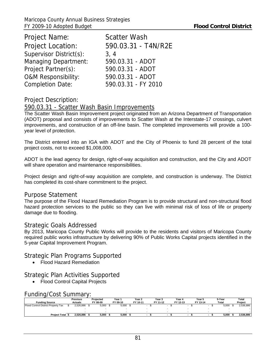| <b>Project Name:</b>           | <b>Scatter Wash</b> |
|--------------------------------|---------------------|
| <b>Project Location:</b>       | 590.03.31 - T4N/R2E |
| Supervisor District(s):        | 3, 4                |
| <b>Managing Department:</b>    | 590.03.31 - ADOT    |
| Project Partner(s):            | 590.03.31 - ADOT    |
| <b>O&amp;M Responsibility:</b> | 590.03.31 - ADOT    |
| <b>Completion Date:</b>        | 590.03.31 - FY 2010 |

#### 590.03.31 - Scatter Wash Basin Improvements

The Scatter Wash Basin Improvement project originated from an Arizona Department of Transportation (ADOT) proposal and consists of improvements to Scatter Wash at the Interstate-17 crossings, culvert improvements, and construction of an off-line basin. The completed improvements will provide a 100 year level of protection.

The District entered into an IGA with ADOT and the City of Phoenix to fund 28 percent of the total project costs, not to exceed \$1,008,000.

ADOT is the lead agency for design, right-of-way acquisition and construction, and the City and ADOT will share operation and maintenance responsibilities.

Project design and right-of-way acquisition are complete, and construction is underway. The District has completed its cost-share commitment to the project.

#### Purpose Statement

The purpose of the Flood Hazard Remediation Program is to provide structural and non-structural flood hazard protection services to the public so they can live with minimal risk of loss of life or property damage due to flooding.

#### Strategic Goals Addressed

By 2013, Maricopa County Public Works will provide to the residents and visitors of Maricopa County required public works infrastructure by delivering 90% of Public Works Capital projects identified in the 5-year Capital Improvement Program.

#### Strategic Plan Programs Supported

• Flood Hazard Remediation

## Strategic Plan Activities Supported

• Flood Control Capital Projects

## Funding/Cost Summary:

| <b>Funding Source</b>               | Previous<br>Actuals | Projected<br>FY 08-09 | Year 1<br>FY 09-10 | Year 2<br>FY 10-11 | Year 3<br>FY 11-12 |  | Year 4<br>FY 12-13 | Year 5<br>FY 13-14 |  | 5-Year<br>Total | Total<br>Project |
|-------------------------------------|---------------------|-----------------------|--------------------|--------------------|--------------------|--|--------------------|--------------------|--|-----------------|------------------|
| Flood Control District Property Tax | 2,526,886           | 5.000                 | 5,000              |                    |                    |  |                    |                    |  | 5,000           | 2,536,886        |
|                                     |                     |                       |                    |                    |                    |  |                    |                    |  |                 |                  |
|                                     |                     |                       |                    |                    |                    |  |                    |                    |  |                 |                  |
| <b>Project Total</b>                | 2.526.886           | 5.000                 | 5.000              |                    |                    |  |                    |                    |  | 5.000           | 2,536,886        |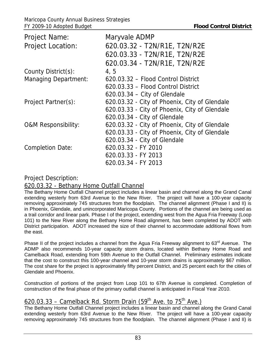| <b>Project Name:</b>           | Maryvale ADMP                                 |
|--------------------------------|-----------------------------------------------|
| <b>Project Location:</b>       | 620.03.32 - T2N/R1E, T2N/R2E                  |
|                                | 620.03.33 - T2N/R1E, T2N/R2E                  |
|                                | 620.03.34 - T2N/R1E, T2N/R2E                  |
| County District(s):            | 4,5                                           |
| <b>Managing Department:</b>    | 620.03.32 - Flood Control District            |
|                                | 620.03.33 - Flood Control District            |
|                                | $620.03.34 - City of Glendale$                |
| Project Partner(s):            | 620.03.32 - City of Phoenix, City of Glendale |
|                                | 620.03.33 - City of Phoenix, City of Glendale |
|                                | 620.03.34 - City of Glendale                  |
| <b>O&amp;M Responsibility:</b> | 620.03.32 - City of Phoenix, City of Glendale |
|                                | 620.03.33 - City of Phoenix, City of Glendale |
|                                | 620.03.34 - City of Glendale                  |
| <b>Completion Date:</b>        | 620.03.32 - FY 2010                           |
|                                | 620.03.33 - FY 2013                           |
|                                | 620.03.34 - FY 2013                           |

# 620.03.32 - Bethany Home Outfall Channel

The Bethany Home Outfall Channel project includes a linear basin and channel along the Grand Canal extending westerly from 63rd Avenue to the New River. The project will have a 100-year capacity removing approximately 745 structures from the floodplain. The channel alignment (Phase I and II) is in Phoenix, Glendale, and unincorporated Maricopa County. Portions of the channel are being used as a trail corridor and linear park. Phase I of the project, extending west from the Agua Fria Freeway (Loop 101) to the New River along the Bethany Home Road alignment, has been completed by ADOT with District participation. ADOT increased the size of their channel to accommodate additional flows from the east.

Phase II of the project includes a channel from the Agua Fria Freeway alignment to  $63<sup>rd</sup>$  Avenue. The ADMP also recommends 10-year capacity storm drains, located within Bethany Home Road and Camelback Road, extending from 59th Avenue to the Outfall Channel. Preliminary estimates indicate that the cost to construct this 100-year channel and 10-year storm drains is approximately \$67 million. The cost share for the project is approximately fifty percent District, and 25 percent each for the cities of Glendale and Phoenix.

Construction of portions of the project from Loop 101 to 67th Avenue is completed. Completion of construction of the final phase of the primary outfall channel is anticipated in Fiscal Year 2010.

# 620.03.33 – Camelback Rd. Storm Drain (59<sup>th</sup> Ave. to 75<sup>th</sup> Ave.)

The Bethany Home Outfall Channel project includes a linear basin and channel along the Grand Canal extending westerly from 63rd Avenue to the New River. The project will have a 100-year capacity removing approximately 745 structures from the floodplain. The channel alignment (Phase I and II) is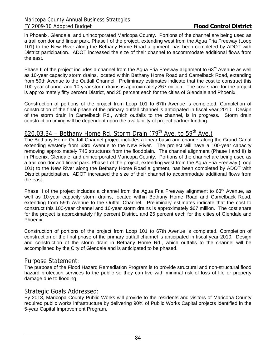in Phoenix, Glendale, and unincorporated Maricopa County. Portions of the channel are being used as a trail corridor and linear park. Phase I of the project, extending west from the Agua Fria Freeway (Loop 101) to the New River along the Bethany Home Road alignment, has been completed by ADOT with District participation. ADOT increased the size of their channel to accommodate additional flows from the east.

Phase II of the project includes a channel from the Agua Fria Freeway alignment to  $63<sup>rd</sup>$  Avenue as well as 10-year capacity storm drains, located within Bethany Home Road and Camelback Road, extending from 59th Avenue to the Outfall Channel. Preliminary estimates indicate that the cost to construct this 100-year channel and 10-year storm drains is approximately \$67 million. The cost share for the project is approximately fifty percent District, and 25 percent each for the cities of Glendale and Phoenix.

Construction of portions of the project from Loop 101 to 67th Avenue is completed. Completion of construction of the final phase of the primary outfall channel is anticipated in fiscal year 2010. Design of the storm drain in Camelback Rd., which outfalls to the channel, is in progress. Storm drain construction timing will be dependent upon the availability of project partner funding.

# 620.03.34 – Bethany Home Rd. Storm Drain (79<sup>th</sup> Ave. to 59<sup>th</sup> Ave.)

The Bethany Home Outfall Channel project includes a linear basin and channel along the Grand Canal extending westerly from 63rd Avenue to the New River. The project will have a 100-year capacity removing approximately 745 structures from the floodplain. The channel alignment (Phase I and II) is in Phoenix, Glendale, and unincorporated Maricopa County. Portions of the channel are being used as a trail corridor and linear park. Phase I of the project, extending west from the Agua Fria Freeway (Loop 101) to the New River along the Bethany Home Road alignment, has been completed by ADOT with District participation. ADOT increased the size of their channel to accommodate additional flows from the east.

Phase II of the project includes a channel from the Agua Fria Freeway alignment to 63<sup>rd</sup> Avenue, as well as 10-year capacity storm drains, located within Bethany Home Road and Camelback Road, extending from 59th Avenue to the Outfall Channel. Preliminary estimates indicate that the cost to construct this 100-year channel and 10-year storm drains is approximately \$67 million. The cost share for the project is approximately fifty percent District, and 25 percent each for the cities of Glendale and Phoenix.

Construction of portions of the project from Loop 101 to 67th Avenue is completed. Completion of construction of the final phase of the primary outfall channel is anticipated in fiscal year 2010. Design and construction of the storm drain in Bethany Home Rd., which outfalls to the channel will be accomplished by the City of Glendale and is anticipated to be phased.

# Purpose Statement:

The purpose of the Flood Hazard Remediation Program is to provide structural and non-structural flood hazard protection services to the public so they can live with minimal risk of loss of life or property damage due to flooding.

## Strategic Goals Addressed:

By 2013, Maricopa County Public Works will provide to the residents and visitors of Maricopa County required public works infrastructure by delivering 90% of Public Works Capital projects identified in the 5-year Capital Improvement Program.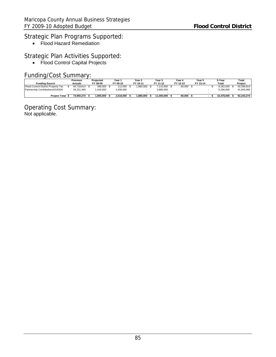Strategic Plan Programs Supported:

• Flood Hazard Remediation

# Strategic Plan Activities Supported:

• Flood Control Capital Projects

Funding/Cost Summary:

| <b>Funding Source</b>               | Previous<br>Actuals | Projected<br>FY 08-09 | Year 1<br>FY 09-10 | Year 2<br>FY 10-11 | Year 3<br>FY 11-12 | Year 4<br>FY 12-13 | Year 5<br>FY 13-14 |  | 5-Year<br>Total | Total<br>Project |
|-------------------------------------|---------------------|-----------------------|--------------------|--------------------|--------------------|--------------------|--------------------|--|-----------------|------------------|
|                                     |                     |                       |                    |                    |                    |                    |                    |  |                 |                  |
| Flood Control District Property Tax | 40.718.814          | 389,000               | 112,000            | .880.000           | 110.000            | 80,000             |                    |  | 9.182.000       | 50.289.814       |
| Partnership Contributions/IGA/IDA   | 34.231.460          | .416.000              | 2.406.000          |                    | 3.890.000          |                    |                    |  | 6.296.000       | 41.943.460       |
|                                     |                     |                       |                    |                    |                    |                    |                    |  |                 |                  |
| <b>Project Total</b>                | 74.950.274          | .805.000              | 2.518.000          | ،880.000           | 11.000.000         | 80.000             |                    |  | 15.478.000      | 92.233.274       |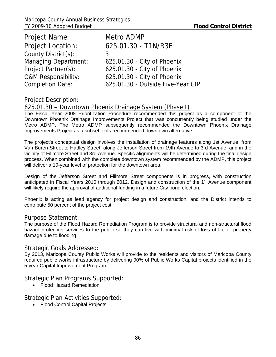| <b>Project Name:</b>           | Metro ADMP                        |
|--------------------------------|-----------------------------------|
| <b>Project Location:</b>       | 625.01.30 - T1N/R3E               |
| County District(s):            |                                   |
| <b>Managing Department:</b>    | 625.01.30 - City of Phoenix       |
| Project Partner(s):            | 625.01.30 - City of Phoenix       |
| <b>O&amp;M Responsibility:</b> | 625.01.30 - City of Phoenix       |
| <b>Completion Date:</b>        | 625.01.30 - Outside Five-Year CIP |

## 625.01.30 – Downtown Phoenix Drainage System (Phase I)

The Fiscal Year 2008 Prioritization Procedure recommended this project as a component of the Downtown Phoenix Drainage Improvements Project that was concurrently being studied under the Metro ADMP. The Metro ADMP subsequently recommended the Downtown Phoenix Drainage Improvements Project as a subset of its recommended downtown alternative.

The project's conceptual design involves the installation of drainage features along 1st Avenue, from Van Buren Street to Hadley Street; along Jefferson Street from 19th Avenue to 3rd Avenue; and in the vicinity of Fillmore Street and 3rd Avenue. Specific alignments will be determined during the final design process. When combined with the complete downtown system recommended by the ADMP, this project will deliver a 10-year level of protection for the downtown area.

Design of the Jefferson Street and Fillmore Street components is in progress, with construction anticipated in Fiscal Years 2010 through 2012. Design and construction of the 1<sup>st</sup> Avenue component will likely require the approval of additional funding in a future City bond election.

Phoenix is acting as lead agency for project design and construction, and the District intends to contribute 50 percent of the project cost.

#### Purpose Statement:

The purpose of the Flood Hazard Remediation Program is to provide structural and non-structural flood hazard protection services to the public so they can live with minimal risk of loss of life or property damage due to flooding.

#### Strategic Goals Addressed:

By 2013, Maricopa County Public Works will provide to the residents and visitors of Maricopa County required public works infrastructure by delivering 90% of Public Works Capital projects identified in the 5-year Capital Improvement Program.

Strategic Plan Programs Supported:

• Flood Hazard Remediation

Strategic Plan Activities Supported:

• Flood Control Capital Projects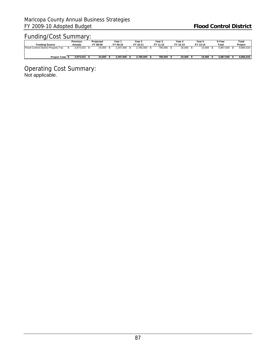# Funding/Cost Summary:

|                                     | Previous       | Projected |  |           | Year 2 |           | Year 3 |          | Year 4 |          |  | Year 5   | 5-Year    | Total     |
|-------------------------------------|----------------|-----------|--|-----------|--------|-----------|--------|----------|--------|----------|--|----------|-----------|-----------|
| <b>Funding Source</b>               | <b>Actuals</b> | FY 08-09  |  | FY 09-10  |        | FY 10-11  |        | FY 11-12 |        | FY 12-13 |  | FY 13-14 | Total     | Project   |
| Flood Control District Property Tax | 3.973.533      | 24.000    |  | 2.297.000 |        | 2.780.000 |        | 780.000  |        | 20.000   |  | 10.000   | 5.887.000 | 9,884,533 |
|                                     |                |           |  |           |        |           |        |          |        |          |  |          |           |           |
|                                     |                |           |  |           |        |           |        |          |        |          |  |          |           |           |
| <b>Project Total</b>                | 3.973.533      | 24.000    |  | 2.297.000 |        | 2.780.000 |        | 780.000  |        | 20.000   |  | 10.000   | 5.887.000 | 9.884.533 |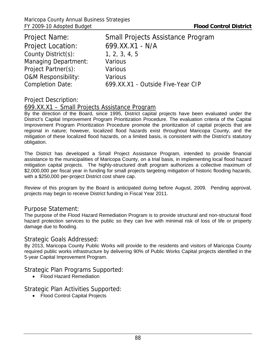| <b>Project Name:</b>           | Small Projects Assistance Program |
|--------------------------------|-----------------------------------|
| <b>Project Location:</b>       | 699.XX.X1 - N/A                   |
| County District(s):            | 1, 2, 3, 4, 5                     |
| <b>Managing Department:</b>    | Various                           |
| Project Partner(s):            | Various                           |
| <b>O&amp;M Responsibility:</b> | Various                           |
| <b>Completion Date:</b>        | 699.XX.X1 - Outside Five-Year CIP |

#### 699.XX.X1 – Small Projects Assistance Program

By the direction of the Board, since 1995, District capital projects have been evaluated under the District's Capital Improvement Program Prioritization Procedure. The evaluation criteria of the Capital Improvement Program Prioritization Procedure promote the prioritization of capital projects that are regional in nature; however, localized flood hazards exist throughout Maricopa County, and the mitigation of these localized flood hazards, on a limited basis, is consistent with the District's statutory obligation.

The District has developed a Small Project Assistance Program, intended to provide financial assistance to the municipalities of Maricopa County, on a trial basis, in implementing local flood hazard mitigation capital projects. The highly-structured draft program authorizes a collective maximum of \$2,000,000 per fiscal year in funding for small projects targeting mitigation of historic flooding hazards, with a \$250,000 per-project District cost share cap.

Review of this program by the Board is anticipated during before August, 2009. Pending approval, projects may begin to receive District funding in Fiscal Year 2011.

#### Purpose Statement:

The purpose of the Flood Hazard Remediation Program is to provide structural and non-structural flood hazard protection services to the public so they can live with minimal risk of loss of life or property damage due to flooding.

#### Strategic Goals Addressed:

By 2013, Maricopa County Public Works will provide to the residents and visitors of Maricopa County required public works infrastructure by delivering 90% of Public Works Capital projects identified in the 5-year Capital Improvement Program.

Strategic Plan Programs Supported:

• Flood Hazard Remediation

# Strategic Plan Activities Supported:

• Flood Control Capital Projects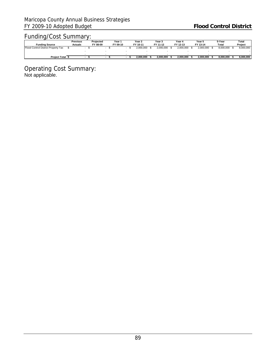# Funding/Cost Summary:

|                                     | Previous       | Projected | Year 1   |  | Year 2    | Year 3    | Year 4    | Year 5    | 5-Year    | Total     |
|-------------------------------------|----------------|-----------|----------|--|-----------|-----------|-----------|-----------|-----------|-----------|
| <b>Funding Source</b>               | <b>Actuals</b> | FY 08-09  | FY 09-10 |  | FY 10-11  | FY 11-12  | FY 12-13  | FY 13-14  | Total     | Project   |
| Flood Control District Property Tax |                |           |          |  | 2.000.000 | 2.000.000 | 2.000.000 | 2.000.000 | 8.000.000 | 8,000,000 |
|                                     |                |           |          |  |           |           |           |           |           |           |
|                                     |                |           |          |  |           |           |           |           |           |           |
| <b>Project Total</b>                |                |           |          |  | 2.000.000 | 2.000.000 | 2.000.000 | 2.000.000 | 8.000.000 | 8,000,000 |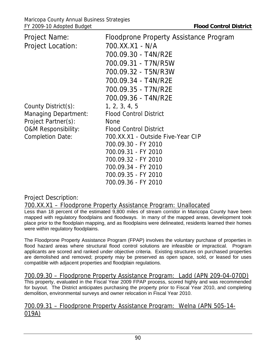| Project Name:                  | Floodprone Property Assistance Program |
|--------------------------------|----------------------------------------|
| <b>Project Location:</b>       | 700.XX.X1 - N/A                        |
|                                | 700.09.30 - T4N/R2E                    |
|                                | 700.09.31 - T7N/R5W                    |
|                                | 700.09.32 - T5N/R3W                    |
|                                | 700.09.34 - T4N/R2E                    |
|                                | 700.09.35 - T7N/R2E                    |
|                                | 700.09.36 - T4N/R2E                    |
| County District(s):            | 1, 2, 3, 4, 5                          |
| <b>Managing Department:</b>    | <b>Flood Control District</b>          |
| Project Partner(s):            | <b>None</b>                            |
| <b>O&amp;M Responsibility:</b> | <b>Flood Control District</b>          |
| <b>Completion Date:</b>        | 700.XX.X1 - Outside Five-Year CIP      |
|                                | 700.09.30 - FY 2010                    |
|                                | 700.09.31 - FY 2010                    |
|                                | 700.09.32 - FY 2010                    |
|                                | 700.09.34 - FY 2010                    |
|                                | 700.09.35 - FY 2010                    |
|                                | 700.09.36 - FY 2010                    |

## 700.XX.X1 – Floodprone Property Assistance Program: Unallocated

Less than 18 percent of the estimated 9,800 miles of stream corridor in Maricopa County have been mapped with regulatory floodplains and floodways. In many of the mapped areas, development took place prior to the floodplain mapping, and as floodplains were delineated, residents learned their homes were within regulatory floodplains.

The Floodprone Property Assistance Program (FPAP) involves the voluntary purchase of properties in flood hazard areas where structural flood control solutions are infeasible or impractical. Program applicants are scored and ranked under objective criteria. Existing structures on purchased properties are demolished and removed; property may be preserved as open space, sold, or leased for uses compatible with adjacent properties and floodplain regulations.

700.09.30 – Floodprone Property Assistance Program: Ladd (APN 209-04-070D) This property, evaluated in the Fiscal Year 2009 FPAP process, scored highly and was recommended for buyout. The District anticipates purchasing the property prior to Fiscal Year 2010, and completing demolition, environmental surveys and owner relocation in Fiscal Year 2010.

# 700.09.31 – Floodprone Property Assistance Program: Welna (APN 505-14- 019A)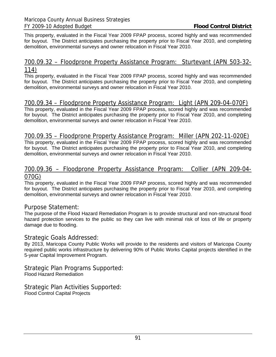This property, evaluated in the Fiscal Year 2009 FPAP process, scored highly and was recommended for buyout. The District anticipates purchasing the property prior to Fiscal Year 2010, and completing demolition, environmental surveys and owner relocation in Fiscal Year 2010.

## 700.09.32 – Floodprone Property Assistance Program: Sturtevant (APN 503-32- 114)

This property, evaluated in the Fiscal Year 2009 FPAP process, scored highly and was recommended for buyout. The District anticipates purchasing the property prior to Fiscal Year 2010, and completing demolition, environmental surveys and owner relocation in Fiscal Year 2010.

#### 700.09.34 – Floodprone Property Assistance Program: Light (APN 209-04-070F)

This property, evaluated in the Fiscal Year 2009 FPAP process, scored highly and was recommended for buyout. The District anticipates purchasing the property prior to Fiscal Year 2010, and completing demolition, environmental surveys and owner relocation in Fiscal Year 2010.

#### 700.09.35 – Floodprone Property Assistance Program: Miller (APN 202-11-020E)

This property, evaluated in the Fiscal Year 2009 FPAP process, scored highly and was recommended for buyout. The District anticipates purchasing the property prior to Fiscal Year 2010, and completing demolition, environmental surveys and owner relocation in Fiscal Year 2010.

## 700.09.36 – Floodprone Property Assistance Program: Collier (APN 209-04- 070G)

This property, evaluated in the Fiscal Year 2009 FPAP process, scored highly and was recommended for buyout. The District anticipates purchasing the property prior to Fiscal Year 2010, and completing demolition, environmental surveys and owner relocation in Fiscal Year 2010.

#### Purpose Statement:

The purpose of the Flood Hazard Remediation Program is to provide structural and non-structural flood hazard protection services to the public so they can live with minimal risk of loss of life or property damage due to flooding.

#### Strategic Goals Addressed:

By 2013, Maricopa County Public Works will provide to the residents and visitors of Maricopa County required public works infrastructure by delivering 90% of Public Works Capital projects identified in the 5-year Capital Improvement Program.

Strategic Plan Programs Supported: Flood Hazard Remediation

Strategic Plan Activities Supported: Flood Control Capital Projects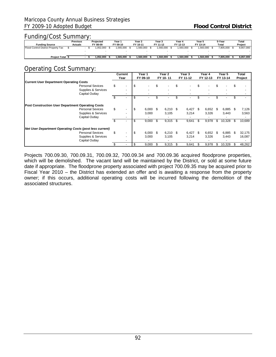# Funding/Cost Summary:

|                                     | <b>Previous</b> | Projected | Year⊹    |  |           | Year 3 |           | Year 4 |          |  | Year 5   | 5-Year    | Total     |
|-------------------------------------|-----------------|-----------|----------|--|-----------|--------|-----------|--------|----------|--|----------|-----------|-----------|
| Fundina Source                      | <b>Actuals</b>  | FY 08-09  | FY 09-10 |  | FY 10-11  |        | FY 11-12  |        | FY 12-13 |  | FY 13-14 | Total     | Project   |
| Flood Control District Property Tax |                 | .052.000  | .565.000 |  | .560.000  |        | .560.000  |        | .560.000 |  | .560.000 | 7.805.000 | 8,857,000 |
|                                     |                 |           |          |  |           |        |           |        |          |  |          |           |           |
| <b>Project Total</b>                |                 | 1.052.000 | .565.000 |  | 1.560.000 |        | 1.560.000 |        | .560.000 |  | .560.000 | 7.805.000 | 8.857.000 |

# Operating Cost Summary:

|                                                          | Current<br>Year                |     | Year 1<br>FY 09-10 |      | Year 2<br>FY 10-11 |   | Year 3<br>FY 11-12 |     | Year 4<br>FY 12-13 |      | Year 5<br>FY 13-14 |     | <b>Total</b><br>Project |
|----------------------------------------------------------|--------------------------------|-----|--------------------|------|--------------------|---|--------------------|-----|--------------------|------|--------------------|-----|-------------------------|
| <b>Current User Department Operating Costs</b>           |                                |     |                    |      |                    |   |                    |     |                    |      |                    |     |                         |
| <b>Personal Sevices</b>                                  | \$<br>$\overline{a}$           | \$  |                    | \$   |                    | S |                    |     |                    |      |                    |     |                         |
| Supplies & Services                                      | $\overline{\phantom{0}}$       |     |                    |      |                    |   |                    |     |                    |      |                    |     |                         |
| Capital Outlay                                           |                                |     |                    |      |                    |   |                    |     |                    |      |                    |     |                         |
|                                                          |                                | \$  |                    | \$   |                    |   |                    |     |                    |      |                    |     |                         |
| <b>Post Construction User Department Operating Costs</b> |                                |     |                    |      |                    |   |                    |     |                    |      |                    |     |                         |
| <b>Personal Sevices</b>                                  | \$<br>$\overline{\phantom{0}}$ | \$  | 6,000              | - \$ | $6,210$ \$         |   | 6,427              | \$  | 6,652              | \$   | 6,885              | -S  | 7,126                   |
| Supplies & Services                                      |                                |     | 3,000              |      | 3,105              |   | 3,214              |     | 3,326              |      | 3,443              |     | 3,563                   |
| Capital Outlay                                           |                                |     |                    |      |                    |   |                    |     |                    |      |                    |     |                         |
|                                                          |                                | \$  | 9,000              |      | 9,315              |   | 9,641              | \$  | 9,978              | \$   | 10,328             |     | 10,689                  |
| Net User Department Operating Costs (post less current)  |                                |     |                    |      |                    |   |                    |     |                    |      |                    |     |                         |
| <b>Personal Sevices</b>                                  | \$<br>$\overline{a}$           | -\$ | $6,000$ \$         |      | $6,210$ \$         |   | 6,427              | \$. | 6,652              | - \$ | 6,885              | \$. | 32,175                  |
| Supplies & Services                                      |                                |     | 3,000              |      | 3,105              |   | 3,214              |     | 3,326              |      | 3,443              |     | 16,087                  |
| Capital Outlay                                           |                                |     |                    |      |                    |   |                    |     |                    |      |                    |     |                         |
|                                                          |                                | \$  | 9,000              |      | 9,315              |   | 9,641              | \$. | 9,978              | \$   | 10,328             |     | 48,262                  |

Projects 700.09.30, 700.09.31, 700.09.32, 700.09.34 and 700.09.36 acquired floodprone properties, which will be demolished. The vacant land will be maintained by the District, or sold at some future date if appropriate. The floodprone property associated with project 700.09.35 may be acquired prior to Fiscal Year 2010 – the District has extended an offer and is awaiting a response from the property owner; if this occurs, additional operating costs will be incurred following the demolition of the associated structures.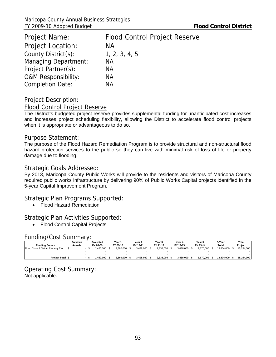| <b>Project Name:</b>           | <b>Flood Control Project Reserve</b> |
|--------------------------------|--------------------------------------|
| <b>Project Location:</b>       | NА                                   |
| County District(s):            | 1, 2, 3, 4, 5                        |
| <b>Managing Department:</b>    | NА                                   |
| Project Partner(s):            | NА                                   |
| <b>O&amp;M Responsibility:</b> | NА                                   |
| <b>Completion Date:</b>        | ΝA                                   |

## Flood Control Project Reserve

The District's budgeted project reserve provides supplemental funding for unanticipated cost increases and increases project scheduling flexibility, allowing the District to accelerate flood control projects when it is appropriate or advantageous to do so.

## Purpose Statement:

The purpose of the Flood Hazard Remediation Program is to provide structural and non-structural flood hazard protection services to the public so they can live with minimal risk of loss of life or property damage due to flooding.

#### Strategic Goals Addressed:

By 2013, Maricopa County Public Works will provide to the residents and visitors of Maricopa County required public works infrastructure by delivering 90% of Public Works Capital projects identified in the 5-year Capital Improvement Program.

## Strategic Plan Programs Supported:

• Flood Hazard Remediation

## Strategic Plan Activities Supported:

• Flood Control Capital Projects

#### Funding/Cost Summary:

| Fundina Source                      | <b>Previous</b><br><b>Actuals</b> | Projected<br>FY 08-09 | FY 09-10 |           |  | Year 2<br>FY 10-11 | Year 3<br>FY 11-12 |           |  | Year 4<br>FY 12-13 | Year 5<br>FY 13-14 | 5-Year<br>Total |            |  | Total<br>Project |
|-------------------------------------|-----------------------------------|-----------------------|----------|-----------|--|--------------------|--------------------|-----------|--|--------------------|--------------------|-----------------|------------|--|------------------|
| Flood Control District Property Tax |                                   | .450.000              |          | 2.860.000 |  | 3.498.000          |                    | 2.338.000 |  | 3.438.000          | .670.000           |                 | 13.804.000 |  | 15,254,000       |
|                                     |                                   |                       |          |           |  |                    |                    |           |  |                    |                    |                 |            |  |                  |
| <b>Project Total</b>                |                                   | .450.000              |          | 2.860.000 |  | 3.498.000          |                    | 2.338.000 |  | 3.438.000          | .670.000           |                 | 13.804.000 |  | 15.254.000       |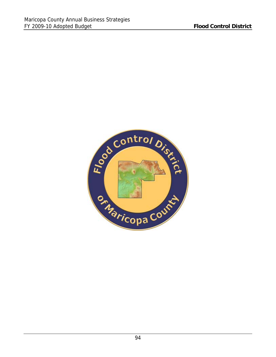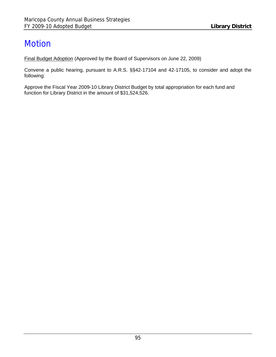# **Motion**

Final Budget Adoption (Approved by the Board of Supervisors on June 22, 2009)

Convene a public hearing, pursuant to A.R.S. §§42-17104 and 42-17105, to consider and adopt the following:

Approve the Fiscal Year 2009-10 Library District Budget by total appropriation for each fund and function for Library District in the amount of \$31,524,526.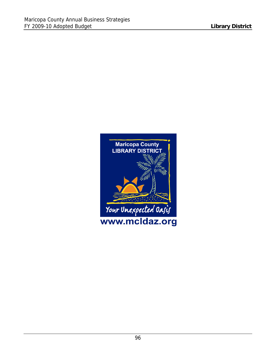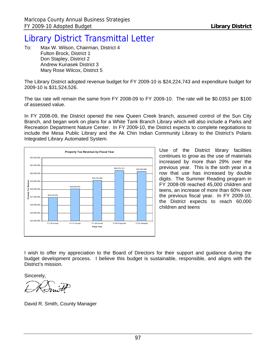# Library District Transmittal Letter

To: Max W. Wilson, Chairman, District 4 Fulton Brock, District 1 Don Stapley, District 2 Andrew Kunasek District 3 Mary Rose Wilcox, District 5

The Library District adopted revenue budget for FY 2009-10 is \$24,224,743 and expenditure budget for 2009-10 is \$31,524,526.

The tax rate will remain the same from FY 2008-09 to FY 2009-10. The rate will be \$0.0353 per \$100 of assessed value.

In FY 2008-09, the District opened the new Queen Creek branch, assumed control of the Sun City Branch, and began work on plans for a White Tank Branch Library which will also include a Parks and Recreation Department Nature Center. In FY 2009-10, the District expects to complete negotiations to include the Mesa Public Library and the Ak Chin Indian Community Library to the District's Polaris Integrated Library Automated System.



Use of the District library facilities continues to grow as the use of materials increased by more than 29% over the previous year. This is the sixth year in a row that use has increased by double digits. The Summer Reading program in FY 2008-09 reached 45,000 children and teens, an increase of more than 60% over the previous fiscal year. In FY 2009-10, the District expects to reach 60,000 children and teens

I wish to offer my appreciation to the Board of Directors for their support and guidance during the budget development process. I believe this budget is sustainable, responsible, and aligns with the District's mission.

Sincerely,

David R. Smith, County Manager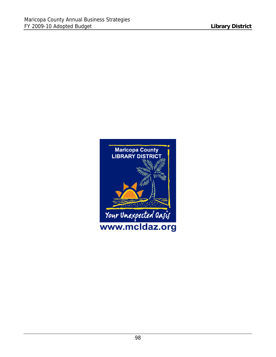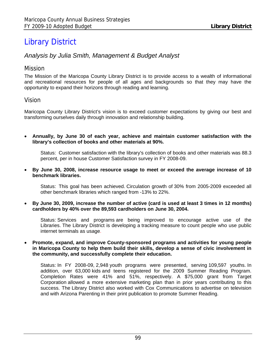# Library District

# *Analysis by Julia Smith, Management & Budget Analyst*

## Mission

The Mission of the Maricopa County Library District is to provide access to a wealth of informational and recreational resources for people of all ages and backgrounds so that they may have the opportunity to expand their horizons through reading and learning.

# Vision

Maricopa County Library District's vision is to exceed customer expectations by giving our best and transforming ourselves daily through innovation and relationship building.

• **Annually, by June 30 of each year, achieve and maintain customer satisfaction with the library's collection of books and other materials at 90%.** 

Status: Customer satisfaction with the library's collection of books and other materials was 88.3 percent, per in house Customer Satisfaction survey in FY 2008-09.

• **By June 30, 2008, increase resource usage to meet or exceed the average increase of 10 benchmark libraries.** 

Status: This goal has been achieved. Circulation growth of 30% from 2005-2009 exceeded all other benchmark libraries which ranged from -13% to 22%.

• **By June 30, 2009, increase the number of active (card is used at least 3 times in 12 months) cardholders by 40% over the 89,593 cardholders on June 30, 2004.** 

Status: Services and programs are being improved to encourage active use of the Libraries. The Library District is developing a tracking measure to count people who use public internet terminals as usage.

• **Promote, expand, and improve County-sponsored programs and activities for young people in Maricopa County to help them build their skills, develop a sense of civic involvement in the community, and successfully complete their education.** 

Status: In FY 2008-09, 2,948 youth programs were presented, serving 109,597 youths. In addition, over 63,000 kids and teens registered for the 2009 Summer Reading Program. Completion Rates were 41% and 51%, respectively. A \$75,000 grant from Target Corporation allowed a more extensive marketing plan than in prior years contributing to this success. The Library District also worked with Cox Communications to advertise on television and with Arizona Parenting in their print publication to promote Summer Reading.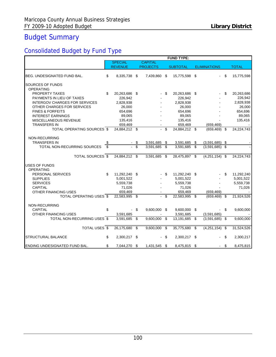# Budget Summary

# Consolidated Budget by Fund Type

|                                                                   |                     |                          |      | <b>FUND TYPE:</b> |                        |                                        |                      |
|-------------------------------------------------------------------|---------------------|--------------------------|------|-------------------|------------------------|----------------------------------------|----------------------|
|                                                                   | <b>SPECIAL</b>      | <b>CAPITAL</b>           |      |                   |                        |                                        |                      |
|                                                                   | <b>REVENUE</b>      | <b>PROJECTS</b>          |      | <b>SUBTOTAL</b>   | <b>ELIMINATIONS</b>    |                                        | <b>TOTAL</b>         |
| BEG. UNDESIGNATED FUND BAL.                                       | \$<br>8,335,738 \$  | 7,439,860 \$             |      | 15,775,598        | \$                     | \$                                     | 15,775,598           |
| SOURCES OF FUNDS                                                  |                     |                          |      |                   |                        |                                        |                      |
| <b>OPERATING</b>                                                  |                     |                          |      |                   |                        |                                        |                      |
| <b>PROPERTY TAXES</b>                                             | \$<br>20,263,686 \$ |                          | \$   | 20,263,686 \$     |                        | \$                                     | 20,263,686           |
| PAYMENTS IN LIEU OF TAXES<br><b>INTERGOV CHARGES FOR SERVICES</b> | 226.942             |                          |      | 226,942           |                        |                                        | 226,942<br>2,828,938 |
| OTHER CHARGES FOR SERVICES                                        | 2,828,938           |                          |      | 2,828,938         |                        |                                        | 26,000               |
| <b>FINES &amp; FORFEITS</b>                                       | 26,000<br>654,696   |                          |      | 26,000<br>654,696 |                        |                                        | 654,696              |
| <b>INTEREST EARNINGS</b>                                          | 89,065              |                          |      | 89,065            |                        |                                        | 89,065               |
| MISCELLANEOUS REVENUE                                             | 135,416             |                          |      | 135,416           |                        |                                        | 135,416              |
| <b>TRANSFERS IN</b>                                               | 659,469             |                          |      | 659,469           | (659, 469)             |                                        |                      |
| TOTAL OPERATING SOURCES \$                                        | 24,884,212 \$       | $\overline{\phantom{0}}$ | \$   | 24,884,212 \$     | (659, 469)             | - \$                                   | 24,224,743           |
|                                                                   |                     |                          |      |                   |                        |                                        |                      |
| NON-RECURRING                                                     |                     |                          |      |                   |                        |                                        |                      |
| <b>TRANSFERS IN</b>                                               |                     | \$<br>3,591,685 \$       |      | 3,591,685         | \$<br>$(3,591,685)$ \$ |                                        |                      |
| <b>TOTAL NON-RECURRING SOURCES</b>                                | \$                  | \$<br>3,591,685          | \$   | 3,591,685         | \$<br>(3,591,685)      | $\overline{\boldsymbol{\mathfrak{s}}}$ |                      |
|                                                                   |                     |                          |      |                   |                        |                                        |                      |
| <b>TOTAL SOURCES</b> \$                                           | 24,884,212 \$       | 3,591,685                | -\$  | 28,475,897 \$     | $(4,251,154)$ \$       |                                        | 24,224,743           |
| USES OF FUNDS                                                     |                     |                          |      |                   |                        |                                        |                      |
| <b>OPERATING</b>                                                  |                     |                          |      |                   |                        |                                        |                      |
| PERSONAL SERVICES                                                 | \$<br>11,292,240    | \$                       | \$   | 11,292,240 \$     |                        | \$                                     | 11,292,240           |
| <b>SUPPLIES</b>                                                   | 5,001,522           |                          |      | 5,001,522         |                        |                                        | 5,001,522            |
| <b>SERVICES</b>                                                   | 5,559,738           |                          |      | 5,559,738         |                        |                                        | 5,559,738            |
| <b>CAPITAL</b>                                                    | 71,026              |                          |      | 71,026            |                        |                                        | 71,026               |
| OTHER FINANCING USES                                              | 659,469             |                          |      | 659,469           | (659, 469)             |                                        |                      |
| TOTAL OPERATING USES \$                                           | 22,583,995          | \$<br>$\mathbf{r}$       | \$   | 22,583,995 \$     | (659, 469)             | - \$                                   | 21,924,526           |
|                                                                   |                     |                          |      |                   |                        |                                        |                      |
| NON-RECURRING                                                     |                     |                          |      |                   |                        |                                        |                      |
| <b>CAPITAL</b>                                                    | \$                  | \$<br>9,600,000 \$       |      | 9,600,000 \$      |                        | \$                                     | 9,600,000            |
| <b>OTHER FINANCING USES</b>                                       | 3,591,685           |                          |      | 3,591,685         | (3,591,685)            |                                        |                      |
| TOTAL NON-RECURRING USES \$                                       | 3,591,685           | \$<br>9,600,000          | \$   | 13,191,685        | \$<br>(3,591,685)      | \$                                     | 9,600,000            |
| <b>TOTAL USES \$</b>                                              | 26,175,680          | \$<br>$9,600,000$ \$     |      | 35,775,680        | \$<br>$(4,251,154)$ \$ |                                        | 31,524,526           |
| <b>STRUCTURAL BALANCE</b>                                         | \$<br>2,300,217 \$  |                          | - \$ | 2,300,217 \$      |                        | \$                                     | 2,300,217            |
| ENDING UNDESIGNATED FUND BAL.                                     | \$<br>7,044,270 \$  | 1,431,545 \$             |      | 8,475,815 \$      |                        | - \$                                   | 8,475,815            |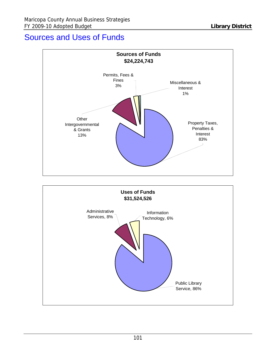# Sources and Uses of Funds



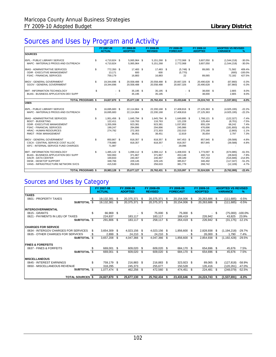# Sources and Uses by Program and Activity

|                                                                                                                                                                                                       |    | FY 2007-08<br><b>ACTUAL</b>                                |      | FY 2008-09<br><b>ADOPTED</b>                                       | FY 2008-09<br><b>REVISED</b>                                       | FY 2008-09<br><b>FORECAST</b>                                        |      | FY 2009-10<br><b>ADOPTED</b>                                       | <b>ADOPTED VS REVISED</b><br><b>VARIANCE</b>                      | $\%$                                                      |
|-------------------------------------------------------------------------------------------------------------------------------------------------------------------------------------------------------|----|------------------------------------------------------------|------|--------------------------------------------------------------------|--------------------------------------------------------------------|----------------------------------------------------------------------|------|--------------------------------------------------------------------|-------------------------------------------------------------------|-----------------------------------------------------------|
| <b>SOURCES</b>                                                                                                                                                                                        |    |                                                            |      |                                                                    |                                                                    |                                                                      |      |                                                                    |                                                                   |                                                           |
| 65PL - PUBLIC LIBRARY SERVICE<br>MAPC - MATERIALS PROGS AND OUTREACH                                                                                                                                  | \$ | 4.710.824 \$<br>4.710.824                                  |      | 5.065.964 \$<br>5.065.964                                          | 5.151.268 \$<br>5.151.268                                          | 2,772,068 \$<br>2,772,068                                            |      | 3.607.050 \$<br>3,607,050                                          | (1,544,218)<br>(1,544,218)                                        | $-30.0%$<br>$-30.0%$                                      |
| 99AS - ADMINISTRATIVE SERVICES<br><b>ODIR - EXECUTIVE MANAGEMENT</b><br><b>FSAC - FINANCIAL SERVICES</b>                                                                                              | S  | 772.350 \$<br>13,171<br>759,179                            |      | 17,483 \$<br>600<br>16,883                                         | 17,483 \$<br>600<br>16,883                                         | $(5,748)$ \$<br>(5,770)<br>22                                        |      | 89,065 \$<br>89,065                                                | 71,582<br>(600)<br>72,182                                         | 409.4%<br>$-100.0%$<br>427.5%                             |
| 99GV - GENERAL GOVERNMENT<br><b>GGOV - GENERAL GOVERNMENT</b>                                                                                                                                         | S  | 19.344.696 \$<br>19,344,696                                |      | 20.558.488 \$<br>20,558,488                                        | 20.558.488 \$<br>20,558,488                                        | 20,667,326 \$<br>20,667,326                                          |      | 20,490,628 \$<br>20,490,628                                        | (67.860)<br>(67, 860)                                             | $-0.3%$<br>$-0.3%$                                        |
| 99IT - INFORMATION TECHNOLOGY<br><b>BUAS - BUSINESS APPLICATION DEV SUPP</b>                                                                                                                          | S  |                                                            | $-5$ | 35.195 \$<br>35,195                                                | 35.195 \$<br>35,195                                                |                                                                      | $-5$ | 38,000 \$<br>38,000                                                | 2.805<br>2.805                                                    | 8.0%<br>8.0%                                              |
| <b>TOTAL PROGRAMS \$</b>                                                                                                                                                                              |    | 24,827,870 \$                                              |      | 25,677,130 \$                                                      | 25,762,434 \$                                                      | 23,433,646 \$                                                        |      | 24,224,743 \$                                                      | (1,537,691)                                                       | $-6.0%$                                                   |
| <b>USES</b>                                                                                                                                                                                           |    |                                                            |      |                                                                    |                                                                    |                                                                      |      |                                                                    |                                                                   |                                                           |
| 65PL - PUBLIC LIBRARY SERVICE<br>MAPC - MATERIALS PROGS AND OUTREACH                                                                                                                                  | \$ | 16.695.683 \$<br>16.695.683                                |      | 22.114.864 \$<br>22.114.864                                        | 22.200.168 \$<br>22.200.168                                        | 17.408.816 \$<br>17.408.816                                          |      | 27.125.363 \$<br>27.125.363                                        | (4,925,195)<br>(4,925,195)                                        | $-22.2%$<br>$-22.2%$                                      |
| 99AS - ADMINISTRATIVE SERVICES<br><b>BDGT - BUDGETING</b><br><b>ODIR - EXECUTIVE MANAGEMENT</b><br><b>FSAC - FINANCIAL SERVICES</b><br><b>HRAC - HUMAN RESOURCES</b><br><b>RMGT - RISK MANAGEMENT</b> | \$ | 1,951,456 \$<br>122,411<br>1,355,006<br>199,247<br>274,792 |      | 1,645,794 \$<br>116,763<br>923,381<br>294,896<br>272,303<br>38,451 | 1,645,794 \$<br>116,763<br>923.381<br>294,896<br>272.303<br>38,451 | 1,649,895 \$<br>121,228<br>1,037,852<br>245,986<br>232,010<br>12,819 |      | 1,768,121 \$<br>125,464<br>855.139<br>476,696<br>275,168<br>35,654 | (122, 327)<br>(8,701)<br>68,242<br>(181, 800)<br>(2,865)<br>2.797 | $-7.4%$<br>$-7.5%$<br>7.4%<br>$-61.6%$<br>$-1.1%$<br>7.3% |
| 99GV - GENERAL GOVERNMENT<br>CSCA - CENTRAL SERVICE COST ALLOC<br>ISFC - INTERNAL SERVICE FUND CHARGES                                                                                                | S  | 850.867 \$<br>778,880<br>71.987                            |      | 818.357 \$<br>818,357                                              | 818.357 \$<br>818,357                                              | 847,453 \$<br>818,357<br>29.096                                      |      | 857.945 \$<br>857.945                                              | (39.588)<br>(39, 588)                                             | $-4.8%$<br>$-4.8%$                                        |
| 99IT - INFORMATION TECHNOLOGY<br>BUAS - BUSINESS APPLICATION DEV SUPP<br>DACR - DATA CENTER<br><b>DESK - DESKTOP SUPPORT</b><br>VANS - INFRASTRUCTURE NETWORK SVCS                                    | S  | 1.485.122 \$<br>550.993<br>169,833<br>348,766<br>415,530   |      | 1.098.112 \$<br>371,867<br>240,467<br>229,145<br>256,633           | 1.098.112 \$<br>371.867<br>240,467<br>229,145<br>256,633           | 1,408,933 \$<br>453.148<br>188,189<br>385,817<br>381.779             |      | 1,773,097 \$<br>400.710<br>757,153<br>346,492<br>268,742           | (674, 985)<br>(28, 843)<br>(516, 686)<br>(117, 347)<br>(12, 109)  | $-61.5%$<br>$-7.8%$<br>$-214.9%$<br>$-51.2%$<br>$-4.7%$   |
| <b>TOTAL PROGRAMS \$</b>                                                                                                                                                                              |    | 20,983,128 \$                                              |      | 25,677,127 \$                                                      | 25,762,431 \$                                                      | 21,315,097 \$                                                        |      | 31,524,526 \$                                                      | (5.762.095)                                                       | $-22.4%$                                                  |

# Sources and Uses by Category

|                                      |    | FY 2007-08    |      | FY 2008-09     |          | FY 2008-09     |      | FY 2008-09      |     | FY 2009-10     |      | <b>ADOPTED VS REVISED</b> |            |
|--------------------------------------|----|---------------|------|----------------|----------|----------------|------|-----------------|-----|----------------|------|---------------------------|------------|
|                                      |    | <b>ACTUAL</b> |      | <b>ADOPTED</b> |          | <b>REVISED</b> |      | <b>FORECAST</b> |     | <b>ADOPTED</b> |      | <b>VARIANCE</b>           | %          |
| <b>TAXES</b>                         |    |               |      |                |          |                |      |                 |     |                |      |                           |            |
| 0601 - PROPERTY TAXES                | S  | 19,132,381    | Ŝ.   | 20,375,371     | S        | 20,375,371     | S    | 20,154,006      | S   | 20,263,686     | S    | (111,685)                 | $-0.5%$    |
| SUBTOTAL \$                          |    | 19,132,381    | -S   | 20,375,371     | \$       | 20,375,371     | -S   | 20,154,006      | \$. | 20,263,686     | \$   | (111, 685)                | $-0.5%$    |
| <b>INTERGOVERNMENTAL</b>             |    |               |      |                |          |                |      |                 |     |                |      |                           |            |
| 0615 - GRANTS                        | \$ | 66,969 \$     |      |                | - \$     | 75,000 \$      |      | 75,000 \$       |     |                | - \$ | (75,000)                  | $-100.0\%$ |
| 0621 - PAYMENTS IN LIEU OF TAXES     |    | 224,837       |      | 183,117        |          | 183,117        |      | 189,419         |     | 226,942        |      | 43,825                    | 23.9%      |
| SUBTOTAL \$                          |    | 291,806 \$    |      | 183,117 \$     |          | 258,117 \$     |      | 264,419         | \$. | 226,942        | \$.  | (31, 175)                 | $-12.1%$   |
| <b>ICHARGES FOR SERVICE</b>          |    |               |      |                |          |                |      |                 |     |                |      |                           |            |
| 0634 - INTERGOV CHARGES FOR SERVICES | S  | 3,654,309     | - \$ | 4,023,156 \$   |          | 4,023,156 \$   |      | 1,856,600 \$    |     | 2,828,938      | -SS  | (1, 194, 218)             | $-29.7%$   |
| 0635 - OTHER CHARGES FOR SERVICES    |    | 2,899         | Ŝ.   | 24,210         | \$       | 24,210         | \$.  |                 | S   | 26,000         | \$.  | 1.790                     | 7.4%       |
| SUBTOTAL \$                          |    | 3,657,208     | - \$ | 4,047,366      | <b>S</b> | 4,047,366      | S.   | 1,856,600       | \$. | 2,854,938      | \$   | (1, 192, 428)             | $-29.5%$   |
| <b>FINES &amp; FOREFEITS</b>         |    |               |      |                |          |                |      |                 |     |                |      |                           |            |
| 0637 - FINES & FORFEITS              |    | 669,001 \$    |      | 609,020 \$     |          | 609,020 \$     |      | 684,170 \$      |     | 654,696        | \$.  | 45,676                    | 7.5%       |
| SUBTOTAL \$                          |    | 669,001       | -S   | 609,020 \$     |          | 609,020 \$     |      | 684,170         | \$. | 654,696        | \$.  | 45,676                    | 7.5%       |
| <b>MISCELLANEOUS</b>                 |    |               |      |                |          |                |      |                 |     |                |      |                           |            |
| 0645 - INTEREST EARNINGS             | \$ | 759,179 \$    |      | 216,883 \$     |          | 216,883 \$     |      | 323,923 \$      |     | 89,065         | -S   | (127, 818)                | $-58.9%$   |
| 0650 - MISCELLANEOUS REVENUE         |    | 318,295       |      | 245,373        |          | 255,677        |      | 150,528         |     | 135,416        |      | (120, 261)                | $-47.0%$   |
| SUBTOTAL \$                          |    | 1,077,474 \$  |      | 462,256 \$     |          | 472,560 \$     |      | 474,451 \$      |     | 224,481        | \$.  | (248, 079)                | $-52.5%$   |
| <b>TOTAL SOURCES \$</b>              |    | 24,827,870 \$ |      | 25,677,130     | - \$     | 25,762,434     | - 55 | 23,433,646      | s.  | 24,224,743     | S    | (1,537,691)               | $-6.0%$    |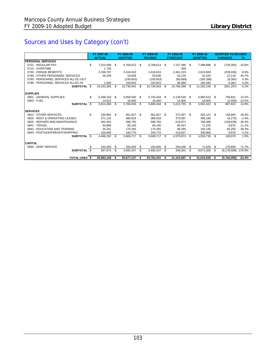# Sources and Uses by Category (con't)

|                                       | FY 2007-08<br><b>ACTUAL</b> | FY 2008-09<br><b>ADOPTED</b> |            |          | FY 2008-09<br><b>REVISED</b> |         | FY 2008-09<br><b>FORECAST</b> |            | FY 2009-10<br><b>ADOPTED</b> |      | <b>ADOPTED VS REVISED</b><br><b>VARIANCE</b> | $\%$     |
|---------------------------------------|-----------------------------|------------------------------|------------|----------|------------------------------|---------|-------------------------------|------------|------------------------------|------|----------------------------------------------|----------|
| <b>PERSONAL SERVICES</b>              |                             |                              |            |          |                              |         |                               |            |                              |      |                                              |          |
| 0701 - REGULAR PAY                    | 7,015,568 \$                |                              | 6,769,613  | \$.      | 6,769,613                    | -SS     | 7,157,390                     | - \$       | 7,498,996 \$                 |      | (729, 383)                                   | $-10.8%$ |
| 0710 - OVERTIME                       | 1.735                       |                              |            |          |                              |         | 358                           |            |                              |      |                                              |          |
| 0750 - FRINGE BENEFITS                | 2,338,797                   |                              | 2,416,633  |          | 2,416,633                    |         | 2,461,319                     |            | 2,624,669                    |      | (208, 036)                                   | $-8.6%$  |
| 0790 - OTHER PERSONNEL SERVICES       | 26,209                      |                              | 54,638     |          | 54.638                       |         | 53,226                        |            | 32,420                       |      | 22,218                                       | 40.7%    |
| 0795 - PERSONNEL SERVICES ALLOC-OUT   |                             |                              | (193, 653) |          | (193, 653)                   |         | (80, 689)                     |            | (185, 288)                   |      | (8,365)                                      | 4.3%     |
| 0796 - PERSONNEL SERVICES ALLOC-IN    | 1.500                       |                              | 193.653    |          | 193,653                      |         | 80,689                        |            | 185.290                      |      | 8,363                                        | 4.3%     |
| SUBTOTAL \$                           | 10,333,305                  | S                            | 10,730,943 | \$       | 10,730,943                   | S       | 10,766,369                    | - \$       | 11,292,240                   | - \$ | (561, 297)                                   | $-5.2%$  |
|                                       |                             |                              |            |          |                              |         |                               |            |                              |      |                                              |          |
| <b>SUPPLIES</b>                       |                             |                              |            |          |                              |         |                               |            |                              |      |                                              |          |
| 0801 - GENERAL SUPPLIES               | 5.268.343                   | - \$                         | 5.658.040  | \$.      | 5.743.344                    | \$.     | 5.138.530 \$                  |            | 4.983.522 \$                 |      | 759.822                                      | 13.2%    |
| 0803 - FUEL                           | 14.622                      |                              | 16.000     |          | 16,000                       |         | 14,900                        |            | 18,000                       |      | (2,000)                                      | $-12.5%$ |
| SUBTOTAL \$                           | 5,614,458                   | \$                           | 5.784.040  | \$       | 5,869,344                    | S       | 5,222,755                     | -S         | 5.001.522                    | \$.  | 867.822                                      | 14.8%    |
|                                       |                             |                              |            |          |                              |         |                               |            |                              |      |                                              |          |
| <b>SERVICES</b>                       |                             |                              |            |          |                              |         |                               |            |                              |      |                                              |          |
| 0812 - OTHER SERVICES                 | \$<br>320.962 \$            |                              | 561,927 \$ |          | 561.927 \$                   |         | 373.457 \$                    |            | 403.122 \$                   |      | 158.805                                      | 28.3%    |
| 0820 - RENT & OPERATING LEASES        | 371.116                     |                              | 386.918    |          | 386.918                      |         | 373.097                       |            | 396.188                      |      | (9,270)                                      | $-2.4%$  |
| 0825 - REPAIRS AND MAINTENANCE        | 462.453                     |                              | 598.750    |          | 598.750                      |         | 616.971                       |            | 768.389                      |      | (169, 639)                                   | $-28.3%$ |
| 0841 - TRAVEL                         | 94.808                      |                              | 80.100     |          | 80.100                       |         | 66.037                        |            | 71.225                       |      | 8.875                                        | 11.1%    |
| 0842 - EDUCATION AND TRAINING         | 35.201                      |                              | 170.345    |          | 170.345                      |         | 98.265                        |            | 105.145                      |      | 65.200                                       | 38.3%    |
| 0843 - POSTAGE/FREIGHT/SHIPPING       | 229,406                     |                              | 240.770    |          | 240.770                      |         | 218.027                       |            | 230.800                      |      | 9.970                                        | 4.1%     |
| SUBTOTAL \$                           | 4,468,292                   | S                            | 5,669,717  | \$       | 5,669,717                    | -S      | 4,979,972 \$                  |            | 5,559,738                    | \$   | 109.979                                      | 1.9%     |
|                                       |                             |                              |            |          |                              |         |                               |            |                              |      |                                              |          |
| <b>CAPITAL</b><br>0950 - DEBT SERVICE | 434.283                     |                              | 250.835    |          | 250.835                      |         | 293.046                       |            | 71.026                       | - \$ | 179.809                                      | 71.7%    |
| SUBTOTAL \$                           | 567.073                     | - \$<br>\$                   | 3.492.427  | \$<br>\$ |                              | S.<br>S |                               | - \$<br>Ŝ. |                              | -S   |                                              |          |
|                                       |                             |                              |            |          | 3,492,427                    |         | 346,001                       |            | 9,671,026                    |      | (6,178,599) -176.9%                          |          |
| <b>TOTAL USES \$</b>                  | 20,983,128                  |                              | 25,677,127 | \$       | 25,762,431                   | s       | 21,315,097                    | - 56       | 31.524.526                   | S    | (5,762,095)                                  | $-22.4%$ |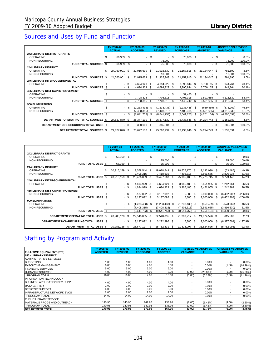# Sources and Uses by Fund and Function

|                                         |                                        | FY 2007-08 |               | FY 2008-09 |                          |        | FY 2008-09       |      | FY 2008-09       |      | FY 2009-10      |      | <b>ADOPTED VS REVISED</b> |        |  |
|-----------------------------------------|----------------------------------------|------------|---------------|------------|--------------------------|--------|------------------|------|------------------|------|-----------------|------|---------------------------|--------|--|
|                                         |                                        |            | <b>ACTUAL</b> |            | <b>ADOPTED</b>           |        | <b>REVISED</b>   |      | <b>FORECAST</b>  |      | <b>ADOPTED</b>  |      | <b>VARIANCE</b>           | %      |  |
| <b>242 LIBRARY DISTRICT GRANTS</b>      |                                        |            |               |            |                          |        |                  |      |                  |      |                 |      |                           |        |  |
| OPERATING                               |                                        | \$.        | 66,969        | \$         | $\overline{\phantom{a}}$ | -S     | ۰                | \$   | 75,000 \$        |      |                 | \$   |                           | 0.0%   |  |
| NON-RECURRING                           |                                        |            |               |            |                          |        | 75,000           |      |                  |      |                 |      | 75,000                    | 100.0% |  |
|                                         | <b>FUND TOTAL SOURCES \$</b>           |            | 66,969        | \$         |                          | $-$ \$ | 75,000           | \$   | 75,000           | \$.  |                 | - \$ | 75,000                    | 100.0% |  |
| <b>244 LIBRARY DISTRICT</b>             |                                        |            |               |            |                          |        |                  |      |                  |      |                 |      |                           |        |  |
| <b>OPERATING</b>                        |                                        | \$.        | 24,760,901 \$ |            | 21,915,639               | - \$   | 21,915,639 \$    |      | 21.157.815 \$    |      | 21.134.047 \$   |      | 781.592                   | 3.6%   |  |
| NON-RECURRING                           |                                        |            |               |            |                          |        | 10,304           |      |                  |      |                 |      | 10,304                    | 100.0% |  |
|                                         | <b>FUND TOTAL SOURCES \$</b>           |            | 24,760,901    |            | 21,915,639               | - \$   | 21,925,943       |      | 21,157,815       | \$.  | 21,134,047      | - \$ | 791,896                   | 3.6%   |  |
| <b>246 LIBRARY INTERGOVERNMENTAL</b>    |                                        |            |               |            |                          |        |                  |      |                  |      |                 |      |                           |        |  |
| <b>OPERATING</b>                        |                                        |            |               | - \$       | 4,694,929                | - \$   | 4,694,929        | - \$ | 3,396,844        | - \$ | 3,750,165 \$    |      | 944,764                   | 20.1%  |  |
|                                         | <b>FUND TOTAL SOURCES</b>              | \$.        |               | \$         | 4,694,929                | -S     | 4,694,929        | \$.  | 3,396,844        | \$.  | 3,750,165       | -S   | 944,764                   | 20.1%  |  |
| <b>465 LIBRARY DIST CAP IMPROVEMENT</b> |                                        |            |               |            |                          |        |                  |      |                  |      |                 |      |                           |        |  |
| <b>OPERATING</b>                        |                                        | \$         | $\sim$        | \$         |                          | -S     |                  | - \$ | 37,425 \$        |      |                 | \$   |                           |        |  |
| NON-RECURRING                           |                                        |            |               |            | 7,708,315                |        | 7,708,315        |      | 7,408,315        |      | 3,591,685       |      | 4,116,630                 | 53.4%  |  |
|                                         | <b>FUND TOTAL SOURCES \$</b>           |            |               | - \$       | 7,708,315                | - \$   | 7,708,315 \$     |      | 7,445,740        |      | 3,591,685       | -S   | 4,116,630                 | 53.4%  |  |
| <b>900 ELIMINATIONS</b>                 |                                        |            |               |            |                          |        |                  |      |                  |      |                 |      |                           |        |  |
| <b>OPERATING</b>                        |                                        | \$         |               | - \$       | $(1,233,438)$ \$         |        | $(1,233,438)$ \$ |      | $(1,233,438)$ \$ |      | $(659, 469)$ \$ |      | (573,969)                 | 46.5%  |  |
| NON-RECURRING                           |                                        |            |               |            | (7,408,315)              |        | (7,408,315)      |      | (7,408,315)      |      | (3,591,685)     |      | (3,816,630)               | 51.5%  |  |
|                                         | <b>FUND TOTAL SOURCES \$</b>           |            |               | \$         | (8,641,753)              |        | (8,641,753)      | - \$ | (8,641,753)      |      | (4, 251, 154)   | S    | (4,390,599)               | 50.8%  |  |
|                                         | DEPARTMENT OPERATING TOTAL SOURCES \$  |            | 24,827,870 \$ |            | 25,377,130               | - \$   | 25,377,130       | - 95 | 23,433,646       | -SS  | 24,224,743      | - \$ | 1,152,387                 | 4.5%   |  |
|                                         | DEPARTMENT NON-RECURRING TOTAL USES \$ |            |               | - \$       | 300,000 \$               |        | 385,304          | - \$ | $\sim$           | \$   | - \$            |      | 385,304                   | 100.0% |  |
|                                         | DEPARTMENT TOTAL SOURCES \$            |            | 24.827.870    | - \$       | 25.677.130               | - \$   | 25,762,434       | - \$ | 23.433.646       | \$.  | 24.224.743      | - \$ | 1.537.691                 | 6.0%   |  |

|                                         |                                    | FY 2007-08 |                | FY 2008-09 |                          | FY 2008-09 |                  | FY 2008-09 |                          | FY 2009-10     |                 | <b>ADOPTED VS REVISED</b> |             |           |
|-----------------------------------------|------------------------------------|------------|----------------|------------|--------------------------|------------|------------------|------------|--------------------------|----------------|-----------------|---------------------------|-------------|-----------|
|                                         |                                    |            | <b>ACTUAL</b>  |            | <b>ADOPTED</b>           |            | <b>REVISED</b>   |            | <b>FORECAST</b>          | <b>ADOPTED</b> |                 | <b>VARIANCE</b>           |             | $\%$      |
| <b>242 LIBRARY DISTRICT GRANTS</b>      |                                    |            |                |            |                          |            |                  |            |                          |                |                 |                           |             |           |
| <b>OPERATING</b>                        |                                    | \$         | 66,969 \$      |            | $\overline{\phantom{a}}$ | \$         | $\sim$           | - \$       | $\sim$                   | -\$            |                 | \$                        |             | 0.0%      |
| NON-RECURRING                           |                                    |            |                |            |                          |            | 75,000           |            |                          |                |                 |                           | 75,000      | 100.0%    |
|                                         | <b>FUND TOTAL USES \$</b>          |            | 66,969         | \$         |                          | \$         | 75,000           | - \$       | $\overline{\phantom{0}}$ | \$             | $\sim$          | -\$                       | 75,000      | 100.0%    |
| <b>244 LIBRARY DISTRICT</b>             |                                    |            |                |            |                          |            |                  |            |                          |                |                 |                           |             |           |
| <b>OPERATING</b>                        |                                    | \$         | 20,916,159 \$  |            | 19,078,544               | - \$       | 19,078,544 \$    |            | 18,577,170 \$            |                | 19,132,030      | \$                        | (53, 486)   | $-0.3%$   |
| NON-RECURRING                           |                                    |            |                |            | 7,408,315                |            | 7,418,619        |            | 7,408,315                |                | 3,591,685       |                           | 3,826,934   | 51.6%     |
|                                         | <b>FUND TOTAL USES \$</b>          |            | 20,916,159     |            | 26,486,859               | -S         | 26,497,163 \$    |            | 25,985,485               |                | 22,723,715      | \$.                       | 3,773,448   | 14.2%     |
| <b>246 LIBRARY INTERGOVERNMENTAL</b>    |                                    |            |                |            |                          |            |                  |            |                          |                |                 |                           |             |           |
| <b>OPERATING</b>                        |                                    | S          | - \$           |            | 4,694,929                | - \$       | 4,694,929 \$     |            | 3,965,485 \$             |                | 3,451,965 \$    |                           | 1,242,964   | 26.5%     |
|                                         | <b>FUND TOTAL USES \$</b>          |            |                | $-$ \$     | 4,694,929                | -S         | 4,694,929        | - \$       | 3,965,485 \$             |                | 3,451,965       | - \$                      | 1,242,964   | 26.5%     |
| <b>465 LIBRARY DIST CAP IMPROVEMENT</b> |                                    |            |                |            |                          |            |                  |            |                          |                |                 |                           |             |           |
| NON-RECURRING                           |                                    |            |                | - \$       | 3,137,092 \$             |            | 3,137,092 \$     |            | 5,880                    | S              | 9,600,000       | \$.                       | (6,462,908) | $-206.0%$ |
|                                         | <b>FUND TOTAL USES \$</b>          |            | $\overline{a}$ | \$         | 3,137,092                | \$         | 3,137,092 \$     |            | 5,880                    | \$.            | 9,600,000       | \$.                       | (6,462,908) | -206.0%   |
| <b>900 ELIMINATIONS</b>                 |                                    |            |                |            |                          |            |                  |            |                          |                |                 |                           |             |           |
| <b>OPERATING</b>                        |                                    | \$         |                | - \$       | $(1,233,438)$ \$         |            | $(1,233,438)$ \$ |            | $(1,233,438)$ \$         |                | $(659, 469)$ \$ |                           | (573,969)   | 46.5%     |
| NON-RECURRING                           |                                    |            |                |            | (7,408,315)              |            | (7,408,315)      |            | (7,408,315)              |                | (3,591,685)     |                           | (3,816,630) | 51.5%     |
|                                         | <b>FUND TOTAL USES \$</b>          |            | $\sim$         | \$.        | (8,641,753)              | - \$       | $(8,641,753)$ \$ |            | (8,641,753)              | \$.            | (4, 251, 154)   | -SS                       | (4,390,599) | 50.8%     |
|                                         | DEPARTMENT OPERATING TOTAL USES \$ |            | 20,983,128     | S          | 22,540,035               | - \$       | 22,540,035       | - \$       | 21,309,217               | - \$           | 21,924,526      | -S                        | 615,509     | 2.7%      |
| DEPARTMENT NON-RECURRING TOTAL USES \$  |                                    |            | - \$           |            | 3,137,092 \$             |            | 3,222,396 \$     |            | 5,880                    | - \$           | 9,600,000       | \$                        | (6,377,604) | $-197.9%$ |
|                                         | DEPARTMENT TOTAL USES \$           |            | 20,983,128     | - \$       | 25,677,127               | - \$       | 25,762,431       | - \$       | 21,315,097               | \$.            | 31,524,526      | \$.                       | (5,762,095) | $-22.4%$  |

# Staffing by Program and Activity

|                                      | FY 2008-09     | FY 2008-09     | FY 2008-09      | FY 2009-10     |                          | <b>REVISED VS ADOPTED</b> |                 | <b>FORECAST VS ADOPTED</b> |
|--------------------------------------|----------------|----------------|-----------------|----------------|--------------------------|---------------------------|-----------------|----------------------------|
| <b>FULL TIME EQUIVALENT (FTE)</b>    | <b>ADOPTED</b> | <b>REVISED</b> | <b>FORECAST</b> | <b>ADOPTED</b> | <b>VARIANCE</b>          | ℅                         | <b>VARIANCE</b> | $\%$                       |
| <b>650 - LIBRARY DISTRICT</b>        |                |                |                 |                |                          |                           |                 |                            |
| <b>ADMINISTRATIVE SERVICES</b>       |                |                |                 |                |                          |                           |                 |                            |
| <b>BUDGETING</b>                     | 1.00           | 1.00           | 1.00            | 1.00           | $\overline{\phantom{a}}$ | $0.00\%$                  |                 | 0.00%                      |
| <b>EXECUTIVE MANAGEMENT</b>          | 6.00           | 6.00           | 7.00            | 6.00           |                          | $0.00\%$                  | (1.00)          | (14.29%)                   |
| <b>FINANCIAL SERVICES</b>            | 5.00           | 5.00           | 5.00            | 5.00           |                          | $0.00\%$                  |                 | 0.00%                      |
| <b>HUMAN RESOURCES</b>               | 4.00           | 4.00           | 4.00            | 3.00           | (1.00)                   | $(25.00\%)$               | (1.00)          | $(25.00\%)$                |
| PROGRAM TOTAL                        | 16.00          | 16.00          | 17.00           | 15.00          | (1.00)                   | (6.25%)                   | (2.00)          | (11.76%)                   |
| <b>INFORMATION TECHNOLOGY</b>        |                |                |                 |                |                          |                           |                 |                            |
| <b>BUSINESS APPLICATION DEV SUPP</b> | 4.00           | 4.00           | 4.00            | 4.00           | $\sim$                   | $0.00\%$                  |                 | 0.00%                      |
| DATA CENTER                          | 2.00           | 2.00           | 2.00            | 2.00           | $\overline{\phantom{a}}$ | $0.00\%$                  |                 | 0.00%                      |
| <b>DESKTOP SUPPORT</b>               | 6.00           | 6.00           | 6.00            | 6.00           |                          | $0.00\%$                  |                 | 0.00%                      |
| <b>INFRASTRUCTURE NETWORK SVCS</b>   | 2.00           | 2.00           | 2.00            | 2.00           |                          | $0.00\%$                  |                 | 0.00%                      |
| <b>PROGRAM TOTAL</b>                 | 14.00          | 14.00          | 14.00           | 14.00          |                          | $0.00\%$                  |                 | 0.00%                      |
| <b>PUBLIC LIBRARY SERVICE</b>        |                |                |                 |                |                          |                           |                 |                            |
| <b>IMATERIALS PROGS AND OUTREACH</b> | 140.96         | 140.96         | 142.96          | 138.96         | (2.00)                   | (1.42%)                   | (4.00)          | $(2.80\%)$                 |
| <b>PROGRAM TOTAL</b>                 | 140.96         | 140.96         | 142.96          | 138.96         | (2.00)                   | (1.42%)                   | (4.00)          | $(2.80\%)$                 |
| <b>IDEPARTMENT TOTAL</b>             | 170.96         | 170.96         | 173.96          | 167.96         | (3.00)                   | (1.76%)                   | (6.00)          | (3.45%)                    |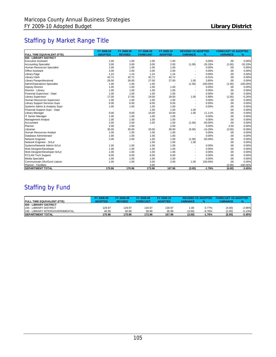# Staffing by Market Range Title

|                                      | FY 2008-09     | FY 2008-09     | FY 2008-09      | FY 2009-10     | <b>REVISED VS ADOPTED</b> |             | <b>FORECAST VS ADOPTED</b> |             |
|--------------------------------------|----------------|----------------|-----------------|----------------|---------------------------|-------------|----------------------------|-------------|
| <b>FULL TIME EQUIVALENT (FTE)</b>    | <b>ADOPTED</b> | <b>REVISED</b> | <b>FORECAST</b> | <b>ADOPTED</b> | <b>VARIANCE</b>           | %           | <b>VARIANCE</b>            | %           |
| 650 - LIBRARY DISTRICT               |                |                |                 |                |                           |             |                            |             |
| <b>Executive Assistant</b>           | 1.00           | 1.00           | 1.00            | 1.00           |                           | 0.00%       | .00                        | 0.00%       |
| <b>Accounting Specialist</b>         | 3.00           | 3.00           | 3.00            | 2.00           | (1.00)                    | $-33.33%$   | (1.00)                     | $-33.33%$   |
| Human Resources Specialist           | 1.00           | 1.00           | 1.00            | 1.00           |                           | 0.00%       | .00.                       | 0.00%       |
| <b>Office Assistant</b>              | 2.00           | 2.00           | 2.00            | 2.00           |                           | 0.00%       | .00.                       | 0.00%       |
| <b>Library Page</b>                  | 1.24           | 1.24           | 1.24            | 1.24           |                           | 0.00%       | .00                        | 0.00%       |
| <b>Library Clerk</b>                 | 42.72          | 42.72          | 42.72           | 42.72          |                           | $-0.01%$    | .00                        | 0.00%       |
| Library Paraprofessional             | 26.00          | 26.00          | 27.00           | 27.00          | 1.00                      | 3.85%       | .00                        | 0.00%       |
| Admin/Operations Specialist          | 1.00           | 1.00           | 1.00            |                | (1.00)                    | $-100.00\%$ | (1.00)                     | $-100.00\%$ |
| Deputy Director                      | 1.00           | 1.00           | 1.00            | 1.00           |                           | 0.00%       | .00.                       | 0.00%       |
| Director - Library                   | 1.00           | 1.00           | 1.00            | 1.00           |                           | 0.00%       | .00                        | 0.00%       |
| Financial Supervisor - Dept          | 1.00           | 1.00           | 1.00            | 1.00           |                           | 0.00%       | .00                        | 0.00%       |
| <b>Library Supervisor</b>            | 17.00          | 17.00          | 19.00           | 18.00          | 1.00                      | 5.88%       | (1.00)                     | $-5.26%$    |
| Human Resources Supervisor           | 1.00           | 1.00           | 1.00            | 1.00           |                           | 0.00%       | .00                        | 0.00%       |
| <b>Library Support Services Supv</b> | 6.00           | 6.00           | 6.00            | 6.00           |                           | 0.00%       | .00                        | 0.00%       |
| Systems Admin & Analysis Supv        | 1.00           | 1.00           | 1.00            | 1.00           |                           | 0.00%       | .00                        | 0.00%       |
| Financial Support Supv - Dept        |                |                | 1.00            | 1.00           | 1.00                      |             | .00                        | 0.00%       |
| Library Manager                      | 9.00           | 9.00           | 10.00           | 10.00          | 1.00                      | 11.11%      | .00                        | 0.00%       |
| <b>IT Senior Manager</b>             | 1.00           | 1.00           | 1.00            | 1.00           |                           | 0.00%       | .00                        | 0.00%       |
| <b>Management Analyst</b>            | 1.00           | 1.00           | 1.00            | 1.00           |                           | 0.00%       | .00                        | 0.00%       |
| Accountant                           | 2.00           | 2.00           | 1.00            | 1.00           | (1.00)                    | $-50.00%$   | .00                        | 0.00%       |
| Planner                              | 2.00           | 2.00           |                 | 2.00           |                           | 0.00%       | 2.00                       | 0.00%       |
| Librarian                            | 35.00          | 35.00          | 33.00           | 30.00          | (5.00)                    | $-14.29%$   | (3.00)                     | $-9.09%$    |
| Human Resources Analyst              | 1.00           | 1.00           | 1.00            | 1.00           |                           | 0.00%       | .00                        | 0.00%       |
| Database Administrator               | 1.00           | 1.00           | 1.00            | 1.00           |                           | 0.00%       | .00                        | 0.00%       |
| Network Engineer                     | 2.00           | 2.00           | 1.00            | 1.00           | (1.00)                    | $-50.00\%$  | .00                        | 0.00%       |
| Network Engineer - Sr/Ld             |                |                | 1.00            | 1.00           | 1.00                      |             | .00.                       | 0.00%       |
| Systems/Network Admin-Sr/Ld          | 1.00           | 1.00           | 1.00            | 1.00           |                           | 0.00%       | .00                        | 0.00%       |
| Web Designer/Developer               | 1.00           | 1.00           | 1.00            | 1.00           |                           | 0.00%       | .00                        | 0.00%       |
| Web Designer/Developer-Sr/Ld         | 1.00           | 1.00           | 1.00            | 1.00           |                           | 0.00%       | .00                        | 0.00%       |
| PC/LAN Tech Support                  | 6.00           | 6.00           | 6.00            | 6.00           |                           | 0.00%       | .00                        | 0.00%       |
| <b>Media Specialist</b>              | 1.00           | 1.00           | 1.00            | 1.00           |                           | 0.00%       | .00                        | 0.00%       |
| Communicatn Ofcr/Govt Liaison        | 1.00           | 1.00           | 2.00            | 2.00           | 1.00                      | 100.00%     | .00                        | 0.00%       |
| Planner - Facilities                 |                |                | 2.00            |                |                           |             | (2.00)                     | -100.00%    |
| <b>DEPARTMENT TOTAL</b>              | 170.96         | 170.96         | 173.96          | 167.96         | (3.00)                    | $-1.76%$    | (6.00)                     | $-3.45%$    |

# Staffing by Fund

|                                   | FY 2008-09     | FY 2008-09     | FY 2008-09      | FY 2009-10     | <b>REVISED VS ADOPTED</b> |          | <b>FORECAST VS ADOPTED</b> |          |  |
|-----------------------------------|----------------|----------------|-----------------|----------------|---------------------------|----------|----------------------------|----------|--|
| <b>FULL TIME EQUIVALENT (FTE)</b> | <b>ADOPTED</b> | <b>REVISED</b> | <b>FORECAST</b> | <b>ADOPTED</b> | <b>VARIANCE</b>           |          | <b>VARIANCE</b>            |          |  |
| <b>650 - LIBRARY DISTRICT</b>     |                |                |                 |                |                           |          |                            |          |  |
| <b>244 - LIBRARY DISTRICT</b>     | 129.97         | 129.97         | 134.97          | 130.97         | L.OO                      | 0.77%    | (4.00)                     | $-2.96%$ |  |
| 246 - LIBRARY INTERGOVERNMENTAL   | 40.99          | 40.99          | 38.99           | 36.99          | (4.00)                    | $-9.76%$ | (2.00)                     | $-5.13%$ |  |
| <b>IDEPARTMENT TOTAL</b>          | 170.96         | 170.96         | 173.96          | 167.96         | (3.00)                    | $-1.76%$ | (6.00)                     | $-3.45%$ |  |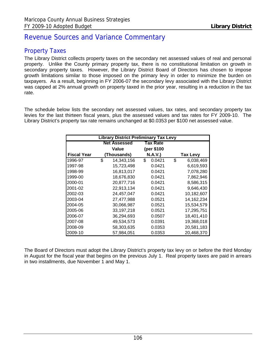### Revenue Sources and Variance Commentary

### Property Taxes

The Library District collects property taxes on the secondary net assessed values of real and personal property. Unlike the County primary property tax, there is no constitutional limitation on growth in secondary property taxes. However, the Library District Board of Directors has chosen to impose growth limitations similar to those imposed on the primary levy in order to minimize the burden on taxpayers. As a result, beginning in FY 2006-07 the secondary levy associated with the Library District was capped at 2% annual growth on property taxed in the prior year, resulting in a reduction in the tax rate.

The schedule below lists the secondary net assessed values, tax rates, and secondary property tax levies for the last thirteen fiscal years, plus the assessed values and tax rates for FY 2009-10. The Library District's property tax rate remains unchanged at \$0.0353 per \$100 net assessed value.

| <b>Library District Preliminary Tax Levy</b> |                     |                 |                 |  |  |  |  |  |  |
|----------------------------------------------|---------------------|-----------------|-----------------|--|--|--|--|--|--|
|                                              | <b>Net Assessed</b> | <b>Tax Rate</b> |                 |  |  |  |  |  |  |
|                                              | Value               | (per \$100      |                 |  |  |  |  |  |  |
| <b>Fiscal Year</b>                           | (Thousands)         | N.A.V.)         | <b>Tax Levy</b> |  |  |  |  |  |  |
| 1996-97                                      | \$<br>14,343,156    | \$<br>0.0421    | \$<br>6,038,469 |  |  |  |  |  |  |
| 1997-98                                      | 15,723,498          | 0.0421          | 6,619,593       |  |  |  |  |  |  |
| 1998-99                                      | 16,813,017          | 0.0421          | 7,078,280       |  |  |  |  |  |  |
| 1999-00                                      | 18,676,830          | 0.0421          | 7,862,946       |  |  |  |  |  |  |
| 2000-01                                      | 20.877.716          | 0.0421          | 8,586,315       |  |  |  |  |  |  |
| 2001-02                                      | 22.913.134          | 0.0421          | 9,646,430       |  |  |  |  |  |  |
| 2002-03                                      | 24.457.047          | 0.0421          | 10,182,607      |  |  |  |  |  |  |
| 2003-04                                      | 27,477,988          | 0.0521          | 14, 162, 234    |  |  |  |  |  |  |
| 2004-05                                      | 30,066,987          | 0.0521          | 15,534,579      |  |  |  |  |  |  |
| 2005-06                                      | 33,197,218          | 0.0521          | 17,295,751      |  |  |  |  |  |  |
| 2006-07                                      | 36,294,693          | 0.0507          | 18,401,410      |  |  |  |  |  |  |
| 2007-08                                      | 49,534,573          | 0.0391          | 19,368,018      |  |  |  |  |  |  |
| 2008-09                                      | 58,303,635          | 0.0353          | 20,581,183      |  |  |  |  |  |  |
| 2009-10                                      | 57,984,051          | 0.0353          | 20,468,370      |  |  |  |  |  |  |

The Board of Directors must adopt the Library District's property tax levy on or before the third Monday in August for the fiscal year that begins on the previous July 1. Real property taxes are paid in arrears in two installments, due November 1 and May 1.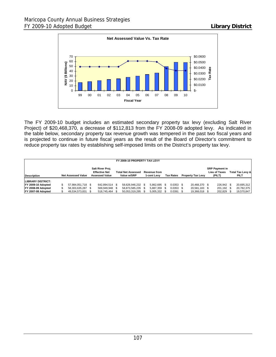

The FY 2009-10 budget includes an estimated secondary property tax levy (excluding Salt River Project) of \$20,468,370, a decrease of \$112,813 from the FY 2008-09 adopted levy. As indicated in the table below, secondary property tax revenue growth was tempered in the past two fiscal years and is projected to continue in future fiscal years as the result of the Board of Director's commitment to reduce property tax rates by establishing self-imposed limits on the District's property tax levy.

|                    |                           |                                                                   |      | FY 2009-10 PROPERTY TAX LEVY             |                                    |     |                  |                          |                                                  |                                     |
|--------------------|---------------------------|-------------------------------------------------------------------|------|------------------------------------------|------------------------------------|-----|------------------|--------------------------|--------------------------------------------------|-------------------------------------|
| Description        | <b>Net Assessed Value</b> | Salt River Proj.<br><b>Effective Net</b><br><b>Assessed Value</b> |      | <b>Total Net Assessed</b><br>Value w/SRP | <b>Revenue from</b><br>1-cent Levv |     | <b>Tax Rates</b> | <b>Property Tax Levy</b> | <b>SRP Payment in</b><br>Lieu of Taxes<br>(PILT) | <b>Total Tax Levy &amp;</b><br>PILT |
| LIBRARY DISTRICT:  |                           |                                                                   |      |                                          |                                    |     |                  |                          |                                                  |                                     |
| FY 2009-10 Adopted | 57,984,051,718 \$         | 642.894.514 \$                                                    |      | 58.626.946.232 \$                        | 5.862.695                          | \$. | $0.0353$ \$      | 20.468.370 \$            | 226.942 \$                                       | 20,695,312                          |
| FY 2008-09 Adopted | 58,303,635,287 \$         | 569,949,948                                                       | - \$ | 58,873,585,235 \$                        | 5.887.359                          |     | $0.0353$ \$      | 20.581.183 \$            | 201,192 \$                                       | 20,782,375                          |
| FY 2007-08 Adopted | 49.534.573.831 \$         | 518.745.464                                                       | - \$ | 50.053.319.295                           | 5.005.332                          |     | $0.0391$ \$      | 19.368.018               | 202.829 \$                                       | 19,570,847                          |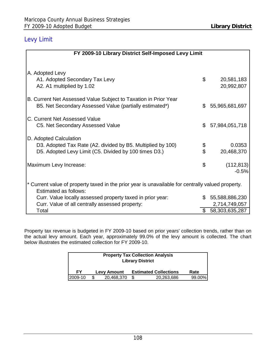### Levy Limit

| FY 2009-10 Library District Self-Imposed Levy Limit                                                                                            |                          |                                 |
|------------------------------------------------------------------------------------------------------------------------------------------------|--------------------------|---------------------------------|
| A. Adopted Levy<br>A1. Adopted Secondary Tax Levy<br>A2. A1 multiplied by 1.02                                                                 | $\mathfrak{L}$           | 20,581,183<br>20,992,807        |
| B. Current Net Assessed Value Subject to Taxation in Prior Year<br>B5. Net Secondary Assessed Value (partially estimated*)                     | \$                       | 55,965,681,697                  |
| C. Current Net Assessed Value<br>C5. Net Secondary Assessed Value                                                                              | \$                       | 57,984,051,718                  |
| D. Adopted Calculation<br>D3. Adopted Tax Rate (A2. divided by B5. Multiplied by 100)<br>D5. Adopted Levy Limit (C5. Divided by 100 times D3.) | \$<br>$\mathbf{\hat{z}}$ | 0.0353<br>20,468,370            |
| Maximum Levy Increase:                                                                                                                         | \$                       | (112, 813)<br>$-0.5%$           |
| * Current value of property taxed in the prior year is unavailable for centrally valued property.<br>Estimated as follows:                     |                          |                                 |
| Curr. Value locally assessed property taxed in prior year:<br>Curr. Value of all centrally assessed property:                                  |                          | 55,588,886,230<br>2,714,749,057 |
| Total                                                                                                                                          |                          | 58,303,635,287                  |

Property tax revenue is budgeted in FY 2009-10 based on prior years' collection trends, rather than on the actual levy amount. Each year, approximately 99.0% of the levy amount is collected. The chart below illustrates the estimated collection for FY 2009-10.

| <b>Property Tax Collection Analysis</b><br><b>Library District</b> |                                                            |            |  |            |        |  |  |  |  |  |  |  |  |
|--------------------------------------------------------------------|------------------------------------------------------------|------------|--|------------|--------|--|--|--|--|--|--|--|--|
| FY                                                                 | <b>Estimated Collections</b><br><b>Levy Amount</b><br>Rate |            |  |            |        |  |  |  |  |  |  |  |  |
| 2009-10                                                            | \$                                                         | 20,468,370 |  | 20,263,686 | 99.00% |  |  |  |  |  |  |  |  |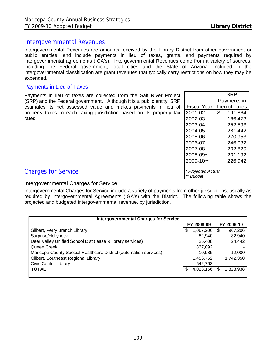### Intergovernmental Revenues

Intergovernmental Revenues are amounts received by the Library District from other government or public entities, and include payments in lieu of taxes, grants, and payments required by intergovernmental agreements (IGA's). Intergovernmental Revenues come from a variety of sources, including the Federal government, local cities and the State of Arizona. Included in the intergovernmental classification are grant revenues that typically carry restrictions on how they may be expended.

#### Payments in Lieu of Taxes

Payments in lieu of taxes are collected from the Salt River Project (SRP) and the Federal government. Although it is a public entity, SRP estimates its net assessed value and makes payments in lieu of property taxes to each taxing jurisdiction based on its property tax rates.

|                    | SRP            |  |  |  |  |  |  |  |  |
|--------------------|----------------|--|--|--|--|--|--|--|--|
|                    | Payments in    |  |  |  |  |  |  |  |  |
| Fiscal Year        | Lieu of Taxes  |  |  |  |  |  |  |  |  |
| 2001-02            | \$.<br>191,864 |  |  |  |  |  |  |  |  |
| 2002-03            | 186,473        |  |  |  |  |  |  |  |  |
| 2003-04            | 252,593        |  |  |  |  |  |  |  |  |
| 2004-05            | 281,442        |  |  |  |  |  |  |  |  |
| 2005-06            | 270,953        |  |  |  |  |  |  |  |  |
| 2006-07            | 246,032        |  |  |  |  |  |  |  |  |
| 2007-08            | 202,829        |  |  |  |  |  |  |  |  |
| $2008 - 09*$       | 201,192        |  |  |  |  |  |  |  |  |
| 2009-10**          | 226,942        |  |  |  |  |  |  |  |  |
|                    |                |  |  |  |  |  |  |  |  |
| * Projected Actual |                |  |  |  |  |  |  |  |  |
| ** Budget          |                |  |  |  |  |  |  |  |  |

### Charges for Service

#### Intergovernmental Charges for Service

Intergovernmental Charges for Service include a variety of payments from other jurisdictions, usually as required by Intergovernmental Agreements (IGA's) with the District. The following table shows the projected and budgeted intergovernmental revenue, by jurisdiction.

| <b>Intergovernmental Charges for Service</b>                      |   |            |     |            |
|-------------------------------------------------------------------|---|------------|-----|------------|
|                                                                   |   | FY 2008-09 |     | FY 2009-10 |
| Gilbert, Perry Branch Library                                     | S | 1,067,206  | -\$ | 967,206    |
| Surprise/Hollyhock                                                |   | 82.940     |     | 82,940     |
| Deer Valley Unified School Dist (lease & library services)        |   | 25.408     |     | 24.442     |
| Queen Creek                                                       |   | 837,092    |     |            |
| Maricopa County Special Healthcare District (automation services) |   | 10.985     |     | 12,000     |
| Gilbert, Southeast Regional Library                               |   | 1,456,762  |     | 1.742.350  |
| <b>Civic Center Library</b>                                       |   | 542,763    |     |            |
| <b>TOTAL</b>                                                      |   | 4,023,156  |     | 2,828,938  |
|                                                                   |   |            |     |            |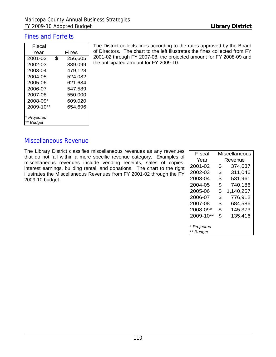### Fines and Forfeits

| Fiscal      |       |         |  |  |  |  |  |  |  |
|-------------|-------|---------|--|--|--|--|--|--|--|
| Year        | Fines |         |  |  |  |  |  |  |  |
| 2001-02     | \$    | 256,605 |  |  |  |  |  |  |  |
| 2002-03     |       | 339,099 |  |  |  |  |  |  |  |
| 2003-04     |       | 479,128 |  |  |  |  |  |  |  |
| 2004-05     |       | 524,082 |  |  |  |  |  |  |  |
| 2005-06     |       | 621,684 |  |  |  |  |  |  |  |
| 2006-07     |       | 547,589 |  |  |  |  |  |  |  |
| 2007-08     |       | 550,000 |  |  |  |  |  |  |  |
| 2008-09*    |       | 609.020 |  |  |  |  |  |  |  |
| 2009-10**   |       | 654,696 |  |  |  |  |  |  |  |
|             |       |         |  |  |  |  |  |  |  |
| * Projected |       |         |  |  |  |  |  |  |  |
| ** Budget   |       |         |  |  |  |  |  |  |  |

The District collects fines according to the rates approved by the Board of Directors. The chart to the left illustrates the fines collected from FY 2001-02 through FY 2007-08, the projected amount for FY 2008-09 and the anticipated amount for FY 2009-10.

### Miscellaneous Revenue

The Library District classifies miscellaneous revenues as any revenues that do not fall within a more specific revenue category. Examples of miscellaneous revenues include vending receipts, sales of copies, interest earnings, building rental, and donations. The chart to the right illustrates the Miscellaneous Revenues from FY 2001-02 through the FY 2009-10 budget.

| Fiscal<br>Miscellaneous |    |           |  |  |  |  |  |
|-------------------------|----|-----------|--|--|--|--|--|
| Year                    |    | Revenue   |  |  |  |  |  |
| 2001-02                 | \$ | 374,637   |  |  |  |  |  |
| 2002-03                 | \$ | 311,046   |  |  |  |  |  |
| 2003-04                 | \$ | 531,961   |  |  |  |  |  |
| 2004-05                 | \$ | 740,186   |  |  |  |  |  |
| 2005-06                 | \$ | 1,140,257 |  |  |  |  |  |
| 2006-07                 | \$ | 776,912   |  |  |  |  |  |
| 2007-08                 | \$ | 684,586   |  |  |  |  |  |
| 2008-09*                | \$ | 145,373   |  |  |  |  |  |
| 2009-10**               | \$ | 135,416   |  |  |  |  |  |
|                         |    |           |  |  |  |  |  |
| * Projected             |    |           |  |  |  |  |  |
| ** Budget               |    |           |  |  |  |  |  |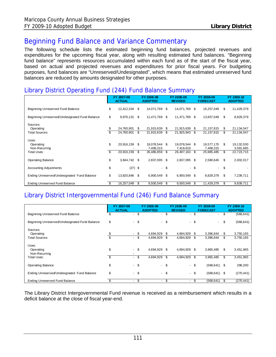## Beginning Fund Balance and Variance Commentary

The following schedule lists the estimated beginning fund balances, projected revenues and expenditures for the upcoming fiscal year, along with resulting estimated fund balances. "Beginning fund balance" represents resources accumulated within each fund as of the start of the fiscal year, based on actual and projected revenues and expenditures for prior fiscal years. For budgeting purposes, fund balances are "Unreserved/Undesignated", which means that estimated unreserved fund balances are reduced by amounts designated for other purposes.

### Library District Operating Fund (244) Fund Balance Summary

|                                                | FY 2007-08<br><b>ACTUAL</b> |     | FY 2008-09<br><b>ADOPTED</b> |     | FY 2008-09<br><b>REVISED</b> |        | FY 2008-09<br><b>FORECAST</b> | FY 2009-10<br><b>ADOPTED</b> |                         |
|------------------------------------------------|-----------------------------|-----|------------------------------|-----|------------------------------|--------|-------------------------------|------------------------------|-------------------------|
| Beginning Unreserved Fund Balance              | \$<br>12,412,334            | \$  | 14,071,769 \$                |     | 14,071,769                   | S      | 16,257,049                    | S                            | 11,429,379              |
| Beginning Unreserved/Undesignated Fund Balance | \$<br>9,976,131             | S   | 11,471,769 \$                |     | 11,471,769                   | \$     | 13,657,049                    | \$                           | 8,829,379               |
| Sources:<br>Operating                          | \$<br>24,760,901            | \$  | 21,915,639                   | S   | 21,915,639                   | \$     | 21,157,815                    | \$                           | 21,134,047              |
| <b>Total Sources:</b>                          | \$<br>24,760,901            | \$  | 21,915,639                   | S   | 21,925,943                   | \$     | 21,157,815                    | \$                           | 21,134,047              |
| Uses:<br>Operating<br>Non-Recurring            | \$<br>20,916,159            | \$. | 19,078,544 \$<br>7,408,315   |     | 19,078,544<br>7,418,619      | \$     | 18,577,170<br>7,408,315       | \$                           | 19,132,030<br>3,591,685 |
| <b>Total Uses:</b>                             | \$<br>20,916,159            | \$  | 26,486,859 \$                |     | 26,497,163                   | \$     | 25,985,485                    | \$                           | 22,723,715              |
| <b>Operating Balance</b>                       | \$<br>3,844,742             | \$  | 2,837,095 \$                 |     | 2,837,095 \$                 |        | 2,580,645                     | \$                           | 2,002,017               |
| <b>Accounting Adjustments</b>                  | \$<br>(27)                  | -\$ | $\sim$                       | \$  |                              | $-$ \$ |                               | \$                           |                         |
| Ending Unreserved/Undesignated Fund Balance    | \$<br>13,820,846            | \$  | 6,900,549                    | \$  | 6,900,549                    | \$     | 8,829,379                     | \$                           | 7,239,711               |
| <b>Ending Unreserved Fund Balance</b>          | 16,257,049                  | \$  | 9,500,549                    | \$. | 9,500,549                    | \$     | 11,429,379                    | \$                           | 9,839,711               |

### Library District Intergovernmental Fund (246) Fund Balance Summary

|                                                |     | FY 2007-08<br><b>ACTUAL</b> |        | FY 2008-09<br><b>ADOPTED</b> |      | FY 2008-09<br><b>REVISED</b> |        | FY 2008-09<br><b>FORECAST</b> |     | FY 2009-10<br><b>ADOPTED</b> |
|------------------------------------------------|-----|-----------------------------|--------|------------------------------|------|------------------------------|--------|-------------------------------|-----|------------------------------|
| Beginning Unreserved Fund Balance              | \$. | $\sim$                      | \$     | $\sim$                       | \$   |                              | $-$ \$ | $\sim$                        | \$  | (568, 641)                   |
| Beginning Unreserved/Undesignated Fund Balance | \$  |                             | - \$   | $\sim$                       | \$   |                              | $-$ \$ | -                             | \$  | (568, 641)                   |
| Sources:                                       |     |                             |        |                              |      |                              |        |                               |     |                              |
| Operating                                      |     |                             | - \$   | 4,694,929                    | - \$ | 4,694,929                    | S      | 3,396,844                     | \$  | 3,750,165                    |
| <b>Total Sources:</b>                          |     | $\sim$                      | \$     | 4,694,929                    | \$.  | 4,694,929                    | \$     | 3,396,844                     | \$  | 3,750,165                    |
| Uses:                                          |     |                             |        |                              |      |                              |        |                               |     |                              |
| Operating<br>Non-Recurring                     | \$  | $\sim$                      | \$     | 4,694,929                    | - \$ | 4,694,929                    | S      | 3,965,485                     | \$  | 3,451,965                    |
| <b>Total Uses:</b>                             |     |                             | - \$   | 4,694,929                    | \$.  | 4,694,929                    | \$     | 3,965,485                     | \$  | 3,451,965                    |
| <b>Operating Balance</b>                       | \$  |                             | $-$ \$ | $\sim$                       | \$   |                              | $-$ \$ | $(568, 641)$ \$               |     | 298,200                      |
| Ending Unreserved/Undesignated Fund Balance    | \$  |                             | - \$   | $\sim$                       | \$   |                              | $-$ \$ | $(568, 641)$ \$               |     | (270, 441)                   |
| <b>Ending Unreserved Fund Balance</b>          |     | $\blacksquare$              | \$.    | $\overline{\phantom{a}}$     | \$   | $\sim$                       | \$.    | (568, 641)                    | \$. | (270, 441)                   |

The Library District Intergovernmental Fund revenue is received as a reimbursement which results in a deficit balance at the close of fiscal year-end.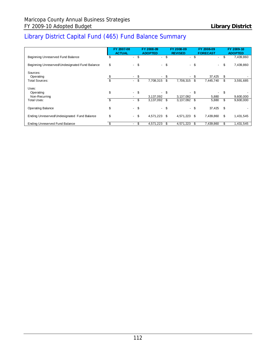## Library District Capital Fund (465) Fund Balance Summary

|                                                |     | FY 2007-08<br><b>ACTUAL</b> |        | FY 2008-09<br><b>ADOPTED</b> |     | FY 2008-09<br><b>REVISED</b> |        | FY 2008-09<br><b>FORECAST</b> | FY 2009-10<br><b>ADOPTED</b> |
|------------------------------------------------|-----|-----------------------------|--------|------------------------------|-----|------------------------------|--------|-------------------------------|------------------------------|
| Beginning Unreserved Fund Balance              | \$  | $\overline{\phantom{a}}$    | \$     | $\sim$                       | \$  | $\sim$                       | \$     | ۰.                            | \$<br>7,439,860              |
| Beginning Unreserved/Undesignated Fund Balance | \$  |                             | $-$ \$ | $\sim$                       | \$  |                              | $-$ \$ | $\sim$                        | \$<br>7,439,860              |
| Sources:                                       |     |                             |        |                              |     |                              |        |                               |                              |
| Operating                                      |     | $\sim$                      | -\$    |                              | S   | $\sim$                       | -S     | 37,425                        | \$                           |
| <b>Total Sources:</b>                          | \$. | $\sim$                      | \$     | 7,708,315                    | \$  | 7,708,315                    | \$     | 7,445,740                     | \$<br>3,591,685              |
| Uses:                                          |     |                             |        |                              |     |                              |        |                               |                              |
| Operating                                      | \$  |                             | - \$   | $\sim$                       | \$  |                              | - \$   | $\overline{\phantom{0}}$      | \$                           |
| Non-Recurring                                  |     |                             |        | 3,137,092                    |     | 3, 137, 092                  |        | 5,880                         | 9,600,000                    |
| Total Uses:                                    |     |                             | - \$   | 3,137,092 \$                 |     | 3, 137, 092                  | -\$    | 5,880                         | \$<br>9,600,000              |
| <b>Operating Balance</b>                       | \$  |                             | - \$   | $\sim$                       | -\$ |                              | - \$   | 37,425                        | \$                           |
| Ending Unreserved/Undesignated Fund Balance    | \$  |                             | - \$   | 4,571,223 \$                 |     | 4,571,223 \$                 |        | 7,439,860                     | \$<br>1,431,545              |
| <b>Ending Unreserved Fund Balance</b>          |     | $\overline{\phantom{a}}$    | \$     | 4,571,223                    | \$  | 4,571,223                    | \$     | 7,439,860                     | \$<br>1,431,545              |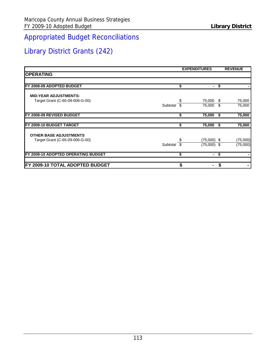# Appropriated Budget Reconciliations

## Library District Grants (242)

|                                     | <b>EXPENDITURES</b>  |      | <b>REVENUE</b> |
|-------------------------------------|----------------------|------|----------------|
| <b>OPERATING</b>                    |                      |      |                |
|                                     |                      |      |                |
| FY 2008-09 ADOPTED BUDGET           | \$<br>$\blacksquare$ | - \$ |                |
| <b>MID-YEAR ADJUSTMENTS:</b>        |                      |      |                |
| Target Grant (C-65-09-006-G-00)     | \$<br>75,000         | S.   | 75,000         |
| Subtotal                            | 75,000               | \$   | 75,000         |
| FY 2008-09 REVISED BUDGET           | \$<br>$75,000$ \$    |      | 75,000         |
|                                     |                      |      |                |
| FY 2009-10 BUDGET TARGET            | \$<br>75,000         | S    | 75,000         |
| <b>OTHER BASE ADJUSTMENTS</b>       |                      |      |                |
| Target Grant (C-65-09-006-G-00)     | $(75,000)$ \$        |      | (75,000)       |
| Subtotal                            | $(75,000)$ \$        |      | (75,000)       |
| FY 2009-10 ADOPTED OPERATING BUDGET | \$<br>$\blacksquare$ | \$   |                |
|                                     |                      |      |                |
| FY 2009-10 TOTAL ADOPTED BUDGET     | \$                   | S    |                |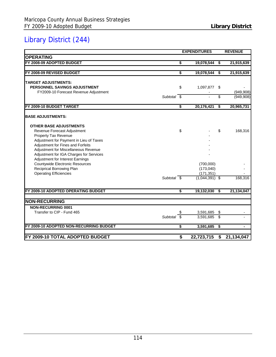## Library District (244)

|                                                            |                          | <b>EXPENDITURES</b>            |                                      | <b>REVENUE</b> |
|------------------------------------------------------------|--------------------------|--------------------------------|--------------------------------------|----------------|
| <b>OPERATING</b>                                           |                          |                                |                                      |                |
| FY 2008-09 ADOPTED BUDGET                                  | \$                       | 19,078,544                     | \$                                   | 21,915,639     |
|                                                            |                          |                                |                                      |                |
| FY 2008-09 REVISED BUDGET                                  | \$                       | 19,078,544                     | \$                                   | 21,915,639     |
|                                                            |                          |                                |                                      |                |
| <b>TARGET ADJUSTMENTS:</b><br>PERSONNEL SAVINGS ADJUSTMENT | \$                       | 1,097,877                      | -\$                                  |                |
| FY2009-10 Forecast Revenue Adjustment                      |                          |                                |                                      | (949,908)      |
|                                                            | Subtotal $\overline{\$}$ |                                | \$                                   | (949, 908)     |
|                                                            |                          |                                |                                      |                |
| FY 2009-10 BUDGET TARGET                                   | \$                       | 20,176,421                     | $\overline{\boldsymbol{\mathsf{s}}}$ | 20,965,731     |
|                                                            |                          |                                |                                      |                |
| <b>BASE ADJUSTMENTS:</b>                                   |                          |                                |                                      |                |
| <b>OTHER BASE ADJUSTMENTS</b>                              |                          |                                |                                      |                |
| Revenue Forecast Adjustment                                | \$                       |                                | \$                                   | 168,316        |
| Property Tax Revenue                                       |                          |                                |                                      |                |
| Adjustment for Payment in Lieu of Taxes                    |                          |                                |                                      |                |
| Adjustment for Fines and Forfeits                          |                          |                                |                                      |                |
| <b>Adjustment for Miscellaneous Revenue</b>                |                          |                                |                                      |                |
| Adjustment for IGA Charges for Services                    |                          |                                |                                      |                |
| Adjustment for Interest Earnings                           |                          |                                |                                      |                |
| Countywide Electronic Resources                            |                          | (700,000)                      |                                      |                |
| Reciprical Borrowing Plan                                  |                          | (173,040)                      |                                      |                |
| <b>Operating Efficiencies</b>                              | Subtotal \$              | (171, 351)<br>$(1,044,391)$ \$ |                                      | 168,316        |
|                                                            |                          |                                |                                      |                |
| FY 2009-10 ADOPTED OPERATING BUDGET                        | \$                       | 19,132,030                     | s,                                   | 21,134,047     |
|                                                            |                          |                                |                                      |                |
| <b>NON-RECURRING</b>                                       |                          |                                |                                      |                |
| <b>NON-RECURRING 0001</b>                                  |                          |                                |                                      |                |
| Transfer to CIP - Fund 465                                 | \$                       | 3,591,685                      | \$                                   |                |
|                                                            | Subtotal $\overline{\$}$ | 3,591,685                      | \$                                   |                |
| FY 2009-10 ADOPTED NON-RECURRING BUDGET                    | \$                       | 3,591,685                      | \$                                   |                |
|                                                            |                          |                                |                                      |                |
| FY 2009-10 TOTAL ADOPTED BUDGET                            | \$                       | 22,723,715                     | \$                                   | 21,134,047     |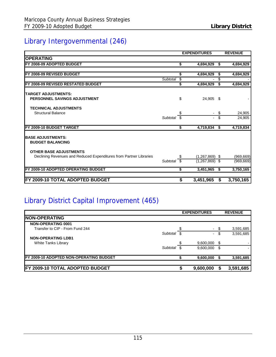## Library Intergovernmental (246)

|                                                                    |                 | <b>EXPENDITURES</b> |    | <b>REVENUE</b> |
|--------------------------------------------------------------------|-----------------|---------------------|----|----------------|
| <b>OPERATING</b>                                                   |                 |                     |    |                |
| FY 2008-09 ADOPTED BUDGET                                          |                 | \$<br>4,694,929     | \$ | 4,694,929      |
| FY 2008-09 REVISED BUDGET                                          |                 | \$<br>4,694,929     | S  | 4,694,929      |
|                                                                    | <b>Subtotal</b> | \$                  | \$ |                |
| FY 2008-09 REVISED RESTATED BUDGET                                 |                 | \$<br>4,694,929     | S  | 4,694,929      |
| <b>TARGET ADJUSTMENTS:</b>                                         |                 |                     |    |                |
| PERSONNEL SAVINGS ADJUSTMENT                                       |                 | \$<br>24,905        | \$ |                |
| <b>TECHNICAL ADJUSTMENTS</b>                                       |                 |                     |    |                |
| <b>Structural Balance</b>                                          |                 | \$                  | \$ | 24,905         |
|                                                                    | Subtotal \$     |                     | \$ | 24,905         |
| FY 2009-10 BUDGET TARGET                                           |                 | \$<br>4,719,834     | \$ | 4,719,834      |
| <b>BASE ADJUSTMENTS:</b><br><b>BUDGET BALANCING</b>                |                 |                     |    |                |
| <b>OTHER BASE ADJUSTMENTS</b>                                      |                 |                     |    |                |
| Declining Revenues and Reduced Expenditures from Partner Libraries |                 | $(1,267,869)$ \$    |    | (969, 669)     |
|                                                                    | Subtotal \$     | $(1,267,869)$ \$    |    | (969,669)      |
| FY 2009-10 ADOPTED OPERATING BUDGET                                |                 | \$<br>3,451,965     | \$ | 3,750,165      |
| FY 2009-10 TOTAL ADOPTED BUDGET                                    |                 | \$<br>3,451,965     | \$ | 3,750,165      |

## Library District Capital Improvement (465)

|                                         | <b>EXPENDITURES</b>      |      | <b>REVENUE</b> |
|-----------------------------------------|--------------------------|------|----------------|
| <b>NON-OPERATING</b>                    |                          |      |                |
| <b>NON-OPERATING 0001</b>               |                          |      |                |
| Transfer to CIP - From Fund 244         |                          | - \$ | 3,591,685      |
| Subtotal \$                             | $\overline{\phantom{0}}$ | S    | 3,591,685      |
| <b>NON-OPERATING LDB1</b>               |                          |      |                |
| <b>White Tanks Library</b>              | 9,600,000                | S    |                |
| Subtotal                                | 9,600,000                | S    |                |
| FY 2009-10 ADOPTED NON-OPERATING BUDGET | 9,600,000                |      | 3,591,685      |
|                                         |                          |      |                |
| FY 2009-10 TOTAL ADOPTED BUDGET         | 9,600,000                | S    | 3,591,685      |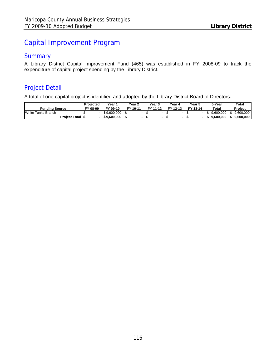## Capital Improvement Program

## **Summary**

A Library District Capital Improvement Fund (465) was established in FY 2008-09 to track the expenditure of capital project spending by the Library District.

### Project Detail

A total of one capital project is identified and adopted by the Library District Board of Directors.

|                    | Projected                         |  | Year        | Year <sub>2</sub> |         | Year 3   | Year 4   | Year 5   | 5-Year    | Total     |
|--------------------|-----------------------------------|--|-------------|-------------------|---------|----------|----------|----------|-----------|-----------|
|                    | FY 08-09<br><b>Funding Source</b> |  | FY 09-10    | <b>FY</b>         | $10-11$ | FY 11-12 | FY 12-13 | FY 13-14 | Total     | Project   |
| White Tanks Branch |                                   |  | \$9.600.000 |                   |         |          |          |          | 9.600.000 | 9.600.000 |
|                    | <b>Project Total</b>              |  | \$9,600,000 |                   |         |          |          |          | 9.600.000 | 9.600.000 |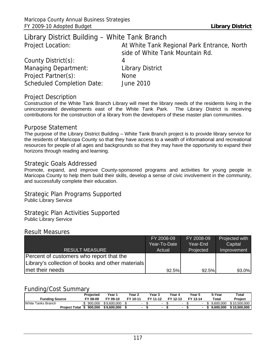| Library District Building - White Tank Branch |                                             |
|-----------------------------------------------|---------------------------------------------|
| Project Location:                             | At White Tank Regional Park Entrance, North |
|                                               | side of White Tank Mountain Rd.             |
| County District(s):                           | 4                                           |
| <b>Managing Department:</b>                   | <b>Library District</b>                     |
| Project Partner(s):                           | <b>None</b>                                 |
| <b>Scheduled Completion Date:</b>             | June 2010                                   |

#### Project Description

Construction of the White Tank Branch Library will meet the library needs of the residents living in the unincorporated developments east of the White Tank Park. The Library District is receiving contributions for the construction of a library from the developers of these master plan communities.

#### Purpose Statement

The purpose of the Library District Building – White Tank Branch project is to provide library service for the residents of Maricopa County so that they have access to a wealth of informational and recreational resources for people of all ages and backgrounds so that they may have the opportunity to expand their horizons through reading and learning.

#### Strategic Goals Addressed

Promote, expand, and improve County-sponsored programs and activities for young people in Maricopa County to help them build their skills, develop a sense of civic involvement in the community, and successfully complete their education.

Strategic Plan Programs Supported Public Library Service

## Strategic Plan Activities Supported

Public Library Service

#### Result Measures

|                                                   | FY 2008-09   | FY 2008-09 | Projected with |
|---------------------------------------------------|--------------|------------|----------------|
|                                                   | Year-To-Date | Year-End   | Capital        |
| <b>RESULT MEASURE</b>                             | Actual       | Projected  | Improvement    |
| Percent of customers who report that the          |              |            |                |
| Library's collection of books and other materials |              |            |                |
| Imet their needs                                  | 92.5%        | 92.5%      | 93.0%          |

#### Funding/Cost Summary

|                       |                      | Projected | Year 1      | Year 2   |  | Year 3   | Year 4    | Year 5 |          |  | 5-Year       | Total          |
|-----------------------|----------------------|-----------|-------------|----------|--|----------|-----------|--------|----------|--|--------------|----------------|
| <b>Funding Source</b> |                      | FY 08-09  | FY 09-10    | FY 10-11 |  | FY 11-12 | $12 - 17$ |        | FY 13-14 |  | <b>Total</b> | <b>Project</b> |
| White Tanks Branch    |                      | 900.000   | \$9.600.000 |          |  |          |           |        |          |  | 9.600.000    | \$10.500.000   |
|                       | <b>Project Total</b> | 900.000   | \$9,600,000 |          |  |          |           |        |          |  | 9.600.000    | \$10,500,000   |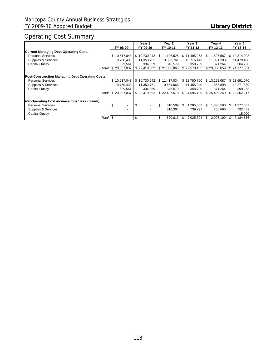## Operating Cost Summary

|                                                        |          |                     | Year 1       |     | Year 2       | Year 3          |     | Year 4       |   | Year 5       |
|--------------------------------------------------------|----------|---------------------|--------------|-----|--------------|-----------------|-----|--------------|---|--------------|
|                                                        |          | FY 08-09            | FY 09-10     |     | FY 10-11     | FY 11-12        |     | FY 12-13     |   | FY 13-14     |
| Current Managing Dept Operating Costs                  |          |                     |              |     |              |                 |     |              |   |              |
| <b>Personal Services</b>                               |          | \$10,517,043        | \$10,730,942 | \$  | 11,106,525   | \$11,495,253    |     | \$11.897.587 |   | \$12,314,003 |
| Supplies & Services                                    |          | 9,760,433           | 11,353,761   |     | 10,353,761   | 10,716,143      |     | 11,091,208   |   | 11,479,400   |
| Capital Outlay                                         |          | 529,561             | 334,859      |     | 346,579      | 358,709         |     | 371,264      |   | 384,258      |
|                                                        |          | Total \$ 20,807,037 | \$22,419,562 | \$. | 21.806.865   | \$22,570,105    | SS. | 23,360,059   |   | \$24,177,661 |
|                                                        |          |                     |              |     |              |                 |     |              |   |              |
| <b>Post-Construction Managing Dept Operating Costs</b> |          |                     |              |     |              |                 |     |              |   |              |
| <b>Personal Services</b>                               |          | \$10,517,043        | \$10,730,942 |     | \$11,417,034 | \$12,780,760    |     | \$13,228,087 |   | \$13,691,070 |
| Supplies & Services                                    |          | 9,760,433           | 11,353,761   |     | 10,664,065   | 11,455,940      |     | 11,856,898   |   | 12,271,889   |
| Capital Outlay                                         |          | 529,561             | 334,859      |     | 346,579      | 358,709         |     | 371,264      |   | 399,258      |
|                                                        |          | Total \$ 20,807,037 | \$22,419,562 |     | \$22,427,678 | \$24,595,409    |     | \$25,456,249 |   | \$26,362,217 |
|                                                        |          |                     |              |     |              |                 |     |              |   |              |
| Net Operating Cost Increase (post less current)        |          |                     |              |     |              |                 |     |              |   |              |
| <b>Personal Services</b>                               |          | \$                  | \$           | \$  | 310.509      | \$<br>1,285,507 | \$  | 1,330,500    | S | 1,377,067    |
| Supplies & Services                                    |          | -                   |              |     | 310.304      | 739.797         |     | 765.690      |   | 792,489      |
| Capital Outlay                                         |          | -                   |              |     |              |                 |     |              |   | 15,000       |
|                                                        | Total \$ |                     | \$           |     | 620,813      | 2,025,304       |     | 2,096,190    |   | 2,184,556    |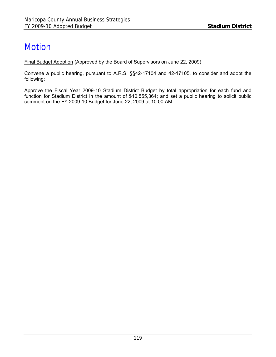# **Motion**

Final Budget Adoption (Approved by the Board of Supervisors on June 22, 2009)

Convene a public hearing, pursuant to A.R.S. §§42-17104 and 42-17105, to consider and adopt the following:

Approve the Fiscal Year 2009-10 Stadium District Budget by total appropriation for each fund and function for Stadium District in the amount of \$10,555,364; and set a public hearing to solicit public comment on the FY 2009-10 Budget for June 22, 2009 at 10:00 AM.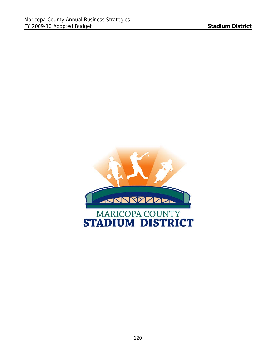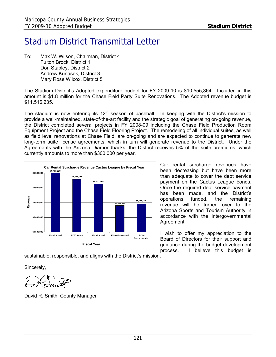# Stadium District Transmittal Letter

To: Max W. Wilson, Chairman, District 4 Fulton Brock, District 1 Don Stapley, District 2 Andrew Kunasek, District 3 Mary Rose Wilcox, District 5

The Stadium District's Adopted expenditure budget for FY 2009-10 is \$10,555,364. Included in this amount is \$1.8 million for the Chase Field Party Suite Renovations. The Adopted revenue budget is \$11,516,235.

The stadium is now entering its  $12<sup>th</sup>$  season of baseball. In keeping with the District's mission to provide a well-maintained, state-of-the-art facility and the strategic goal of generating on-going revenue, the District completed several projects in FY 2008-09 including the Chase Field Production Room Equipment Project and the Chase Field Flooring Project. The remodeling of all individual suites, as well as field level renovations at Chase Field, are on-going and are expected to continue to generate new long-term suite license agreements, which in turn will generate revenue to the District. Under the Agreements with the Arizona Diamondbacks, the District receives 5% of the suite premiums, which currently amounts to more than \$300,000 per year.



Car rental surcharge revenues have been decreasing but have been more than adequate to cover the debt service payment on the Cactus League bonds. Once the required debt service payment has been made, and the District's operations funded, the remaining revenue will be turned over to the Arizona Sports and Tourism Authority in accordance with the Intergovernmental Agreement.

I wish to offer my appreciation to the Board of Directors for their support and guidance during the budget development process. I believe this budget is

sustainable, responsible, and aligns with the District's mission.

Sincerely,

David R. Smith, County Manager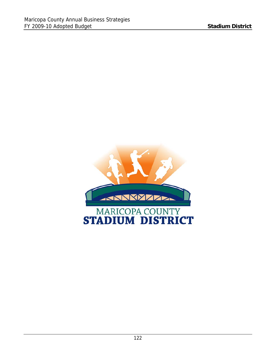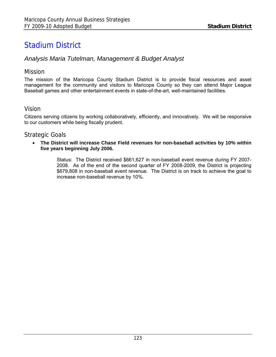# Stadium District

### *Analysis Maria Tutelman, Management & Budget Analyst*

#### Mission

The mission of the Maricopa County Stadium District is to provide fiscal resources and asset management for the community and visitors to Maricopa County so they can attend Major League Baseball games and other entertainment events in state-of-the-art, well-maintained facilities.

### Vision

Citizens serving citizens by working collaboratively, efficiently, and innovatively. We will be responsive to our customers while being fiscally prudent.

### Strategic Goals

• **The District will increase Chase Field revenues for non-baseball activities by 10% within five years beginning July 2006.** 

> Status: The District received \$661,627 in non-baseball event revenue during FY 2007- 2008. As of the end of the second quarter of FY 2008-2009, the District is projecting \$679,808 in non-baseball event revenue. The District is on track to achieve the goal to increase non-baseball revenue by 10%.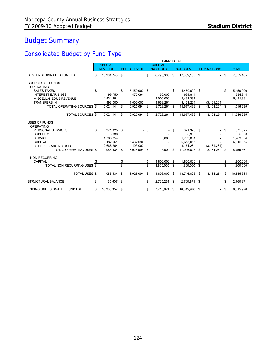## Budget Summary

## Consolidated Budget by Fund Type

|                                             | <b>FUND TYPE:</b> |                |      |                     |        |                 |      |                 |                         |                     |      |              |
|---------------------------------------------|-------------------|----------------|------|---------------------|--------|-----------------|------|-----------------|-------------------------|---------------------|------|--------------|
|                                             |                   | <b>SPECIAL</b> |      |                     |        | <b>CAPITAL</b>  |      |                 |                         |                     |      |              |
|                                             |                   | <b>REVENUE</b> |      | <b>DEBT SERVICE</b> |        | <b>PROJECTS</b> |      | <b>SUBTOTAL</b> |                         | <b>ELIMINATIONS</b> |      | <b>TOTAL</b> |
| BEG. UNDESIGNATED FUND BAL.                 | \$                | 10,264,745     | S.   |                     | - \$   | 6,790,360       | - \$ | 17,055,105 \$   |                         | - \$                |      | 17,055,105   |
| <b>SOURCES OF FUNDS</b><br><b>OPERATING</b> |                   |                |      |                     |        |                 |      |                 |                         |                     |      |              |
| <b>SALES TAXES</b>                          | \$                |                | -S   | 5,450,000 \$        |        |                 | - \$ | 5,450,000       | \$                      |                     | \$.  | 5,450,000    |
| <b>INTEREST EARNINGS</b>                    |                   | 99,750         |      | 475,094             |        | 60,000          |      | 634,844         |                         |                     |      | 634,844      |
| MISCELLANEOUS REVENUE                       |                   | 4,431,391      |      |                     |        | 1,000,000       |      | 5,431,391       |                         |                     |      | 5,431,391    |
| <b>TRANSFERS IN</b>                         |                   | 493,000        |      | 1,000,000           |        | 1,668,264       |      | 3,161,264       |                         | (3, 161, 264)       |      |              |
| TOTAL OPERATING SOURCES \$                  |                   | 5,024,141      | S    | 6,925,094 \$        |        | 2,728,264       | \$   | 14,677,499 \$   |                         | $(3, 161, 264)$ \$  |      | 11,516,235   |
| <b>TOTAL SOURCES \$</b>                     |                   | 5,024,141      | \$.  | 6,925,094 \$        |        | 2,728,264       | \$   | 14,677,499      | -S                      | $(3, 161, 264)$ \$  |      | 11,516,235   |
| <b>USES OF FUNDS</b><br><b>OPERATING</b>    |                   |                |      |                     |        |                 |      |                 |                         |                     |      |              |
| PERSONAL SERVICES                           | S                 | 371,325 \$     |      | $\frac{1}{2}$       | \$.    |                 | - \$ | 371,325 \$      |                         | $\sim$              | - \$ | 371,325      |
| <b>SUPPLIES</b>                             |                   | 5,930          |      |                     |        |                 |      | 5,930           |                         |                     |      | 5,930        |
| <b>SERVICES</b>                             |                   | 1,760,054      |      |                     |        | 3,000           |      | 1,763,054       |                         |                     |      | 1,763,054    |
| CAPITAL                                     |                   | 182,961        |      | 6,432,094           |        |                 |      | 6,615,055       |                         |                     |      | 6,615,055    |
| OTHER FINANCING USES                        |                   | 2.668.264      |      | 493.000             |        |                 |      | 3,161,264       |                         | (3, 161, 264)       |      |              |
| <b>TOTAL OPERATING USES \$</b>              |                   | 4,988,534 \$   |      | 6,925,094 \$        |        | 3.000           | -\$  | 11,916,628 \$   |                         | $(3, 161, 264)$ \$  |      | 8,755,364    |
| NON-RECURRING                               |                   |                |      |                     |        |                 |      |                 |                         |                     |      |              |
| CAPITAL                                     |                   |                | - \$ |                     | - \$   | 1,800,000       | \$   | 1,800,000       | \$                      | - \$                |      | 1,800,000    |
| TOTAL NON-RECURRING USES \$                 |                   |                | \$   |                     | $-$ \$ | 1.800.000       | \$   | 1.800.000 \$    |                         | - \$                |      | 1,800,000    |
| <b>TOTAL USES \$</b>                        |                   | 4.988.534      | \$   | 6,925,094 \$        |        | 1,803,000       | \$   | 13.716.628      | $\overline{\mathbf{s}}$ | $(3, 161, 264)$ \$  |      | 10,555,364   |
| <b>STRUCTURAL BALANCE</b>                   | \$                | 35,607 \$      |      |                     | - \$   | 2,725,264       | \$   | 2.760.871 \$    |                         | - \$                |      | 2,760,871    |
| <b>IENDING UNDESIGNATED FUND BAL.</b>       | \$                | 10,300,352 \$  |      |                     | - \$   | 7,715,624 \$    |      | 18.015.976 \$   |                         | - \$                |      | 18.015.976   |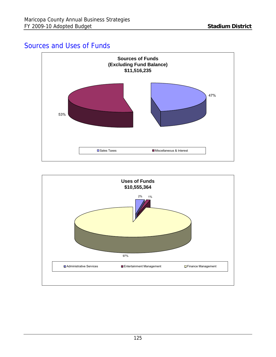## Sources and Uses of Funds



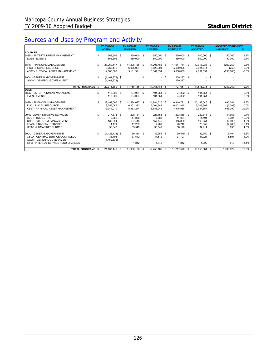## Sources and Uses by Program and Activity

|                                                                                                                                                               | FY 2007-08<br><b>ACTUAL</b>                              |      | FY 2008-09<br><b>ADOPTED</b>                        |        | FY 2008-09<br><b>REVISED</b>                        |      | FY 2008-09<br><b>FORECAST</b>                       |    | FY 2009-10<br><b>ADOPTED</b>                        |      | <b>ADOPTED VS REVISED</b><br><b>VARIANCE</b>  | $\%$                                            |
|---------------------------------------------------------------------------------------------------------------------------------------------------------------|----------------------------------------------------------|------|-----------------------------------------------------|--------|-----------------------------------------------------|------|-----------------------------------------------------|----|-----------------------------------------------------|------|-----------------------------------------------|-------------------------------------------------|
| <b>SOURCES</b><br>68EM - ENTERTAINMENT MANAGEMENT<br><b>EVEN - EVENTS</b>                                                                                     | \$<br>568,606 \$<br>568.606                              |      | 550,000 \$<br>550,000                               |        | 550,000 \$<br>550.000                               |      | 550,000 \$<br>550,000                               |    | 600.000 \$<br>600.000                               |      | 50.000<br>50,000                              | 9.1%<br>9.1%                                    |
| 68FM - FINANCIAL MANAGEMENT<br>FISC - FISCAL RESOURCE<br>ASST - PHYSICAL ASSET MANAGEMENT                                                                     | \$<br>23.269.147 \$<br>8,769,145<br>14,500,002           |      | 11.206.485 \$<br>6,025,094<br>5,181,391             |        | 11.206.485 \$<br>6,025,094<br>5,181,391             |      | 11.017.764 \$<br>5,980,925<br>5,036,839             |    | 10.916.235 \$<br>6,024,844<br>4,891,391             |      | (290.250)<br>(250)<br>(290,000)               | $-2.6%$<br>0.0%<br>$-5.6%$                      |
| 99GV - GENERAL GOVERNMENT<br><b>GGOV - GENERAL GOVERNMENT</b>                                                                                                 | \$<br>$(1,461,373)$ \$<br>(1,461,373)                    |      |                                                     | $-$ \$ | $\sim$                                              | S.   | 159,287 \$<br>159,287                               |    |                                                     | - \$ |                                               |                                                 |
| <b>TOTAL PROGRAMS \$</b>                                                                                                                                      | 22,376,380                                               | S    | 11,756,485                                          | \$     | 11,756,485                                          | - \$ | 11,727,051                                          | -S | 11,516,235 \$                                       |      | (240, 250)                                    | $-2.0%$                                         |
| <b>USES</b><br>68EM - ENTERTAINMENT MANAGEMENT<br><b>EVEN - EVENTS</b>                                                                                        | \$<br>113,909 \$<br>113,909                              |      | 104.054<br>104.054                                  | \$     | 104.054 \$<br>104.054                               |      | 24.892 \$<br>24,892                                 |    | 104.054 \$<br>104.054                               |      |                                               | 0.0%<br>0.0%                                    |
| 68FM - FINANCIAL MANAGEMENT<br>FISC - FISCAL RESOURCE<br>ASST - PHYSICAL ASSET MANAGEMENT                                                                     | \$<br>22.199.095<br>8.255.085<br>13.944.010              | - \$ | 11,534,627 \$<br>6.201.383<br>5.333.244             |        | 11.884.627 \$<br>6.201.383<br>5.683.244             |      | 10.919.771 \$<br>6.002.815<br>4.916.956             |    | 10,188,546 \$<br>6.203.692<br>3.984.854             |      | 1.696.081<br>(2,309)<br>1.698.390             | 14.3%<br>0.0%<br>29.9%                          |
| 99AS - ADMINISTRATIVE SERVICES<br><b>BDGT - BUDGETING</b><br>ODIR - EXECUTIVE MANAGEMENT<br><b>FSAC - FINANCIAL SERVICES</b><br><b>HRAC - HUMAN RESOURCES</b> | \$<br>217.874 \$<br>8,852<br>139,804<br>11.171<br>58.047 |      | 228,151 \$<br>17.888<br>157,445<br>17.269<br>35.549 |        | 228,151 \$<br>17.888<br>157,445<br>17,269<br>35.549 |      | 233,358 \$<br>11,084<br>145,888<br>20,210<br>56.176 |    | 229,814 \$<br>14.494<br>160.354<br>20.052<br>34.914 |      | (1,663)<br>3.394<br>(2,909)<br>(2,783)<br>635 | $-0.7%$<br>19.0%<br>$-1.8%$<br>$-16.1%$<br>1.8% |
| 99GV - GENERAL GOVERNMENT<br>CSCA - CENTRAL SERVICE COST ALLOC<br>GGOV - GENERAL GOVERNMENT<br><b>ISFC - INTERNAL SERVICE FUND CHARGES</b>                    | \$<br>$(1,423,738)$ \$<br>38,795<br>(1,462,533)          |      | 39,354 \$<br>37,512<br>1.842                        |        | 39,354 \$<br>37,512<br>1.842                        |      | 39,549 \$<br>37,707<br>1,842                        |    | 32.950 \$<br>31,921<br>1.029                        |      | 6.404<br>5,591<br>813                         | 16.3%<br>14.9%<br>44.1%                         |
| <b>TOTAL PROGRAMS \$</b>                                                                                                                                      | 21,107,140 \$                                            |      | 11,906,186                                          | \$     | 12,256,186                                          | - \$ | 11,217,570 \$                                       |    | 10,555,364                                          | - \$ | 1.700.822                                     | 13.9%                                           |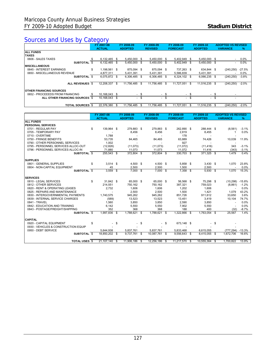### Sources and Uses by Category

|                                 |     | FY 2007-08    |      | FY 2008-09     |      | FY 2008-09     |        | FY 2008-09      |      | FY 2009-10     |      | <b>ADOPTED VS REVISED</b> |          |
|---------------------------------|-----|---------------|------|----------------|------|----------------|--------|-----------------|------|----------------|------|---------------------------|----------|
|                                 |     | <b>ACTUAL</b> |      | <b>ADOPTED</b> |      | <b>REVISED</b> |        | <b>FORECAST</b> |      | <b>ADOPTED</b> |      | <b>VARIANCE</b>           | $\%$     |
| <b>ALL FUNDS</b>                |     |               |      |                |      |                |        |                 |      |                |      |                           |          |
| <b>TAXES</b>                    |     |               |      |                |      |                |        |                 |      |                |      |                           |          |
| 0606 - SALES TAXES              |     | 6,132,465     | - \$ | 5,450,000      | -SS  | 5,450,000 \$   |        | 5.402.949       | - \$ | 5,450,000 \$   |      | $\sim$                    | $0.0\%$  |
| SUBTOTAL \$                     |     | 6,132,465     | -\$  | 5,450,000      | \$   | 5,450,000 \$   |        | 5,402,949       | - \$ | 5,450,000 \$   |      | ٠                         | 0.0%     |
| <b>IMISCELLANEOUS</b>           |     |               |      |                |      |                |        |                 |      |                |      |                           |          |
| 0645 - INTEREST EARNINGS        | \$  | 1,198,561 \$  |      | 875,094 \$     |      | 875,094 \$     |        | 737,263 \$      |      | 634,844 \$     |      | (240, 250)                | $-27.5%$ |
| 0650 - MISCELLANEOUS REVENUE    |     | 4.877.311     |      | 5,431,391      |      | 5,431,391      |        | 5,586,839       |      | 5,431,391      |      |                           | $0.0\%$  |
| SUBTOTAL \$                     |     | 6,075,872 \$  |      | 6,306,485      | \$   | 6,306,485 \$   |        | 6,324,102 \$    |      | 6,066,235 \$   |      | (240, 250)                | $-3.8%$  |
| ALL REVENUES \$                 |     | 12.208.337    | - \$ | 11.756.485     | \$.  | 11.756.485     | - \$   | 11,727,051      | - \$ | 11,516,235 \$  |      | (240, 250)                | $-2.0%$  |
| <b>IOTHER FINANCING SOURCES</b> |     |               |      |                |      |                |        |                 |      |                |      |                           |          |
| 0652 - PROCEEEDS FROM FINANCING | \$. | 10.168.043    | - \$ | $\sim$         | \$   | $\sim$         | - \$   | - 5             |      |                | - \$ | $\overline{a}$            |          |
| ALL OTHER FINANCING SOURCES \$  |     | 10.168.043    | -\$  |                | $-5$ |                | $-$ \$ | $\sim$          | . ጽ  |                | - \$ |                           |          |
| <b>TOTAL SOURCES \$</b>         |     | 22,376,380    |      | 11,756,485     | \$.  | 11,756,485     | -\$    | 11,727,051      |      | 11,516,235     |      | (240, 250)                | $-2.0%$  |

|                                      | FY 2007-08       | FY 2008-09     |      | FY 2008-09     |      | FY 2008-09      |          | FY 2009-10     |      | <b>ADOPTED VS REVISED</b> |          |
|--------------------------------------|------------------|----------------|------|----------------|------|-----------------|----------|----------------|------|---------------------------|----------|
|                                      | <b>ACTUAL</b>    | <b>ADOPTED</b> |      | <b>REVISED</b> |      | <b>FORECAST</b> |          | <b>ADOPTED</b> |      | <b>VARIANCE</b>           | %        |
| <b>ALL FUNDS</b>                     |                  |                |      |                |      |                 |          |                |      |                           |          |
| <b>PERSONAL SERVICES</b>             |                  |                |      |                |      |                 |          |                |      |                           |          |
| 0701 - REGULAR PAY                   | \$<br>139,964 \$ | 279,883 \$     |      | 279,883 \$     |      | 262,890 \$      |          | 288,444 \$     |      | (8, 561)                  | $-3.1%$  |
| 0705 - TEMPORARY PAY                 |                  | 8,456          |      | 8,456          |      | 2,819           |          | 8,455          |      | 1                         | 0.0%     |
| 0710 - OVERTIME                      | 1,788            |                |      |                |      | 178             |          |                |      |                           |          |
| 0750 - FRINGE BENEFITS               | 53,735           | 84,465         |      | 84,465         |      | 63,889          |          | 74,426         |      | 10,039                    | 11.9%    |
| 0790 - OTHER PERSONNEL SERVICES      | 1,002            |                |      |                |      | 927             |          |                |      |                           |          |
| 0795 - PERSONNEL SERVICES ALLOC-OUT  | (12, 826)        | (11, 073)      |      | (11,073)       |      | (11,072)        |          | (11, 416)      |      | 343                       | $-3.1%$  |
| 0796 - PERSONNEL SERVICES ALLOC-IN   | 71,880           | 11,073         |      | 11,073         |      | 11.072          |          | 11,416         |      | (343)                     | $-3.1%$  |
| SUBTOTAL \$                          | 255,543 \$       | 372,804 \$     |      | 372,804 \$     |      | 330,703 \$      |          | 371,325 \$     |      | 1,479                     | 0.4%     |
| <b>SUPPLIES</b>                      |                  |                |      |                |      |                 |          |                |      |                           |          |
| 0801 - GENERAL SUPPLIES              | \$<br>$3,514$ \$ | 4,500 \$       |      | 4,500 \$       |      | 5,858 \$        |          | $3,430$ \$     |      | 1,070                     | 23.8%    |
| 0804 - NON-CAPITAL EQUIPMENT         | 45               | 2,500          |      | 2,500          |      | 1.500           |          | 2,500          |      |                           | 0.0%     |
| SUBTOTAL \$                          | $3,559$ \$       | $7,000$ \$     |      | $7,000$ \$     |      | 7,358 \$        |          | 5,930          | S.   | 1,070                     | 15.3%    |
|                                      |                  |                |      |                |      |                 |          |                |      |                           |          |
| <b>SERVICES</b>                      |                  |                |      |                |      |                 |          |                |      |                           |          |
| 0810 - LEGAL SERVICES                | \$<br>31.842 \$  | 65.000 \$      |      | 65.000 \$      |      | 56.568 \$       |          | 75,298 \$      |      | (10.298)                  | $-15.8%$ |
| 0812 - OTHER SERVICES                | 214,551          | 750,162        |      | 750,162        |      | 387,321         |          | 759,023        |      | (8,861)                   | $-1.2%$  |
| 0820 - RENT & OPERATING LEASES       | 2,732            | 1,606          |      | 1,606          |      | 1,202           |          | 1,606          |      |                           | 0.0%     |
| 0825 - REPAIRS AND MAINTENANCE       |                  | 2,500          |      | 2,500          |      | 1.500           |          | 1,421          |      | 1.079                     | 43.2%    |
| 0830 - INTERGOVERNMENTAL PAYMENTS    | 1,740,575        | 945,262        |      | 945.262        |      | 851.726         |          | 911,612        |      | 33.650                    | 3.6%     |
| 0839 - INTERNAL SERVICE CHARGES      | (589)            | 13,523         |      | 13,523         |      | 13,451          |          | 3,419          |      | 10.104                    | 74.7%    |
| 0841 - TRAVEL                        | 1,560            | 3.850          |      | 3.850          |      | 2.590           |          | 3.850          |      |                           | 0.0%     |
| 0842 - EDUCATION AND TRAINING        | 6,142            | 5,550          |      | 5,550          |      | 7.902           |          | 5.550          |      |                           | 0.0%     |
| 0843 - POSTAGE/FREIGHT/SHIPPING      | 352              | 368            |      | 368            |      | 188             |          | 400            |      | (32)                      | $-8.7%$  |
| SUBTOTAL \$                          | 1,997,836 \$     | 1,788,621 \$   |      | 1,788,621 \$   |      | 1,322,866       | - \$     | 1,763,054      | \$   | 25,567                    | 1.4%     |
| <b>CAPITAL</b>                       |                  |                |      |                |      |                 |          |                |      |                           |          |
| 0920 - CAPITAL EQUIPMENT             | \$<br>$\sim$     | \$             | \$   |                | -\$  | 673,148 \$      |          |                | \$   |                           |          |
| 0930 - VEHICLES & CONSTRUCTION EQUIP |                  |                |      |                |      |                 |          |                |      |                           |          |
| 0950 - DEBT SERVICE                  | 5.644.938        | 5,837,761      |      | 5.837.761      |      | 5.833.468       |          | 6.615.055      |      | (777.294)                 | $-13.3%$ |
| SUBTOTAL \$                          | 18,850,202 \$    | 9,737,761 \$   |      | 10,087,761 \$  |      | 9,556,643       | <b>S</b> | 8,415,055      | \$   | 1,672,706                 | 16.6%    |
|                                      |                  |                |      |                |      |                 |          |                |      |                           |          |
| <b>TOTAL USES \$</b>                 | 21,107,140 \$    | 11,906,186     | - \$ | 12,256,186     | - \$ | 11,217,570      | - \$     | 10,555,364     | - \$ | 1,700,822                 | 13.9%    |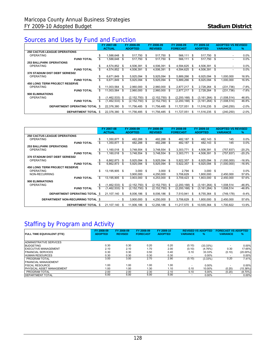### Sources and Uses by Fund and Function

|                                       |     | FY 2007-08       |      | FY 2008-09         |          | FY 2008-09         |      | FY 2008-09       |      | FY 2009-10         |      | <b>ADOPTED VS REVISED</b> |         |
|---------------------------------------|-----|------------------|------|--------------------|----------|--------------------|------|------------------|------|--------------------|------|---------------------------|---------|
|                                       |     | <b>ACTUAL</b>    |      | <b>ADOPTED</b>     |          | <b>REVISED</b>     |      | <b>FORECAST</b>  |      | <b>ADOPTED</b>     |      | <b>VARIANCE</b>           | $\%$    |
| <b>250 CACTUS LEAGUE OPERATIONS</b>   |     |                  |      |                    |          |                    |      |                  |      |                    |      |                           |         |
| <b>OPERATING</b>                      | S   | 1.588.648        | -8   | 517.750 \$         |          | 517.750 \$         |      | 566.111 \$       |      | 517,750 \$         |      |                           | 0.0%    |
| <b>FUND TOTAL</b>                     |     | 1,588,648        | \$   | 517.750 \$         |          | 517.750 \$         |      | 566.111          | - \$ | 517.750 \$         |      |                           | 0.0%    |
| <b>253 BALLPARK OPERATIONS</b>        |     |                  |      |                    |          |                    |      |                  |      |                    |      |                           |         |
| OPERATING                             | \$. | 4,574,852        | - \$ | 4,506,391          | <b>S</b> | 4.506.391          | - \$ | 4.594.625        | - \$ | 4,506,391          | - \$ |                           | 0.0%    |
| <b>FUND TOTAL</b>                     | \$  | 4.574.852        | - \$ | 4,506,391          | S        | 4.506.391          | - \$ | 4.594.625        | \$.  | 4.506.391          | - \$ | $\overline{a}$            | 0.0%    |
| <b>370 STADIUM DIST DEBT SERIES02</b> |     |                  |      |                    |          |                    |      |                  |      |                    |      |                           |         |
| <b>OPERATING</b>                      | S   | 6,671,849        | - \$ | 5.925.094          | - \$     | 5.925.094          | - \$ | 5.889.266        | -8   | 6.925.094          | - \$ | 1.000.000                 | 16.9%   |
| <b>FUND TOTAL</b>                     |     | 6.671.849        | \$.  | 5,925,094          | \$       | 5,925,094          | - \$ | 5.889.266        | \$   | 6.925.094          | - \$ | 1.000.000                 | 16.9%   |
| <b>450 LONG TERM PROJECT RESERVE</b>  |     |                  |      |                    |          |                    |      |                  |      |                    |      |                           |         |
| <b>OPERATING</b>                      | £.  | 11.003.564       | - \$ | 2.960.000          | S.       | 2.960.000          | - \$ | 2.877.217        | - \$ | 2.728.264          | - \$ | (231, 736)                | $-7.8%$ |
| <b>FUND TOTAL</b>                     | \$  | 11.003.564       | \$.  | 2.960.000          | S        | 2.960.000          | - \$ | 2.877.217        | -S   | 2.728.264          | - \$ | (231, 736)                | $-7.8%$ |
| <b>900 ELIMINATIONS</b>               |     |                  |      |                    |          |                    |      |                  |      |                    |      |                           |         |
| <b>OPERATING</b>                      |     | $(1,462,533)$ \$ |      | $(2, 152, 750)$ \$ |          | $(2, 152, 750)$ \$ |      | $(2,200,168)$ \$ |      | $(3, 161, 264)$ \$ |      | (1,008,514)               | 46.8%   |
| <b>FUND TOTAL</b>                     | \$  | $(1,462,533)$ \$ |      | $(2, 152, 750)$ \$ |          | $(2, 152, 750)$ \$ |      | $(2,200,168)$ \$ |      | $(3, 161, 264)$ \$ |      | (1,008,514)               | 46.8%   |
| DEPARTMENT OPERATING TOTAL \$         |     | 22.376.380       | - \$ | 11,756,485         | - \$     | 11.756.485         | - \$ | 11.727.051       | - \$ | 11,516,235 \$      |      | (240, 250)                | $-2.0%$ |
| DEPARTMENT TOTAL \$                   |     | 22.376.380       | -8   | 11.756.485         | -S       | 11.756.485         | - \$ | 11.727.051       | - \$ | 11.516.235         | - SS | (240.250)                 | $-2.0%$ |

|                                      |                            |     | FY 2007-08<br><b>ACTUAL</b> |      | FY 2008-09<br><b>ADOPTED</b> |      | FY 2008-09<br><b>REVISED</b> |      | FY 2008-09<br><b>FORECAST</b> |      | FY 2009-10<br><b>ADOPTED</b> |      | <b>ADOPTED VS REVISED</b><br><b>VARIANCE</b> | %        |
|--------------------------------------|----------------------------|-----|-----------------------------|------|------------------------------|------|------------------------------|------|-------------------------------|------|------------------------------|------|----------------------------------------------|----------|
| <b>250 CACTUS LEAGUE OPERATIONS</b>  |                            |     |                             |      |                              |      |                              |      |                               |      |                              |      |                                              |          |
|                                      |                            |     |                             |      |                              |      |                              |      |                               |      |                              |      |                                              |          |
| <b>OPERATING</b>                     |                            | S   | 1,350,877                   | -S   | 482,288                      | -S   | 482,288 \$                   |      | 482,187 \$                    |      | 482,143 \$                   |      | 145                                          | $0.0\%$  |
|                                      | <b>FUND TOTAL</b>          |     | 1,350,877                   | - \$ | 482,288                      | S    | 482,288                      | - \$ | 482,187                       | - \$ | 482,143 \$                   |      | 145                                          | $0.0\%$  |
| <b>253 BALLPARK OPERATIONS</b>       |                            |     |                             |      |                              |      |                              |      |                               |      |                              |      |                                              |          |
| <b>OPERATING</b>                     |                            | S   | 1,160,018 \$                |      | 3,748,554                    | -S   | 3,748,554                    | - \$ | 3,303,771                     | -S   | 4,506,391                    | - \$ | (757, 837)                                   | $-20.2%$ |
|                                      | <b>FUND TOTAL</b>          | \$. | 1,160,018                   | - \$ | 3,748,554                    | \$   | 3,748,554                    | -\$  | 3,303,771                     | \$   | 4,506,391                    | -S   | (757, 837)                                   | $-20.2%$ |
| 370 STADIUM DIST DEBT SERIES02       |                            |     |                             |      |                              |      |                              |      |                               |      |                              |      |                                              |          |
| <b>OPERATING</b>                     |                            | \$. | 6,862,873 \$                |      | 5,925,094                    | - \$ | 5,925,094                    | - \$ | 5,922,357                     | - \$ | 6,925,094                    | - \$ | (1,000,000)                                  | $-16.9%$ |
|                                      | <b>FUND TOTAL</b>          | \$. | 6.862.873                   | - \$ | 5,925,094                    | -S   | 5,925,094                    | - \$ | 5,922,357                     | -S   | 6,925,094                    | \$   | (1,000,000)                                  | $-16.9%$ |
| <b>450 LONG TERM PROJECT RESERVE</b> |                            |     |                             |      |                              |      |                              |      |                               |      |                              |      |                                              |          |
| <b>OPERATING</b>                     |                            | \$  | 13,195,905 \$               |      | $3,000$ \$                   |      | $3,000$ \$                   |      | $2.794$ \$                    |      | $3,000$ \$                   |      |                                              | $0.0\%$  |
| NON-RECURRING                        |                            |     |                             |      | 3,900,000                    |      | 4,250,000                    |      | 3,706,629                     |      | 1,800,000                    |      | 2,450,000                                    | 57.6%    |
|                                      | <b>FUND TOTAL</b>          | \$. | 13,195,905 \$               |      | 3,903,000                    | -S   | 4,253,000 \$                 |      | 3,709,423                     | - \$ | 1,803,000 \$                 |      | 2,450,000                                    | 57.6%    |
| <b>900 ELIMINATIONS</b>              |                            |     |                             |      |                              |      |                              |      |                               |      |                              |      |                                              |          |
| <b>OPERATING</b>                     |                            |     | $(1,462,533)$ \$            |      | $(2, 152, 750)$ \$           |      | $(2, 152, 750)$ \$           |      | $(2,200,168)$ \$              |      | $(3, 161, 264)$ \$           |      | 1,008,514                                    | $-46.8%$ |
|                                      | <b>FUND TOTAL</b>          | \$  | $(1,462,533)$ \$            |      | $(2, 152, 750)$ \$           |      | $(2, 152, 750)$ \$           |      | $(2,200,168)$ \$              |      | $(3, 161, 264)$ \$           |      | 1,008,514                                    | $-46.8%$ |
| DEPARTMENT OPERATING TOTAL \$        |                            |     | 21,107,140 \$               |      | 8,006,186 \$                 |      | 8,006,186 \$                 |      | 7,510,941                     | -S   | 8,755,364 \$                 |      | (749, 178)                                   | $-9.4\%$ |
| DEPARTMENT NON-RECURRING TOTAL \$    |                            |     | - \$                        |      | 3,900,000 \$                 |      | 4,250,000                    | - \$ | 3,706,629                     | - \$ | 1,800,000                    | S.   | 2,450,000                                    | 57.6%    |
|                                      | <b>DEPARTMENT TOTAL \$</b> |     | 21.107.140                  | - \$ | 11,906,186                   | -S   | 12,256,186                   | - \$ | 11,217,570                    | -SS  | 10,555,364                   | - \$ | 1,700,822                                    | 13.9%    |

## Staffing by Program and Activity

|                                   | FY 2008-09     | FY 2008-09     | FY 2008-09      | FY 2009-10     | <b>REVISED VS ADOPTED</b> |             | <b>FORECAST VS ADOPTED</b> |             |
|-----------------------------------|----------------|----------------|-----------------|----------------|---------------------------|-------------|----------------------------|-------------|
| <b>FULL TIME EQUIVALENT (FTE)</b> | <b>ADOPTED</b> | <b>REVISED</b> | <b>FORECAST</b> | <b>ADOPTED</b> | <b>VARIANCE</b>           | $\%$        | <b>VARIANCE</b>            | %           |
| ADMINISTRATIVE SERVICES           |                |                |                 |                |                           |             |                            |             |
| <b>BUDGETING</b>                  | 0.30           | 0.30           | 0.20            | 0.20           | (0.10)                    | $(33.33\%)$ |                            | 0.00%       |
| <b>EXECUTIVE MANAGEMENT</b>       | 2.10           | 2.10           | 1.70            | 2.00           | (0.10)                    | $(4.76\%)$  | 0.30                       | 17.65%      |
| <b>FINANCIAL SERVICES</b>         | 0.30           | 0.30           | 0.50            | 0.40           | 0.10                      | 33.33%      | (0.10)                     | $(20.00\%)$ |
| <b>HUMAN RESOURCES</b>            | 0.30           | 0.30           | 0.30            | 0.30           |                           | $0.00\%$    |                            | $0.00\%$    |
| PROGRAM TOTAL                     | 3.00           | 3.00           | 2.70            | 2.90           | (0.10)                    | (3.33%)     | 0.20                       | 7.41%       |
| <b>FINANCIAL MANAGEMENT</b>       |                |                |                 |                |                           |             |                            |             |
| <b>FISCAL RESOURCE</b>            | 1.00           | 1.00           | 1.00            | 1.00           |                           | $0.00\%$    |                            | 0.00%       |
| <b>PHYSICAL ASSET MANAGEMENT</b>  | 1.00           | 1.00           | 1.30            | 1.10           | 0.10                      | 10.00%      | (0.20)                     | $(15.38\%)$ |
| <b>PROGRAM TOTAL</b>              | 2.00           | 2.00           | 2.30            | 2.10           | 0.10                      | 5.00%       | (0.20)                     | $(8.70\%)$  |
| <b>DEPARTMENT TOTAL</b>           | 5.00           | 5.00           | 5.00            | 5.00           |                           | $0.00\%$    |                            | 0.00%       |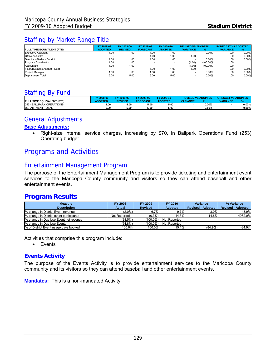### Staffing by Market Range Title

|                                   | FY 2008-09     | FY 2008-09     | FY 2008-09      | FY 2009-10     | <b>REVISED VS ADOPTED</b> |             | <b>FORECAST VS ADOPTED</b> |       |
|-----------------------------------|----------------|----------------|-----------------|----------------|---------------------------|-------------|----------------------------|-------|
| <b>FULL TIME EQUIVALENT (FTE)</b> | <b>ADOPTED</b> | <b>REVISED</b> | <b>FORECAST</b> | <b>ADOPTED</b> | <b>VARIANCE</b>           | $\%$        | <b>VARIANCE</b>            | %     |
| <b>Executive Assistant</b>        | 1.00           | 1.00           | 1.00            | 1.00           | $\overline{\phantom{a}}$  | $0.00\%$    | .00                        | 0.00% |
| <b>Office Assistant</b>           |                |                | 1.00            | 1.00           | 1.00                      |             | .00                        | 0.00% |
| Director - Stadium District       | 1.00           | 1.00           | 1.00            | 1.00           | ۰                         | $0.00\%$    | .00                        | 0.00% |
| Program Coordinator               | 1.00           | 1.00           |                 |                | (1.00)                    | $-100.00\%$ | .00                        |       |
| Accountant                        | 1.00           | 1.00           |                 |                | (1.00)                    | $-100.00\%$ | .00                        |       |
| Finan/Business Analyst - Dept     |                |                | 1.00            | 1.00           | 1.00                      |             | .00                        | 0.00% |
| <b>Project Manager</b>            | 1.00           | 1.00           | 1.00            | 1.00           |                           | $0.00\%$    | .00.                       | 0.00% |
| Deptartment Total                 | 5.00           | 5.00           | 5.00            | 5.00           |                           | $0.00\%$    | .00.                       | 0.00% |

### Staffing By Fund

|                                        | FY 2008-09     | FY 2008-09     | 2008-09         | FY 2009-10     | <b>REVISED VS ADOPTED</b> |          | <b>FORECAST VS ADOPTED</b> |          |
|----------------------------------------|----------------|----------------|-----------------|----------------|---------------------------|----------|----------------------------|----------|
| <b>FULL</b><br>. TIME EQUIVALENT (FTE) | <b>\DOPTED</b> | <b>REVISED</b> | <b>FORECAST</b> | <b>ADOPTED</b> | <b>VARIANCF</b>           |          | <b><i>VARIANCE</i></b>     |          |
| 253 - BALLPARK OPERATIONS              | 5.00           | 5.00           | 5.00            | 5.00           |                           | $0.00\%$ |                            | $0.00\%$ |
| <b>DEPARTMENT TOTAL</b>                | 5.00           | 5.00           | 5.00            | 5.00           |                           | $0.00\%$ |                            | 0.00%    |

### General Adjustments

#### **Base Adjustments:**

• Right-size internal service charges, increasing by \$70, in Ballpark Operations Fund (253) Operating budget.

## Programs and Activities

### Entertainment Management Program

The purpose of the Entertainment Management Program is to provide ticketing and entertainment event services to the Maricopa County community and visitors so they can attend baseball and other entertainment events.

### **Program Results**

| <b>Measure</b>                          | <b>FY 2008</b> | FY 2009        | FY 2010        | Variance                 | % Variance               |
|-----------------------------------------|----------------|----------------|----------------|--------------------------|--------------------------|
| <b>Description</b>                      | <b>Actual</b>  | <b>Revised</b> | <b>Adopted</b> | <b>Revised - Adopted</b> | <b>Revised - Adopted</b> |
| % change in District Event revenue      | $(2.0\%)$      | 6.7%           | 9.7%           | 3.0%                     | 43.9%                    |
| % change in District event participants | Not Reported   | $(0.3\%)$      | 14.3%          | 14.6%                    | -4982.0%                 |
| % change in Day Use Event net revenue   | (38.5%)        | $(100.0\%)$    | Not Reported   |                          |                          |
| % change in Day Use Events              | $(64.8\%)$     | $(100.0\%)$    | Not Reported   |                          |                          |
| % of District Event usage days booked   | 100.0%         | 100.0%         | 15.1%          | $(84.9\%)$               | $-84.9%$                 |

Activities that comprise this program include:

• Events

### **Events Activity**

The purpose of the Events Activity is to provide entertainment services to the Maricopa County community and its visitors so they can attend baseball and other entertainment events.

**Mandates:** This is a non-mandated Activity.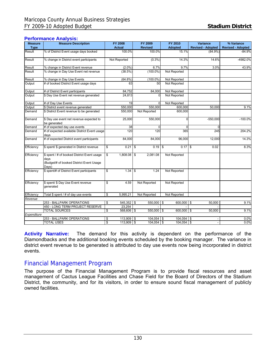#### **Performance Analysis:**

| <b>Measure</b><br><b>Type</b> | <b>Measure Description</b>                                                                               | <b>FY 2008</b><br><b>Actual</b> | FY 2009<br><b>Revised</b> | <b>FY 2010</b><br><b>Adopted</b> | Variance<br><b>Revised - Adopted</b> | % Variance<br><b>Revised - Adopted</b> |
|-------------------------------|----------------------------------------------------------------------------------------------------------|---------------------------------|---------------------------|----------------------------------|--------------------------------------|----------------------------------------|
| Result                        | % of District Event usage days booked                                                                    | 100.0%                          | 100.0%                    | 15.1%                            | $(84.9\%)$                           | $-84.9%$                               |
| Result                        | % change in District event participants                                                                  | Not Reported                    | $(0.3\%)$                 | 14.3%                            | 14.6%                                | $-4982.0%$                             |
| Result                        | % change in District Event revenue                                                                       | $(2.0\%)$                       | 6.7%                      | 9.7%                             | 3.0%                                 | 43.9%                                  |
| Result                        | % change in Day Use Event net revenue                                                                    | (38.5%)                         | $(100.0\%)$               | Not Reported                     |                                      |                                        |
| Result                        | % change in Day Use Events                                                                               | $(64.8\%)$                      | $(100.0\%)$               | Not Reported                     |                                      |                                        |
| Output                        | # of booked District Event usage days                                                                    | 63                              | 50                        | Not Reported                     |                                      |                                        |
| Output                        | # of District Event participants                                                                         | 84,752                          | 84,000                    | Not Reported                     |                                      |                                        |
| Output                        | \$ Day Use Event net revenue generated                                                                   | 24,813                          |                           | Not Reported                     |                                      |                                        |
| Output                        | # of Day Use Events                                                                                      | 19                              | $\Omega$                  | Not Reported                     |                                      |                                        |
| Output                        | \$ District event revenue generated                                                                      | 550,000                         | 550,000                   | 600,000                          | 50,000                               | 9.1%                                   |
| Demand                        | \$ District Event revenue to be generated                                                                | 550,000                         | Not Reported              | 600,000                          |                                      |                                        |
| Demand                        | \$ Day use event net revenue expected to<br>be generated                                                 | 25,000                          | 550,000                   | 0                                | $-550,000$                           | $-100.0%$                              |
| Demand                        | # of expected day use events                                                                             | 38                              | $\Omega$                  | $\Omega$                         | $\Omega$                             |                                        |
| Demand                        | # of expected available District Event usage<br>days                                                     | 120                             | 120                       | 365                              | 245                                  | 204.2%                                 |
| Demand                        | # of expected District event participants                                                                | 84,000                          | 84,000                    | 96,000                           | 12,000                               | 14.3%                                  |
| Efficiency                    | \$ spent/ \$ generated in District revenue                                                               | \$<br>0.21                      | $\sqrt{ }$<br>$0.19$ \$   | $0.17$ \$                        | 0.02                                 | 8.3%                                   |
| Efficiency                    | \$ spent / # of booked District Event usage<br>days<br>(Budget/# of booked District Event Usage<br>Davs) | \$<br>1,808.08                  | 2,081.08<br>l \$          | Not Reported                     |                                      |                                        |
| Efficiency                    | \$ spent/# of District Event participants                                                                | \$<br>1.34                      | l \$<br>1.24              | Not Reported                     |                                      |                                        |
| Efficiency                    | \$ spent/ \$ Day Use Event revenue<br>generated                                                          | \$<br>4.59                      | Not Reported              | Not Reported                     |                                      |                                        |
| Efficiency                    | Total \$ spent / # of day use events                                                                     | \$<br>5,995.21                  | Not Reported              | Not Reported                     |                                      |                                        |
| Revenue                       |                                                                                                          |                                 |                           |                                  |                                      |                                        |
|                               | 253 - BALLPARK OPERATIONS                                                                                | $545,352$ \ \$<br>\$            | $550,000$ \$              | 600,000 \$                       | 50,000                               | 9.1%                                   |
|                               | 450 - LONG TERM PROJECT RESERVE                                                                          | 23.254                          |                           |                                  |                                      |                                        |
|                               | <b>TOTAL SOURCES</b>                                                                                     | \$<br>568,606 \$                | $550,000$ \$              | $600,000$ \$                     | 50,000                               | 9.1%                                   |
| Expenditure                   |                                                                                                          |                                 |                           |                                  |                                      |                                        |
|                               | 253 - BALLPARK OPERATIONS                                                                                | 113,909 \$<br>\$                | $104,054$ \$              | $104,054$ \$                     |                                      | 0.0%                                   |
|                               | <b>TOTAL USES</b>                                                                                        | $113,909$ \$<br>\$              | $104,054$ \$              | $104,054$ \$                     |                                      | 0.0%                                   |

**Activity Narrative:** The demand for this activity is dependent on the performance of the Diamondbacks and the additional booking events scheduled by the booking manager. The variance in district event revenue to be generated is attributed to day use events now being incorporated in district events.

### Financial Management Program

The purpose of the Financial Management Program is to provide fiscal resources and asset management of Cactus League Facilities and Chase Field for the Board of Directors of the Stadium District, the community, and for its visitors, in order to ensure sound fiscal management of publicly owned facilities.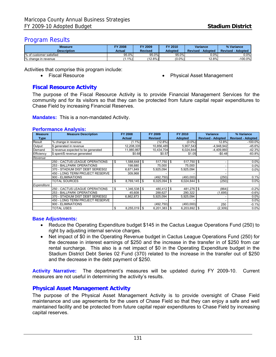#### Program Results

| <b>Measure</b><br><b>Description</b> | <b>FY 2008</b><br>Actual | FY 2009<br>Revised | <b>FY 2010</b><br><b>Adopted</b> | Variance<br><b>Revised - Adopted</b> | % Variance<br><b>Revised - Adopted</b> |
|--------------------------------------|--------------------------|--------------------|----------------------------------|--------------------------------------|----------------------------------------|
| % of customer satisfied              | 95.0%                    | 95.0%              | 95.0%                            | 0.0%                                 | $0.0\%$                                |
| % change in revenue                  | $(1.1\%)$                | $(12.8\%)$         | $(0.0\%)$                        | 12.8%                                | $-100.0\%$                             |

Activities that comprise this program include:

- 
- Fiscal Resource  **Physical Asset Management**

#### **Fiscal Resource Activity**

The purpose of the Fiscal Resource Activity is to provide Financial Management Services for the community and for its visitors so that they can be protected from future capital repair expenditures to Chase Field by increasing Financial Reserves.

**Mandates:** This is a non-mandated Activity.

#### **Performance Analysis:**

| <b>Measure</b> | <b>Measure Description</b>          | <b>FY 2008</b>       | <b>FY 2009</b> | FY 2010                | <b>Variance</b>          | % Variance               |
|----------------|-------------------------------------|----------------------|----------------|------------------------|--------------------------|--------------------------|
| <b>Type</b>    |                                     | Actual               | <b>Revised</b> | <b>Adopted</b>         | <b>Revised - Adopted</b> | <b>Revised - Adopted</b> |
| Result         | % change in revenue                 | $(1.1\%)$            | $(12.8\%)$     | $(0.0\%)$              | 12.8%                    | $-100.0%$                |
| Output         | \$ generated in revenue             | 12,208,335           | 10,856,485     | 5,907,543              | $-4,948,942$             | $-45.6%$                 |
| Demand         | \$ revenue expected to be generated | 11,980,867           | 10,434,704     | 6,024,844              | $-4,409,860$             | $-42.3%$                 |
| Efficiency     | \$ spent/\$ revenue generated       | \$0.68               | \$0.57         | \$1.05                 | $-$0.48$                 | $-83.8%$                 |
| Revenue        |                                     |                      |                |                        |                          |                          |
|                | 250 - CACTUS LEAGUE OPERATIONS      | \$<br>$.588.648$ \$  | 517,750 \$     | 517,750 \$             |                          | 0.0%                     |
|                | 253 - BALLPARK OPERATIONS           | 198,680              | 75,000         | 75,000                 |                          | 0.0%                     |
|                | 370 - STADIUM DIST DEBT SERIES02    | 6.671.849            | 5,925,094      | 5,925,094              |                          | 0.0%                     |
|                | 450 - LONG TERM PROJECT RESERVE     | 309.968              |                |                        |                          |                          |
|                | 900 - ELIMINATIONS                  |                      | (492, 750)     | (493,000)              | (250)                    | 0.1%                     |
|                | <b>TOTAL SOURCES</b>                | \$<br>$8,769,145$ \$ | 6,025,094      | $6,024,844$ \$<br>l \$ | (250)                    | 0.0%                     |
| Expenditure    |                                     |                      |                |                        |                          |                          |
|                | 250 - CACTUS LEAGUE OPERATIONS      | \$<br>$,346,538$ \$  | 480,412 \$     | 481,276 \$             | (864)                    | $-0.2%$                  |
|                | 253 - BALLPARK OPERATIONS           | 45,608               | 288,627        | 290,322                | (1,695)                  | $-0.6%$                  |
|                | 370 - STADIUM DIST DEBT SERIES02    | 6,862,873            | 5,925,094      | 5,925,094              |                          | 0.0%                     |
|                | 450 - LONG TERM PROJECT RESERVE     |                      |                |                        |                          | 0.0%                     |
|                | 900 - ELIMINATIONS                  |                      | (492,750)      | (493,000)              | 250                      | $-0.1%$                  |
|                | <b>TOTAL USES</b>                   | \$<br>$8,255,019$ \$ | 6,201,383      | $6.203.692$ S<br>l \$  | (2,309)                  | 0.0%                     |

#### **Base Adjustments:**

- Reduce the Operating Expenditure budget \$145 in the Cactus League Operations Fund (250) to right by adjusting internal service charges.
- Net impact of \$0 in the Operating Revenue budget in Cactus League Operations Fund (250) for the decrease in interest earnings of \$250 and the increase in the transfer in of \$250 from car rental surcharge. This also is a net impact of \$0 in the Operating Expenditure budget in the Stadium District Debt Series 02 Fund (370) related to the increase in the transfer out of \$250 and the decrease in the debt payment of \$250.

**Activity Narrative:** The department's measures will be updated during FY 2009-10. Current measures are not useful in determining the activity's results.

#### **Physical Asset Management Activity**

The purpose of the Physical Asset Management Activity is to provide oversight of Chase Field maintenance and use agreements for the users of Chase Field so that they can enjoy a safe and well maintained facility and be protected from future capital repair expenditures to Chase Field by increasing capital reserves.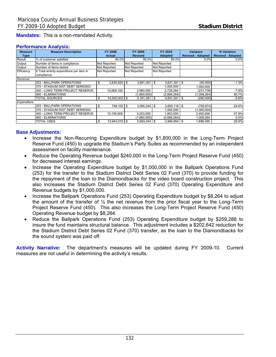**Mandates:** This is a non-mandated Activity.

#### **Performance Analysis:**

| <b>Measure</b> | <b>Measure Description</b>                | <b>FY 2008</b>        | <b>FY 2009</b>   | FY 2010                | <b>Variance</b>          | % Variance               |
|----------------|-------------------------------------------|-----------------------|------------------|------------------------|--------------------------|--------------------------|
| <b>Type</b>    |                                           | Actual                | <b>Revised</b>   | <b>Adopted</b>         | <b>Revised - Adopted</b> | <b>Revised - Adopted</b> |
| Result         | % of customer satisfied                   | 95.0%                 | 95.0%            | 95.0%                  | $0.0\%$                  | $0.0\%$                  |
| Output         | Number of items in compliance             | Not Reported          | Not Reported     | Not Reported           |                          |                          |
| Output         | Number of items tested                    | <b>Not Reported</b>   | Not Reported     | Not Reported           |                          |                          |
| Efficiency     | \$ Total activity expenditure per item in | Not Reported          | Not Reported     | Not Reported           |                          |                          |
|                | compliance                                |                       |                  |                        |                          |                          |
| Revenue        |                                           |                       |                  |                        |                          |                          |
|                | 253 - BALLPARK OPERATIONS                 | $3,830,820$ \$<br>\$  | $3,881,391$ \ \$ | $3,831,391$ \$         | (50,000)                 | $-1.3%$                  |
|                | 370 - STADIUM DIST DEBT SERIES02          |                       |                  | 1,000,000              | 1,000,000                |                          |
|                | 450 - LONG TERM PROJECT RESERVE           | 10,669,182            | 2,960,000        | 2,728,264              | (231, 736)               | $-7.8%$                  |
|                | 900 - ELIMINATIONS                        |                       | (1,660,000)      | (2,668,264)            | (1,008,264)              | 60.7%                    |
|                | <b>TOTAL SOURCES</b>                      | $14,500,002$ \$<br>\$ | 5,181,391        | 4,891,391 \$<br>$1$ \$ | (290,000)                | $-5.6%$                  |
| Expenditure    |                                           |                       |                  |                        |                          |                          |
|                | 253 - BALLPARK OPERATIONS                 | 748,105 \$<br>\$      | 3.090.244        | $3,850,118$ \$<br>l \$ | (759, 874)               | $-24.6%$                 |
|                | 370 - STADIUM DIST DEBT SERIES02          |                       |                  | 1,000,000              | (1,000,000)              |                          |
|                | 450 - LONG TERM PROJECT RESERVE           | 13.195.905            | 4.253.000        | 1.803.000              | 2,450,000                | 57.6%                    |
|                | 900 - ELIMINATIONS                        |                       | (1,660,000)      | (2,668,264)            | 1,008,264                | 0.0%                     |
|                | <b>TOTAL USES</b>                         | 13.944.010 \$<br>\$   | 5,683,244 \$     | 3.984.854 \$           | 1.698.390                | 29.9%                    |

#### **Base Adjustments:**

- Increase the Non-Recurring Expenditure budget by \$1,800,000 in the Long-Term Project Reserve Fund (450) to upgrade the Stadium's Party Suites as recommended by an independent assessment on facility maintenance.
- Reduce the Operating Revenue budget \$240,000 in the Long-Term Project Reserve Fund (450) for decreased interest earnings.
- Increase the Operating Expenditure budget by \$1,000,000 in the Ballpark Operations Fund (253) for the transfer to the Stadium District Debt Series 02 Fund (370) to provide funding for the repayment of the loan to the Diamondbacks for the video board construction project. This also increases the Stadium District Debt Series 02 Fund (370) Operating Expenditure and Revenue budgets by \$1,000,000.
- Increase the Ballpark Operations Fund (253) Operating Expenditure budget by \$8,264 to adjust the amount of the transfer of ½ the net revenue from the prior fiscal year to the Long-Term Project Reserve Fund (450). This also increases the Long-Term Project Reserve Fund (450) Operating Revenue budget by \$8,264.
- Reduce the Ballpark Operations Fund (253) Operating Expenditure budget by \$259,288 to insure the fund maintains structural balance. This adjustment includes a \$202,642 reduction for the Stadium District Debt Series 02 Fund (370) transfer, as the loan to the Diamondbacks for the sound system was paid off.

Activity Narrative: The department's measures will be updated during FY 2009-10. Current measures are not useful in determining the activity's results.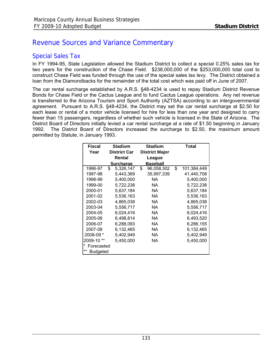## Revenue Sources and Variance Commentary

### Special Sales Tax

In FY 1994-95, State Legislation allowed the Stadium District to collect a special 0.25% sales tax for two years for the construction of the Chase Field. \$238,000,000 of the \$253,000,000 total cost to construct Chase Field was funded through the use of the special sales tax levy. The District obtained a loan from the Diamondbacks for the remainder of the total cost which was paid off in June of 2007.

The car rental surcharge established by A.R.S. §48-4234 is used to repay Stadium District Revenue Bonds for Chase Field or the Cactus League and to fund Cactus League operations. Any net revenue is transferred to the Arizona Tourism and Sport Authority (AZTSA) according to an intergovernmental agreement. Pursuant to A.R.S. §48-4234, the District may set the car rental surcharge at \$2.50 for each lease or rental of a motor vehicle licensed for hire for less than one year and designed to carry fewer than 15 passengers, regardless of whether such vehicle is licensed in the State of Arizona. The District Board of Directors initially levied a car rental surcharge at a rate of \$1.50 beginning in January 1992. The District Board of Directors increased the surcharge to \$2.50, the maximum amount permitted by Statute, in January 1993.

| Fiscal                   | <b>Stadium</b> |                     |    | Stadium               | Total             |
|--------------------------|----------------|---------------------|----|-----------------------|-------------------|
| Year                     |                | <b>District Car</b> |    | <b>District Major</b> |                   |
|                          |                | Rental              |    | League                |                   |
|                          |                | Surcharge           |    | Baseball              |                   |
| 1996-97                  | \$             | 5,326,147           | \$ | 96,058,302            | \$<br>101,384,449 |
| 1997-98                  |                | 5,443,369           |    | 35,997,339            | 41,440,708        |
| 1998-99                  |                | 5,400,000           |    | NA.                   | 5,400,000         |
| 1999-00                  |                | 5,722,238           |    | NA.                   | 5,722,238         |
| 2000-01                  |                | 5,637,184           |    | NA.                   | 5,637,184         |
| 2001-02                  |                | 5,536,163           |    | NА                    | 5,536,163         |
| 2002-03                  |                | 4,865,038           |    | NA.                   | 4,865,038         |
| 2003-04                  |                | 5,556,717           |    | NA.                   | 5,556,717         |
| 2004-05                  |                | 6,024,416           |    | NA.                   | 6,024,416         |
| 2005-06                  |                | 6.498.814           |    | NA.                   | 6,493,520         |
| 2006-07                  |                | 6,288,093           |    | NА                    | 6,286,155         |
| 2007-08                  |                | 6,132,465           |    | NА                    | 6,132,465         |
| 2008-09*                 |                | 5,402,949           |    | NA.                   | 5,402,949         |
| 2009-10                  |                | 5,450,000           |    | NA.                   | 5,450,000         |
| *<br>Forecasted          |                |                     |    |                       |                   |
| $***$<br><b>Budgeted</b> |                |                     |    |                       |                   |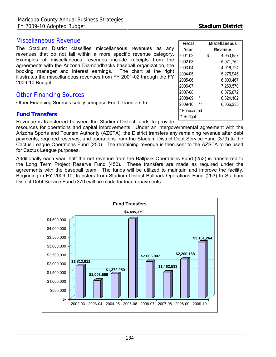**Miscellaneous** 

#### Miscellaneous Revenue

The Stadium District classifies miscellaneous revenues as any revenues that do not fall within a more specific revenue category. Examples of miscellaneous revenues include receipts from the agreements with the Arizona Diamondbacks baseball organization, the booking manager and interest earnings. The chart at the right illustrates the miscellaneous revenues from FY 2001-02 through the FY 2009-10 Budget.

### Other Financing Sources

Other Financing Sources solely comprise Fund Transfers In.

#### **Fund Transfers**

Revenue is transferred between the Stadium District funds to provide

resources for operations and capital improvements. Under an intergovernmental agreement with the Arizona Sports and Tourism Authority (AZSTA), the District transfers any remaining revenue after debt payments, required reserves, and operations from the Stadium District Debt Service Fund (370) to the Cactus League Operations Fund (250). The remaining revenue is then sent to the AZSTA to be used for Cactus League purposes.

Additionally each year, half the net revenue from the Ballpark Operations Fund (253) is transferred to the Long Term Project Reserve Fund (450). These transfers are made as required under the agreements with the baseball team. The funds will be utilized to maintain and improve the facility. Beginning in FY 2009-10, transfers from Stadium District Ballpark Operations Fund (253) to Stadium District Debt Service Fund (370) will be made for loan repayments.



| Year         |    | Revenue         |
|--------------|----|-----------------|
| 2001-02      |    | \$<br>4,953,957 |
| 2002-03      |    | 5,071,762       |
| 2003-04      |    | 4,916,724       |
| 2004-05      |    | 5,276,945       |
| 2005-06      |    | 6,000,467       |
| 2006-07      |    | 7,269,570       |
| 2007-08      |    | 6,075,872       |
| 2008-09      |    | 6,324,102       |
| 2009-10      | ** | 6,066,235       |
| * Forecasted |    |                 |
| Budaet       |    |                 |

**Fiscal**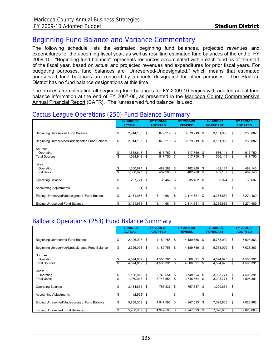## Beginning Fund Balance and Variance Commentary

The following schedule lists the estimated beginning fund balances, projected revenues and expenditures for the upcoming fiscal year, as well as resulting estimated fund balances at the end of FY 2009-10. "Beginning fund balance" represents resources accumulated within each fund as of the start of the fiscal year, based on actual and projected revenues and expenditures for prior fiscal years. For budgeting purposes, fund balances are "Unreserved/Undesignated," which means that estimated unreserved fund balances are reduced by amounts designated for other purposes. The Stadium District has no fund balance designations at this time.

The process for estimating all beginning fund balances for FY 2009-10 begins with audited actual fund balance information at the end of FY 2007-08, as presented in the Maricopa County Comprehensive Annual Financial Report (CAFR). The "unreserved fund balance" is used.

### Cactus League Operations (250) Fund Balance Summary

|                                                | FY 2007-08<br><b>ACTUAL</b> |           |      | FY 2008-09<br><b>ADOPTED</b> |      | FY 2008-09<br><b>REVISED</b> |        | FY 2008-09<br><b>FORECAST</b> | FY 2009-10<br><b>ADOPTED</b> |           |
|------------------------------------------------|-----------------------------|-----------|------|------------------------------|------|------------------------------|--------|-------------------------------|------------------------------|-----------|
| Beginning Unreserved Fund Balance              | \$                          | 2,914,188 | \$   | 3,079,219 \$                 |      | 3,079,219                    | S      | 3,151,958                     | \$.                          | 3,235,882 |
| Beginning Unreserved/Undesignated Fund Balance | \$                          | 2,914,188 | S    | 3,079,219 \$                 |      | 3,079,219                    | S      | 3,151,958                     | S.                           | 3,235,882 |
| Sources:<br>Operating                          | \$                          | 1,588,648 | \$   | 517,750 \$                   |      | 517,750                      | S      | 566,111                       | \$                           | 517,750   |
| Total Sources:                                 | \$                          | 1,588,648 | \$   | 517,750 \$                   |      | 517,750                      | S      | 566,111                       | \$                           | 517,750   |
| Uses:<br>Operating                             | \$                          | 1,350,877 | \$.  | 482,288                      | - \$ | 482,288                      | S      | 482.187                       | \$.                          | 482,143   |
| Total Uses:                                    | \$                          | 1,350,877 | \$   | 482,288                      | -\$  | 482,288                      | \$     | 482,187                       | \$                           | 482,143   |
| <b>Operating Balance</b>                       | \$                          | 237,771   | \$   | 35,462 \$                    |      | 35,462 \$                    |        | 83,924                        | \$                           | 35,607    |
| <b>Accounting Adjustments</b>                  | \$                          | $(1)$ \$  |      | $\sim$                       | -\$  |                              | $-$ \$ | $\sim$                        | \$                           |           |
| Ending Unreserved/Undesignated Fund Balance    | \$                          | 3,151,958 | - \$ | 3,114,681 \$                 |      | 3,114,681                    | \$     | 3,235,882                     | \$                           | 3,271,489 |
| <b>Ending Unreserved Fund Balance</b>          | S                           | 3,151,958 | S    | 3,114,681                    | - \$ | 3,114,681                    | \$     | 3,235,882                     | \$.                          | 3,271,489 |

### Ballpark Operations (253) Fund Balance Summary

|                                                |          | FY 2007-08<br><b>ACTUAL</b> |           | FY 2008-09<br><b>ADOPTED</b> |           | FY 2008-09<br><b>REVISED</b> |           | FY 2008-09<br><b>FORECAST</b> |          | FY 2009-10<br><b>ADOPTED</b> |
|------------------------------------------------|----------|-----------------------------|-----------|------------------------------|-----------|------------------------------|-----------|-------------------------------|----------|------------------------------|
| Beginning Unreserved Fund Balance              | \$       | 2,326,098                   | \$        | 4,189,756 \$                 |           | 4,189,756 \$                 |           | 5,738,009                     | \$       | 7,028,863                    |
| Beginning Unreserved/Undesignated Fund Balance | \$       | 2,326,098                   | \$        | 4,189,756 \$                 |           | 4,189,756 \$                 |           | 5,738,009                     | \$       | 7,028,863                    |
| Sources:<br>Operating<br>Total Sources:        |          | 4,574,852<br>4,574,852      | S<br>\$   | 4,506,391<br>4,506,391       | \$.<br>\$ | 4,506,391<br>4,506,391       | \$<br>\$  | 4,594,625<br>4,594,625        | \$<br>\$ | 4,506,391<br>4,506,391       |
| Uses:<br>Operating<br><b>Total Uses:</b>       | \$<br>\$ | 1,160,018<br>1,160,018      | \$.<br>\$ | 3,748,554 \$<br>3,748,554    | \$        | 3,748,554<br>3,748,554       | - \$<br>S | 3,303,771<br>3,303,771        | \$<br>\$ | 4,506,391<br>4,506,391       |
| <b>Operating Balance</b>                       | \$       | 3,414,834                   | \$        | 757,837 \$                   |           | 757,837 \$                   |           | 1,290,854                     | \$       |                              |
| <b>Accounting Adjustments</b>                  | \$       | $(2,923)$ \$                |           | $\sim$                       | -\$       |                              | - \$      | $\sim$                        | \$       |                              |
| Ending Unreserved/Undesignated Fund Balance    | \$       | 5,738,009                   | \$        | 4,947,593 \$                 |           | 4,947,593                    | - \$      | 7,028,863                     | \$       | 7,028,863                    |
| <b>Ending Unreserved Fund Balance</b>          |          | 5,738,009                   | \$        | 4,947,593                    | \$        | 4,947,593                    | S         | 7,028,863                     | \$       | 7,028,863                    |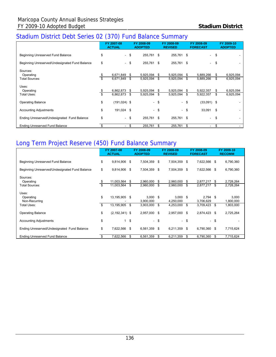## Stadium District Debt Series 02 (370) Fund Balance Summary

|                                                |     | FY 2007-08<br><b>ACTUAL</b> |        | FY 2008-09<br><b>ADOPTED</b> |      | FY 2008-09<br><b>REVISED</b> |        | FY 2008-09<br><b>FORECAST</b> | FY 2009-10<br><b>ADOPTED</b> |
|------------------------------------------------|-----|-----------------------------|--------|------------------------------|------|------------------------------|--------|-------------------------------|------------------------------|
| Beginning Unreserved Fund Balance              | \$  |                             | $-$ \$ | 255,761 \$                   |      | 255,761 \$                   |        | $\sim$                        | \$                           |
| Beginning Unreserved/Undesignated Fund Balance | \$  |                             | $-$ \$ | 255,761 \$                   |      | 255,761 \$                   |        | - 1                           | \$                           |
| Sources:<br>Operating                          |     | 6,671,849                   | \$     | 5,925,094                    | - \$ | 5,925,094                    | \$     | 5,889,266                     | \$<br>6,925,094              |
| Total Sources:                                 | \$. | 6,671,849                   | \$     | 5,925,094 \$                 |      | 5,925,094                    | \$     | 5,889,266                     | \$<br>6,925,094              |
| Uses:<br>Operating                             | \$  | 6,862,873                   | \$     | 5,925,094                    | - \$ | 5,925,094                    | \$     | 5,922,357                     | \$<br>6,925,094              |
| Total Uses:                                    | \$  | 6,862,873                   | \$     | 5,925,094                    | \$   | 5,925,094                    | \$     | 5,922,357                     | \$<br>6,925,094              |
| <b>Operating Balance</b>                       | \$  | $(191, 024)$ \$             |        | $\sim$                       | -\$  |                              | $-$ \$ | $(33,091)$ \$                 |                              |
| <b>Accounting Adjustments</b>                  | \$  | 191,024 \$                  |        | $\sim$                       | -\$  |                              | $-$ \$ | 33,091                        | \$                           |
| Ending Unreserved/Undesignated Fund Balance    | \$  |                             | $-$ \$ | 255,761 \$                   |      | 255,761 \$                   |        | $\sim$                        | \$                           |
| <b>Ending Unreserved Fund Balance</b>          | \$  | $\sim$                      | \$     | 255,761                      | \$   | 255,761                      | \$     | ٠.                            | \$                           |

## Long Term Project Reserve (450) Fund Balance Summary

|                                                |          | FY 2007-08<br><b>ACTUAL</b> |         | FY 2008-09<br><b>ADOPTED</b> |         | FY 2008-09<br><b>REVISED</b> |          | FY 2008-09<br><b>FORECAST</b> |          | FY 2009-10<br><b>RECOMM</b> |
|------------------------------------------------|----------|-----------------------------|---------|------------------------------|---------|------------------------------|----------|-------------------------------|----------|-----------------------------|
| Beginning Unreserved Fund Balance              | \$       | 9,814,906                   | \$      | 7,504,359                    | S       | 7,504,359                    | - \$     | 7,622,566 \$                  |          | 6,790,360                   |
| Beginning Unreserved/Undesignated Fund Balance | \$       | 9,814,906                   | - \$    | 7,504,359                    | S       | 7,504,359 \$                 |          | 7,622,566 \$                  |          | 6,790,360                   |
| Sources:<br>Operating<br><b>Total Sources:</b> | \$<br>\$ | 11,003,564<br>11,003,564    | S<br>\$ | 2,960,000<br>2,960,000       | S<br>\$ | 2,960,000<br>2,960,000       | S<br>-\$ | 2,877,217<br>2,877,217        | \$<br>\$ | 2,728,264<br>2,728,264      |
| Uses:                                          |          |                             |         |                              |         |                              |          |                               |          |                             |
| Operating<br>Non-Recurring                     | \$       | 13,195,905 \$               |         | $3,000$ \$<br>3,900,000      |         | $3,000$ \$<br>4,250,000      |          | $2,794$ \$<br>3,706,629       |          | 3,000<br>1,800,000          |
| Total Uses:                                    | \$       | 13,195,905                  | \$      | 3,903,000                    | S       | 4,253,000 \$                 |          | 3,709,423                     | - \$     | 1,803,000                   |
| <b>Operating Balance</b>                       | \$       | $(2, 192, 341)$ \$          |         | 2,957,000                    | \$      | 2,957,000 \$                 |          | 2,874,423                     | \$       | 2,725,264                   |
| <b>Accounting Adjustments</b>                  | \$       | $\mathbf{1}$                | \$      |                              | - \$    | $\sim$                       | - \$     | $\overline{\phantom{a}}$      | - \$     |                             |
| Ending Unreserved/Undesignated Fund Balance    | \$       | 7,622,566                   | \$      | 6,561,359                    | S       | 6,211,359 \$                 |          | 6,790,360 \$                  |          | 7,715,624                   |
| <b>Ending Unreserved Fund Balance</b>          | \$       | 7,622,566                   | \$      | 6,561,359                    | \$      | 6,211,359                    | \$       | 6,790,360                     | \$       | 7,715,624                   |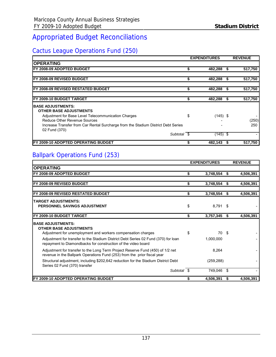## Appropriated Budget Reconciliations

## Cactus League Operations Fund (250)

|                                                                                   | <b>EXPENDITURES</b> | <b>REVENUE</b> |         |
|-----------------------------------------------------------------------------------|---------------------|----------------|---------|
| <b>OPERATING</b>                                                                  |                     |                |         |
| <b>FY 2008-09 ADOPTED BUDGET</b>                                                  |                     | 482,288        | 517,750 |
| <b>FY 2008-09 REVISED BUDGET</b>                                                  |                     | 482,288        | 517,750 |
|                                                                                   |                     |                |         |
| <b>IFY 2008-09 REVISED RESTATED BUDGET</b>                                        |                     | 482,288        | 517,750 |
| IFY 2009-10 BUDGET TARGET                                                         |                     | 482,288        | 517,750 |
| <b>IBASE ADJUSTMENTS:</b>                                                         |                     |                |         |
| <b>OTHER BASE ADJUSTMENTS</b>                                                     |                     |                |         |
| Adjustment for Base Level Telecommunication Charges                               | \$                  | $(145)$ \$     |         |
| <b>Reduce Other Revenue Sources</b>                                               |                     |                | (250)   |
| Increase Transfer from Car Rental Surcharge from the Stadium District Debt Series |                     |                | 250     |
| 02 Fund (370)                                                                     |                     |                |         |
| Subtotal \$                                                                       |                     | $(145)$ \$     |         |
| IFY 2009-10 ADOPTED OPERATING BUDGET                                              |                     | 482,143        | 517,750 |

## Ballpark Operations Fund (253)

|                                                                                                                                                            | <b>EXPENDITURES</b> |            |    | <b>REVENUE</b> |
|------------------------------------------------------------------------------------------------------------------------------------------------------------|---------------------|------------|----|----------------|
| <b>OPERATING</b>                                                                                                                                           |                     |            |    |                |
| FY 2008-09 ADOPTED BUDGET                                                                                                                                  | \$                  | 3,748,554  | S  | 4,506,391      |
|                                                                                                                                                            |                     |            |    |                |
| FY 2008-09 REVISED BUDGET                                                                                                                                  | \$                  | 3,748,554  | S  | 4,506,391      |
| FY 2008-09 REVISED RESTATED BUDGET                                                                                                                         | \$                  | 3,748,554  | \$ | 4,506,391      |
| <b>TARGET ADJUSTMENTS:</b>                                                                                                                                 |                     |            |    |                |
| PERSONNEL SAVINGS ADJUSTMENT                                                                                                                               | \$                  | 8,791 \$   |    |                |
| FY 2009-10 BUDGET TARGET                                                                                                                                   | \$                  | 3,757,345  | S  | 4,506,391      |
| <b>BASE ADJUSTMENTS:</b>                                                                                                                                   |                     |            |    |                |
| <b>OTHER BASE ADJUSTMENTS</b>                                                                                                                              |                     |            |    |                |
| Adjustment for unemployment and workers compensation charges                                                                                               | \$                  | 70 \$      |    |                |
| Adjustment for transfer to the Stadium District Debt Series 02 Fund (370) for loan<br>repayment to Diamondbacks for construction of the video board        |                     | 1,000,000  |    |                |
| Adjustment for transfer to the Long Term Project Reserve Fund (450) of 1/2 net<br>revenue in the Ballpark Operations Fund (253) from the prior fiscal year |                     | 8,264      |    |                |
| Structural adjustment, including \$202,642 reduction for the Stadium District Debt<br>Series 02 Fund (370) transfer                                        |                     | (259, 288) |    |                |
| Subtotal \$                                                                                                                                                |                     | 749,046 \$ |    |                |
| FY 2009-10 ADOPTED OPERATING BUDGET                                                                                                                        | \$                  | 4,506,391  | \$ | 4,506,391      |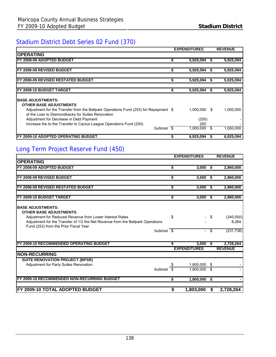## Stadium District Debt Series 02 Fund (370)

|                                                                                                                                           | <b>EXPENDITURES</b> |           | <b>REVENUE</b> |           |
|-------------------------------------------------------------------------------------------------------------------------------------------|---------------------|-----------|----------------|-----------|
| <b>OPERATING</b>                                                                                                                          |                     |           |                |           |
| FY 2008-09 ADOPTED BUDGET                                                                                                                 | S                   | 5,925,094 |                | 5,925,094 |
|                                                                                                                                           |                     |           |                |           |
| IFY 2008-09 REVISED BUDGET                                                                                                                |                     | 5,925,094 |                | 5,925,094 |
|                                                                                                                                           |                     |           |                |           |
| <b>IFY 2008-09 REVISED RESTATED BUDGET</b>                                                                                                | S                   | 5,925,094 |                | 5,925,094 |
| FY 2009-10 BUDGET TARGET                                                                                                                  |                     | 5,925,094 |                | 5,925,094 |
| <b>BASE ADJUSTMENTS:</b>                                                                                                                  |                     |           |                |           |
| <b>OTHER BASE ADJUSTMENTS</b>                                                                                                             |                     |           |                |           |
| Adjustment for the Transfer from the Ballpark Operations Fund (253) for Repayment \$<br>of the Loan to Diamondbacks for Suites Renovation |                     | 1,000,000 | \$             | 1,000,000 |
| Adjustment for Decrease in Debt Payment                                                                                                   |                     | (250)     |                |           |
| Increase the to the Transfer to Cactus League Operations Fund (250)                                                                       |                     | 250       |                |           |
| Subtotal \$                                                                                                                               |                     | 1,000,000 | -S             | 1,000,000 |
| IFY 2009-10 ADOPTED OPERATING BUDGET                                                                                                      |                     | 6,925,094 |                | 6,925,094 |

## Long Term Project Reserve Fund (450)

|                                                                                                                                                                                      | <b>EXPENDITURES</b> |    | <b>REVENUE</b>     |
|--------------------------------------------------------------------------------------------------------------------------------------------------------------------------------------|---------------------|----|--------------------|
| <b>OPERATING</b>                                                                                                                                                                     |                     |    |                    |
| FY 2008-09 ADOPTED BUDGET                                                                                                                                                            | \$<br>3,000         | S. | 2,960,000          |
| FY 2008-09 REVISED BUDGET                                                                                                                                                            | \$<br>3,000         | S  | 2,960,000          |
| FY 2008-09 REVISED RESTATED BUDGET                                                                                                                                                   | 3,000               | -S | 2,960,000          |
| FY 2009-10 BUDGET TARGET                                                                                                                                                             | \$<br>3,000         | \$ | 2,960,000          |
| <b>IBASE ADJUSTMENTS:</b><br><b>OTHER BASE ADJUSTMENTS</b>                                                                                                                           |                     |    |                    |
| Adjustment for Reduced Revenue from Lower Interest Rates<br>Adjustment for the Transfer of 1/2 the Net Revenue from the Ballpark Operations<br>Fund (253) from the Prior Fiscal Year | \$                  | \$ | (240,000)<br>8,264 |
| Subtotal \$                                                                                                                                                                          |                     | \$ | (231, 736)         |
| FY 2009-10 RECOMMENDED OPERATING BUDGET                                                                                                                                              | 3,000               | \$ | 2,728,264          |
|                                                                                                                                                                                      | <b>EXPENDITURES</b> |    | <b>REVENUE</b>     |
| <b>NON-RECURRING</b>                                                                                                                                                                 |                     |    |                    |
| <b>SUITE RENOVATION PROJECT (BPSR)</b><br><b>Adjustment for Party Suites Renovation</b>                                                                                              | 1,800,000           | S  |                    |
| Subtotal \$                                                                                                                                                                          | 1,800,000           | \$ |                    |
| FY 2009-10 RECOMMENDED NON-RECURRING BUDGET                                                                                                                                          | \$<br>1,800,000     | \$ |                    |
| FY 2009-10 TOTAL ADOPTED BUDGET                                                                                                                                                      | \$<br>1,803,000     | S  | 2,728,264          |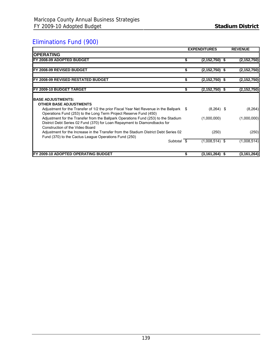## Eliminations Fund (900)

|                                                                                                                                                                                                                                                                         | <b>EXPENDITURES</b>      | <b>REVENUE</b> |
|-------------------------------------------------------------------------------------------------------------------------------------------------------------------------------------------------------------------------------------------------------------------------|--------------------------|----------------|
| <b>OPERATING</b>                                                                                                                                                                                                                                                        |                          |                |
| FY 2008-09 ADOPTED BUDGET                                                                                                                                                                                                                                               | \$<br>$(2, 152, 750)$ \$ | (2, 152, 750)  |
| FY 2008-09 REVISED BUDGET                                                                                                                                                                                                                                               | \$<br>$(2, 152, 750)$ \$ | (2, 152, 750)  |
| IFY 2008-09 REVISED RESTATED BUDGET                                                                                                                                                                                                                                     | \$<br>$(2, 152, 750)$ \$ | (2, 152, 750)  |
| FY 2009-10 BUDGET TARGET                                                                                                                                                                                                                                                | \$<br>$(2, 152, 750)$ \$ | (2, 152, 750)  |
| <b>IBASE ADJUSTMENTS:</b><br><b>OTHER BASE ADJUSTMENTS</b><br>Adjustment for the Transfer of 1/2 the prior Fiscal Year Net Revenue in the Ballpark \$                                                                                                                   | $(8,264)$ \$             | (8, 264)       |
| Operations Fund (253) to the Long Term Project Reserve Fund (450)<br>Adjustment for the Transfer from the Ballpark Operations Fund (253) to the Stadium<br>District Debt Series 02 Fund (370) for Loan Repayment to Diamondbacks for<br>Construction of the Video Board | (1,000,000)              | (1,000,000)    |
| Adjustment for the Increase in the Transfer from the Stadium District Debt Series 02<br>Fund (370) to the Cactus League Operations Fund (250)                                                                                                                           | (250)                    | (250)          |
| Subtotal \$                                                                                                                                                                                                                                                             | $(1,008,514)$ \$         | (1,008,514)    |
| FY 2009-10 ADOPTED OPERATING BUDGET                                                                                                                                                                                                                                     | \$<br>(3, 161, 264)      | (3, 161, 264)  |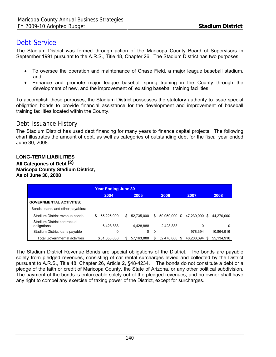## Debt Service

The Stadium District was formed through action of the Maricopa County Board of Supervisors in September 1991 pursuant to the A.R.S., Title 48, Chapter 26. The Stadium District has two purposes:

- To oversee the operation and maintenance of Chase Field, a major league baseball stadium, and;
- Enhance and promote major league baseball spring training in the County through the development of new, and the improvement of, existing baseball training facilities.

To accomplish these purposes, the Stadium District possesses the statutory authority to issue special obligation bonds to provide financial assistance for the development and improvement of baseball training facilities located within the County.

### Debt Issuance History

The Stadium District has used debt financing for many years to finance capital projects. The following chart illustrates the amount of debt, as well as categories of outstanding debt for the fiscal year ended June 30, 2008.

#### **LONG-TERM LIABILITIES**

#### **All Categories of Debt (2) Maricopa County Stadium District, As of June 30, 2008**

|                                             |    | <b>Year Ending June 30</b> |    |            |          |               |   |            |      |            |
|---------------------------------------------|----|----------------------------|----|------------|----------|---------------|---|------------|------|------------|
|                                             |    | 2004                       |    | 2005       |          | 2006          |   | 2007       |      | 2008       |
| <b>GOVERNMENTAL ACTIVITES:</b>              |    |                            |    |            |          |               |   |            |      |            |
| Bonds, loans, and other payables:           |    |                            |    |            |          |               |   |            |      |            |
| Stadium District revenue bonds              | £. | 55,225,000                 | S. | 52.735.000 | S.       | 50.050.000 \$ |   | 47.230.000 | - \$ | 44.270.000 |
| Stadium District contractual<br>obligations |    | 6,428,888                  |    | 4.428.888  |          | 2.428.888     |   | $\Omega$   |      |            |
| Stadium District Ioans payable              |    | $\Omega$                   |    | 0          | $\Omega$ |               |   | 978,394    |      | 10,864,916 |
| <b>Total Governmental activities</b>        |    | \$61,653,888               |    | 57.163.888 | S        | 52.478.888    | S | 48.208.394 | \$   | 55,134,916 |

The Stadium District Revenue Bonds are special obligations of the District. The bonds are payable solely from pledged revenues, consisting of car rental surcharges levied and collected by the District pursuant to A.R.S., Title 48, Chapter 26, Article 2, §48-4234. The bonds do not constitute a debt or a pledge of the faith or credit of Maricopa County, the State of Arizona, or any other political subdivision. The payment of the bonds is enforceable solely out of the pledged revenues, and no owner shall have any right to compel any exercise of taxing power of the District, except for surcharges.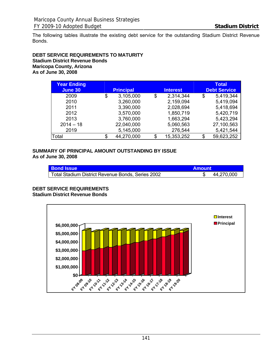The following tables illustrate the existing debt service for the outstanding Stadium District Revenue Bonds.

#### **DEBT SERVICE REQUIREMENTS TO MATURITY Stadium District Revenue Bonds Maricopa County, Arizona As of June 30, 2008**

| <b>Year Ending</b><br>June 30 | <b>Principal</b> | <b>Interest</b> | Total<br><b>Debt Service</b> |
|-------------------------------|------------------|-----------------|------------------------------|
| 2009                          | \$<br>3,105,000  | \$<br>2,314,344 | \$<br>5,419,344              |
| 2010                          | 3,260,000        | 2,159,094       | 5,419,094                    |
| 2011                          | 3,390,000        | 2,028,694       | 5,418,694                    |
| 2012                          | 3,570,000        | 1,850,719       | 5,420,719                    |
| 2013                          | 3,760,000        | 1,663,294       | 5,423,294                    |
| $2014 - 18$                   | 22,040,000       | 5,060,563       | 27,100,563                   |
| 2019                          | 5,145,000        | 276,544         | 5,421,544                    |
| Total                         | \$<br>44,270,000 | 15,353,252      | \$<br>59,623,252             |

#### **SUMMARY OF PRINCIPAL AMOUNT OUTSTANDING BY ISSUE As of June 30, 2008**

| <b>Bond Issue</b>                                 | <b>Amount</b> |            |
|---------------------------------------------------|---------------|------------|
| Total Stadium District Revenue Bonds, Series 2002 |               | 44,270,000 |

#### **DEBT SERVICE REQUIREMENTS Stadium District Revenue Bonds**

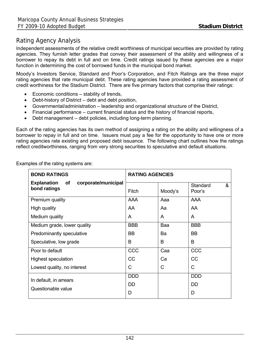#### Rating Agency Analysis

Independent assessments of the relative credit worthiness of municipal securities are provided by rating agencies. They furnish letter grades that convey their assessment of the ability and willingness of a borrower to repay its debt in full and on time. Credit ratings issued by these agencies are a major function in determining the cost of borrowed funds in the municipal bond market.

Moody's Investors Service, Standard and Poor's Corporation, and Fitch Ratings are the three major rating agencies that rate municipal debt. These rating agencies have provided a rating assessment of credit worthiness for the Stadium District. There are five primary factors that comprise their ratings:

- Economic conditions stability of trends,
- Debt-history of District debt and debt position,
- Governmental/administration leadership and organizational structure of the District,
- Financial performance current financial status and the history of financial reports,
- Debt management debt policies, including long-term planning.

Each of the rating agencies has its own method of assigning a rating on the ability and willingness of a borrower to repay in full and on time. Issuers must pay a fee for the opportunity to have one or more rating agencies rate existing and proposed debt issuance. The following chart outlines how the ratings reflect creditworthiness, ranging from very strong securities to speculative and default situations.

| <b>BOND RATINGS</b>                                             | <b>RATING AGENCIES</b> |         |                         |  |  |
|-----------------------------------------------------------------|------------------------|---------|-------------------------|--|--|
| <b>Explanation</b><br>corporate/municipal<br>of<br>bond ratings | Fitch                  | Moody's | &<br>Standard<br>Poor's |  |  |
| Premium quality                                                 | AAA                    | Aaa     | AAA                     |  |  |
| High quality                                                    | AA                     | Aa      | AA                      |  |  |
| Medium quality                                                  | A                      | A       | A                       |  |  |
| Medium grade, lower quality                                     | <b>BBB</b>             | Baa     | <b>BBB</b>              |  |  |
| Predominantly speculative                                       | BB                     | Ba      | BB                      |  |  |
| Speculative, low grade                                          | B                      | B       | B                       |  |  |
| Poor to default                                                 | CCC                    | Caa     | CCC                     |  |  |
| <b>Highest speculation</b>                                      | CC                     | Ca      | CC                      |  |  |
| Lowest quality, no interest                                     | C                      | C       | C                       |  |  |
| In default, in arrears                                          | <b>DDD</b>             |         | <b>DDD</b>              |  |  |
| Questionable value                                              | <b>DD</b>              |         | <b>DD</b>               |  |  |
|                                                                 | D                      |         | D                       |  |  |

Examples of the rating systems are: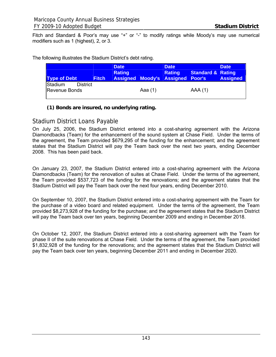Fitch and Standard & Poor's may use "+" or "-" to modify ratings while Moody's may use numerical modifiers such as 1 (highest), 2, or 3.

The following illustrates the Stadium District's debt rating.

|                            |              | <b>Date</b><br><b>Rating</b> |         | <b>Date</b><br>Rating                   | <b>Standard &amp; Rating</b> | <b>Date</b>     |
|----------------------------|--------------|------------------------------|---------|-----------------------------------------|------------------------------|-----------------|
| <b>Type of Debt</b>        | <b>Fitch</b> |                              |         | <b>Assigned Moody's Assigned Poor's</b> |                              | <b>Assigned</b> |
| Stadium<br><b>District</b> |              |                              |         |                                         |                              |                 |
| Revenue Bonds              |              |                              | Aaa (1) |                                         | AAA(1)                       |                 |
|                            |              |                              |         |                                         |                              |                 |

#### **(1) Bonds are insured, no underlying rating.**

#### Stadium District Loans Payable

On July 25, 2006, the Stadium District entered into a cost-sharing agreement with the Arizona Diamondbacks (Team) for the enhancement of the sound system at Chase Field. Under the terms of the agreement, the Team provided \$679,295 of the funding for the enhancement; and the agreement states that the Stadium District will pay the Team back over the next two years, ending December 2008. This has been paid back.

On January 23, 2007, the Stadium District entered into a cost-sharing agreement with the Arizona Diamondbacks (Team) for the renovation of suites at Chase Field. Under the terms of the agreement, the Team provided \$537,723 of the funding for the renovations; and the agreement states that the Stadium District will pay the Team back over the next four years, ending December 2010.

On September 10, 2007, the Stadium District entered into a cost-sharing agreement with the Team for the purchase of a video board and related equipment. Under the terms of the agreement, the Team provided \$8,273,928 of the funding for the purchase; and the agreement states that the Stadium District will pay the Team back over ten years, beginning December 2009 and ending in December 2018.

On October 12, 2007, the Stadium District entered into a cost-sharing agreement with the Team for phase II of the suite renovations at Chase Field. Under the terms of the agreement, the Team provided \$1,832,928 of the funding for the renovations; and the agreement states that the Stadium District will pay the Team back over ten years, beginning December 2011 and ending in December 2020.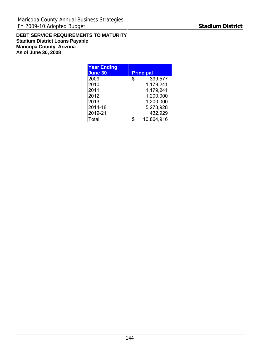#### **DEBT SERVICE REQUIREMENTS TO MATURITY Stadium District Loans Payable Maricopa County, Arizona As of June 30, 2008**

| <b>Year Ending</b><br><b>June 30</b> | <b>Principal</b> |
|--------------------------------------|------------------|
| 2009                                 | \$<br>399,577    |
| 2010                                 | 1,179,241        |
| 2011                                 | 1,179,241        |
| 2012                                 | 1,200,000        |
| 2013                                 | 1,200,000        |
| 2014-18                              | 5,273,928        |
| 2019-21                              | 432,929          |
| Total                                | \$<br>10,864,916 |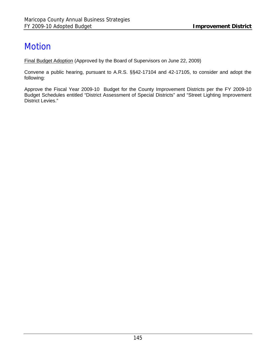## **Motion**

Final Budget Adoption (Approved by the Board of Supervisors on June 22, 2009)

Convene a public hearing, pursuant to A.R.S. §§42-17104 and 42-17105, to consider and adopt the following:

Approve the Fiscal Year 2009-10 Budget for the County Improvement Districts per the FY 2009-10 Budget Schedules entitled "District Assessment of Special Districts" and "Street Lighting Improvement District Levies."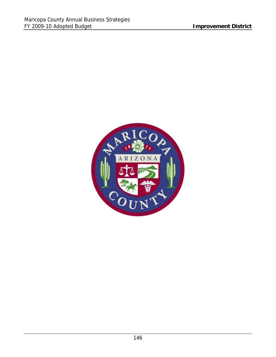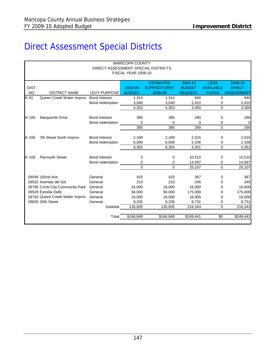# Direct Assessment Special Districts

|         | <b>MARICOPA COUNTY</b><br>DIRECT ASSESSMENT SPECIAL DISTRICTS |                      |               |                     |                  |                  |                   |  |  |  |
|---------|---------------------------------------------------------------|----------------------|---------------|---------------------|------------------|------------------|-------------------|--|--|--|
|         | FISCAL YEAR 2009-10                                           |                      |               |                     |                  |                  |                   |  |  |  |
|         |                                                               |                      |               |                     |                  |                  |                   |  |  |  |
|         |                                                               |                      |               | <b>ESTIMATED</b>    | 2009-10          | <b>LESS</b>      | 2009-10           |  |  |  |
| DIST.   |                                                               |                      | 2008-09       | <b>EXPENDITURES</b> | <b>BUDGET</b>    | <b>AVAILABLE</b> | <b>DIRECT</b>     |  |  |  |
| NO.     | <b>DISTRICT NAME</b>                                          | <b>LEVY PURPOSE</b>  | <b>BUDGET</b> | 2008-09             | <b>REQUEST</b>   | <b>FUNDS</b>     | <b>ASSESSMENT</b> |  |  |  |
| K-91    | Queen Creek Water Improv                                      | <b>Bond Interest</b> | 1,314         | 1,314               | 940              | $\mathbf 0$      | 940               |  |  |  |
|         |                                                               | Bond redemption      | 3,040         | 3,040               | 2,410            | 0                | 2,410             |  |  |  |
|         |                                                               |                      | 4,353         | 4,353               | 3,350            | $\Omega$         | 3,350             |  |  |  |
| $K-100$ | <b>Marquerite Drive</b>                                       | <b>Bond Interest</b> | 385           | 385                 | 290              | 0                | 290               |  |  |  |
|         |                                                               | Bond redemption      | $\Omega$      | 0                   | $\Omega$         | 0                | $\Omega$          |  |  |  |
|         |                                                               |                      | 385           | 385                 | 290              | 0                | 290               |  |  |  |
|         |                                                               |                      |               |                     |                  |                  |                   |  |  |  |
| K-106   | 7th Street North Improv.                                      | <b>Bond Interest</b> | 2,349         | 2,349               | 2,015            | 0                | 2,015             |  |  |  |
|         |                                                               | Bond redemption      | 6,006         | 6,006               | 2,336            | 0                | 2,336             |  |  |  |
|         |                                                               |                      | 8,355         | 8,355               | 4,351            | $\Omega$         | 4,351             |  |  |  |
| K-109   |                                                               | <b>Bond Interest</b> |               |                     |                  | 0                |                   |  |  |  |
|         | <b>Plymouth Street</b>                                        |                      | 0             | 0                   | 10,510           |                  | 10,510            |  |  |  |
|         |                                                               | Bond redemption      | 0<br>$\Omega$ | 0<br>$\Omega$       | 14,597<br>25,107 | 0<br>$\Omega$    | 14,597<br>25,107  |  |  |  |
|         |                                                               |                      |               |                     |                  |                  |                   |  |  |  |
|         | 28548 192nd Ave.                                              | General              | 420           | 420                 | 367              | 0                | 367               |  |  |  |
|         | 28532 Avenida del Sol                                         | General              | 210           | 210                 | 245              | 0                | 245               |  |  |  |
|         | 28795 Circle City Community Park                              | General              | 16,000        | 16,000              | 16,000           | 0                | 16,000            |  |  |  |
|         | 28529 Estrella Dells                                          | General              | 94,000        | 94,000              | 175,000          | 0                | 175,000           |  |  |  |
|         | 28793 Queen Creek Water Improv                                | General              | 16,000        | 16,000              | 16,000           | 0                | 16,000            |  |  |  |
|         | 28835 20th Street                                             | General              | 9,205         | 9,205               | 8,731            | 0                | 8,731             |  |  |  |
|         |                                                               | Subtotal             | 135,835       | 135,835             | 216,343          | $\Omega$         | 216,343           |  |  |  |
|         |                                                               | Total                | \$166,849     | \$166,849           | \$249,441        | \$0              | \$249,441         |  |  |  |
|         |                                                               |                      |               |                     |                  |                  |                   |  |  |  |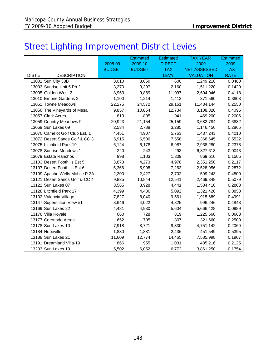# Street Lighting Improvement District Levies

|                                |               | <b>Estimated</b> | <b>Estimated</b> | <b>TAX YEAR</b>     | <b>Estimated</b> |
|--------------------------------|---------------|------------------|------------------|---------------------|------------------|
|                                | 2008-09       | 2009-10          | <b>DIRECT</b>    | 2009                | 2009             |
|                                | <b>BUDGET</b> | <b>BUDGET</b>    | <b>TAX</b>       | <b>NET ASSESSED</b> | <b>TAX</b>       |
| DIST#<br><b>DESCRIPTION</b>    |               |                  | <b>LEVY</b>      | <b>VALUATION</b>    | <b>RATE</b>      |
| 13001 Sun City 38B             | 3,010         | 3,059            | 600              | 1,249,216           | 0.0480           |
| 13003 Sunrise Unit 5 Ph 2      | 3,270         | 3,307            | 2,160            | 1,511,220           | 0.1429           |
| 13005 Golden West 2            | 8,953         | 9,869            | 11,097           | 2,694,946           | 0.4118           |
| 13010 Empire Gardens 2         | 1,100         | 1,214            | 1,413            | 371,560             | 0.3803           |
| 13051 Towne Meadows            | 22,275        | 24,572           | 29,161           | 11,434,144          | 0.2550           |
| 13056 The Vineyards of Mesa    | 9,857         | 10,854           | 12,734           | 3,108,820           | 0.4096           |
| 13057 Clark Acres              | 813           | 895              | 941              | 469,200             | 0.2006           |
| 13059 Country Meadows 9        | 20,923        | 21,154           | 25,159           | 3,682,784           | 0.6832           |
| 13069 Sun Lakes 09             | 2,534         | 2,788            | 3,285            | 1,146,456           | 0.2865           |
| 13070 Camelot Golf Club Est. 1 | 4,451         | 4,907            | 5,763            | 1,437,243           | 0.4010           |
| 13072 Desert Sands Golf & CC 3 | 5,915         | 6,506            | 7,558            | 1,368,645           | 0.5522           |
| 13075 Litchfield Park 19       | 6,124         | 6,178            | 6,987            | 2,938,280           | 0.2378           |
| 13078 Sunrise Meadows 1        | 220           | 243              | 293              | 6,827,613           | 0.0043           |
| 13079 Estate Ranchos           | 998           | 1,103            | 1,309            | 869,610             | 0.1505           |
| 13103 Desert Foothills Est 5   | 3,878         | 4,273            | 4,978            | 2,351,250           | 0.2117           |
| 13107 Desert Foothills Est 6   | 5,366         | 5,908            | 7,263            | 2,528,956           | 0.2872           |
| 13109 Apache Wells Mobile P 3A | 2,200         | 2,427            | 2,702            | 599,243             | 0.4509           |
| 13121 Desert Sands Golf & CC 4 | 9,835         | 10,844           | 12,541           | 2,469,348           | 0.5079           |
| 13122 Sun Lakes 07             | 3,565         | 3,928            | 4,441            | 1,584,410           | 0.2803           |
| 13128 Litchfield Park 17       | 4,399         | 4,486            | 5,092            | 1,321,420           | 0.3853           |
| 13132 Valencia Village         | 7,827         | 8,040            | 9,561            | 1,915,689           | 0.4991           |
| 13147 Superstition View #1     | 3,646         | 4,022            | 4,825            | 996,246             | 0.4843           |
| 13169 Sun Lakes 22             | 4,481         | 4,930            | 5,604            | 5,666,428           | 0.0989           |
| 13176 Villa Royale             | 660           | 728              | 819              | 1,225,566           | 0.0668           |
| 13177 Coronado Acres           | 652           | 705              | 807              | 321,660             | 0.2509           |
| 13178 Sun Lakes 10             | 7,918         | 8,721            | 9,830            | 4,751,142           | 0.2069           |
| 13184 Hopeville                | 1,830         | 1,881            | 2,436            | 451,549             | 0.5395           |
| 13188 Sun Lakes 21             | 11,609        | 12,774           | 14,465           | 7,585,998           | 0.1907           |
| 13191 Dreamland Villa-19       | 866           | 955              | 1,031            | 485,216             | 0.2125           |
| 13203 Sun Lakes 19             | 5,502         | 6,052            | 6,772            | 3,861,250           | 0.1754           |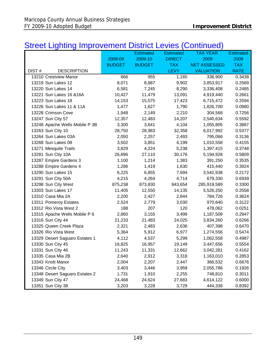|                                |               | <b>Estimated</b> | <b>Estimated</b> | <b>TAX YEAR</b>     | <b>Estimated</b> |
|--------------------------------|---------------|------------------|------------------|---------------------|------------------|
|                                | 2008-09       | 2009-10          | <b>DIRECT</b>    | 2009                | 2009             |
|                                | <b>BUDGET</b> | <b>BUDGET</b>    | <b>TAX</b>       | <b>NET ASSESSED</b> | <b>TAX</b>       |
| DIST#<br><b>DESCRIPTION</b>    |               |                  | <b>LEVY</b>      | <b>VALUATION</b>    | <b>RATE</b>      |
| 13210 Crestview Manor          | 866           | 955              | 1,165            | 338,900             | 0.3438           |
| 13219 Sun Lakes 12             | 8,071         | 8,887            | 9,902            | 3,853,917           | 0.2569           |
| 13220 Sun Lakes 14             | 6,581         | 7,245            | 8,290            | 3,336,408           | 0.2485           |
| 13221 Sun Lakes 16 & 16A       | 10,427        | 11,479           | 13,091           | 4,919,440           | 0.2661           |
| 13223 Sun Lakes 18             | 14,153        | 15,575           | 17,423           | 6,715,472           | 0.2594           |
| 13226 Sun Lakes 11 & 11A       | 1,477         | 1,627            | 1,790            | 1,826,700           | 0.0980           |
| 13228 Crimson Cove             | 1,948         | 2,149            | 2,210            | 304,568             | 0.7256           |
| 13247 Sun City 57              | 12,357        | 12,483           | 14,207           | 2,540,634           | 0.5592           |
| 13248 Apache Wells Mobile P 3B | 3,300         | 3,641            | 4,104            | 1,055,805           | 0.3887           |
| 13263 Sun City 10              | 28,750        | 28,983           | 32,358           | 6,017,992           | 0.5377           |
| 13264 Sun Lakes 03A            | 2,050         | 2,257            | 2,493            | 795,066             | 0.3136           |
| 13268 Sun Lakes 08             | 3,502         | 3,851            | 4,199            | 1,010,558           | 0.4155           |
| 13271 Mesquite Trails          | 3,829         | 4,224            | 5,238            | 1,397,415           | 0.3748           |
| 13281 Sun City 10A             | 26,896        | 27,110           | 30,176           | 5,194,928           | 0.5809           |
| 13287 Empire Gardens 3         | 1,100         | 1,214            | 1,383            | 391,250             | 0.3535           |
| 13288 Empire Gardens 4         | 1,286         | 1,419            | 1,630            | 415,440             | 0.3924           |
| 13290 Sun Lakes 15             | 6,225         | 6,855            | 7,694            | 3,542,938           | 0.2172           |
| 13291 Sun City 50A             | 4,215         | 4,264            | 4,714            | 679,330             | 0.6939           |
| 13298 Sun City West            | 875,238       | 873,830          | 943,654          | 285,919,589         | 0.3300           |
| 13303 Sun Lakes 17             | 11,405        | 12,550           | 14,135           | 5,526,250           | 0.2558           |
| 13310 Casa Mia 2A              | 2,200         | 2,427            | 2,844            | 784,726             | 0.3624           |
| 13311 Pomeroy Estates          | 2,524         | 2,779            | 3,030            | 970,640             | 0.3122           |
| 13312 Rio Vista West 2         | 188           | 207              | 120              | 478,062             | 0.0251           |
| 13315 Apache Wells Mobile P 6  | 2,860         | 3,155            | 3,499            | 1,187,509           | 0.2947           |
| 13316 Sun City 44              | 21,233        | 21,483           | 24,025           | 3,834,260           | 0.6266           |
| 13325 Queen Creek Plaza        | 2,321         | 2,483            | 2,636            | 407,398             | 0.6470           |
| 13326 Rio Vista West           | 5,364         | 5,912            | 6,977            | 1,274,556           | 0.5474           |
| 13329 Desert Saguaro Estates 1 | 4,112         | 4,537            | 5,299            | 1,062,558           | 0.4987           |
| 13330 Sun City 45              | 16,825        | 16,957           | 19,149           | 3,447,656           | 0.5554           |
| 13331 Sun City 46              | 11,243        | 11,331           | 12,662           | 3,042,281           | 0.4162           |
| 13335 Casa Mia 2B              | 2,640         | 2,912            | 3,318            | 1,163,010           | 0.2853           |
| 13343 Knott Manor              | 2,004         | 2,207            | 2,447            | 366,532             | 0.6676           |
| 13346 Circle City              | 3,403         | 3,446            | 3,959            | 2,055,786           | 0.1926           |
| 13348 Desert Saguaro Estates 2 | 1,731         | 1,910            | 2,255            | 748,810             | 0.3011           |
| 13349 Sun City 47              | 24,468        | 24,624           | 27,683           | 4,614,122           | 0.6000           |
| 13351 Sun City 38              | 3,203         | 3,228            | 3,729            | 444,336             | 0.8392           |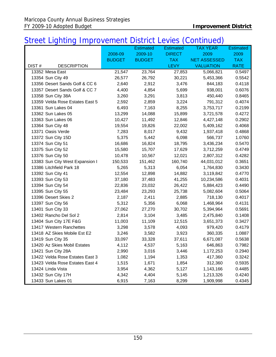|                                 |               | <b>Estimated</b> | <b>Estimated</b> | <b>TAX YEAR</b>     | <b>Estimated</b> |
|---------------------------------|---------------|------------------|------------------|---------------------|------------------|
|                                 | 2008-09       | 2009-10          | <b>DIRECT</b>    | 2009                | 2009             |
|                                 | <b>BUDGET</b> | <b>BUDGET</b>    | <b>TAX</b>       | <b>NET ASSESSED</b> | <b>TAX</b>       |
| DIST#<br><b>DESCRIPTION</b>     |               |                  | <b>LEVY</b>      | <b>VALUATION</b>    | <b>RATE</b>      |
| 13352 Mesa East                 | 21,547        | 23,764           | 27,853           | 5,066,821           | 0.5497           |
| 13354 Sun City 49               | 26,577        | 26,792           | 30,221           | 5,453,366           | 0.5542           |
| 13356 Desert Sands Golf & CC 6  | 2,640         | 2,912            | 3,476            | 844,183             | 0.4118           |
| 13357 Desert Sands Golf & CC 7  | 4,400         | 4,854            | 5,699            | 938,001             | 0.6076           |
| 13358 Sun City 38A              | 3,260         | 3,291            | 3,813            | 450,440             | 0.8465           |
| 13359 Velda Rose Estates East 5 | 2,592         | 2,859            | 3,224            | 791,312             | 0.4074           |
| 13361 Sun Lakes 04              | 6,493         | 7,163            | 8,255            | 3,753,717           | 0.2199           |
| 13362 Sun Lakes 05              | 13,299        | 14,088           | 15,899           | 3,721,578           | 0.4272           |
| 13363 Sun Lakes 06              | 10,427        | 11,492           | 12,846           | 4,427,148           | 0.2902           |
| 13364 Sun City 48               | 19,554        | 19,826           | 22,002           | 5,409,162           | 0.4068           |
| 13371 Oasis Verde               | 7,283         | 8,017            | 9,432            | 1,937,418           | 0.4868           |
| 13372 Sun City 15D              | 5,375         | 5,442            | 6,098            | 566,737             | 1.0760           |
| 13374 Sun City 51               | 16,686        | 16,824           | 18,795           | 3,436,234           | 0.5470           |
| 13375 Sun City 52               | 15,580        | 15,707           | 17,629           | 3,712,259           | 0.4749           |
| 13376 Sun City 50               | 10,478        | 10,567           | 12,021           | 2,807,312           | 0.4282           |
| 13383 Sun City West Expansion I | 150,533       | 151,462          | 160,740          | 44,031,012          | 0.3651           |
| 13386 Litchfield Park 18        | 5,265         | 5,313            | 6,054            | 1,764,830           | 0.3430           |
| 13392 Sun City 41               | 12,554        | 12,898           | 14,882           | 3,119,842           | 0.4770           |
| 13393 Sun City 53               | 37,180        | 37,483           | 41,255           | 10,234,586          | 0.4031           |
| 13394 Sun City 54               | 22,836        | 23,032           | 26,422           | 5,884,423           | 0.4490           |
| 13395 Sun City 55               | 23,484        | 23,293           | 25,738           | 5,082,604           | 0.5064           |
| 13396 Desert Skies 2            | 2,187         | 2,411            | 2,885            | 718,130             | 0.4017           |
| 13397 Sun City 56               | 5,312         | 5,356            | 6,068            | 1,468,964           | 0.4131           |
| 13401 Sun City 33               | 27,062        | 27,270           | 30,702           | 5,394,964           | 0.5691           |
| 13402 Rancho Del Sol 2          | 2,814         | 3,104            | 3,485            | 2,475,840           | 0.1408           |
| 13404 Sun City 17E F&G          | 11,003        | 11,109           | 12,515           | 3,651,373           | 0.3427           |
| 13417 Western Ranchettes        | 3,298         | 3,578            | 4,093            | 979,420             | 0.4179           |
| 13418 AZ Skies Mobile Est E2    | 3,246         | 3,582            | 3,923            | 360,335             | 1.0887           |
| 13419 Sun City 35               | 33,097        | 33,328           | 37,611           | 6,671,087           | 0.5638           |
| 13420 Az Skies Mobil Estates    | 4,112         | 4,537            | 5,163            | 646,863             | 0.7982           |
| 13421 Sun City 28A              | 2,990         | 3,016            | 3,446            | 1,172,253           | 0.2940           |
| 13422 Velda Rose Estates East 3 | 1,082         | 1,194            | 1,353            | 417,360             | 0.3242           |
| 13423 Velda Rose Estates East 4 | 1,515         | 1,671            | 1,854            | 312,360             | 0.5935           |
| 13424 Linda Vista               | 3,954         | 4,362            | 5,127            | 1,143,166           | 0.4485           |
| 13432 Sun City 17H              | 4,342         | 4,404            | 5,145            | 1,213,326           | 0.4240           |
| 13433 Sun Lakes 01              | 6,915         | 7,163            | 8,299            | 1,909,998           | 0.4345           |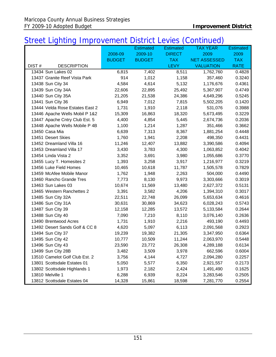|                                 |               | <b>Estimated</b> | <b>Estimated</b> | <b>TAX YEAR</b>     | <b>Estimated</b> |
|---------------------------------|---------------|------------------|------------------|---------------------|------------------|
|                                 | 2008-09       | 2009-10          | <b>DIRECT</b>    | 2009                | 2009             |
|                                 | <b>BUDGET</b> | <b>BUDGET</b>    | <b>TAX</b>       | <b>NET ASSESSED</b> | <b>TAX</b>       |
| DIST#<br><b>DESCRIPTION</b>     |               |                  | <b>LEVY</b>      | <b>VALUATION</b>    | <b>RATE</b>      |
| 13434 Sun Lakes 02              | 6,815         | 7,402            | 8,511            | 1,762,760           | 0.4828           |
| 13437 Granite Reef Vista Park   | 914           | 1,012            | 1,158            | 357,460             | 0.3240           |
| 13438 Sun City 34               | 4,584         | 4,614            | 5,132            | 1,176,676           | 0.4361           |
| 13439 Sun City 34A              | 22,606        | 22,895           | 25,492           | 5,367,907           | 0.4749           |
| 13440 Sun City 35A              | 21,205        | 21,538           | 24,386           | 4,649,296           | 0.5245           |
| 13441 Sun City 36               | 6,949         | 7,012            | 7,815            | 5,502,205           | 0.1420           |
| 13444 Velda Rose Estates East 2 | 1,731         | 1,910            | 2,118            | 531,076             | 0.3988           |
| 13446 Apache Wells Mobil P 1&2  | 15,309        | 16,863           | 18,320           | 5,673,495           | 0.3229           |
| 13447 Apache Cntry Club Est. 5  | 4,400         | 4,854            | 5,445            | 2,674,736           | 0.2036           |
| 13448 Apache Wells Mobile P 4B  | 1,100         | 1,214            | 1,287            | 351,466             | 0.3662           |
| 13450 Casa Mia                  | 6,639         | 7,313            | 8,367            | 1,881,254           | 0.4448           |
| 13451 Desert Skies              | 1,760         | 1,941            | 2,208            | 498,350             | 0.4431           |
| 13452 Dreamland Villa 16        | 11,246        | 12,407           | 13,882           | 3,390,586           | 0.4094           |
| 13453 Dreamland Villa 17        | 3,430         | 3,783            | 4,300            | 1,063,852           | 0.4042           |
| 13454 Linda Vista 2             | 3,352         | 3,691            | 3,980            | 1,055,686           | 0.3770           |
| 13455 Lucy T. Homesites 2       | 1,393         | 3,258            | 3,917            | 1,216,977           | 0.3219           |
| 13456 Luke Field Homes          | 10,465        | 10,618           | 11,787           | 1,505,578           | 0.7829           |
| 13459 McAfee Mobile Manor       | 1,762         | 1,948            | 2,263            | 504,000             | 0.4490           |
| 13460 Rancho Grande Tres        | 7,773         | 8,130            | 9,973            | 3,303,666           | 0.3019           |
| 13463 Sun Lakes 03              | 10,674        | 11,569           | 13,480           | 2,627,372           | 0.5131           |
| 13465 Western Ranchettes 2      | 3,391         | 3,582            | 4,206            | 1,394,310           | 0.3017           |
| 13485 Sun City 32A              | 22,511        | 22,748           | 26,099           | 5,653,634           | 0.4616           |
| 13486 Sun City 31A              | 30,631        | 30,869           | 34,623           | 6,028,243           | 0.5743           |
| 13487 Sun City 39               | 12,158        | 12,285           | 13,572           | 5,133,584           | 0.2644           |
| 13488 Sun City 40               | 7,090         | 7,210            | 8,110            | 3,076,140           | 0.2636           |
| 13490 Brentwood Acres           | 1,731         | 1,910            | 2,216            | 493,190             | 0.4493           |
| 13492 Desert Sands Golf & CC 8  | 4,620         | 5,097            | 6,113            | 2,091,568           | 0.2923           |
| 13494 Sun City 37               | 19,239        | 19,382           | 21,305           | 3,347,950           | 0.6364           |
| 13495 Sun City 42               | 10,777        | 10,509           | 11,244           | 2,063,970           | 0.5448           |
| 13496 Sun City 43               | 23,590        | 23,772           | 26,308           | 4,289,188           | 0.6134           |
| 13499 Sun City 28B              | 3,482         | 3,509            | 3,978            | 662,596             | 0.6004           |
| 13510 Camelot Golf Club Est. 2  | 3,756         | 4,144            | 4,727            | 2,094,280           | 0.2257           |
| 13801 Scottsdale Estates 01     | 5,050         | 5,577            | 6,350            | 2,921,557           | 0.2173           |
| 13802 Scottsdale Highlands 1    | 1,973         | 2,182            | 2,424            | 1,491,490           | 0.1625           |
| 13810 Melville 1                | 6,288         | 6,939            | 8,224            | 3,283,546           | 0.2505           |
| 13812 Scottsdale Estates 04     | 14,328        | 15,861           | 18,598           | 7,281,770           | 0.2554           |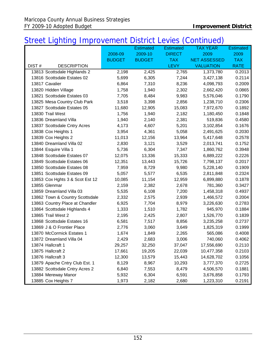|                                 |               | <b>Estimated</b> | <b>Estimated</b> | <b>TAX YEAR</b>     | <b>Estimated</b> |
|---------------------------------|---------------|------------------|------------------|---------------------|------------------|
|                                 | 2008-09       | 2009-10          | <b>DIRECT</b>    | 2009                | 2009             |
|                                 | <b>BUDGET</b> | <b>BUDGET</b>    | <b>TAX</b>       | <b>NET ASSESSED</b> | <b>TAX</b>       |
| DIST#<br><b>DESCRIPTION</b>     |               |                  | <b>LEVY</b>      | <b>VALUATION</b>    | <b>RATE</b>      |
| 13813 Scottsdale Highlands 2    | 2,198         | 2,425            | 2,765            | 1,373,780           | 0.2013           |
| 13816 Scottsdale Estates 02     | 5,699         | 6,305            | 7,244            | 3,427,138           | 0.2114           |
| 13817 Cavalier                  | 6,864         | 7,310            | 8,236            | 4,098,793           | 0.2009           |
| 13820 Hidden Village            | 1,758         | 1,940            | 2,302            | 2,662,420           | 0.0865           |
| 13821 Scottsdale Estates 03     | 7,705         | 8,484            | 9,983            | 5,576,046           | 0.1790           |
| 13825 Mesa Country Club Park    | 3,518         | 3,398            | 2,856            | 1,238,710           | 0.2306           |
| 13827 Scottsdale Estates 05     | 11,680        | 12,905           | 15,083           | 7,972,670           | 0.1892           |
| 13830 Trail West                | 1,756         | 1,940            | 2,182            | 1,180,450           | 0.1848           |
| 13836 Dreamland Villa           | 1,940         | 2,140            | 2,381            | 519,836             | 0.4580           |
| 13837 Scottsdale Cntry Acres    | 4,173         | 4,607            | 5,201            | 3,102,854           | 0.1676           |
| 13838 Cox Heights 1             | 3,954         | 4,361            | 5,058            | 2,491,625           | 0.2030           |
| 13839 Cox Heights 2             | 11,013        | 12,156           | 13,964           | 5,417,648           | 0.2578           |
| 13840 Dreamland Villa 02        | 2,830         | 3,121            | 3,529            | 2,013,741           | 0.1752           |
| 13844 Esquire Villa 1           | 5,736         | 6,304            | 7,347            | 1,860,762           | 0.3948           |
| 13848 Scottsdale Estates 07     | 12,075        | 13,336           | 15,333           | 6,889,222           | 0.2226           |
| 13849 Scottsdale Estates 06     | 12,351        | 13,443           | 15,726           | 7,798,137           | 0.2017           |
| 13850 Scottsdale Estates 08     | 7,959         | 8,729            | 9,980            | 5,228,140           | 0.1909           |
| 13851 Scottsdale Estates 09     | 5,057         | 5,577            | 6,535            | 2,811,848           | 0.2324           |
| 13853 Cox Hghts 3 & Scot Est 12 | 10,085        | 11,154           | 12,959           | 6,899,880           | 0.1878           |
| 13855 Glenmar                   | 2,159         | 2,382            | 2,678            | 781,360             | 0.3427           |
| 13859 Dreamland Villa 03        | 5,535         | 6,108            | 7,200            | 1,458,318           | 0.4937           |
| 13862 Town & Country Scottsdale | 2,332         | 2,575            | 2,939            | 1,466,572           | 0.2004           |
| 13863 Country Place at Chandler | 6,925         | 7,704            | 8,979            | 3,226,630           | 0.2783           |
| 13864 Scottsdale Highlands 4    | 1,333         | 1,510            | 1,782            | 945,970             | 0.1884           |
| 13865 Trail West 2              | 2,195         | 2,425            | 2,807            | 1,526,770           | 0.1839           |
| 13868 Scottsdale Estates 16     | 6,581         | 7,517            | 8,856            | 3,235,258           | 0.2737           |
| 13869 J & O Frontier Place      | 2,776         | 3,060            | 3,649            | 1,825,319           | 0.1999           |
| 13870 McCormick Estates 1       | 1,674         | 1,849            | 2,265            | 565,086             | 0.4008           |
| 13872 Dreamland Villa 04        | 2,429         | 2,683            | 3,006            | 740,060             | 0.4062           |
| 13874 Hallcraft 1               | 29,257        | 32,250           | 37,047           | 17,556,690          | 0.2110           |
| 13875 Hallcraft 2               | 17,661        | 19,205           | 22,039           | 10,477,358          | 0.2103           |
| 13876 Hallcraft 3               | 12,300        | 13,579           | 15,443           | 14,628,702          | 0.1056           |
| 13879 Apache Cntry Club Est. 1  | 8,129         | 8,967            | 10,293           | 3,777,370           | 0.2725           |
| 13882 Scottsdale Cntry Acres 2  | 6,840         | 7,553            | 8,479            | 4,506,570           | 0.1881           |
| 13884 Mereway Manor             | 5,932         | 6,304            | 6,591            | 3,676,858           | 0.1793           |
| 13885 Cox Heights 7             | 1,973         | 2,182            | 2,680            | 1,223,310           | 0.2191           |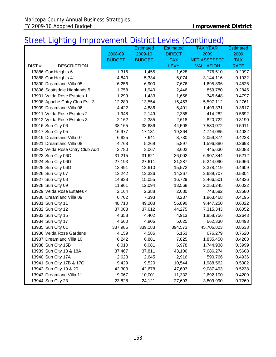|                                 |               | <b>Estimated</b> | <b>Estimated</b> | <b>TAX YEAR</b>     | <b>Estimated</b> |
|---------------------------------|---------------|------------------|------------------|---------------------|------------------|
|                                 | 2008-09       | 2009-10          | <b>DIRECT</b>    | 2009                | 2009             |
|                                 | <b>BUDGET</b> | <b>BUDGET</b>    | <b>TAX</b>       | <b>NET ASSESSED</b> | <b>TAX</b>       |
| DIST#<br><b>DESCRIPTION</b>     |               |                  | <b>LEVY</b>      | <b>VALUATION</b>    | <b>RATE</b>      |
| 13886 Cox Heights 6             | 1,316         | 1,455            | 1,628            | 776,510             | 0.2097           |
| 13888 Cox Heights 4             | 4,840         | 5,334            | 6,074            | 3,144,116           | 0.1932           |
| 13890 Dreamland Villa 05        | 6,256         | 6,900            | 7,676            | 1,695,896           | 0.4526           |
| 13896 Scottsdale Highlands 5    | 1,758         | 1,940            | 2,446            | 859,780             | 0.2845           |
| 13901 Velda Rose Estates 1      | 1,299         | 1,433            | 1,658            | 345,648             | 0.4797           |
| 13908 Apache Cntry Club Est. 3  | 12,289        | 13,554           | 15,453           | 5,597,112           | 0.2761           |
| 13909 Dreamland Villa 06        | 4,422         | 4,886            | 5,401            | 1,493,331           | 0.3617           |
| 13911 Velda Rose Estates 2      | 1,948         | 2,149            | 2,358            | 414,282             | 0.5692           |
| 13912 Velda Rose Estates 3      | 2,162         | 2,385            | 2,618            | 820,722             | 0.3190           |
| 13916 Sun City 06               | 38,165        | 38,686           | 44,508           | 7,530,072           | 0.5911           |
| 13917 Sun City 05               | 16,977        | 17,131           | 19,364           | 4,744,085           | 0.4082           |
| 13919 Dreamland Villa 07        | 6,925         | 7,641            | 8,730            | 2,059,874           | 0.4238           |
| 13921 Dreamland Villa 08        | 4,768         | 5,269            | 5,897            | 1,596,880           | 0.3693           |
| 13922 Velda Rose Cntry Club Add | 2,780         | 3,067            | 3,602            | 445,630             | 0.8083           |
| 13923 Sun City 06C              | 31,215        | 31,621           | 36,002           | 6,907,844           | 0.5212           |
| 13924 Sun City 06D              | 27,193        | 27,611           | 31,287           | 5,244,090           | 0.5966           |
| 13925 Sun City 06G              | 13,491        | 13,610           | 15,572           | 3,378,419           | 0.4609           |
| 13926 Sun City 07               | 12,242        | 12,336           | 14,267           | 2,689,707           | 0.5304           |
| 13927 Sun City 08               | 14,938        | 15,055           | 16,729           | 3,466,501           | 0.4826           |
| 13928 Sun City 09               | 11,961        | 12,094           | 13,568           | 2,253,245           | 0.6022           |
| 13929 Velda Rose Estates 4      | 2,164         | 2,388            | 2,680            | 748,582             | 0.3580           |
| 13930 Dreamland Villa 09        | 6,702         | 7,393            | 8,237            | 1,963,468           | 0.4195           |
| 13931 Sun City 11               | 48,710        | 49,203           | 56,890           | 9,447,250           | 0.6022           |
| 13932 Sun City 12               | 37,008        | 37,612           | 44,275           | 7,315,343           | 0.6052           |
| 13933 Sun City 15               | 4,358         | 4,402            | 4,913            | 1,858,756           | 0.2643           |
| 13934 Sun City 17               | 4,660         | 4,806            | 5,625            | 662,330             | 0.8493           |
| 13935 Sun City 01               | 337,986       | 339,183          | 394,573          | 45,706,823          | 0.8633           |
| 13936 Velda Rose Gardens        | 4,159         | 4,586            | 5,153            | 676,279             | 0.7620           |
| 13937 Dreamland Villa 10        | 6,242         | 6,881            | 7,825            | 1,835,450           | 0.4263           |
| 13938 Sun City 15B              | 6,010         | 6,081            | 6,978            | 1,744,938           | 0.3999           |
| 13939 Sun City 18 & 18A         | 37,467        | 37,811           | 43,106           | 7,686,274           | 0.5608           |
| 13940 Sun City 17A              | 2,623         | 2,645            | 2,916            | 590,766             | 0.4936           |
| 13941 Sun City 17B & 17C        | 9,429         | 9,520            | 10,544           | 1,988,562           | 0.5302           |
| 13942 Sun City 19 & 20          | 42,303        | 42,678           | 47,603           | 9,087,493           | 0.5238           |
| 13943 Dreamland Villa 11        | 9,067         | 10,001           | 11,332           | 2,692,100           | 0.4209           |
| 13944 Sun City 23               | 23,828        | 24,121           | 27,693           | 3,809,990           | 0.7269           |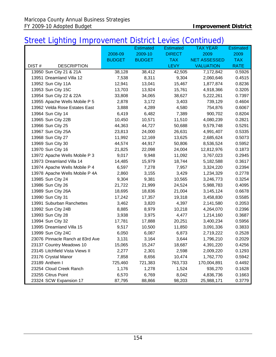|                                  |               | <b>Estimated</b> | <b>Estimated</b> | <b>TAX YEAR</b>     | <b>Estimated</b> |
|----------------------------------|---------------|------------------|------------------|---------------------|------------------|
|                                  | 2008-09       | 2009-10          | <b>DIRECT</b>    | 2009                | 2009             |
|                                  | <b>BUDGET</b> | <b>BUDGET</b>    | <b>TAX</b>       | <b>NET ASSESSED</b> | <b>TAX</b>       |
| DIST#<br><b>DESCRIPTION</b>      |               |                  | <b>LEVY</b>      | <b>VALUATION</b>    | <b>RATE</b>      |
| 13950 Sun City 21 & 21A          | 38,128        | 38,412           | 42,505           | 7,172,842           | 0.5926           |
| 13951 Dreamland Villa 12         | 7,538         | 8,311            | 9,304            | 2,060,646           | 0.4515           |
| 13952 Sun City 11A               | 12,941        | 13,041           | 15,467           | 1,877,874           | 0.8236           |
| 13953 Sun City 15C               | 13,703        | 13,924           | 15,761           | 4,918,366           | 0.3205           |
| 13954 Sun City 22 & 22A          | 33,808        | 34,065           | 38,627           | 5,222,261           | 0.7397           |
| 13955 Apache Wells Mobile P 5    | 2,878         | 3,172            | 3,403            | 739,129             | 0.4604           |
| 13962 Velda Rose Estates East    | 3,888         | 4,289            | 4,580            | 754,876             | 0.6067           |
| 13964 Sun City 14                | 6,419         | 6,482            | 7,389            | 900,702             | 0.8204           |
| 13965 Sun City 22B               | 10,450        | 10,571           | 11,510           | 4,080,239           | 0.2821           |
| 13966 Sun City 25                | 44,363        | 44,727           | 50,688           | 9,579,748           | 0.5291           |
| 13967 Sun City 25A               | 23,813        | 24,000           | 26,631           | 4,991,407           | 0.5335           |
| 13968 Sun City 27                | 11,992        | 12,169           | 13,625           | 2,685,624           | 0.5073           |
| 13969 Sun City 30                | 44,574        | 44,917           | 50,806           | 8,536,524           | 0.5952           |
| 13970 Sun City 16                | 21,825        | 22,098           | 24,004           | 12,812,976          | 0.1873           |
| 13972 Apache Wells Mobile P 3    | 9,017         | 9,948            | 11,092           | 3,767,023           | 0.2945           |
| 13973 Dreamland Villa 14         | 14,485        | 15,979           | 18,744           | 5,182,588           | 0.3617           |
| 13974 Apache Wells Mobile P 4    | 6,597         | 7,278            | 7,957            | 3,324,220           | 0.2394           |
| 13978 Apache Wells Mobile P 4A   | 2,860         | 3,155            | 3,429            | 1,234,329           | 0.2778           |
| 13985 Sun City 24                | 9,304         | 9,381            | 10,565           | 3,246,773           | 0.3254           |
| 13986 Sun City 26                | 21,722        | 21,999           | 24,524           | 5,988,783           | 0.4095           |
| 13989 Sun City 26A               | 18,695        | 18,836           | 21,004           | 3,145,124           | 0.6678           |
| 13990 Sun City 31                | 17,242        | 17,357           | 19,318           | 3,458,830           | 0.5585           |
| 13991 Suburban Ranchettes        | 3,462         | 3,820            | 4,397            | 2,141,580           | 0.2053           |
| 13992 Sun City 24B               | 8,885         | 8,979            | 10,218           | 4,264,070           | 0.2396           |
| 13993 Sun City 28                | 3,938         | 3,975            | 4,477            | 1,214,160           | 0.3687           |
| 13994 Sun City 32                | 17,781        | 17,888           | 20,251           | 3,400,234           | 0.5956           |
| 13995 Dreamland Villa 15         | 9,517         | 10,500           | 11,850           | 3,091,336           | 0.3833           |
| 13999 Sun City 24C               | 6,050         | 6,087            | 6,873            | 2,719,222           | 0.2528           |
| 23076 Pinnacle Ranch at 83rd Ave | 3,131         | 3,164            | 3,644            | 1,796,210           | 0.2029           |
| 23137 Country Meadows 10         | 15,065        | 15,247           | 18,687           | 4,391,220           | 0.4256           |
| 23145 Litchfield Vista Views II  | 2,277         | 2,301            | 2,598            | 2,009,220           | 0.1293           |
| 23176 Crystal Manor              | 7,858         | 8,656            | 10,474           | 1,762,770           | 0.5942           |
| 23189 Anthem I                   | 725,460       | 721,383          | 763,733          | 170,004,891         | 0.4492           |
| 23254 Cloud Creek Ranch          | 1,176         | 1,278            | 1,524            | 936,270             | 0.1628           |
| 23255 Citrus Point               | 6,570         | 6,769            | 8,042            | 4,836,736           | 0.1663           |
| 23324 SCW Expansion 17           | 87,795        | 88,866           | 98,203           | 25,988,171          | 0.3779           |